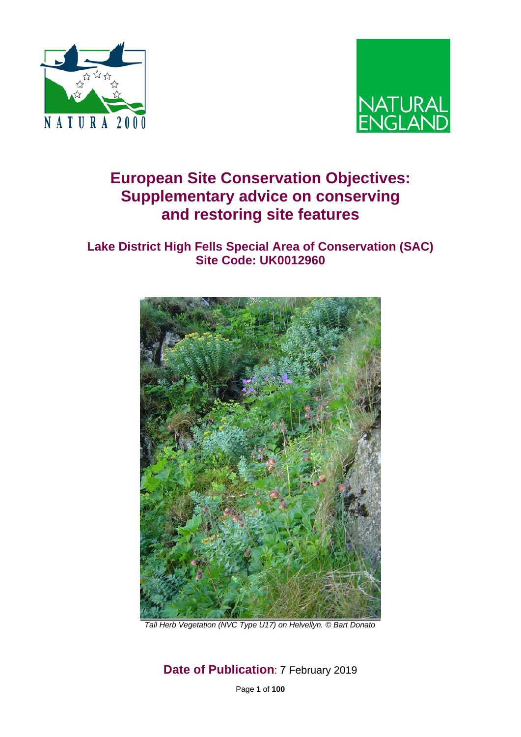



# **European Site Conservation Objectives: Supplementary advice on conserving and restoring site features**

## **Lake District High Fells Special Area of Conservation (SAC) Site Code: UK0012960**



*Tall Herb Vegetation (NVC Type U17) on Helvellyn. © Bart Donato* 

**Date of Publication**: 7 February 2019

Page **1** of **100**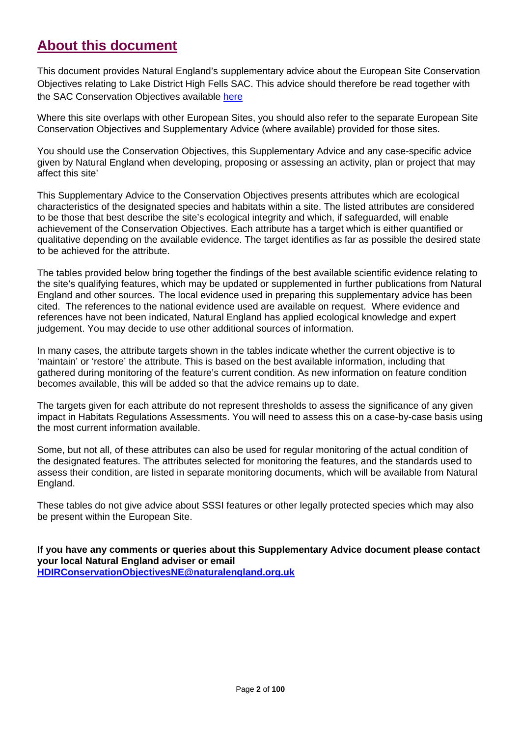## **About this document**

This document provides Natural England's supplementary advice about the European Site Conservation Objectives relating to Lake District High Fells SAC. This advice should therefore be read together with the SAC Conservation Objectives available [here](http://publications.naturalengland.org.uk/publication/6383727470968832?category=4582026845880320)

Where this site overlaps with other European Sites, you should also refer to the separate European Site Conservation Objectives and Supplementary Advice (where available) provided for those sites.

You should use the Conservation Objectives, this Supplementary Advice and any case-specific advice given by Natural England when developing, proposing or assessing an activity, plan or project that may affect this site'

This Supplementary Advice to the Conservation Objectives presents attributes which are ecological characteristics of the designated species and habitats within a site. The listed attributes are considered to be those that best describe the site's ecological integrity and which, if safeguarded, will enable achievement of the Conservation Objectives. Each attribute has a target which is either quantified or qualitative depending on the available evidence. The target identifies as far as possible the desired state to be achieved for the attribute.

The tables provided below bring together the findings of the best available scientific evidence relating to the site's qualifying features, which may be updated or supplemented in further publications from Natural England and other sources. The local evidence used in preparing this supplementary advice has been cited. The references to the national evidence used are available on request. Where evidence and references have not been indicated, Natural England has applied ecological knowledge and expert judgement. You may decide to use other additional sources of information.

In many cases, the attribute targets shown in the tables indicate whether the current objective is to 'maintain' or 'restore' the attribute. This is based on the best available information, including that gathered during monitoring of the feature's current condition. As new information on feature condition becomes available, this will be added so that the advice remains up to date.

The targets given for each attribute do not represent thresholds to assess the significance of any given impact in Habitats Regulations Assessments. You will need to assess this on a case-by-case basis using the most current information available.

Some, but not all, of these attributes can also be used for regular monitoring of the actual condition of the designated features. The attributes selected for monitoring the features, and the standards used to assess their condition, are listed in separate monitoring documents, which will be available from Natural England.

These tables do not give advice about SSSI features or other legally protected species which may also be present within the European Site.

**If you have any comments or queries about this Supplementary Advice document please contact your local Natural England adviser or email [HDIRConservationObjectivesNE@naturalengland.org.uk](mailto:HDIRConservationObjectivesNE@naturalengland.org.uk)**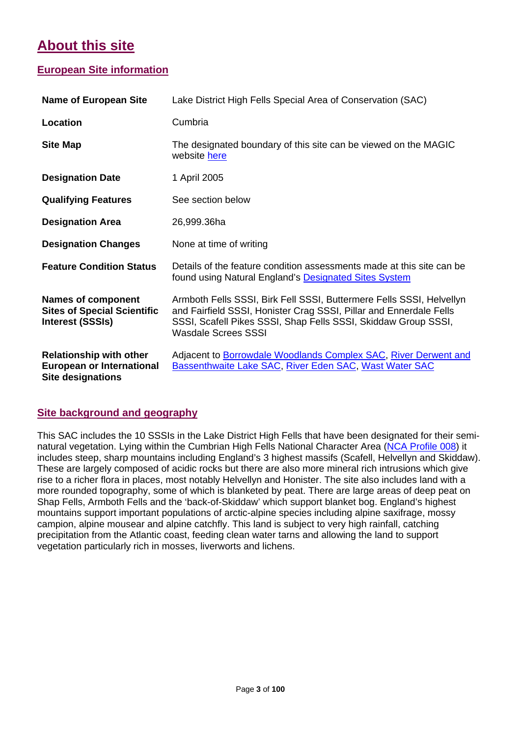# **About this site**

## **European Site information**

| <b>Name of European Site</b>                                                                   | Lake District High Fells Special Area of Conservation (SAC)                                                                                                                                                                         |
|------------------------------------------------------------------------------------------------|-------------------------------------------------------------------------------------------------------------------------------------------------------------------------------------------------------------------------------------|
| Location                                                                                       | Cumbria                                                                                                                                                                                                                             |
| <b>Site Map</b>                                                                                | The designated boundary of this site can be viewed on the MAGIC<br>website here                                                                                                                                                     |
| <b>Designation Date</b>                                                                        | 1 April 2005                                                                                                                                                                                                                        |
| <b>Qualifying Features</b>                                                                     | See section below                                                                                                                                                                                                                   |
| <b>Designation Area</b>                                                                        | 26,999.36ha                                                                                                                                                                                                                         |
| <b>Designation Changes</b>                                                                     | None at time of writing                                                                                                                                                                                                             |
| <b>Feature Condition Status</b>                                                                | Details of the feature condition assessments made at this site can be<br>found using Natural England's <b>Designated Sites System</b>                                                                                               |
| <b>Names of component</b><br><b>Sites of Special Scientific</b><br><b>Interest (SSSIs)</b>     | Armboth Fells SSSI, Birk Fell SSSI, Buttermere Fells SSSI, Helvellyn<br>and Fairfield SSSI, Honister Crag SSSI, Pillar and Ennerdale Fells<br>SSSI, Scafell Pikes SSSI, Shap Fells SSSI, Skiddaw Group SSSI,<br>Wasdale Screes SSSI |
| <b>Relationship with other</b><br><b>European or International</b><br><b>Site designations</b> | Adjacent to <b>Borrowdale Woodlands Complex SAC, River Derwent and</b><br><b>Bassenthwaite Lake SAC, River Eden SAC, Wast Water SAC</b>                                                                                             |

### **Site background and geography**

This SAC includes the 10 SSSIs in the Lake District High Fells that have been designated for their semi-natural vegetation. Lying within the Cumbrian High Fells National Character Area [\(NCA Profile 008\)](http://publications.naturalengland.org.uk/file/5528219878948864) it includes steep, sharp mountains including England's 3 highest massifs (Scafell, Helvellyn and Skiddaw). These are largely composed of acidic rocks but there are also more mineral rich intrusions which give rise to a richer flora in places, most notably Helvellyn and Honister. The site also includes land with a more rounded topography, some of which is blanketed by peat. There are large areas of deep peat on Shap Fells, Armboth Fells and the 'back-of-Skiddaw' which support blanket bog. England's highest mountains support important populations of arctic-alpine species including alpine saxifrage, mossy campion, alpine mousear and alpine catchfly. This land is subject to very high rainfall, catching precipitation from the Atlantic coast, feeding clean water tarns and allowing the land to support vegetation particularly rich in mosses, liverworts and lichens.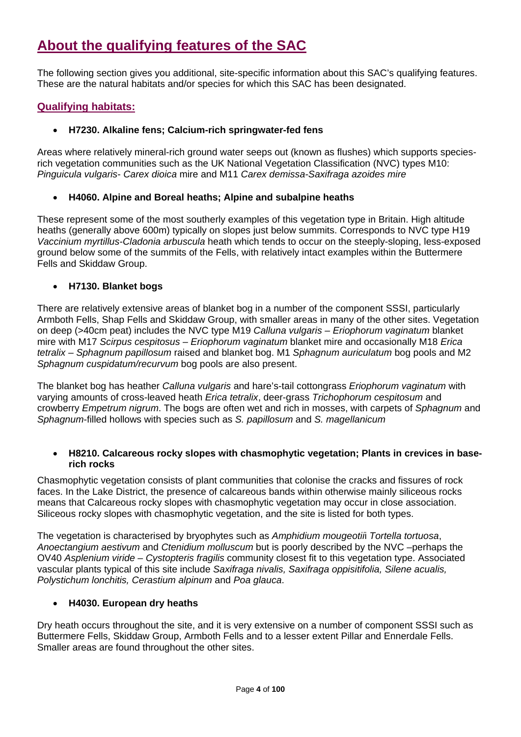# **About the qualifying features of the SAC**

The following section gives you additional, site-specific information about this SAC's qualifying features. These are the natural habitats and/or species for which this SAC has been designated.

### **Qualifying habitats:**

#### • **H7230. Alkaline fens; Calcium-rich springwater-fed fens**

Areas where relatively mineral-rich ground water seeps out (known as flushes) which supports speciesrich vegetation communities such as the UK National Vegetation Classification (NVC) types M10: *Pinguicula vulgaris*- *Carex dioica* mire and M11 *Carex demissa-Saxifraga azoides mire*

#### • **H4060. Alpine and Boreal heaths; Alpine and subalpine heaths**

These represent some of the most southerly examples of this vegetation type in Britain. High altitude heaths (generally above 600m) typically on slopes just below summits. Corresponds to NVC type H19 *Vaccinium myrtillus-Cladonia arbuscula* heath which tends to occur on the steeply-sloping, less-exposed ground below some of the summits of the Fells, with relatively intact examples within the Buttermere Fells and Skiddaw Group.

#### • **H7130. Blanket bogs**

There are relatively extensive areas of blanket bog in a number of the component SSSI, particularly Armboth Fells, Shap Fells and Skiddaw Group, with smaller areas in many of the other sites. Vegetation on deep (>40cm peat) includes the NVC type M19 *Calluna vulgaris – Eriophorum vaginatum* blanket mire with M17 *Scirpus cespitosus – Eriophorum vaginatum* blanket mire and occasionally M18 *Erica tetralix – Sphagnum papillosum* raised and blanket bog. M1 *Sphagnum auriculatum* bog pools and M2 *Sphagnum cuspidatum/recurvum* bog pools are also present.

The blanket bog has heather *Calluna vulgaris* and hare's-tail cottongrass *Eriophorum vaginatum* with varying amounts of cross-leaved heath *Erica tetralix*, deer-grass *Trichophorum cespitosum* and crowberry *Empetrum nigrum*. The bogs are often wet and rich in mosses, with carpets of *Sphagnum* and *Sphagnum*-filled hollows with species such as *S. papillosum* and *S. magellanicum*

#### • **H8210. Calcareous rocky slopes with chasmophytic vegetation; Plants in crevices in baserich rocks**

Chasmophytic vegetation consists of plant communities that colonise the cracks and fissures of rock faces. In the Lake District, the presence of calcareous bands within otherwise mainly siliceous rocks means that Calcareous rocky slopes with chasmophytic vegetation may occur in close association. Siliceous rocky slopes with chasmophytic vegetation, and the site is listed for both types.

The vegetation is characterised by bryophytes such as *Amphidium mougeotii*i *Tortella tortuosa*, *Anoectangium aestivum* and *Ctenidium molluscum* but is poorly described by the NVC –perhaps the OV40 *Asplenium viride – Cystopteris fragilis* community closest fit to this vegetation type. Associated vascular plants typical of this site include *Saxifraga nivalis, Saxifraga oppisitifolia, Silene acualis, Polystichum lonchitis, Cerastium alpinum* and *Poa glauca*.

#### • **H4030. European dry heaths**

Dry heath occurs throughout the site, and it is very extensive on a number of component SSSI such as Buttermere Fells, Skiddaw Group, Armboth Fells and to a lesser extent Pillar and Ennerdale Fells. Smaller areas are found throughout the other sites.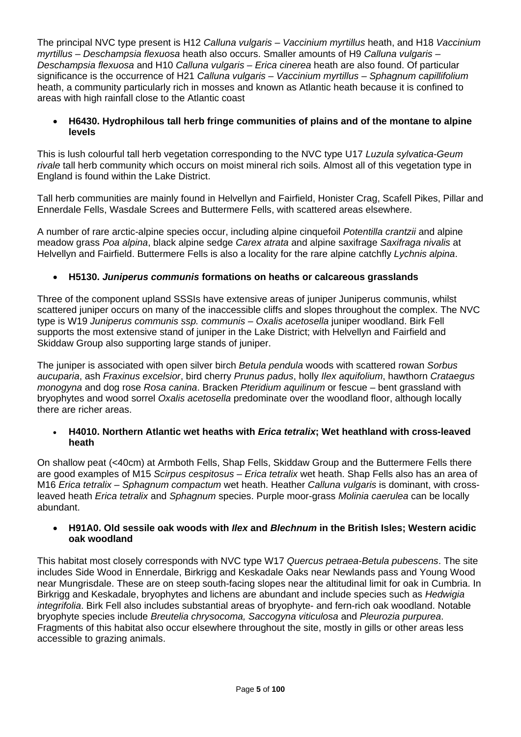The principal NVC type present is H12 *Calluna vulgaris* – *Vaccinium myrtillus* heath, and H18 *Vaccinium myrtillus – Deschampsia flexuosa* heath also occurs. Smaller amounts of H9 *Calluna vulgaris – Deschampsia flexuosa* and H10 *Calluna vulgaris – Erica cinerea* heath are also found. Of particular significance is the occurrence of H21 *Calluna vulgaris – Vaccinium myrtillus – Sphagnum capillifolium* heath, a community particularly rich in mosses and known as Atlantic heath because it is confined to areas with high rainfall close to the Atlantic coast

#### • **H6430. Hydrophilous tall herb fringe communities of plains and of the montane to alpine levels**

This is lush colourful tall herb vegetation corresponding to the NVC type U17 *Luzula sylvatica-Geum rivale* tall herb community which occurs on moist mineral rich soils. Almost all of this vegetation type in England is found within the Lake District.

Tall herb communities are mainly found in Helvellyn and Fairfield, Honister Crag, Scafell Pikes, Pillar and Ennerdale Fells, Wasdale Screes and Buttermere Fells, with scattered areas elsewhere.

A number of rare arctic-alpine species occur, including alpine cinquefoil *Potentilla crantzii* and alpine meadow grass *Poa alpina*, black alpine sedge *Carex atrata* and alpine saxifrage *Saxifraga nivalis* at Helvellyn and Fairfield. Buttermere Fells is also a locality for the rare alpine catchfly *Lychnis alpina*.

#### • **H5130.** *Juniperus communis* **formations on heaths or calcareous grasslands**

Three of the component upland SSSIs have extensive areas of juniper Juniperus communis, whilst scattered juniper occurs on many of the inaccessible cliffs and slopes throughout the complex. The NVC type is W19 *Juniperus communis ssp. communis – Oxalis acetosella* juniper woodland. Birk Fell supports the most extensive stand of juniper in the Lake District; with Helvellyn and Fairfield and Skiddaw Group also supporting large stands of juniper.

The juniper is associated with open silver birch *Betula pendula* woods with scattered rowan *Sorbus aucuparia*, ash *Fraxinus excelsior*, bird cherry *Prunus padus*, holly *Ilex aquifolium*, hawthorn *Crataegus monogyna* and dog rose *Rosa canina*. Bracken *Pteridium aquilinum* or fescue – bent grassland with bryophytes and wood sorrel *Oxalis acetosella* predominate over the woodland floor, although locally there are richer areas.

#### • **H4010. Northern Atlantic wet heaths with** *Erica tetralix***; Wet heathland with cross-leaved heath**

On shallow peat (<40cm) at Armboth Fells, Shap Fells, Skiddaw Group and the Buttermere Fells there are good examples of M15 *Scirpus cespitosus – Erica tetralix* wet heath. Shap Fells also has an area of M16 *Erica tetralix – Sphagnum compactum* wet heath. Heather *Calluna vulgaris* is dominant, with crossleaved heath *Erica tetralix* and *Sphagnum* species. Purple moor-grass *Molinia caerulea* can be locally abundant.

#### • **H91A0. Old sessile oak woods with** *Ilex* **and** *Blechnum* **in the British Isles; Western acidic oak woodland**

This habitat most closely corresponds with NVC type W17 *Quercus petraea-Betula pubescens*. The site includes Side Wood in Ennerdale, Birkrigg and Keskadale Oaks near Newlands pass and Young Wood near Mungrisdale. These are on steep south-facing slopes near the altitudinal limit for oak in Cumbria. In Birkrigg and Keskadale, bryophytes and lichens are abundant and include species such as *Hedwigia integrifolia*. Birk Fell also includes substantial areas of bryophyte- and fern-rich oak woodland. Notable bryophyte species include *Breutelia chrysocoma, Saccogyna viticulosa* and *Pleurozia purpurea*. Fragments of this habitat also occur elsewhere throughout the site, mostly in gills or other areas less accessible to grazing animals.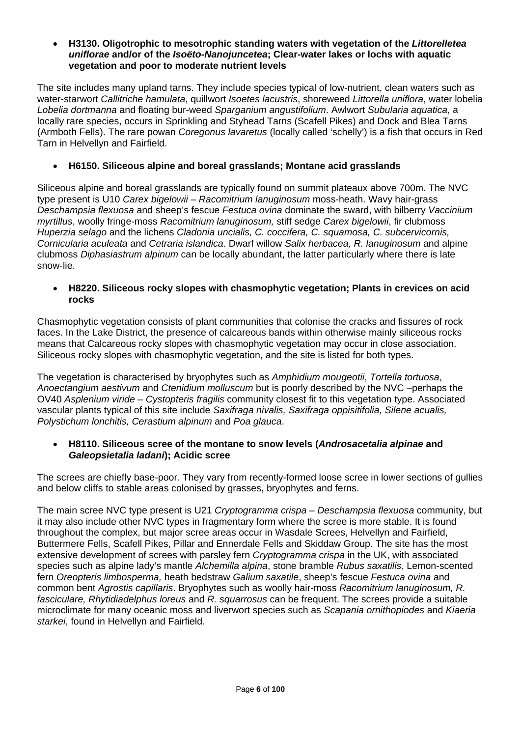#### • **H3130. Oligotrophic to mesotrophic standing waters with vegetation of the** *Littorelletea uniflorae* **and/or of the** *Isoëto-Nanojuncetea***; Clear-water lakes or lochs with aquatic vegetation and poor to moderate nutrient levels**

The site includes many upland tarns. They include species typical of low-nutrient, clean waters such as water-starwort *Callitriche hamulata*, quillwort *Isoetes lacustris*, shoreweed *Littorella uniflora*, water lobelia *Lobelia dortmanna* and floating bur-weed *Sparganium angustifolium*. Awlwort *Subularia aquatica*, a locally rare species, occurs in Sprinkling and Styhead Tarns (Scafell Pikes) and Dock and Blea Tarns (Armboth Fells). The rare powan *Coregonus lavaretus* (locally called 'schelly') is a fish that occurs in Red Tarn in Helvellyn and Fairfield.

#### • **H6150. Siliceous alpine and boreal grasslands; Montane acid grasslands**

Siliceous alpine and boreal grasslands are typically found on summit plateaux above 700m. The NVC type present is U10 *Carex bigelowii – Racomitrium lanuginosum* moss-heath. Wavy hair-grass *Deschampsia flexuosa* and sheep's fescue *Festuca ovina* dominate the sward, with bilberry *Vaccinium myrtillus*, woolly fringe-moss *Racomitrium lanuginosum,* stiff sedge *Carex bigelowii*, fir clubmoss *Huperzia selago* and the lichens *Cladonia uncialis, C. coccifera, C. squamosa, C. subcervicornis, Cornicularia aculeata* and *Cetraria islandica*. Dwarf willow *Salix herbacea, R. lanuginosum* and alpine clubmoss *Diphasiastrum alpinum* can be locally abundant, the latter particularly where there is late snow-lie.

#### • **H8220. Siliceous rocky slopes with chasmophytic vegetation; Plants in crevices on acid rocks**

Chasmophytic vegetation consists of plant communities that colonise the cracks and fissures of rock faces. In the Lake District, the presence of calcareous bands within otherwise mainly siliceous rocks means that Calcareous rocky slopes with chasmophytic vegetation may occur in close association. Siliceous rocky slopes with chasmophytic vegetation, and the site is listed for both types.

The vegetation is characterised by bryophytes such as *Amphidium mougeotii*, *Tortella tortuosa*, *Anoectangium aestivum* and *Ctenidium molluscum* but is poorly described by the NVC –perhaps the OV40 *Asplenium viride – Cystopteris fragilis* community closest fit to this vegetation type. Associated vascular plants typical of this site include *Saxifraga nivalis, Saxifraga oppisitifolia, Silene acualis, Polystichum lonchitis, Cerastium alpinum* and *Poa glauca*.

#### • **H8110. Siliceous scree of the montane to snow levels (***Androsacetalia alpinae* **and**  *Galeopsietalia ladani***); Acidic scree**

The screes are chiefly base-poor. They vary from recently-formed loose scree in lower sections of gullies and below cliffs to stable areas colonised by grasses, bryophytes and ferns.

The main scree NVC type present is U21 *Cryptogramma crispa – Deschampsia flexuosa* community, but it may also include other NVC types in fragmentary form where the scree is more stable. It is found throughout the complex, but major scree areas occur in Wasdale Screes, Helvellyn and Fairfield, Buttermere Fells, Scafell Pikes, Pillar and Ennerdale Fells and Skiddaw Group. The site has the most extensive development of screes with parsley fern *Cryptogramma crispa* in the UK, with associated species such as alpine lady's mantle *Alchemilla alpina*, stone bramble *Rubus saxatilis*, Lemon-scented fern *Oreopteris limbosperma,* heath bedstraw *Galium saxatile*, sheep's fescue *Festuca ovina* and common bent *Agrostis capillaris*. Bryophytes such as woolly hair-moss *Racomitrium lanuginosum, R. fasciculare, Rhytidiadelphus loreus* and *R. squarrosus* can be frequent. The screes provide a suitable microclimate for many oceanic moss and liverwort species such as *Scapania ornithopiodes* and *Kiaeria starkei*, found in Helvellyn and Fairfield.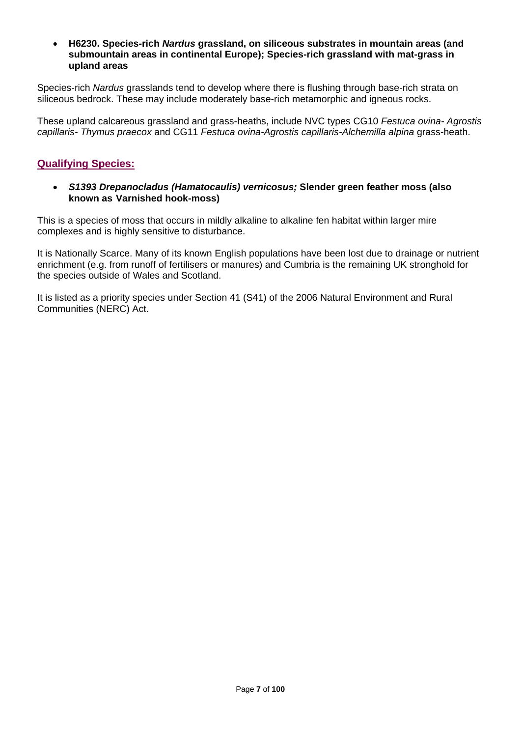#### • **H6230. Species-rich** *Nardus* **grassland, on siliceous substrates in mountain areas (and submountain areas in continental Europe); Species-rich grassland with mat-grass in upland areas**

Species-rich *Nardus* grasslands tend to develop where there is flushing through base-rich strata on siliceous bedrock. These may include moderately base-rich metamorphic and igneous rocks.

These upland calcareous grassland and grass-heaths, include NVC types CG10 *Festuca ovina- Agrostis capillaris- Thymus praecox* and CG11 *Festuca ovina-Agrostis capillaris-Alchemilla alpina* grass-heath.

### **Qualifying Species:**

• *S1393 Drepanocladus (Hamatocaulis) vernicosus;* **Slender green feather moss (also known as Varnished hook-moss)**

This is a species of moss that occurs in mildly alkaline to alkaline fen habitat within larger mire complexes and is highly sensitive to disturbance.

It is Nationally Scarce. Many of its known English populations have been lost due to drainage or nutrient enrichment (e.g. from runoff of fertilisers or manures) and Cumbria is the remaining UK stronghold for the species outside of Wales and Scotland.

It is listed as a priority species under Section 41 (S41) of the 2006 Natural Environment and Rural Communities (NERC) Act.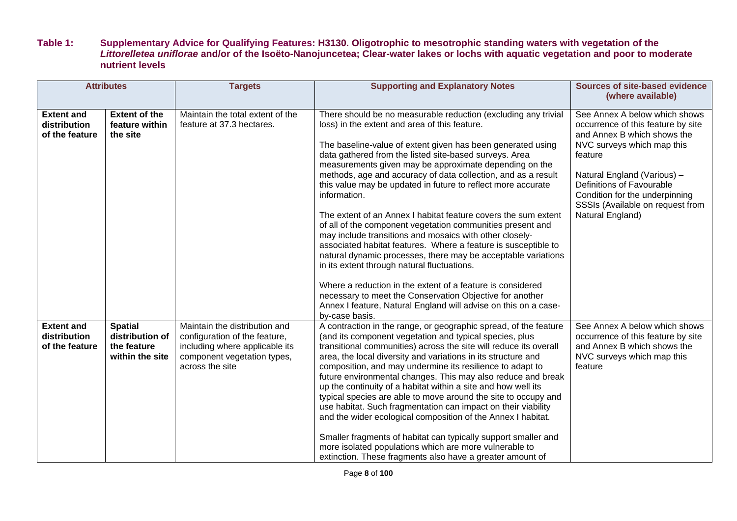#### **Table 1: Supplementary Advice for Qualifying Features: H3130. Oligotrophic to mesotrophic standing waters with vegetation of the**  *Littorelletea uniflorae* **and/or of the Isoëto-Nanojuncetea; Clear-water lakes or lochs with aquatic vegetation and poor to moderate nutrient levels**

|                                                     | <b>Attributes</b>                                                   | <b>Targets</b>                                                                                                                                     | <b>Supporting and Explanatory Notes</b>                                                                                                                                                                                                                                                                                                                                                                                                                                                                                                                                                                                                                                                                                                                                                                                                                                                                                                                                                                                                         | <b>Sources of site-based evidence</b><br>(where available)                                                                                                                                                                                                                                        |
|-----------------------------------------------------|---------------------------------------------------------------------|----------------------------------------------------------------------------------------------------------------------------------------------------|-------------------------------------------------------------------------------------------------------------------------------------------------------------------------------------------------------------------------------------------------------------------------------------------------------------------------------------------------------------------------------------------------------------------------------------------------------------------------------------------------------------------------------------------------------------------------------------------------------------------------------------------------------------------------------------------------------------------------------------------------------------------------------------------------------------------------------------------------------------------------------------------------------------------------------------------------------------------------------------------------------------------------------------------------|---------------------------------------------------------------------------------------------------------------------------------------------------------------------------------------------------------------------------------------------------------------------------------------------------|
| <b>Extent and</b><br>distribution<br>of the feature | <b>Extent of the</b><br>feature within<br>the site                  | Maintain the total extent of the<br>feature at 37.3 hectares.                                                                                      | There should be no measurable reduction (excluding any trivial<br>loss) in the extent and area of this feature.<br>The baseline-value of extent given has been generated using<br>data gathered from the listed site-based surveys. Area<br>measurements given may be approximate depending on the<br>methods, age and accuracy of data collection, and as a result<br>this value may be updated in future to reflect more accurate<br>information.<br>The extent of an Annex I habitat feature covers the sum extent<br>of all of the component vegetation communities present and<br>may include transitions and mosaics with other closely-<br>associated habitat features. Where a feature is susceptible to<br>natural dynamic processes, there may be acceptable variations<br>in its extent through natural fluctuations.<br>Where a reduction in the extent of a feature is considered<br>necessary to meet the Conservation Objective for another<br>Annex I feature, Natural England will advise on this on a case-<br>by-case basis. | See Annex A below which shows<br>occurrence of this feature by site<br>and Annex B which shows the<br>NVC surveys which map this<br>feature<br>Natural England (Various) -<br>Definitions of Favourable<br>Condition for the underpinning<br>SSSIs (Available on request from<br>Natural England) |
| <b>Extent and</b><br>distribution<br>of the feature | <b>Spatial</b><br>distribution of<br>the feature<br>within the site | Maintain the distribution and<br>configuration of the feature,<br>including where applicable its<br>component vegetation types,<br>across the site | A contraction in the range, or geographic spread, of the feature<br>(and its component vegetation and typical species, plus<br>transitional communities) across the site will reduce its overall<br>area, the local diversity and variations in its structure and<br>composition, and may undermine its resilience to adapt to<br>future environmental changes. This may also reduce and break<br>up the continuity of a habitat within a site and how well its<br>typical species are able to move around the site to occupy and<br>use habitat. Such fragmentation can impact on their viability<br>and the wider ecological composition of the Annex I habitat.<br>Smaller fragments of habitat can typically support smaller and<br>more isolated populations which are more vulnerable to<br>extinction. These fragments also have a greater amount of                                                                                                                                                                                     | See Annex A below which shows<br>occurrence of this feature by site<br>and Annex B which shows the<br>NVC surveys which map this<br>feature                                                                                                                                                       |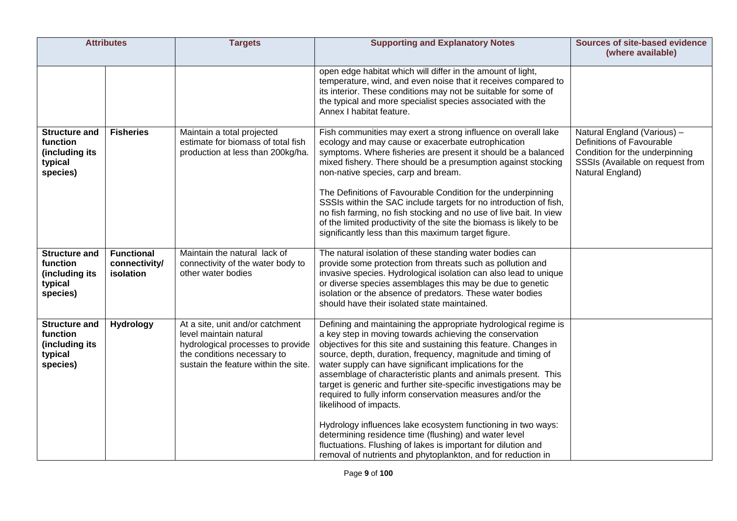| <b>Attributes</b>                                                         |                                                 | <b>Targets</b>                                                                                                                                                         | <b>Supporting and Explanatory Notes</b>                                                                                                                                                                                                                                                                                                                                                                                                                                                                                                                                                                                                                                                                                                                                                                        | <b>Sources of site-based evidence</b><br>(where available)                                                                                         |
|---------------------------------------------------------------------------|-------------------------------------------------|------------------------------------------------------------------------------------------------------------------------------------------------------------------------|----------------------------------------------------------------------------------------------------------------------------------------------------------------------------------------------------------------------------------------------------------------------------------------------------------------------------------------------------------------------------------------------------------------------------------------------------------------------------------------------------------------------------------------------------------------------------------------------------------------------------------------------------------------------------------------------------------------------------------------------------------------------------------------------------------------|----------------------------------------------------------------------------------------------------------------------------------------------------|
|                                                                           |                                                 |                                                                                                                                                                        | open edge habitat which will differ in the amount of light,<br>temperature, wind, and even noise that it receives compared to<br>its interior. These conditions may not be suitable for some of<br>the typical and more specialist species associated with the<br>Annex I habitat feature.                                                                                                                                                                                                                                                                                                                                                                                                                                                                                                                     |                                                                                                                                                    |
| <b>Structure and</b><br>function<br>(including its<br>typical<br>species) | <b>Fisheries</b>                                | Maintain a total projected<br>estimate for biomass of total fish<br>production at less than 200kg/ha.                                                                  | Fish communities may exert a strong influence on overall lake<br>ecology and may cause or exacerbate eutrophication<br>symptoms. Where fisheries are present it should be a balanced<br>mixed fishery. There should be a presumption against stocking<br>non-native species, carp and bream.<br>The Definitions of Favourable Condition for the underpinning<br>SSSIs within the SAC include targets for no introduction of fish,<br>no fish farming, no fish stocking and no use of live bait. In view<br>of the limited productivity of the site the biomass is likely to be<br>significantly less than this maximum target figure.                                                                                                                                                                          | Natural England (Various) -<br>Definitions of Favourable<br>Condition for the underpinning<br>SSSIs (Available on request from<br>Natural England) |
| <b>Structure and</b><br>function<br>(including its<br>typical<br>species) | <b>Functional</b><br>connectivity/<br>isolation | Maintain the natural lack of<br>connectivity of the water body to<br>other water bodies                                                                                | The natural isolation of these standing water bodies can<br>provide some protection from threats such as pollution and<br>invasive species. Hydrological isolation can also lead to unique<br>or diverse species assemblages this may be due to genetic<br>isolation or the absence of predators. These water bodies<br>should have their isolated state maintained.                                                                                                                                                                                                                                                                                                                                                                                                                                           |                                                                                                                                                    |
| <b>Structure and</b><br>function<br>(including its<br>typical<br>species) | <b>Hydrology</b>                                | At a site, unit and/or catchment<br>level maintain natural<br>hydrological processes to provide<br>the conditions necessary to<br>sustain the feature within the site. | Defining and maintaining the appropriate hydrological regime is<br>a key step in moving towards achieving the conservation<br>objectives for this site and sustaining this feature. Changes in<br>source, depth, duration, frequency, magnitude and timing of<br>water supply can have significant implications for the<br>assemblage of characteristic plants and animals present. This<br>target is generic and further site-specific investigations may be<br>required to fully inform conservation measures and/or the<br>likelihood of impacts.<br>Hydrology influences lake ecosystem functioning in two ways:<br>determining residence time (flushing) and water level<br>fluctuations. Flushing of lakes is important for dilution and<br>removal of nutrients and phytoplankton, and for reduction in |                                                                                                                                                    |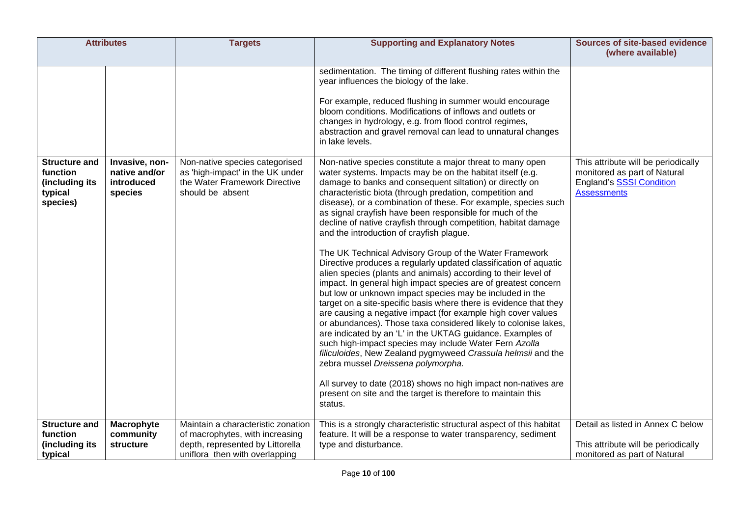|                                                                           | <b>Attributes</b>                                        | <b>Targets</b>                                                                                                          | <b>Supporting and Explanatory Notes</b>                                                                                                                                                                                                                                                                                                                                                                                                                                                                                                                                                                                                                                                                                                                                                                                                                                                                                                                                                                                                                                                                                                                                                                                                                                                                                                                                                                     | <b>Sources of site-based evidence</b><br>(where available)                                                                   |
|---------------------------------------------------------------------------|----------------------------------------------------------|-------------------------------------------------------------------------------------------------------------------------|-------------------------------------------------------------------------------------------------------------------------------------------------------------------------------------------------------------------------------------------------------------------------------------------------------------------------------------------------------------------------------------------------------------------------------------------------------------------------------------------------------------------------------------------------------------------------------------------------------------------------------------------------------------------------------------------------------------------------------------------------------------------------------------------------------------------------------------------------------------------------------------------------------------------------------------------------------------------------------------------------------------------------------------------------------------------------------------------------------------------------------------------------------------------------------------------------------------------------------------------------------------------------------------------------------------------------------------------------------------------------------------------------------------|------------------------------------------------------------------------------------------------------------------------------|
|                                                                           |                                                          |                                                                                                                         | sedimentation. The timing of different flushing rates within the<br>year influences the biology of the lake.<br>For example, reduced flushing in summer would encourage<br>bloom conditions. Modifications of inflows and outlets or<br>changes in hydrology, e.g. from flood control regimes,<br>abstraction and gravel removal can lead to unnatural changes<br>in lake levels.                                                                                                                                                                                                                                                                                                                                                                                                                                                                                                                                                                                                                                                                                                                                                                                                                                                                                                                                                                                                                           |                                                                                                                              |
| <b>Structure and</b><br>function<br>(including its<br>typical<br>species) | Invasive, non-<br>native and/or<br>introduced<br>species | Non-native species categorised<br>as 'high-impact' in the UK under<br>the Water Framework Directive<br>should be absent | Non-native species constitute a major threat to many open<br>water systems. Impacts may be on the habitat itself (e.g.<br>damage to banks and consequent siltation) or directly on<br>characteristic biota (through predation, competition and<br>disease), or a combination of these. For example, species such<br>as signal crayfish have been responsible for much of the<br>decline of native crayfish through competition, habitat damage<br>and the introduction of crayfish plague.<br>The UK Technical Advisory Group of the Water Framework<br>Directive produces a regularly updated classification of aquatic<br>alien species (plants and animals) according to their level of<br>impact. In general high impact species are of greatest concern<br>but low or unknown impact species may be included in the<br>target on a site-specific basis where there is evidence that they<br>are causing a negative impact (for example high cover values<br>or abundances). Those taxa considered likely to colonise lakes,<br>are indicated by an 'L' in the UKTAG guidance. Examples of<br>such high-impact species may include Water Fern Azolla<br>filiculoides, New Zealand pygmyweed Crassula helmsii and the<br>zebra mussel Dreissena polymorpha.<br>All survey to date (2018) shows no high impact non-natives are<br>present on site and the target is therefore to maintain this<br>status. | This attribute will be periodically<br>monitored as part of Natural<br><b>England's SSSI Condition</b><br><b>Assessments</b> |
| Structure and                                                             | Macrophyte                                               | Maintain a characteristic zonation                                                                                      | This is a strongly characteristic structural aspect of this habitat                                                                                                                                                                                                                                                                                                                                                                                                                                                                                                                                                                                                                                                                                                                                                                                                                                                                                                                                                                                                                                                                                                                                                                                                                                                                                                                                         | Detail as listed in Annex C below                                                                                            |
| function<br>(including its<br>typical                                     | community<br>structure                                   | of macrophytes, with increasing<br>depth, represented by Littorella<br>uniflora then with overlapping                   | feature. It will be a response to water transparency, sediment<br>type and disturbance.                                                                                                                                                                                                                                                                                                                                                                                                                                                                                                                                                                                                                                                                                                                                                                                                                                                                                                                                                                                                                                                                                                                                                                                                                                                                                                                     | This attribute will be periodically<br>monitored as part of Natural                                                          |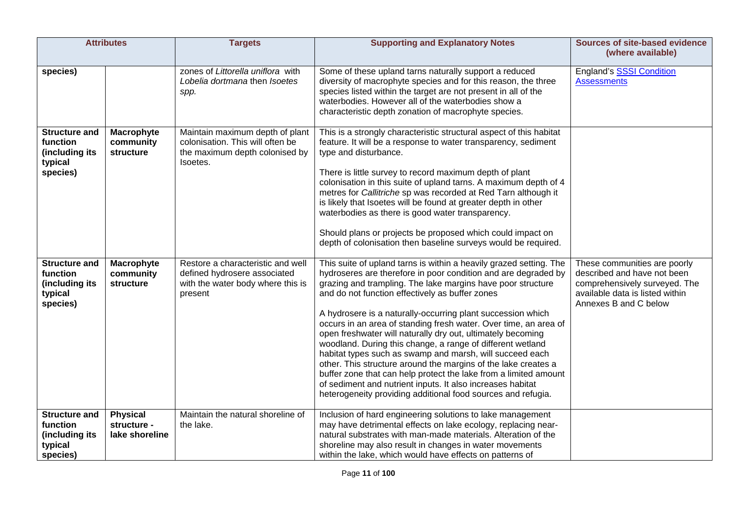|                                                                           | <b>Attributes</b>                                | <b>Targets</b>                                                                                                    | <b>Supporting and Explanatory Notes</b>                                                                                                                                                                                                                                                                                                                                                                                                                                                                                                                                                                                                                                                                                                                                                                                                                | <b>Sources of site-based evidence</b><br>(where available)                                                                                               |
|---------------------------------------------------------------------------|--------------------------------------------------|-------------------------------------------------------------------------------------------------------------------|--------------------------------------------------------------------------------------------------------------------------------------------------------------------------------------------------------------------------------------------------------------------------------------------------------------------------------------------------------------------------------------------------------------------------------------------------------------------------------------------------------------------------------------------------------------------------------------------------------------------------------------------------------------------------------------------------------------------------------------------------------------------------------------------------------------------------------------------------------|----------------------------------------------------------------------------------------------------------------------------------------------------------|
| species)                                                                  |                                                  | zones of Littorella uniflora with<br>Lobelia dortmana then Isoetes<br>spp.                                        | Some of these upland tarns naturally support a reduced<br>diversity of macrophyte species and for this reason, the three<br>species listed within the target are not present in all of the<br>waterbodies. However all of the waterbodies show a<br>characteristic depth zonation of macrophyte species.                                                                                                                                                                                                                                                                                                                                                                                                                                                                                                                                               | England's SSSI Condition<br><b>Assessments</b>                                                                                                           |
| <b>Structure and</b><br>function<br>(including its<br>typical<br>species) | Macrophyte<br>community<br>structure             | Maintain maximum depth of plant<br>colonisation. This will often be<br>the maximum depth colonised by<br>Isoetes. | This is a strongly characteristic structural aspect of this habitat<br>feature. It will be a response to water transparency, sediment<br>type and disturbance.<br>There is little survey to record maximum depth of plant<br>colonisation in this suite of upland tarns. A maximum depth of 4<br>metres for Callitriche sp was recorded at Red Tarn although it<br>is likely that Isoetes will be found at greater depth in other<br>waterbodies as there is good water transparency.<br>Should plans or projects be proposed which could impact on<br>depth of colonisation then baseline surveys would be required.                                                                                                                                                                                                                                  |                                                                                                                                                          |
| <b>Structure and</b><br>function<br>(including its<br>typical<br>species) | Macrophyte<br>community<br>structure             | Restore a characteristic and well<br>defined hydrosere associated<br>with the water body where this is<br>present | This suite of upland tarns is within a heavily grazed setting. The<br>hydroseres are therefore in poor condition and are degraded by<br>grazing and trampling. The lake margins have poor structure<br>and do not function effectively as buffer zones<br>A hydrosere is a naturally-occurring plant succession which<br>occurs in an area of standing fresh water. Over time, an area of<br>open freshwater will naturally dry out, ultimately becoming<br>woodland. During this change, a range of different wetland<br>habitat types such as swamp and marsh, will succeed each<br>other. This structure around the margins of the lake creates a<br>buffer zone that can help protect the lake from a limited amount<br>of sediment and nutrient inputs. It also increases habitat<br>heterogeneity providing additional food sources and refugia. | These communities are poorly<br>described and have not been<br>comprehensively surveyed. The<br>available data is listed within<br>Annexes B and C below |
| <b>Structure and</b><br>function<br>(including its<br>typical<br>species) | <b>Physical</b><br>structure -<br>lake shoreline | Maintain the natural shoreline of<br>the lake.                                                                    | Inclusion of hard engineering solutions to lake management<br>may have detrimental effects on lake ecology, replacing near-<br>natural substrates with man-made materials. Alteration of the<br>shoreline may also result in changes in water movements<br>within the lake, which would have effects on patterns of                                                                                                                                                                                                                                                                                                                                                                                                                                                                                                                                    |                                                                                                                                                          |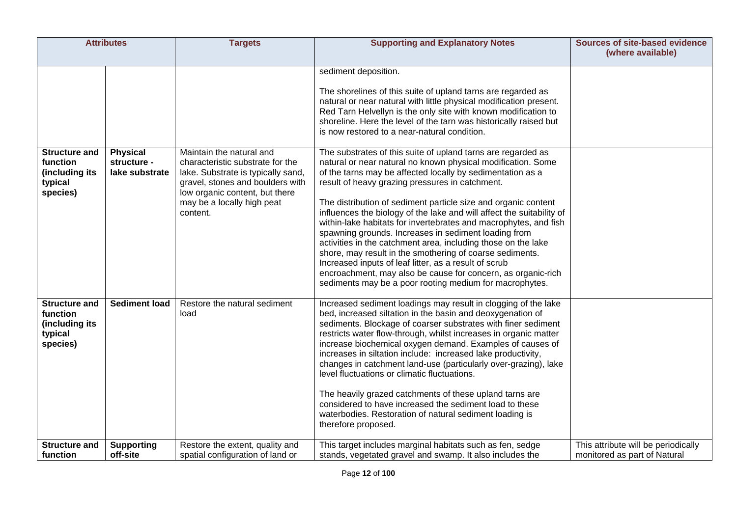| <b>Attributes</b>                                                         |                                                  | <b>Targets</b>                                                                                                                                                                                                     | <b>Supporting and Explanatory Notes</b>                                                                                                                                                                                                                                                                                                                                                                                                                                                                                                                                                                                                                                                                                                                                                                                               | <b>Sources of site-based evidence</b><br>(where available)          |
|---------------------------------------------------------------------------|--------------------------------------------------|--------------------------------------------------------------------------------------------------------------------------------------------------------------------------------------------------------------------|---------------------------------------------------------------------------------------------------------------------------------------------------------------------------------------------------------------------------------------------------------------------------------------------------------------------------------------------------------------------------------------------------------------------------------------------------------------------------------------------------------------------------------------------------------------------------------------------------------------------------------------------------------------------------------------------------------------------------------------------------------------------------------------------------------------------------------------|---------------------------------------------------------------------|
|                                                                           |                                                  |                                                                                                                                                                                                                    | sediment deposition.<br>The shorelines of this suite of upland tarns are regarded as<br>natural or near natural with little physical modification present.<br>Red Tarn Helvellyn is the only site with known modification to<br>shoreline. Here the level of the tarn was historically raised but<br>is now restored to a near-natural condition.                                                                                                                                                                                                                                                                                                                                                                                                                                                                                     |                                                                     |
| <b>Structure and</b><br>function<br>(including its<br>typical<br>species) | <b>Physical</b><br>structure -<br>lake substrate | Maintain the natural and<br>characteristic substrate for the<br>lake. Substrate is typically sand,<br>gravel, stones and boulders with<br>low organic content, but there<br>may be a locally high peat<br>content. | The substrates of this suite of upland tarns are regarded as<br>natural or near natural no known physical modification. Some<br>of the tarns may be affected locally by sedimentation as a<br>result of heavy grazing pressures in catchment.<br>The distribution of sediment particle size and organic content<br>influences the biology of the lake and will affect the suitability of<br>within-lake habitats for invertebrates and macrophytes, and fish<br>spawning grounds. Increases in sediment loading from<br>activities in the catchment area, including those on the lake<br>shore, may result in the smothering of coarse sediments.<br>Increased inputs of leaf litter, as a result of scrub<br>encroachment, may also be cause for concern, as organic-rich<br>sediments may be a poor rooting medium for macrophytes. |                                                                     |
| <b>Structure and</b><br>function<br>(including its<br>typical<br>species) | <b>Sediment load</b>                             | Restore the natural sediment<br>load                                                                                                                                                                               | Increased sediment loadings may result in clogging of the lake<br>bed, increased siltation in the basin and deoxygenation of<br>sediments. Blockage of coarser substrates with finer sediment<br>restricts water flow-through, whilst increases in organic matter<br>increase biochemical oxygen demand. Examples of causes of<br>increases in siltation include: increased lake productivity,<br>changes in catchment land-use (particularly over-grazing), lake<br>level fluctuations or climatic fluctuations.<br>The heavily grazed catchments of these upland tarns are<br>considered to have increased the sediment load to these<br>waterbodies. Restoration of natural sediment loading is<br>therefore proposed.                                                                                                             |                                                                     |
| <b>Structure and</b><br>function                                          | <b>Supporting</b><br>off-site                    | Restore the extent, quality and<br>spatial configuration of land or                                                                                                                                                | This target includes marginal habitats such as fen, sedge<br>stands, vegetated gravel and swamp. It also includes the                                                                                                                                                                                                                                                                                                                                                                                                                                                                                                                                                                                                                                                                                                                 | This attribute will be periodically<br>monitored as part of Natural |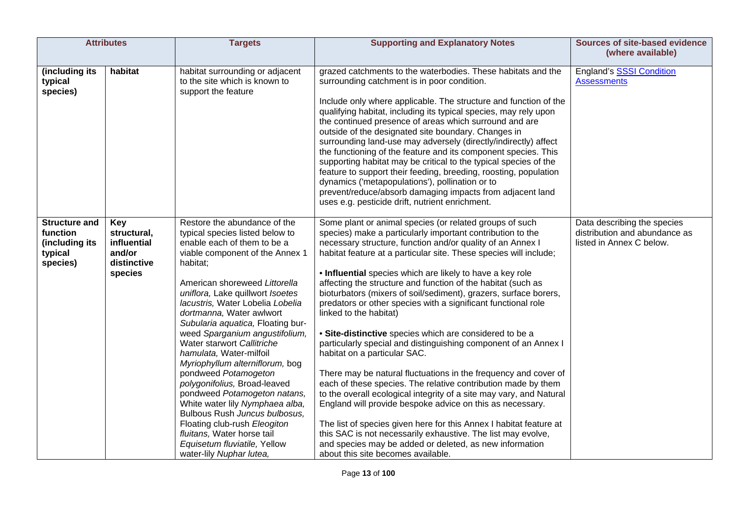| <b>Attributes</b>                                                         |                                                                       | <b>Targets</b>                                                                                                                                                                                                                                                                                                                                                                                                                                                                                                                                                                                                                                                                                                                              | <b>Supporting and Explanatory Notes</b>                                                                                                                                                                                                                                                                                                                                                                                                                                                                                                                                                                                                                                                                                                                                                                                                                                                                                                                                                                                                                                                                                                                                                                                           | <b>Sources of site-based evidence</b><br>(where available)                               |
|---------------------------------------------------------------------------|-----------------------------------------------------------------------|---------------------------------------------------------------------------------------------------------------------------------------------------------------------------------------------------------------------------------------------------------------------------------------------------------------------------------------------------------------------------------------------------------------------------------------------------------------------------------------------------------------------------------------------------------------------------------------------------------------------------------------------------------------------------------------------------------------------------------------------|-----------------------------------------------------------------------------------------------------------------------------------------------------------------------------------------------------------------------------------------------------------------------------------------------------------------------------------------------------------------------------------------------------------------------------------------------------------------------------------------------------------------------------------------------------------------------------------------------------------------------------------------------------------------------------------------------------------------------------------------------------------------------------------------------------------------------------------------------------------------------------------------------------------------------------------------------------------------------------------------------------------------------------------------------------------------------------------------------------------------------------------------------------------------------------------------------------------------------------------|------------------------------------------------------------------------------------------|
| (including its<br>typical<br>species)                                     | habitat                                                               | habitat surrounding or adjacent<br>to the site which is known to<br>support the feature                                                                                                                                                                                                                                                                                                                                                                                                                                                                                                                                                                                                                                                     | grazed catchments to the waterbodies. These habitats and the<br>surrounding catchment is in poor condition.<br>Include only where applicable. The structure and function of the<br>qualifying habitat, including its typical species, may rely upon<br>the continued presence of areas which surround and are<br>outside of the designated site boundary. Changes in<br>surrounding land-use may adversely (directly/indirectly) affect<br>the functioning of the feature and its component species. This<br>supporting habitat may be critical to the typical species of the<br>feature to support their feeding, breeding, roosting, population<br>dynamics ('metapopulations'), pollination or to<br>prevent/reduce/absorb damaging impacts from adjacent land<br>uses e.g. pesticide drift, nutrient enrichment.                                                                                                                                                                                                                                                                                                                                                                                                              | <b>England's SSSI Condition</b><br><b>Assessments</b>                                    |
| <b>Structure and</b><br>function<br>(including its<br>typical<br>species) | Key<br>structural,<br>influential<br>and/or<br>distinctive<br>species | Restore the abundance of the<br>typical species listed below to<br>enable each of them to be a<br>viable component of the Annex 1<br>habitat;<br>American shoreweed Littorella<br>uniflora, Lake quillwort Isoetes<br>lacustris, Water Lobelia Lobelia<br>dortmanna, Water awlwort<br>Subularia aquatica, Floating bur-<br>weed Sparganium angustifolium,<br>Water starwort Callitriche<br>hamulata, Water-milfoil<br>Myriophyllum alterniflorum, bog<br>pondweed Potamogeton<br>polygonifolius, Broad-leaved<br>pondweed Potamogeton natans,<br>White water lily Nymphaea alba,<br>Bulbous Rush Juncus bulbosus,<br>Floating club-rush Eleogiton<br>fluitans, Water horse tail<br>Equisetum fluviatile, Yellow<br>water-lily Nuphar lutea, | Some plant or animal species (or related groups of such<br>species) make a particularly important contribution to the<br>necessary structure, function and/or quality of an Annex I<br>habitat feature at a particular site. These species will include;<br>. Influential species which are likely to have a key role<br>affecting the structure and function of the habitat (such as<br>bioturbators (mixers of soil/sediment), grazers, surface borers,<br>predators or other species with a significant functional role<br>linked to the habitat)<br>• Site-distinctive species which are considered to be a<br>particularly special and distinguishing component of an Annex I<br>habitat on a particular SAC.<br>There may be natural fluctuations in the frequency and cover of<br>each of these species. The relative contribution made by them<br>to the overall ecological integrity of a site may vary, and Natural<br>England will provide bespoke advice on this as necessary.<br>The list of species given here for this Annex I habitat feature at<br>this SAC is not necessarily exhaustive. The list may evolve,<br>and species may be added or deleted, as new information<br>about this site becomes available. | Data describing the species<br>distribution and abundance as<br>listed in Annex C below. |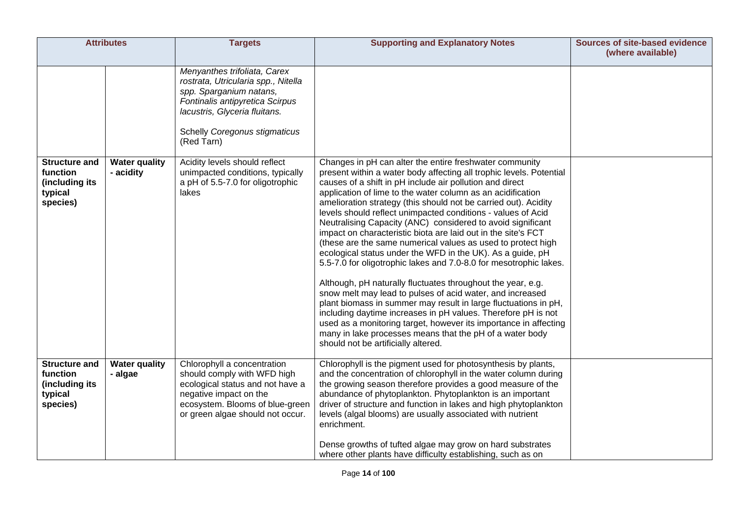|                                                                           | <b>Attributes</b>                 | <b>Targets</b>                                                                                                                                                                                                    | <b>Supporting and Explanatory Notes</b>                                                                                                                                                                                                                                                                                                                                                                                                                                                                                                                                                                                                                                                                                                                                                                                                                                                                                                                                                                                                                                                                                                                                | <b>Sources of site-based evidence</b><br>(where available) |
|---------------------------------------------------------------------------|-----------------------------------|-------------------------------------------------------------------------------------------------------------------------------------------------------------------------------------------------------------------|------------------------------------------------------------------------------------------------------------------------------------------------------------------------------------------------------------------------------------------------------------------------------------------------------------------------------------------------------------------------------------------------------------------------------------------------------------------------------------------------------------------------------------------------------------------------------------------------------------------------------------------------------------------------------------------------------------------------------------------------------------------------------------------------------------------------------------------------------------------------------------------------------------------------------------------------------------------------------------------------------------------------------------------------------------------------------------------------------------------------------------------------------------------------|------------------------------------------------------------|
|                                                                           |                                   | Menyanthes trifoliata, Carex<br>rostrata, Utricularia spp., Nitella<br>spp. Sparganium natans,<br>Fontinalis antipyretica Scirpus<br>lacustris, Glyceria fluitans.<br>Schelly Coregonus stigmaticus<br>(Red Tarn) |                                                                                                                                                                                                                                                                                                                                                                                                                                                                                                                                                                                                                                                                                                                                                                                                                                                                                                                                                                                                                                                                                                                                                                        |                                                            |
| <b>Structure and</b><br>function<br>(including its<br>typical<br>species) | <b>Water quality</b><br>- acidity | Acidity levels should reflect<br>unimpacted conditions, typically<br>a pH of 5.5-7.0 for oligotrophic<br>lakes                                                                                                    | Changes in pH can alter the entire freshwater community<br>present within a water body affecting all trophic levels. Potential<br>causes of a shift in pH include air pollution and direct<br>application of lime to the water column as an acidification<br>amelioration strategy (this should not be carried out). Acidity<br>levels should reflect unimpacted conditions - values of Acid<br>Neutralising Capacity (ANC) considered to avoid significant<br>impact on characteristic biota are laid out in the site's FCT<br>(these are the same numerical values as used to protect high<br>ecological status under the WFD in the UK). As a guide, pH<br>5.5-7.0 for oligotrophic lakes and 7.0-8.0 for mesotrophic lakes.<br>Although, pH naturally fluctuates throughout the year, e.g.<br>snow melt may lead to pulses of acid water, and increased<br>plant biomass in summer may result in large fluctuations in pH,<br>including daytime increases in pH values. Therefore pH is not<br>used as a monitoring target, however its importance in affecting<br>many in lake processes means that the pH of a water body<br>should not be artificially altered. |                                                            |
| <b>Structure and</b><br>function<br>(including its<br>typical<br>species) | <b>Water quality</b><br>- algae   | Chlorophyll a concentration<br>should comply with WFD high<br>ecological status and not have a<br>negative impact on the<br>ecosystem. Blooms of blue-green<br>or green algae should not occur.                   | Chlorophyll is the pigment used for photosynthesis by plants,<br>and the concentration of chlorophyll in the water column during<br>the growing season therefore provides a good measure of the<br>abundance of phytoplankton. Phytoplankton is an important<br>driver of structure and function in lakes and high phytoplankton<br>levels (algal blooms) are usually associated with nutrient<br>enrichment.<br>Dense growths of tufted algae may grow on hard substrates<br>where other plants have difficulty establishing, such as on                                                                                                                                                                                                                                                                                                                                                                                                                                                                                                                                                                                                                              |                                                            |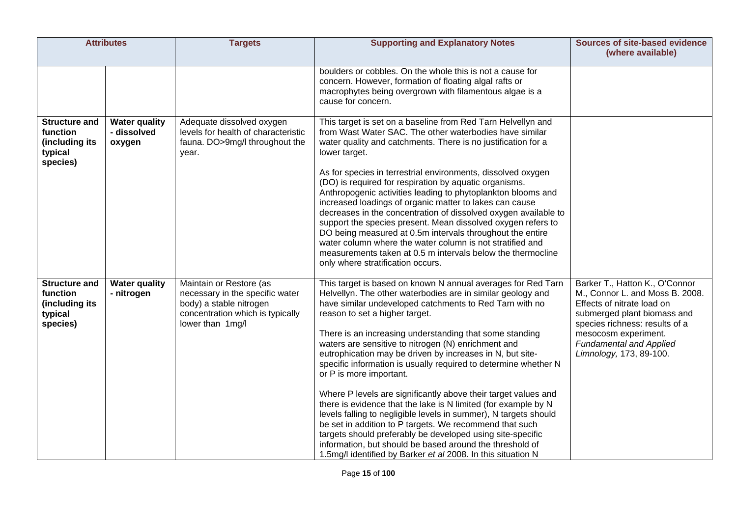| <b>Attributes</b>                                                         |                                               | <b>Targets</b>                                                                                                                                | <b>Supporting and Explanatory Notes</b>                                                                                                                                                                                                                                                                                                                                                                                                                                                                                                                                                                                                                                                                                                                                                                                                                                                                                                                            | <b>Sources of site-based evidence</b><br>(where available)                                                                                                                                                                                            |
|---------------------------------------------------------------------------|-----------------------------------------------|-----------------------------------------------------------------------------------------------------------------------------------------------|--------------------------------------------------------------------------------------------------------------------------------------------------------------------------------------------------------------------------------------------------------------------------------------------------------------------------------------------------------------------------------------------------------------------------------------------------------------------------------------------------------------------------------------------------------------------------------------------------------------------------------------------------------------------------------------------------------------------------------------------------------------------------------------------------------------------------------------------------------------------------------------------------------------------------------------------------------------------|-------------------------------------------------------------------------------------------------------------------------------------------------------------------------------------------------------------------------------------------------------|
|                                                                           |                                               |                                                                                                                                               | boulders or cobbles. On the whole this is not a cause for<br>concern. However, formation of floating algal rafts or<br>macrophytes being overgrown with filamentous algae is a<br>cause for concern.                                                                                                                                                                                                                                                                                                                                                                                                                                                                                                                                                                                                                                                                                                                                                               |                                                                                                                                                                                                                                                       |
| <b>Structure and</b><br>function<br>(including its<br>typical<br>species) | <b>Water quality</b><br>- dissolved<br>oxygen | Adequate dissolved oxygen<br>levels for health of characteristic<br>fauna. DO>9mg/l throughout the<br>year.                                   | This target is set on a baseline from Red Tarn Helvellyn and<br>from Wast Water SAC. The other waterbodies have similar<br>water quality and catchments. There is no justification for a<br>lower target.<br>As for species in terrestrial environments, dissolved oxygen<br>(DO) is required for respiration by aquatic organisms.<br>Anthropogenic activities leading to phytoplankton blooms and<br>increased loadings of organic matter to lakes can cause<br>decreases in the concentration of dissolved oxygen available to<br>support the species present. Mean dissolved oxygen refers to<br>DO being measured at 0.5m intervals throughout the entire<br>water column where the water column is not stratified and<br>measurements taken at 0.5 m intervals below the thermocline<br>only where stratification occurs.                                                                                                                                    |                                                                                                                                                                                                                                                       |
| <b>Structure and</b><br>function<br>(including its<br>typical<br>species) | <b>Water quality</b><br>- nitrogen            | Maintain or Restore (as<br>necessary in the specific water<br>body) a stable nitrogen<br>concentration which is typically<br>lower than 1mg/l | This target is based on known N annual averages for Red Tarn<br>Helvellyn. The other waterbodies are in similar geology and<br>have similar undeveloped catchments to Red Tarn with no<br>reason to set a higher target.<br>There is an increasing understanding that some standing<br>waters are sensitive to nitrogen (N) enrichment and<br>eutrophication may be driven by increases in N, but site-<br>specific information is usually required to determine whether N<br>or P is more important.<br>Where P levels are significantly above their target values and<br>there is evidence that the lake is N limited (for example by N<br>levels falling to negligible levels in summer), N targets should<br>be set in addition to P targets. We recommend that such<br>targets should preferably be developed using site-specific<br>information, but should be based around the threshold of<br>1.5mg/l identified by Barker et al 2008. In this situation N | Barker T., Hatton K., O'Connor<br>M., Connor L. and Moss B. 2008.<br>Effects of nitrate load on<br>submerged plant biomass and<br>species richness: results of a<br>mesocosm experiment.<br><b>Fundamental and Applied</b><br>Limnology, 173, 89-100. |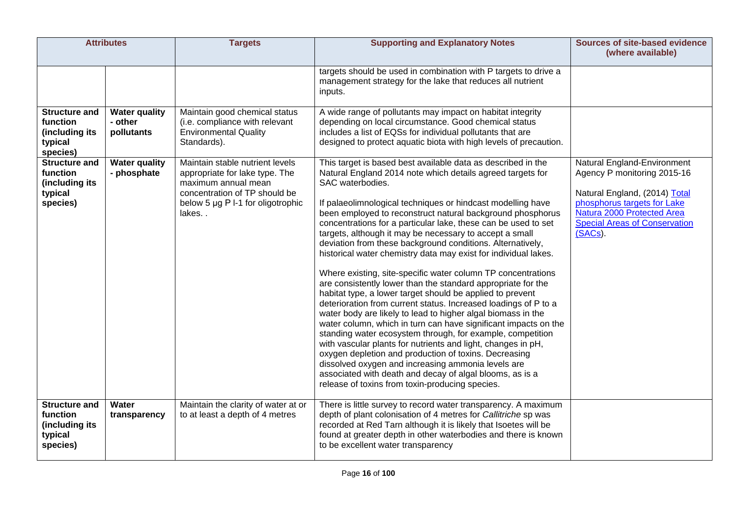|                                                                           | <b>Attributes</b>                             | <b>Targets</b>                                                                                                                                                          | <b>Supporting and Explanatory Notes</b>                                                                                                                                                                                                                                                                                                                                                                                                                                                                                                                                                                                                                                                                                                                                                                                                                                                                                                                                                                                                                                                                                                                                                                                                                                                                  | <b>Sources of site-based evidence</b><br>(where available)                                                                                                                                                  |
|---------------------------------------------------------------------------|-----------------------------------------------|-------------------------------------------------------------------------------------------------------------------------------------------------------------------------|----------------------------------------------------------------------------------------------------------------------------------------------------------------------------------------------------------------------------------------------------------------------------------------------------------------------------------------------------------------------------------------------------------------------------------------------------------------------------------------------------------------------------------------------------------------------------------------------------------------------------------------------------------------------------------------------------------------------------------------------------------------------------------------------------------------------------------------------------------------------------------------------------------------------------------------------------------------------------------------------------------------------------------------------------------------------------------------------------------------------------------------------------------------------------------------------------------------------------------------------------------------------------------------------------------|-------------------------------------------------------------------------------------------------------------------------------------------------------------------------------------------------------------|
|                                                                           |                                               |                                                                                                                                                                         | targets should be used in combination with P targets to drive a<br>management strategy for the lake that reduces all nutrient<br>inputs.                                                                                                                                                                                                                                                                                                                                                                                                                                                                                                                                                                                                                                                                                                                                                                                                                                                                                                                                                                                                                                                                                                                                                                 |                                                                                                                                                                                                             |
| <b>Structure and</b><br>function<br>(including its<br>typical<br>species) | <b>Water quality</b><br>- other<br>pollutants | Maintain good chemical status<br>(i.e. compliance with relevant<br><b>Environmental Quality</b><br>Standards).                                                          | A wide range of pollutants may impact on habitat integrity<br>depending on local circumstance. Good chemical status<br>includes a list of EQSs for individual pollutants that are<br>designed to protect aquatic biota with high levels of precaution.                                                                                                                                                                                                                                                                                                                                                                                                                                                                                                                                                                                                                                                                                                                                                                                                                                                                                                                                                                                                                                                   |                                                                                                                                                                                                             |
| <b>Structure and</b><br>function<br>(including its<br>typical<br>species) | <b>Water quality</b><br>- phosphate           | Maintain stable nutrient levels<br>appropriate for lake type. The<br>maximum annual mean<br>concentration of TP should be<br>below 5 µg P I-1 for oligotrophic<br>lakes | This target is based best available data as described in the<br>Natural England 2014 note which details agreed targets for<br>SAC waterbodies.<br>If palaeolimnological techniques or hindcast modelling have<br>been employed to reconstruct natural background phosphorus<br>concentrations for a particular lake, these can be used to set<br>targets, although it may be necessary to accept a small<br>deviation from these background conditions. Alternatively,<br>historical water chemistry data may exist for individual lakes.<br>Where existing, site-specific water column TP concentrations<br>are consistently lower than the standard appropriate for the<br>habitat type, a lower target should be applied to prevent<br>deterioration from current status. Increased loadings of P to a<br>water body are likely to lead to higher algal biomass in the<br>water column, which in turn can have significant impacts on the<br>standing water ecosystem through, for example, competition<br>with vascular plants for nutrients and light, changes in pH,<br>oxygen depletion and production of toxins. Decreasing<br>dissolved oxygen and increasing ammonia levels are<br>associated with death and decay of algal blooms, as is a<br>release of toxins from toxin-producing species. | Natural England-Environment<br>Agency P monitoring 2015-16<br>Natural England, (2014) Total<br>phosphorus targets for Lake<br>Natura 2000 Protected Area<br><b>Special Areas of Conservation</b><br>(SACs). |
| <b>Structure and</b><br>function<br>(including its<br>typical<br>species) | Water<br>transparency                         | Maintain the clarity of water at or<br>to at least a depth of 4 metres                                                                                                  | There is little survey to record water transparency. A maximum<br>depth of plant colonisation of 4 metres for Callitriche sp was<br>recorded at Red Tarn although it is likely that Isoetes will be<br>found at greater depth in other waterbodies and there is known<br>to be excellent water transparency                                                                                                                                                                                                                                                                                                                                                                                                                                                                                                                                                                                                                                                                                                                                                                                                                                                                                                                                                                                              |                                                                                                                                                                                                             |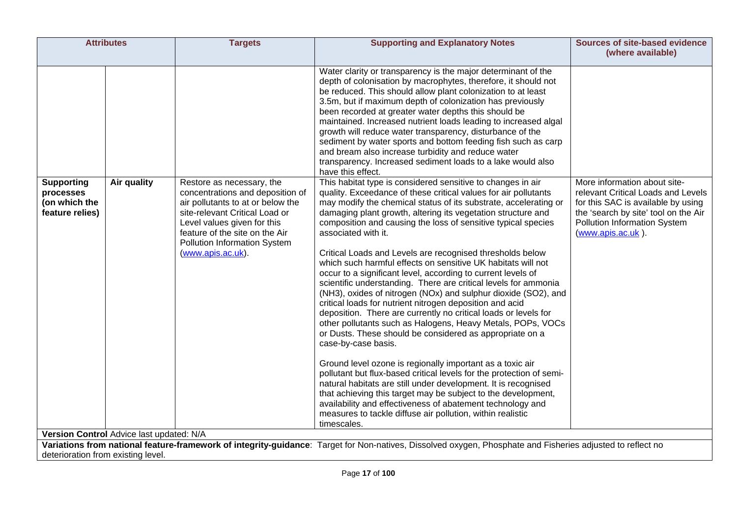| <b>Attributes</b>                                                                                                             | <b>Targets</b>                                                                                                                                                                                                                                             | <b>Supporting and Explanatory Notes</b>                                                                                                                                                                                                                                                                                                                                                                                                                                                                                                                                                                                                                                                                                                                                                                                                                                                                                                                                                                                                                                                                                                                                                                                                                                                                                                                                                                                                                                                                                                                                                                                                                                                                                                                                                                                                                                                                                                                                                                                                                             | <b>Sources of site-based evidence</b><br>(where available)                                                                                                                                            |
|-------------------------------------------------------------------------------------------------------------------------------|------------------------------------------------------------------------------------------------------------------------------------------------------------------------------------------------------------------------------------------------------------|---------------------------------------------------------------------------------------------------------------------------------------------------------------------------------------------------------------------------------------------------------------------------------------------------------------------------------------------------------------------------------------------------------------------------------------------------------------------------------------------------------------------------------------------------------------------------------------------------------------------------------------------------------------------------------------------------------------------------------------------------------------------------------------------------------------------------------------------------------------------------------------------------------------------------------------------------------------------------------------------------------------------------------------------------------------------------------------------------------------------------------------------------------------------------------------------------------------------------------------------------------------------------------------------------------------------------------------------------------------------------------------------------------------------------------------------------------------------------------------------------------------------------------------------------------------------------------------------------------------------------------------------------------------------------------------------------------------------------------------------------------------------------------------------------------------------------------------------------------------------------------------------------------------------------------------------------------------------------------------------------------------------------------------------------------------------|-------------------------------------------------------------------------------------------------------------------------------------------------------------------------------------------------------|
| Air quality<br><b>Supporting</b><br>processes<br>(on which the<br>feature relies)<br>Version Control Advice last updated: N/A | Restore as necessary, the<br>concentrations and deposition of<br>air pollutants to at or below the<br>site-relevant Critical Load or<br>Level values given for this<br>feature of the site on the Air<br>Pollution Information System<br>(www.apis.ac.uk). | Water clarity or transparency is the major determinant of the<br>depth of colonisation by macrophytes, therefore, it should not<br>be reduced. This should allow plant colonization to at least<br>3.5m, but if maximum depth of colonization has previously<br>been recorded at greater water depths this should be<br>maintained. Increased nutrient loads leading to increased algal<br>growth will reduce water transparency, disturbance of the<br>sediment by water sports and bottom feeding fish such as carp<br>and bream also increase turbidity and reduce water<br>transparency. Increased sediment loads to a lake would also<br>have this effect.<br>This habitat type is considered sensitive to changes in air<br>quality. Exceedance of these critical values for air pollutants<br>may modify the chemical status of its substrate, accelerating or<br>damaging plant growth, altering its vegetation structure and<br>composition and causing the loss of sensitive typical species<br>associated with it.<br>Critical Loads and Levels are recognised thresholds below<br>which such harmful effects on sensitive UK habitats will not<br>occur to a significant level, according to current levels of<br>scientific understanding. There are critical levels for ammonia<br>(NH3), oxides of nitrogen (NOx) and sulphur dioxide (SO2), and<br>critical loads for nutrient nitrogen deposition and acid<br>deposition. There are currently no critical loads or levels for<br>other pollutants such as Halogens, Heavy Metals, POPs, VOCs<br>or Dusts. These should be considered as appropriate on a<br>case-by-case basis.<br>Ground level ozone is regionally important as a toxic air<br>pollutant but flux-based critical levels for the protection of semi-<br>natural habitats are still under development. It is recognised<br>that achieving this target may be subject to the development,<br>availability and effectiveness of abatement technology and<br>measures to tackle diffuse air pollution, within realistic<br>timescales. | More information about site-<br>relevant Critical Loads and Levels<br>for this SAC is available by using<br>the 'search by site' tool on the Air<br>Pollution Information System<br>(www.apis.ac.uk). |
| deterioration from existing level.                                                                                            |                                                                                                                                                                                                                                                            | Variations from national feature-framework of integrity-guidance: Target for Non-natives, Dissolved oxygen, Phosphate and Fisheries adjusted to reflect no                                                                                                                                                                                                                                                                                                                                                                                                                                                                                                                                                                                                                                                                                                                                                                                                                                                                                                                                                                                                                                                                                                                                                                                                                                                                                                                                                                                                                                                                                                                                                                                                                                                                                                                                                                                                                                                                                                          |                                                                                                                                                                                                       |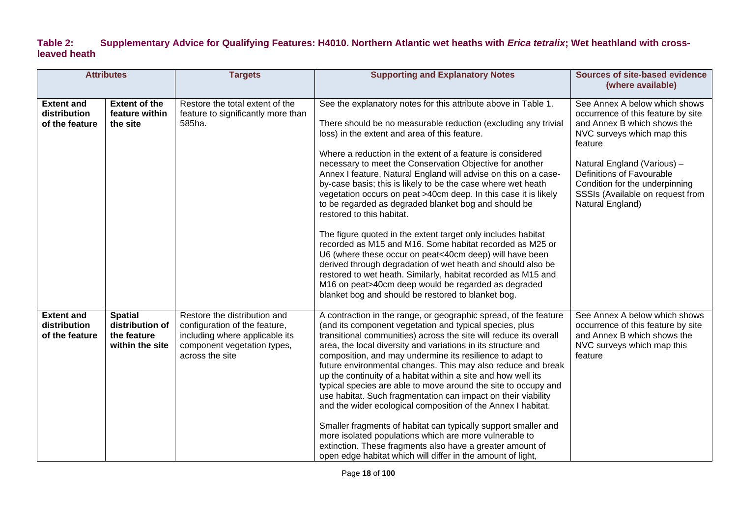### **Table 2: Supplementary Advice for Qualifying Features: H4010. Northern Atlantic wet heaths with** *Erica tetralix***; Wet heathland with crossleaved heath**

| <b>Attributes</b>                                   |                                                                     | <b>Targets</b>                                                                                                                                    | <b>Supporting and Explanatory Notes</b>                                                                                                                                                                                                                                                                                                                                                                                                                                                                                                                                                                                                                                                                                                                                                                                                                                                                                                                                                                                                    | <b>Sources of site-based evidence</b><br>(where available)                                                                                                                                                                                                                                        |
|-----------------------------------------------------|---------------------------------------------------------------------|---------------------------------------------------------------------------------------------------------------------------------------------------|--------------------------------------------------------------------------------------------------------------------------------------------------------------------------------------------------------------------------------------------------------------------------------------------------------------------------------------------------------------------------------------------------------------------------------------------------------------------------------------------------------------------------------------------------------------------------------------------------------------------------------------------------------------------------------------------------------------------------------------------------------------------------------------------------------------------------------------------------------------------------------------------------------------------------------------------------------------------------------------------------------------------------------------------|---------------------------------------------------------------------------------------------------------------------------------------------------------------------------------------------------------------------------------------------------------------------------------------------------|
| <b>Extent and</b><br>distribution<br>of the feature | <b>Extent of the</b><br>feature within<br>the site                  | Restore the total extent of the<br>feature to significantly more than<br>585ha.                                                                   | See the explanatory notes for this attribute above in Table 1.<br>There should be no measurable reduction (excluding any trivial<br>loss) in the extent and area of this feature.<br>Where a reduction in the extent of a feature is considered<br>necessary to meet the Conservation Objective for another<br>Annex I feature, Natural England will advise on this on a case-<br>by-case basis; this is likely to be the case where wet heath<br>vegetation occurs on peat >40cm deep. In this case it is likely<br>to be regarded as degraded blanket bog and should be<br>restored to this habitat.<br>The figure quoted in the extent target only includes habitat<br>recorded as M15 and M16. Some habitat recorded as M25 or<br>U6 (where these occur on peat<40cm deep) will have been<br>derived through degradation of wet heath and should also be<br>restored to wet heath. Similarly, habitat recorded as M15 and<br>M16 on peat>40cm deep would be regarded as degraded<br>blanket bog and should be restored to blanket bog. | See Annex A below which shows<br>occurrence of this feature by site<br>and Annex B which shows the<br>NVC surveys which map this<br>feature<br>Natural England (Various) -<br>Definitions of Favourable<br>Condition for the underpinning<br>SSSIs (Available on request from<br>Natural England) |
| <b>Extent and</b><br>distribution<br>of the feature | <b>Spatial</b><br>distribution of<br>the feature<br>within the site | Restore the distribution and<br>configuration of the feature,<br>including where applicable its<br>component vegetation types,<br>across the site | A contraction in the range, or geographic spread, of the feature<br>(and its component vegetation and typical species, plus<br>transitional communities) across the site will reduce its overall<br>area, the local diversity and variations in its structure and<br>composition, and may undermine its resilience to adapt to<br>future environmental changes. This may also reduce and break<br>up the continuity of a habitat within a site and how well its<br>typical species are able to move around the site to occupy and<br>use habitat. Such fragmentation can impact on their viability<br>and the wider ecological composition of the Annex I habitat.<br>Smaller fragments of habitat can typically support smaller and<br>more isolated populations which are more vulnerable to<br>extinction. These fragments also have a greater amount of<br>open edge habitat which will differ in the amount of light,                                                                                                                 | See Annex A below which shows<br>occurrence of this feature by site<br>and Annex B which shows the<br>NVC surveys which map this<br>feature                                                                                                                                                       |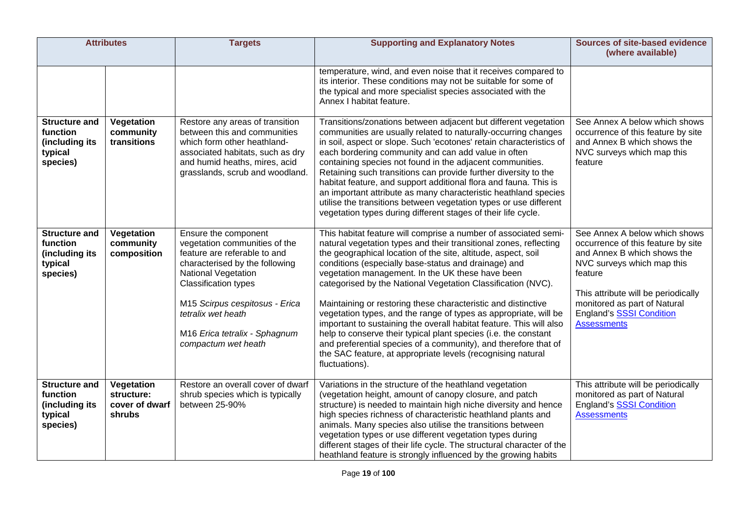| <b>Attributes</b>                                                         |                                                      | <b>Targets</b>                                                                                                                                                                                                                                                                                       | <b>Supporting and Explanatory Notes</b>                                                                                                                                                                                                                                                                                                                                                                                                                                                                                                                                                                                                                                                                                                                                                                              | <b>Sources of site-based evidence</b><br>(where available)                                                                                                                                                                                                                  |
|---------------------------------------------------------------------------|------------------------------------------------------|------------------------------------------------------------------------------------------------------------------------------------------------------------------------------------------------------------------------------------------------------------------------------------------------------|----------------------------------------------------------------------------------------------------------------------------------------------------------------------------------------------------------------------------------------------------------------------------------------------------------------------------------------------------------------------------------------------------------------------------------------------------------------------------------------------------------------------------------------------------------------------------------------------------------------------------------------------------------------------------------------------------------------------------------------------------------------------------------------------------------------------|-----------------------------------------------------------------------------------------------------------------------------------------------------------------------------------------------------------------------------------------------------------------------------|
|                                                                           |                                                      |                                                                                                                                                                                                                                                                                                      | temperature, wind, and even noise that it receives compared to<br>its interior. These conditions may not be suitable for some of<br>the typical and more specialist species associated with the<br>Annex I habitat feature.                                                                                                                                                                                                                                                                                                                                                                                                                                                                                                                                                                                          |                                                                                                                                                                                                                                                                             |
| <b>Structure and</b><br>function<br>(including its<br>typical<br>species) | Vegetation<br>community<br>transitions               | Restore any areas of transition<br>between this and communities<br>which form other heathland-<br>associated habitats, such as dry<br>and humid heaths, mires, acid<br>grasslands, scrub and woodland.                                                                                               | Transitions/zonations between adjacent but different vegetation<br>communities are usually related to naturally-occurring changes<br>in soil, aspect or slope. Such 'ecotones' retain characteristics of<br>each bordering community and can add value in often<br>containing species not found in the adjacent communities.<br>Retaining such transitions can provide further diversity to the<br>habitat feature, and support additional flora and fauna. This is<br>an important attribute as many characteristic heathland species<br>utilise the transitions between vegetation types or use different<br>vegetation types during different stages of their life cycle.                                                                                                                                         | See Annex A below which shows<br>occurrence of this feature by site<br>and Annex B which shows the<br>NVC surveys which map this<br>feature                                                                                                                                 |
| <b>Structure and</b><br>function<br>(including its<br>typical<br>species) | Vegetation<br>community<br>composition               | Ensure the component<br>vegetation communities of the<br>feature are referable to and<br>characterised by the following<br><b>National Vegetation</b><br><b>Classification types</b><br>M15 Scirpus cespitosus - Erica<br>tetralix wet heath<br>M16 Erica tetralix - Sphagnum<br>compactum wet heath | This habitat feature will comprise a number of associated semi-<br>natural vegetation types and their transitional zones, reflecting<br>the geographical location of the site, altitude, aspect, soil<br>conditions (especially base-status and drainage) and<br>vegetation management. In the UK these have been<br>categorised by the National Vegetation Classification (NVC).<br>Maintaining or restoring these characteristic and distinctive<br>vegetation types, and the range of types as appropriate, will be<br>important to sustaining the overall habitat feature. This will also<br>help to conserve their typical plant species (i.e. the constant<br>and preferential species of a community), and therefore that of<br>the SAC feature, at appropriate levels (recognising natural<br>fluctuations). | See Annex A below which shows<br>occurrence of this feature by site<br>and Annex B which shows the<br>NVC surveys which map this<br>feature<br>This attribute will be periodically<br>monitored as part of Natural<br><b>England's SSSI Condition</b><br><b>Assessments</b> |
| <b>Structure and</b><br>function<br>(including its<br>typical<br>species) | Vegetation<br>structure:<br>cover of dwarf<br>shrubs | Restore an overall cover of dwarf<br>shrub species which is typically<br>between 25-90%                                                                                                                                                                                                              | Variations in the structure of the heathland vegetation<br>(vegetation height, amount of canopy closure, and patch<br>structure) is needed to maintain high niche diversity and hence<br>high species richness of characteristic heathland plants and<br>animals. Many species also utilise the transitions between<br>vegetation types or use different vegetation types during<br>different stages of their life cycle. The structural character of the<br>heathland feature is strongly influenced by the growing habits                                                                                                                                                                                                                                                                                          | This attribute will be periodically<br>monitored as part of Natural<br><b>England's SSSI Condition</b><br><b>Assessments</b>                                                                                                                                                |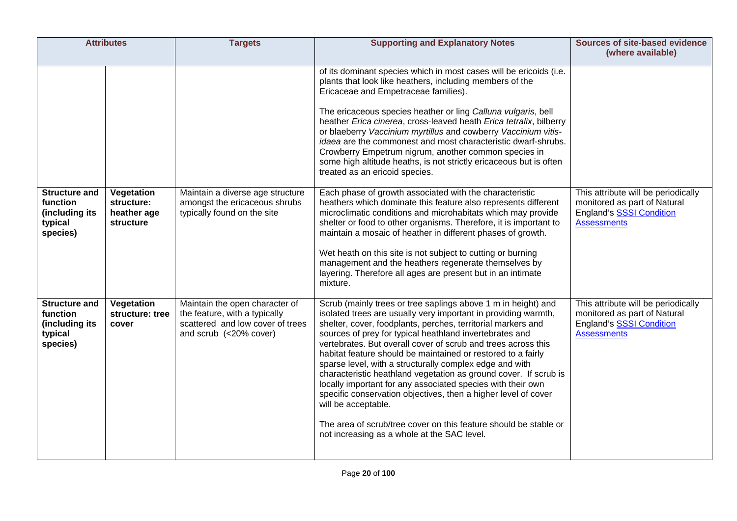| <b>Attributes</b>                                                         |                                                      | <b>Targets</b>                                                                                                                | <b>Supporting and Explanatory Notes</b>                                                                                                                                                                                                                                                                                                                                                                                                                                                                                                                                                                                                                                                                                                                                                               | <b>Sources of site-based evidence</b><br>(where available)                                                                   |
|---------------------------------------------------------------------------|------------------------------------------------------|-------------------------------------------------------------------------------------------------------------------------------|-------------------------------------------------------------------------------------------------------------------------------------------------------------------------------------------------------------------------------------------------------------------------------------------------------------------------------------------------------------------------------------------------------------------------------------------------------------------------------------------------------------------------------------------------------------------------------------------------------------------------------------------------------------------------------------------------------------------------------------------------------------------------------------------------------|------------------------------------------------------------------------------------------------------------------------------|
|                                                                           |                                                      |                                                                                                                               | of its dominant species which in most cases will be ericoids (i.e.<br>plants that look like heathers, including members of the<br>Ericaceae and Empetraceae families).<br>The ericaceous species heather or ling Calluna vulgaris, bell<br>heather Erica cinerea, cross-leaved heath Erica tetralix, bilberry<br>or blaeberry Vaccinium myrtillus and cowberry Vaccinium vitis-<br>idaea are the commonest and most characteristic dwarf-shrubs.<br>Crowberry Empetrum nigrum, another common species in<br>some high altitude heaths, is not strictly ericaceous but is often<br>treated as an ericoid species.                                                                                                                                                                                      |                                                                                                                              |
| <b>Structure and</b><br>function<br>(including its<br>typical<br>species) | Vegetation<br>structure:<br>heather age<br>structure | Maintain a diverse age structure<br>amongst the ericaceous shrubs<br>typically found on the site                              | Each phase of growth associated with the characteristic<br>heathers which dominate this feature also represents different<br>microclimatic conditions and microhabitats which may provide<br>shelter or food to other organisms. Therefore, it is important to<br>maintain a mosaic of heather in different phases of growth.<br>Wet heath on this site is not subject to cutting or burning<br>management and the heathers regenerate themselves by<br>layering. Therefore all ages are present but in an intimate<br>mixture.                                                                                                                                                                                                                                                                       | This attribute will be periodically<br>monitored as part of Natural<br><b>England's SSSI Condition</b><br><b>Assessments</b> |
| <b>Structure and</b><br>function<br>(including its<br>typical<br>species) | Vegetation<br>structure: tree<br>cover               | Maintain the open character of<br>the feature, with a typically<br>scattered and low cover of trees<br>and scrub (<20% cover) | Scrub (mainly trees or tree saplings above 1 m in height) and<br>isolated trees are usually very important in providing warmth,<br>shelter, cover, foodplants, perches, territorial markers and<br>sources of prey for typical heathland invertebrates and<br>vertebrates. But overall cover of scrub and trees across this<br>habitat feature should be maintained or restored to a fairly<br>sparse level, with a structurally complex edge and with<br>characteristic heathland vegetation as ground cover. If scrub is<br>locally important for any associated species with their own<br>specific conservation objectives, then a higher level of cover<br>will be acceptable.<br>The area of scrub/tree cover on this feature should be stable or<br>not increasing as a whole at the SAC level. | This attribute will be periodically<br>monitored as part of Natural<br><b>England's SSSI Condition</b><br><b>Assessments</b> |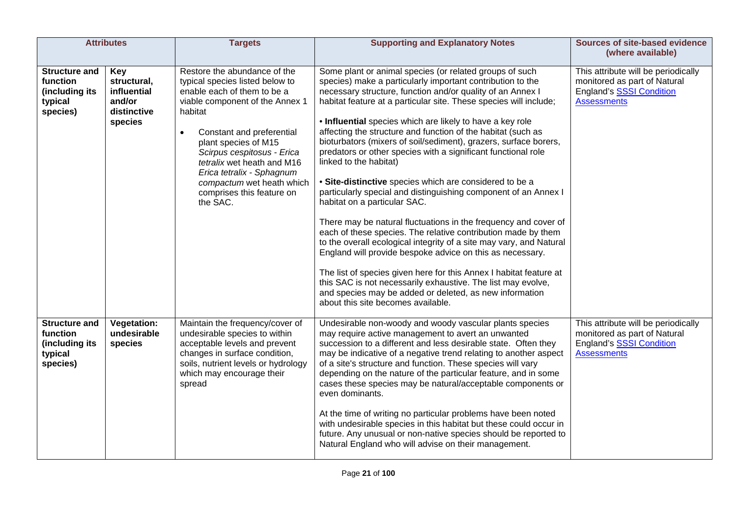|                                                                           | <b>Attributes</b>                                                     | <b>Targets</b>                                                                                                                                                                                                                                                                                                                                                                | <b>Supporting and Explanatory Notes</b>                                                                                                                                                                                                                                                                                                                                                                                                                                                                                                                                                                                                                                                                                                                                                                                                                                                                                                                                                                                                                                                                                                                                                                                           | <b>Sources of site-based evidence</b><br>(where available)                                                                   |
|---------------------------------------------------------------------------|-----------------------------------------------------------------------|-------------------------------------------------------------------------------------------------------------------------------------------------------------------------------------------------------------------------------------------------------------------------------------------------------------------------------------------------------------------------------|-----------------------------------------------------------------------------------------------------------------------------------------------------------------------------------------------------------------------------------------------------------------------------------------------------------------------------------------------------------------------------------------------------------------------------------------------------------------------------------------------------------------------------------------------------------------------------------------------------------------------------------------------------------------------------------------------------------------------------------------------------------------------------------------------------------------------------------------------------------------------------------------------------------------------------------------------------------------------------------------------------------------------------------------------------------------------------------------------------------------------------------------------------------------------------------------------------------------------------------|------------------------------------------------------------------------------------------------------------------------------|
| <b>Structure and</b><br>function<br>(including its<br>typical<br>species) | Key<br>structural,<br>influential<br>and/or<br>distinctive<br>species | Restore the abundance of the<br>typical species listed below to<br>enable each of them to be a<br>viable component of the Annex 1<br>habitat<br>Constant and preferential<br>$\bullet$<br>plant species of M15<br>Scirpus cespitosus - Erica<br>tetralix wet heath and M16<br>Erica tetralix - Sphagnum<br>compactum wet heath which<br>comprises this feature on<br>the SAC. | Some plant or animal species (or related groups of such<br>species) make a particularly important contribution to the<br>necessary structure, function and/or quality of an Annex I<br>habitat feature at a particular site. These species will include;<br>. Influential species which are likely to have a key role<br>affecting the structure and function of the habitat (such as<br>bioturbators (mixers of soil/sediment), grazers, surface borers,<br>predators or other species with a significant functional role<br>linked to the habitat)<br>• Site-distinctive species which are considered to be a<br>particularly special and distinguishing component of an Annex I<br>habitat on a particular SAC.<br>There may be natural fluctuations in the frequency and cover of<br>each of these species. The relative contribution made by them<br>to the overall ecological integrity of a site may vary, and Natural<br>England will provide bespoke advice on this as necessary.<br>The list of species given here for this Annex I habitat feature at<br>this SAC is not necessarily exhaustive. The list may evolve,<br>and species may be added or deleted, as new information<br>about this site becomes available. | This attribute will be periodically<br>monitored as part of Natural<br><b>England's SSSI Condition</b><br><b>Assessments</b> |
| <b>Structure and</b><br>function<br>(including its<br>typical<br>species) | <b>Vegetation:</b><br>undesirable<br>species                          | Maintain the frequency/cover of<br>undesirable species to within<br>acceptable levels and prevent<br>changes in surface condition,<br>soils, nutrient levels or hydrology<br>which may encourage their<br>spread                                                                                                                                                              | Undesirable non-woody and woody vascular plants species<br>may require active management to avert an unwanted<br>succession to a different and less desirable state. Often they<br>may be indicative of a negative trend relating to another aspect<br>of a site's structure and function. These species will vary<br>depending on the nature of the particular feature, and in some<br>cases these species may be natural/acceptable components or<br>even dominants.<br>At the time of writing no particular problems have been noted<br>with undesirable species in this habitat but these could occur in<br>future. Any unusual or non-native species should be reported to<br>Natural England who will advise on their management.                                                                                                                                                                                                                                                                                                                                                                                                                                                                                           | This attribute will be periodically<br>monitored as part of Natural<br>England's SSSI Condition<br><b>Assessments</b>        |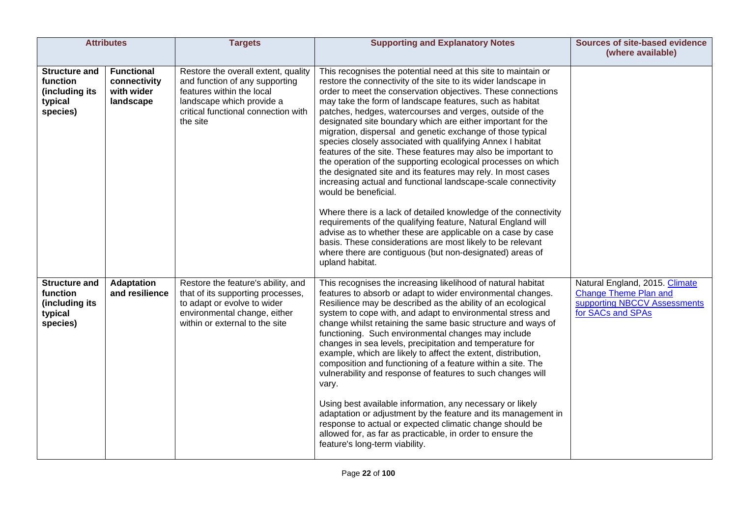|                                                                           | <b>Attributes</b>                                            | <b>Targets</b>                                                                                                                                                                     | <b>Supporting and Explanatory Notes</b>                                                                                                                                                                                                                                                                                                                                                                                                                                                                                                                                                                                                                                                                                                                                                                                                                                                                                                                                                                                                                                                                                                                       | <b>Sources of site-based evidence</b><br>(where available)                                                          |
|---------------------------------------------------------------------------|--------------------------------------------------------------|------------------------------------------------------------------------------------------------------------------------------------------------------------------------------------|---------------------------------------------------------------------------------------------------------------------------------------------------------------------------------------------------------------------------------------------------------------------------------------------------------------------------------------------------------------------------------------------------------------------------------------------------------------------------------------------------------------------------------------------------------------------------------------------------------------------------------------------------------------------------------------------------------------------------------------------------------------------------------------------------------------------------------------------------------------------------------------------------------------------------------------------------------------------------------------------------------------------------------------------------------------------------------------------------------------------------------------------------------------|---------------------------------------------------------------------------------------------------------------------|
| <b>Structure and</b><br>function<br>(including its<br>typical<br>species) | <b>Functional</b><br>connectivity<br>with wider<br>landscape | Restore the overall extent, quality<br>and function of any supporting<br>features within the local<br>landscape which provide a<br>critical functional connection with<br>the site | This recognises the potential need at this site to maintain or<br>restore the connectivity of the site to its wider landscape in<br>order to meet the conservation objectives. These connections<br>may take the form of landscape features, such as habitat<br>patches, hedges, watercourses and verges, outside of the<br>designated site boundary which are either important for the<br>migration, dispersal and genetic exchange of those typical<br>species closely associated with qualifying Annex I habitat<br>features of the site. These features may also be important to<br>the operation of the supporting ecological processes on which<br>the designated site and its features may rely. In most cases<br>increasing actual and functional landscape-scale connectivity<br>would be beneficial.<br>Where there is a lack of detailed knowledge of the connectivity<br>requirements of the qualifying feature, Natural England will<br>advise as to whether these are applicable on a case by case<br>basis. These considerations are most likely to be relevant<br>where there are contiguous (but non-designated) areas of<br>upland habitat. |                                                                                                                     |
| <b>Structure and</b><br>function<br>(including its<br>typical<br>species) | <b>Adaptation</b><br>and resilience                          | Restore the feature's ability, and<br>that of its supporting processes,<br>to adapt or evolve to wider<br>environmental change, either<br>within or external to the site           | This recognises the increasing likelihood of natural habitat<br>features to absorb or adapt to wider environmental changes.<br>Resilience may be described as the ability of an ecological<br>system to cope with, and adapt to environmental stress and<br>change whilst retaining the same basic structure and ways of<br>functioning. Such environmental changes may include<br>changes in sea levels, precipitation and temperature for<br>example, which are likely to affect the extent, distribution,<br>composition and functioning of a feature within a site. The<br>vulnerability and response of features to such changes will<br>vary.<br>Using best available information, any necessary or likely<br>adaptation or adjustment by the feature and its management in<br>response to actual or expected climatic change should be<br>allowed for, as far as practicable, in order to ensure the<br>feature's long-term viability.                                                                                                                                                                                                                 | Natural England, 2015. Climate<br><b>Change Theme Plan and</b><br>supporting NBCCV Assessments<br>for SACs and SPAs |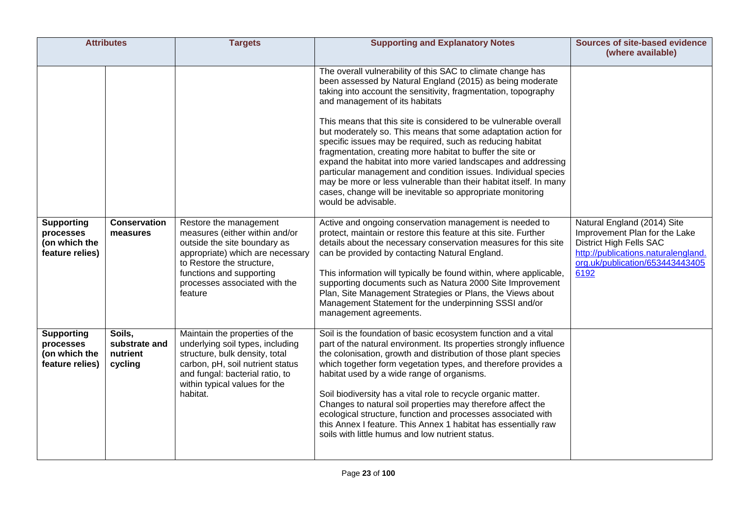| <b>Attributes</b>                                                  |                                                | <b>Targets</b>                                                                                                                                                                                                                    | <b>Supporting and Explanatory Notes</b>                                                                                                                                                                                                                                                                                                                                                                                                                                                                                                                                                                                                                                                                                                                                                   | <b>Sources of site-based evidence</b><br>(where available)                                                                                                                       |
|--------------------------------------------------------------------|------------------------------------------------|-----------------------------------------------------------------------------------------------------------------------------------------------------------------------------------------------------------------------------------|-------------------------------------------------------------------------------------------------------------------------------------------------------------------------------------------------------------------------------------------------------------------------------------------------------------------------------------------------------------------------------------------------------------------------------------------------------------------------------------------------------------------------------------------------------------------------------------------------------------------------------------------------------------------------------------------------------------------------------------------------------------------------------------------|----------------------------------------------------------------------------------------------------------------------------------------------------------------------------------|
|                                                                    |                                                |                                                                                                                                                                                                                                   | The overall vulnerability of this SAC to climate change has<br>been assessed by Natural England (2015) as being moderate<br>taking into account the sensitivity, fragmentation, topography<br>and management of its habitats<br>This means that this site is considered to be vulnerable overall<br>but moderately so. This means that some adaptation action for<br>specific issues may be required, such as reducing habitat<br>fragmentation, creating more habitat to buffer the site or<br>expand the habitat into more varied landscapes and addressing<br>particular management and condition issues. Individual species<br>may be more or less vulnerable than their habitat itself. In many<br>cases, change will be inevitable so appropriate monitoring<br>would be advisable. |                                                                                                                                                                                  |
| <b>Supporting</b><br>processes<br>(on which the<br>feature relies) | <b>Conservation</b><br>measures                | Restore the management<br>measures (either within and/or<br>outside the site boundary as<br>appropriate) which are necessary<br>to Restore the structure.<br>functions and supporting<br>processes associated with the<br>feature | Active and ongoing conservation management is needed to<br>protect, maintain or restore this feature at this site. Further<br>details about the necessary conservation measures for this site<br>can be provided by contacting Natural England.<br>This information will typically be found within, where applicable,<br>supporting documents such as Natura 2000 Site Improvement<br>Plan, Site Management Strategies or Plans, the Views about<br>Management Statement for the underpinning SSSI and/or<br>management agreements.                                                                                                                                                                                                                                                       | Natural England (2014) Site<br>Improvement Plan for the Lake<br><b>District High Fells SAC</b><br>http://publications.naturalengland.<br>org.uk/publication/653443443405<br>6192 |
| <b>Supporting</b><br>processes<br>(on which the<br>feature relies) | Soils.<br>substrate and<br>nutrient<br>cycling | Maintain the properties of the<br>underlying soil types, including<br>structure, bulk density, total<br>carbon, pH, soil nutrient status<br>and fungal: bacterial ratio, to<br>within typical values for the<br>habitat.          | Soil is the foundation of basic ecosystem function and a vital<br>part of the natural environment. Its properties strongly influence<br>the colonisation, growth and distribution of those plant species<br>which together form vegetation types, and therefore provides a<br>habitat used by a wide range of organisms.<br>Soil biodiversity has a vital role to recycle organic matter.<br>Changes to natural soil properties may therefore affect the<br>ecological structure, function and processes associated with<br>this Annex I feature. This Annex 1 habitat has essentially raw<br>soils with little humus and low nutrient status.                                                                                                                                            |                                                                                                                                                                                  |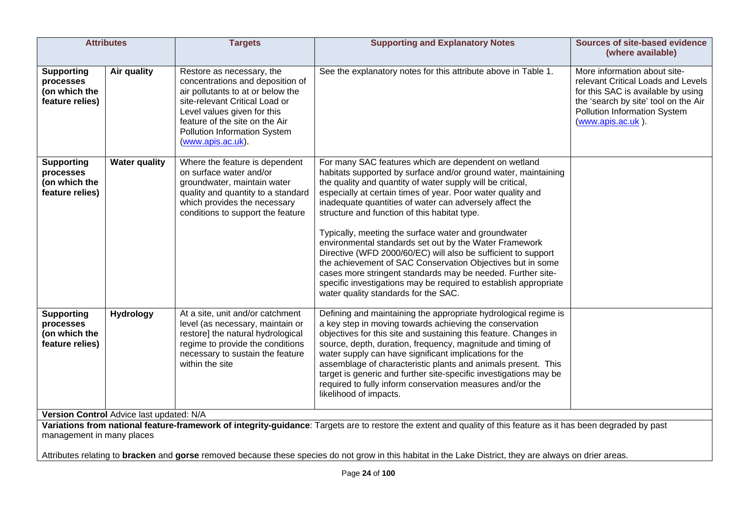| <b>Attributes</b>                                                  |                                                              | <b>Targets</b>                                                                                                                                                                                                                                             | <b>Supporting and Explanatory Notes</b>                                                                                                                                                                                                                                                                                                                                                                                                                                                                                                                                                                                                                                                                                                                                                    | <b>Sources of site-based evidence</b><br>(where available)                                                                                                                                            |
|--------------------------------------------------------------------|--------------------------------------------------------------|------------------------------------------------------------------------------------------------------------------------------------------------------------------------------------------------------------------------------------------------------------|--------------------------------------------------------------------------------------------------------------------------------------------------------------------------------------------------------------------------------------------------------------------------------------------------------------------------------------------------------------------------------------------------------------------------------------------------------------------------------------------------------------------------------------------------------------------------------------------------------------------------------------------------------------------------------------------------------------------------------------------------------------------------------------------|-------------------------------------------------------------------------------------------------------------------------------------------------------------------------------------------------------|
| <b>Supporting</b><br>processes<br>(on which the<br>feature relies) | Air quality                                                  | Restore as necessary, the<br>concentrations and deposition of<br>air pollutants to at or below the<br>site-relevant Critical Load or<br>Level values given for this<br>feature of the site on the Air<br>Pollution Information System<br>(www.apis.ac.uk). | See the explanatory notes for this attribute above in Table 1.                                                                                                                                                                                                                                                                                                                                                                                                                                                                                                                                                                                                                                                                                                                             | More information about site-<br>relevant Critical Loads and Levels<br>for this SAC is available by using<br>the 'search by site' tool on the Air<br>Pollution Information System<br>(www.apis.ac.uk). |
| <b>Supporting</b><br>processes<br>(on which the<br>feature relies) | <b>Water quality</b>                                         | Where the feature is dependent<br>on surface water and/or<br>groundwater, maintain water<br>quality and quantity to a standard<br>which provides the necessary<br>conditions to support the feature                                                        | For many SAC features which are dependent on wetland<br>habitats supported by surface and/or ground water, maintaining<br>the quality and quantity of water supply will be critical,<br>especially at certain times of year. Poor water quality and<br>inadequate quantities of water can adversely affect the<br>structure and function of this habitat type.<br>Typically, meeting the surface water and groundwater<br>environmental standards set out by the Water Framework<br>Directive (WFD 2000/60/EC) will also be sufficient to support<br>the achievement of SAC Conservation Objectives but in some<br>cases more stringent standards may be needed. Further site-<br>specific investigations may be required to establish appropriate<br>water quality standards for the SAC. |                                                                                                                                                                                                       |
| <b>Supporting</b><br>processes<br>(on which the<br>feature relies) | <b>Hydrology</b><br>Version Control Advice last updated: N/A | At a site, unit and/or catchment<br>level (as necessary, maintain or<br>restore] the natural hydrological<br>regime to provide the conditions<br>necessary to sustain the feature<br>within the site                                                       | Defining and maintaining the appropriate hydrological regime is<br>a key step in moving towards achieving the conservation<br>objectives for this site and sustaining this feature. Changes in<br>source, depth, duration, frequency, magnitude and timing of<br>water supply can have significant implications for the<br>assemblage of characteristic plants and animals present. This<br>target is generic and further site-specific investigations may be<br>required to fully inform conservation measures and/or the<br>likelihood of impacts.                                                                                                                                                                                                                                       |                                                                                                                                                                                                       |
| management in many places                                          |                                                              |                                                                                                                                                                                                                                                            | Variations from national feature-framework of integrity-guidance: Targets are to restore the extent and quality of this feature as it has been degraded by past                                                                                                                                                                                                                                                                                                                                                                                                                                                                                                                                                                                                                            |                                                                                                                                                                                                       |

Attributes relating to **bracken** and **gorse** removed because these species do not grow in this habitat in the Lake District, they are always on drier areas.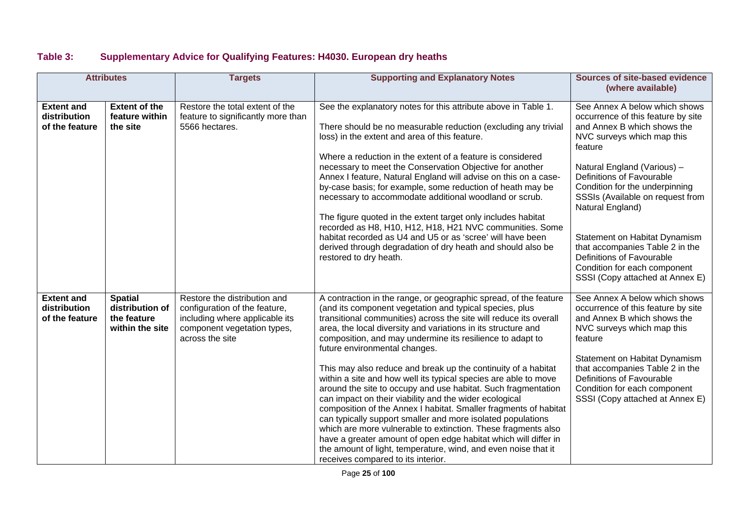## **Table 3: Supplementary Advice for Qualifying Features: H4030. European dry heaths**

| <b>Attributes</b>                                   |                                                                     | <b>Targets</b>                                                                                                                                    | <b>Supporting and Explanatory Notes</b>                                                                                                                                                                                                                                                                                                                                                                                                                                                                                                                                                                                                                                                                                                                                                                                                                                                                                                                                                                       | <b>Sources of site-based evidence</b><br>(where available)                                                                                                                                                                                                                                                                                                                                                                                                            |
|-----------------------------------------------------|---------------------------------------------------------------------|---------------------------------------------------------------------------------------------------------------------------------------------------|---------------------------------------------------------------------------------------------------------------------------------------------------------------------------------------------------------------------------------------------------------------------------------------------------------------------------------------------------------------------------------------------------------------------------------------------------------------------------------------------------------------------------------------------------------------------------------------------------------------------------------------------------------------------------------------------------------------------------------------------------------------------------------------------------------------------------------------------------------------------------------------------------------------------------------------------------------------------------------------------------------------|-----------------------------------------------------------------------------------------------------------------------------------------------------------------------------------------------------------------------------------------------------------------------------------------------------------------------------------------------------------------------------------------------------------------------------------------------------------------------|
| <b>Extent and</b><br>distribution<br>of the feature | <b>Extent of the</b><br>feature within<br>the site                  | Restore the total extent of the<br>feature to significantly more than<br>5566 hectares.                                                           | See the explanatory notes for this attribute above in Table 1.<br>There should be no measurable reduction (excluding any trivial<br>loss) in the extent and area of this feature.<br>Where a reduction in the extent of a feature is considered<br>necessary to meet the Conservation Objective for another<br>Annex I feature, Natural England will advise on this on a case-<br>by-case basis; for example, some reduction of heath may be<br>necessary to accommodate additional woodland or scrub.<br>The figure quoted in the extent target only includes habitat<br>recorded as H8, H10, H12, H18, H21 NVC communities. Some<br>habitat recorded as U4 and U5 or as 'scree' will have been<br>derived through degradation of dry heath and should also be<br>restored to dry heath.                                                                                                                                                                                                                     | See Annex A below which shows<br>occurrence of this feature by site<br>and Annex B which shows the<br>NVC surveys which map this<br>feature<br>Natural England (Various) -<br>Definitions of Favourable<br>Condition for the underpinning<br>SSSIs (Available on request from<br>Natural England)<br>Statement on Habitat Dynamism<br>that accompanies Table 2 in the<br>Definitions of Favourable<br>Condition for each component<br>SSSI (Copy attached at Annex E) |
| <b>Extent and</b><br>distribution<br>of the feature | <b>Spatial</b><br>distribution of<br>the feature<br>within the site | Restore the distribution and<br>configuration of the feature,<br>including where applicable its<br>component vegetation types,<br>across the site | A contraction in the range, or geographic spread, of the feature<br>(and its component vegetation and typical species, plus<br>transitional communities) across the site will reduce its overall<br>area, the local diversity and variations in its structure and<br>composition, and may undermine its resilience to adapt to<br>future environmental changes.<br>This may also reduce and break up the continuity of a habitat<br>within a site and how well its typical species are able to move<br>around the site to occupy and use habitat. Such fragmentation<br>can impact on their viability and the wider ecological<br>composition of the Annex I habitat. Smaller fragments of habitat<br>can typically support smaller and more isolated populations<br>which are more vulnerable to extinction. These fragments also<br>have a greater amount of open edge habitat which will differ in<br>the amount of light, temperature, wind, and even noise that it<br>receives compared to its interior. | See Annex A below which shows<br>occurrence of this feature by site<br>and Annex B which shows the<br>NVC surveys which map this<br>feature<br>Statement on Habitat Dynamism<br>that accompanies Table 2 in the<br>Definitions of Favourable<br>Condition for each component<br>SSSI (Copy attached at Annex E)                                                                                                                                                       |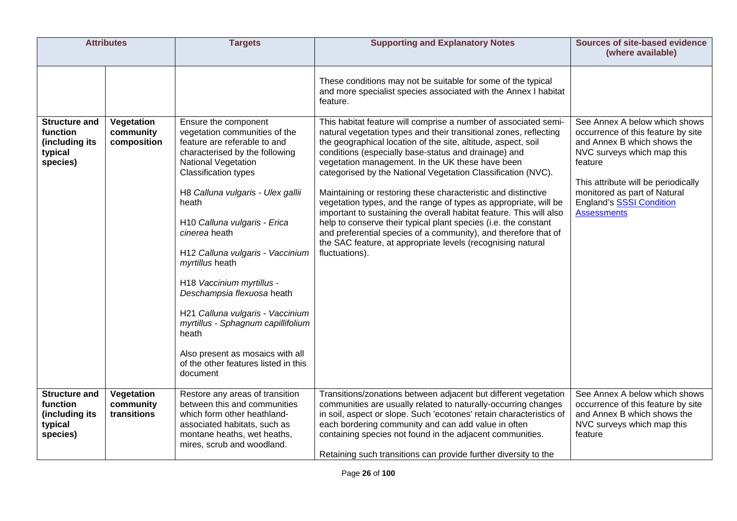| <b>Attributes</b>                                                         |                                        | <b>Targets</b>                                                                                                                                                                                                                                                                                                                                                                                                                                                                                                                                                                   | <b>Supporting and Explanatory Notes</b>                                                                                                                                                                                                                                                                                                                                                                                                                                                                                                                                                                                                                                                                                                                                                                              | <b>Sources of site-based evidence</b><br>(where available)                                                                                                                                                                                                                  |
|---------------------------------------------------------------------------|----------------------------------------|----------------------------------------------------------------------------------------------------------------------------------------------------------------------------------------------------------------------------------------------------------------------------------------------------------------------------------------------------------------------------------------------------------------------------------------------------------------------------------------------------------------------------------------------------------------------------------|----------------------------------------------------------------------------------------------------------------------------------------------------------------------------------------------------------------------------------------------------------------------------------------------------------------------------------------------------------------------------------------------------------------------------------------------------------------------------------------------------------------------------------------------------------------------------------------------------------------------------------------------------------------------------------------------------------------------------------------------------------------------------------------------------------------------|-----------------------------------------------------------------------------------------------------------------------------------------------------------------------------------------------------------------------------------------------------------------------------|
|                                                                           |                                        |                                                                                                                                                                                                                                                                                                                                                                                                                                                                                                                                                                                  | These conditions may not be suitable for some of the typical<br>and more specialist species associated with the Annex I habitat<br>feature.                                                                                                                                                                                                                                                                                                                                                                                                                                                                                                                                                                                                                                                                          |                                                                                                                                                                                                                                                                             |
| <b>Structure and</b><br>function<br>(including its<br>typical<br>species) | Vegetation<br>community<br>composition | Ensure the component<br>vegetation communities of the<br>feature are referable to and<br>characterised by the following<br><b>National Vegetation</b><br><b>Classification types</b><br>H8 Calluna vulgaris - Ulex gallii<br>heath<br>H10 Calluna vulgaris - Erica<br>cinerea heath<br>H12 Calluna vulgaris - Vaccinium<br>myrtillus heath<br>H18 Vaccinium myrtillus -<br>Deschampsia flexuosa heath<br>H21 Calluna vulgaris - Vaccinium<br>myrtillus - Sphagnum capillifolium<br>heath<br>Also present as mosaics with all<br>of the other features listed in this<br>document | This habitat feature will comprise a number of associated semi-<br>natural vegetation types and their transitional zones, reflecting<br>the geographical location of the site, altitude, aspect, soil<br>conditions (especially base-status and drainage) and<br>vegetation management. In the UK these have been<br>categorised by the National Vegetation Classification (NVC).<br>Maintaining or restoring these characteristic and distinctive<br>vegetation types, and the range of types as appropriate, will be<br>important to sustaining the overall habitat feature. This will also<br>help to conserve their typical plant species (i.e. the constant<br>and preferential species of a community), and therefore that of<br>the SAC feature, at appropriate levels (recognising natural<br>fluctuations). | See Annex A below which shows<br>occurrence of this feature by site<br>and Annex B which shows the<br>NVC surveys which map this<br>feature<br>This attribute will be periodically<br>monitored as part of Natural<br><b>England's SSSI Condition</b><br><b>Assessments</b> |
| <b>Structure and</b><br>function<br>(including its<br>typical<br>species) | Vegetation<br>community<br>transitions | Restore any areas of transition<br>between this and communities<br>which form other heathland-<br>associated habitats, such as<br>montane heaths, wet heaths,<br>mires, scrub and woodland.                                                                                                                                                                                                                                                                                                                                                                                      | Transitions/zonations between adjacent but different vegetation<br>communities are usually related to naturally-occurring changes<br>in soil, aspect or slope. Such 'ecotones' retain characteristics of<br>each bordering community and can add value in often<br>containing species not found in the adjacent communities.<br>Retaining such transitions can provide further diversity to the                                                                                                                                                                                                                                                                                                                                                                                                                      | See Annex A below which shows<br>occurrence of this feature by site<br>and Annex B which shows the<br>NVC surveys which map this<br>feature                                                                                                                                 |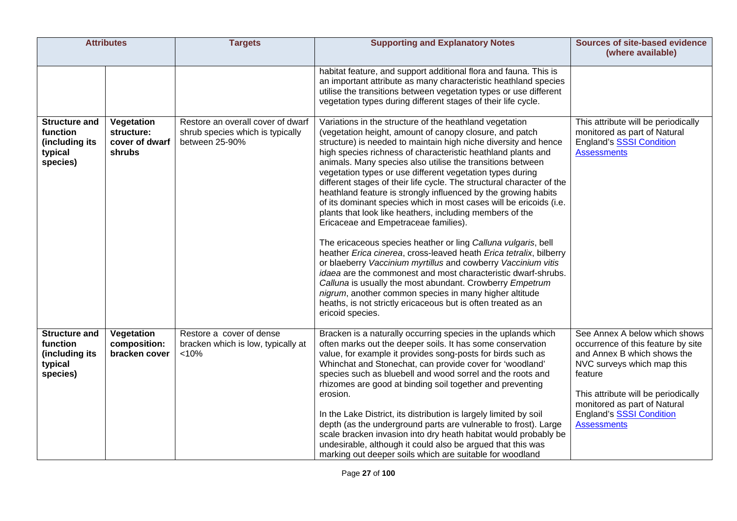| <b>Attributes</b>                                                         |                                                      | <b>Targets</b>                                                                          | <b>Supporting and Explanatory Notes</b>                                                                                                                                                                                                                                                                                                                                                                                                                                                                                                                                                                                                                                                                                                                                                                                                                                                                                                                                                                                                                                                                                                                                                   | <b>Sources of site-based evidence</b><br>(where available)                                                                                                                                                                                                           |
|---------------------------------------------------------------------------|------------------------------------------------------|-----------------------------------------------------------------------------------------|-------------------------------------------------------------------------------------------------------------------------------------------------------------------------------------------------------------------------------------------------------------------------------------------------------------------------------------------------------------------------------------------------------------------------------------------------------------------------------------------------------------------------------------------------------------------------------------------------------------------------------------------------------------------------------------------------------------------------------------------------------------------------------------------------------------------------------------------------------------------------------------------------------------------------------------------------------------------------------------------------------------------------------------------------------------------------------------------------------------------------------------------------------------------------------------------|----------------------------------------------------------------------------------------------------------------------------------------------------------------------------------------------------------------------------------------------------------------------|
|                                                                           |                                                      |                                                                                         | habitat feature, and support additional flora and fauna. This is<br>an important attribute as many characteristic heathland species<br>utilise the transitions between vegetation types or use different<br>vegetation types during different stages of their life cycle.                                                                                                                                                                                                                                                                                                                                                                                                                                                                                                                                                                                                                                                                                                                                                                                                                                                                                                                 |                                                                                                                                                                                                                                                                      |
| <b>Structure and</b><br>function<br>(including its<br>typical<br>species) | Vegetation<br>structure:<br>cover of dwarf<br>shrubs | Restore an overall cover of dwarf<br>shrub species which is typically<br>between 25-90% | Variations in the structure of the heathland vegetation<br>(vegetation height, amount of canopy closure, and patch<br>structure) is needed to maintain high niche diversity and hence<br>high species richness of characteristic heathland plants and<br>animals. Many species also utilise the transitions between<br>vegetation types or use different vegetation types during<br>different stages of their life cycle. The structural character of the<br>heathland feature is strongly influenced by the growing habits<br>of its dominant species which in most cases will be ericoids (i.e.<br>plants that look like heathers, including members of the<br>Ericaceae and Empetraceae families).<br>The ericaceous species heather or ling Calluna vulgaris, bell<br>heather Erica cinerea, cross-leaved heath Erica tetralix, bilberry<br>or blaeberry Vaccinium myrtillus and cowberry Vaccinium vitis<br>idaea are the commonest and most characteristic dwarf-shrubs.<br>Calluna is usually the most abundant. Crowberry Empetrum<br>nigrum, another common species in many higher altitude<br>heaths, is not strictly ericaceous but is often treated as an<br>ericoid species. | This attribute will be periodically<br>monitored as part of Natural<br><b>England's SSSI Condition</b><br><b>Assessments</b>                                                                                                                                         |
| <b>Structure and</b><br>function<br>(including its<br>typical<br>species) | Vegetation<br>composition:<br>bracken cover          | Restore a cover of dense<br>bracken which is low, typically at<br>< 10%                 | Bracken is a naturally occurring species in the uplands which<br>often marks out the deeper soils. It has some conservation<br>value, for example it provides song-posts for birds such as<br>Whinchat and Stonechat, can provide cover for 'woodland'<br>species such as bluebell and wood sorrel and the roots and<br>rhizomes are good at binding soil together and preventing<br>erosion.<br>In the Lake District, its distribution is largely limited by soil<br>depth (as the underground parts are vulnerable to frost). Large<br>scale bracken invasion into dry heath habitat would probably be<br>undesirable, although it could also be argued that this was<br>marking out deeper soils which are suitable for woodland                                                                                                                                                                                                                                                                                                                                                                                                                                                       | See Annex A below which shows<br>occurrence of this feature by site<br>and Annex B which shows the<br>NVC surveys which map this<br>feature<br>This attribute will be periodically<br>monitored as part of Natural<br>England's SSSI Condition<br><b>Assessments</b> |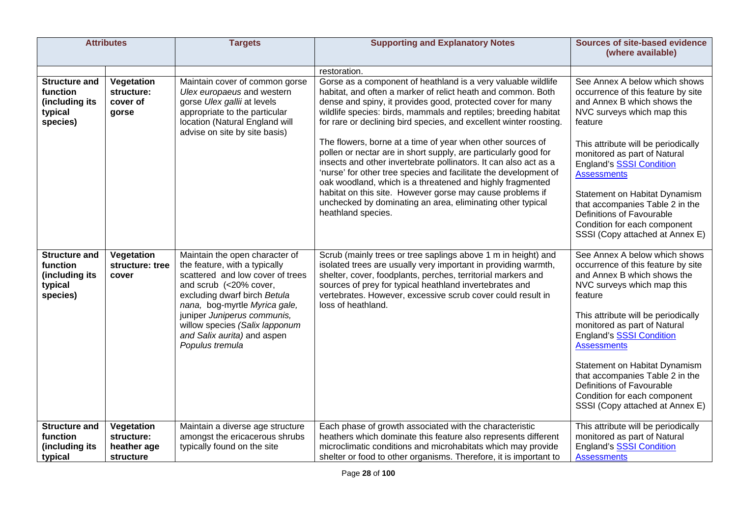|                                                                           | <b>Attributes</b>                                    | <b>Targets</b>                                                                                                                                                                                                                                                                                                    | <b>Supporting and Explanatory Notes</b>                                                                                                                                                                                                                                                                                                                                                                                                                                                                                                                                                                                                                                                                                                                                                                                      | <b>Sources of site-based evidence</b><br>(where available)                                                                                                                                                                                                                                                                                                                                                                                      |
|---------------------------------------------------------------------------|------------------------------------------------------|-------------------------------------------------------------------------------------------------------------------------------------------------------------------------------------------------------------------------------------------------------------------------------------------------------------------|------------------------------------------------------------------------------------------------------------------------------------------------------------------------------------------------------------------------------------------------------------------------------------------------------------------------------------------------------------------------------------------------------------------------------------------------------------------------------------------------------------------------------------------------------------------------------------------------------------------------------------------------------------------------------------------------------------------------------------------------------------------------------------------------------------------------------|-------------------------------------------------------------------------------------------------------------------------------------------------------------------------------------------------------------------------------------------------------------------------------------------------------------------------------------------------------------------------------------------------------------------------------------------------|
|                                                                           |                                                      |                                                                                                                                                                                                                                                                                                                   | restoration.                                                                                                                                                                                                                                                                                                                                                                                                                                                                                                                                                                                                                                                                                                                                                                                                                 |                                                                                                                                                                                                                                                                                                                                                                                                                                                 |
| <b>Structure and</b><br>function<br>(including its<br>typical<br>species) | Vegetation<br>structure:<br>cover of<br>gorse        | Maintain cover of common gorse<br>Ulex europaeus and western<br>gorse Ulex gallii at levels<br>appropriate to the particular<br>location (Natural England will<br>advise on site by site basis)                                                                                                                   | Gorse as a component of heathland is a very valuable wildlife<br>habitat, and often a marker of relict heath and common. Both<br>dense and spiny, it provides good, protected cover for many<br>wildlife species: birds, mammals and reptiles; breeding habitat<br>for rare or declining bird species, and excellent winter roosting.<br>The flowers, borne at a time of year when other sources of<br>pollen or nectar are in short supply, are particularly good for<br>insects and other invertebrate pollinators. It can also act as a<br>'nurse' for other tree species and facilitate the development of<br>oak woodland, which is a threatened and highly fragmented<br>habitat on this site. However gorse may cause problems if<br>unchecked by dominating an area, eliminating other typical<br>heathland species. | See Annex A below which shows<br>occurrence of this feature by site<br>and Annex B which shows the<br>NVC surveys which map this<br>feature<br>This attribute will be periodically<br>monitored as part of Natural<br><b>England's SSSI Condition</b><br><b>Assessments</b><br>Statement on Habitat Dynamism<br>that accompanies Table 2 in the<br>Definitions of Favourable<br>Condition for each component<br>SSSI (Copy attached at Annex E) |
| <b>Structure and</b><br>function<br>(including its<br>typical<br>species) | Vegetation<br>structure: tree<br>cover               | Maintain the open character of<br>the feature, with a typically<br>scattered and low cover of trees<br>and scrub (<20% cover,<br>excluding dwarf birch Betula<br>nana, bog-myrtle Myrica gale,<br>juniper Juniperus communis,<br>willow species (Salix lapponum<br>and Salix aurita) and aspen<br>Populus tremula | Scrub (mainly trees or tree saplings above 1 m in height) and<br>isolated trees are usually very important in providing warmth,<br>shelter, cover, foodplants, perches, territorial markers and<br>sources of prey for typical heathland invertebrates and<br>vertebrates. However, excessive scrub cover could result in<br>loss of heathland.                                                                                                                                                                                                                                                                                                                                                                                                                                                                              | See Annex A below which shows<br>occurrence of this feature by site<br>and Annex B which shows the<br>NVC surveys which map this<br>feature<br>This attribute will be periodically<br>monitored as part of Natural<br><b>England's SSSI Condition</b><br><b>Assessments</b><br>Statement on Habitat Dynamism<br>that accompanies Table 2 in the<br>Definitions of Favourable<br>Condition for each component<br>SSSI (Copy attached at Annex E) |
| <b>Structure and</b><br>function<br>(including its<br>typical             | Vegetation<br>structure:<br>heather age<br>structure | Maintain a diverse age structure<br>amongst the ericacerous shrubs<br>typically found on the site                                                                                                                                                                                                                 | Each phase of growth associated with the characteristic<br>heathers which dominate this feature also represents different<br>microclimatic conditions and microhabitats which may provide<br>shelter or food to other organisms. Therefore, it is important to                                                                                                                                                                                                                                                                                                                                                                                                                                                                                                                                                               | This attribute will be periodically<br>monitored as part of Natural<br><b>England's SSSI Condition</b><br><b>Assessments</b>                                                                                                                                                                                                                                                                                                                    |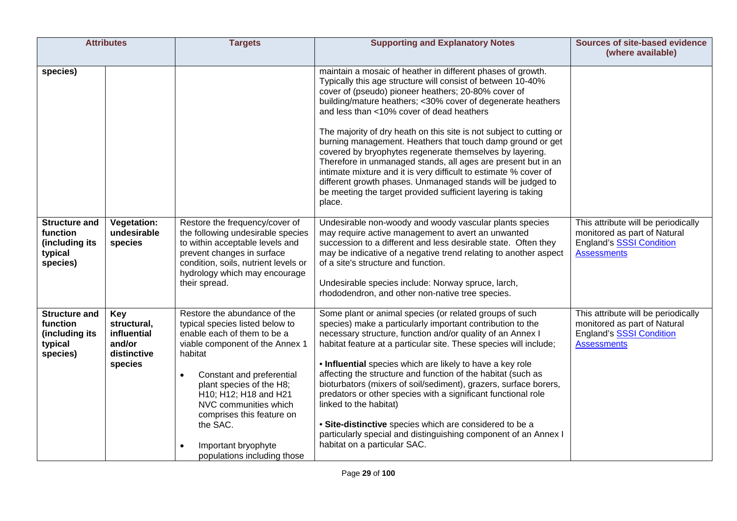| <b>Attributes</b>                                                         |                                                                       | <b>Targets</b>                                                                                                                                                                                                                                                                                                                                                      | <b>Supporting and Explanatory Notes</b>                                                                                                                                                                                                                                                                                                                                                                                                                                                                                                                                                                                                                                                                                                                                      | <b>Sources of site-based evidence</b><br>(where available)                                                                   |
|---------------------------------------------------------------------------|-----------------------------------------------------------------------|---------------------------------------------------------------------------------------------------------------------------------------------------------------------------------------------------------------------------------------------------------------------------------------------------------------------------------------------------------------------|------------------------------------------------------------------------------------------------------------------------------------------------------------------------------------------------------------------------------------------------------------------------------------------------------------------------------------------------------------------------------------------------------------------------------------------------------------------------------------------------------------------------------------------------------------------------------------------------------------------------------------------------------------------------------------------------------------------------------------------------------------------------------|------------------------------------------------------------------------------------------------------------------------------|
| species)                                                                  |                                                                       |                                                                                                                                                                                                                                                                                                                                                                     | maintain a mosaic of heather in different phases of growth.<br>Typically this age structure will consist of between 10-40%<br>cover of (pseudo) pioneer heathers; 20-80% cover of<br>building/mature heathers; <30% cover of degenerate heathers<br>and less than <10% cover of dead heathers<br>The majority of dry heath on this site is not subject to cutting or<br>burning management. Heathers that touch damp ground or get<br>covered by bryophytes regenerate themselves by layering.<br>Therefore in unmanaged stands, all ages are present but in an<br>intimate mixture and it is very difficult to estimate % cover of<br>different growth phases. Unmanaged stands will be judged to<br>be meeting the target provided sufficient layering is taking<br>place. |                                                                                                                              |
| <b>Structure and</b><br>function<br>(including its<br>typical<br>species) | <b>Vegetation:</b><br>undesirable<br>species                          | Restore the frequency/cover of<br>the following undesirable species<br>to within acceptable levels and<br>prevent changes in surface<br>condition, soils, nutrient levels or<br>hydrology which may encourage<br>their spread.                                                                                                                                      | Undesirable non-woody and woody vascular plants species<br>may require active management to avert an unwanted<br>succession to a different and less desirable state. Often they<br>may be indicative of a negative trend relating to another aspect<br>of a site's structure and function.<br>Undesirable species include: Norway spruce, larch,<br>rhododendron, and other non-native tree species.                                                                                                                                                                                                                                                                                                                                                                         | This attribute will be periodically<br>monitored as part of Natural<br><b>England's SSSI Condition</b><br><b>Assessments</b> |
| <b>Structure and</b><br>function<br>(including its<br>typical<br>species) | Key<br>structural,<br>influential<br>and/or<br>distinctive<br>species | Restore the abundance of the<br>typical species listed below to<br>enable each of them to be a<br>viable component of the Annex 1<br>habitat<br>Constant and preferential<br>$\bullet$<br>plant species of the H8;<br>H10; H12; H18 and H21<br>NVC communities which<br>comprises this feature on<br>the SAC.<br>Important bryophyte<br>populations including those | Some plant or animal species (or related groups of such<br>species) make a particularly important contribution to the<br>necessary structure, function and/or quality of an Annex I<br>habitat feature at a particular site. These species will include;<br>. Influential species which are likely to have a key role<br>affecting the structure and function of the habitat (such as<br>bioturbators (mixers of soil/sediment), grazers, surface borers,<br>predators or other species with a significant functional role<br>linked to the habitat)<br>• Site-distinctive species which are considered to be a<br>particularly special and distinguishing component of an Annex I<br>habitat on a particular SAC.                                                           | This attribute will be periodically<br>monitored as part of Natural<br><b>England's SSSI Condition</b><br><b>Assessments</b> |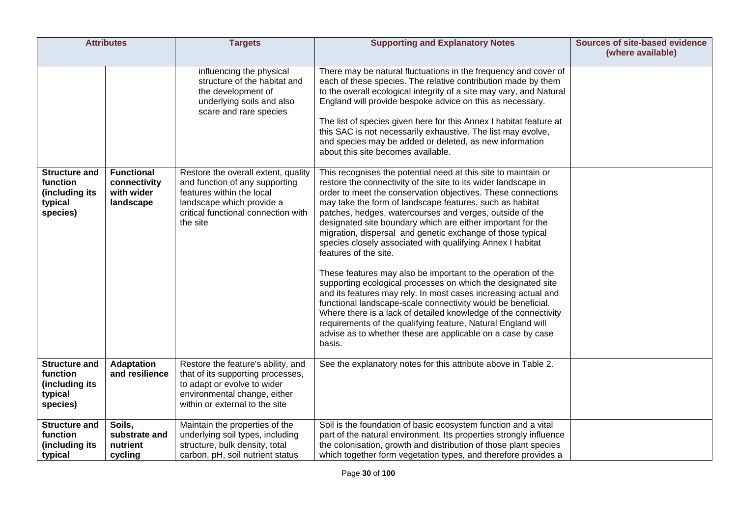| <b>Attributes</b>                                                         |                                                              | <b>Targets</b>                                                                                                                                                                     | <b>Supporting and Explanatory Notes</b>                                                                                                                                                                                                                                                                                                                                                                                                                                                                                                                                                                                                                                                                                                                                                                                                                                                                                                                                                                                    | Sources of site-based evidence<br>(where available) |
|---------------------------------------------------------------------------|--------------------------------------------------------------|------------------------------------------------------------------------------------------------------------------------------------------------------------------------------------|----------------------------------------------------------------------------------------------------------------------------------------------------------------------------------------------------------------------------------------------------------------------------------------------------------------------------------------------------------------------------------------------------------------------------------------------------------------------------------------------------------------------------------------------------------------------------------------------------------------------------------------------------------------------------------------------------------------------------------------------------------------------------------------------------------------------------------------------------------------------------------------------------------------------------------------------------------------------------------------------------------------------------|-----------------------------------------------------|
|                                                                           |                                                              | influencing the physical<br>structure of the habitat and<br>the development of<br>underlying soils and also<br>scare and rare species                                              | There may be natural fluctuations in the frequency and cover of<br>each of these species. The relative contribution made by them<br>to the overall ecological integrity of a site may vary, and Natural<br>England will provide bespoke advice on this as necessary.<br>The list of species given here for this Annex I habitat feature at<br>this SAC is not necessarily exhaustive. The list may evolve,<br>and species may be added or deleted, as new information<br>about this site becomes available.                                                                                                                                                                                                                                                                                                                                                                                                                                                                                                                |                                                     |
| <b>Structure and</b><br>function<br>(including its<br>typical<br>species) | <b>Functional</b><br>connectivity<br>with wider<br>landscape | Restore the overall extent, quality<br>and function of any supporting<br>features within the local<br>landscape which provide a<br>critical functional connection with<br>the site | This recognises the potential need at this site to maintain or<br>restore the connectivity of the site to its wider landscape in<br>order to meet the conservation objectives. These connections<br>may take the form of landscape features, such as habitat<br>patches, hedges, watercourses and verges, outside of the<br>designated site boundary which are either important for the<br>migration, dispersal and genetic exchange of those typical<br>species closely associated with qualifying Annex I habitat<br>features of the site.<br>These features may also be important to the operation of the<br>supporting ecological processes on which the designated site<br>and its features may rely. In most cases increasing actual and<br>functional landscape-scale connectivity would be beneficial.<br>Where there is a lack of detailed knowledge of the connectivity<br>requirements of the qualifying feature, Natural England will<br>advise as to whether these are applicable on a case by case<br>basis. |                                                     |
| <b>Structure and</b><br>function<br>(including its<br>typical<br>species) | <b>Adaptation</b><br>and resilience                          | Restore the feature's ability, and<br>that of its supporting processes,<br>to adapt or evolve to wider<br>environmental change, either<br>within or external to the site           | See the explanatory notes for this attribute above in Table 2.                                                                                                                                                                                                                                                                                                                                                                                                                                                                                                                                                                                                                                                                                                                                                                                                                                                                                                                                                             |                                                     |
| <b>Structure and</b><br>function<br>(including its<br>typical             | Soils,<br>substrate and<br>nutrient<br>cycling               | Maintain the properties of the<br>underlying soil types, including<br>structure, bulk density, total<br>carbon, pH, soil nutrient status                                           | Soil is the foundation of basic ecosystem function and a vital<br>part of the natural environment. Its properties strongly influence<br>the colonisation, growth and distribution of those plant species<br>which together form vegetation types, and therefore provides a                                                                                                                                                                                                                                                                                                                                                                                                                                                                                                                                                                                                                                                                                                                                                 |                                                     |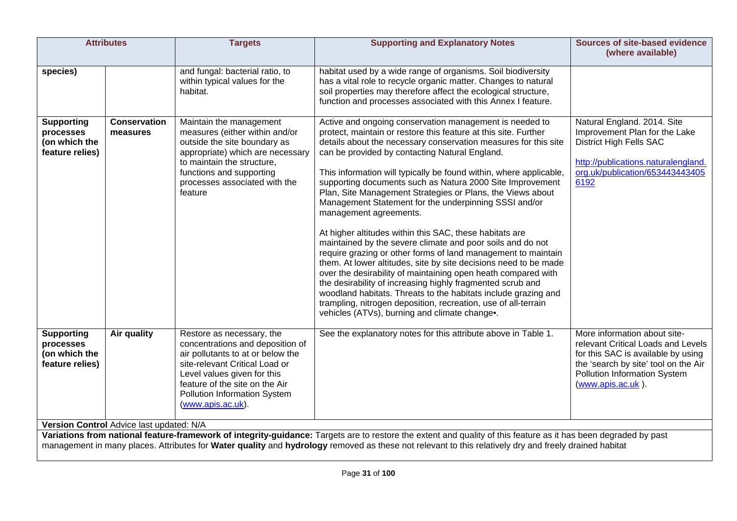| <b>Attributes</b>                                                                                                                                                                                                                                                                                                                                                    |                                 | <b>Targets</b>                                                                                                                                                                                                                                             | <b>Supporting and Explanatory Notes</b>                                                                                                                                                                                                                                                                                                                                                                                                                                                                                                                                                                                                                                                                                                                                                                                                                                                                                                                                                                                                                                                                              | <b>Sources of site-based evidence</b><br>(where available)                                                                                                                                            |
|----------------------------------------------------------------------------------------------------------------------------------------------------------------------------------------------------------------------------------------------------------------------------------------------------------------------------------------------------------------------|---------------------------------|------------------------------------------------------------------------------------------------------------------------------------------------------------------------------------------------------------------------------------------------------------|----------------------------------------------------------------------------------------------------------------------------------------------------------------------------------------------------------------------------------------------------------------------------------------------------------------------------------------------------------------------------------------------------------------------------------------------------------------------------------------------------------------------------------------------------------------------------------------------------------------------------------------------------------------------------------------------------------------------------------------------------------------------------------------------------------------------------------------------------------------------------------------------------------------------------------------------------------------------------------------------------------------------------------------------------------------------------------------------------------------------|-------------------------------------------------------------------------------------------------------------------------------------------------------------------------------------------------------|
| species)                                                                                                                                                                                                                                                                                                                                                             |                                 | and fungal: bacterial ratio, to<br>within typical values for the<br>habitat.                                                                                                                                                                               | habitat used by a wide range of organisms. Soil biodiversity<br>has a vital role to recycle organic matter. Changes to natural<br>soil properties may therefore affect the ecological structure,<br>function and processes associated with this Annex I feature.                                                                                                                                                                                                                                                                                                                                                                                                                                                                                                                                                                                                                                                                                                                                                                                                                                                     |                                                                                                                                                                                                       |
| <b>Supporting</b><br>processes<br>(on which the<br>feature relies)                                                                                                                                                                                                                                                                                                   | <b>Conservation</b><br>measures | Maintain the management<br>measures (either within and/or<br>outside the site boundary as<br>appropriate) which are necessary<br>to maintain the structure,<br>functions and supporting<br>processes associated with the<br>feature                        | Active and ongoing conservation management is needed to<br>protect, maintain or restore this feature at this site. Further<br>details about the necessary conservation measures for this site<br>can be provided by contacting Natural England.<br>This information will typically be found within, where applicable,<br>supporting documents such as Natura 2000 Site Improvement<br>Plan, Site Management Strategies or Plans, the Views about<br>Management Statement for the underpinning SSSI and/or<br>management agreements.<br>At higher altitudes within this SAC, these habitats are<br>maintained by the severe climate and poor soils and do not<br>require grazing or other forms of land management to maintain<br>them. At lower altitudes, site by site decisions need to be made<br>over the desirability of maintaining open heath compared with<br>the desirability of increasing highly fragmented scrub and<br>woodland habitats. Threats to the habitats include grazing and<br>trampling, nitrogen deposition, recreation, use of all-terrain<br>vehicles (ATVs), burning and climate change. | Natural England. 2014. Site<br>Improvement Plan for the Lake<br><b>District High Fells SAC</b><br>http://publications.naturalengland.<br>org.uk/publication/653443443405<br>6192                      |
| <b>Supporting</b><br>processes<br>(on which the<br>feature relies)                                                                                                                                                                                                                                                                                                   | <b>Air quality</b>              | Restore as necessary, the<br>concentrations and deposition of<br>air pollutants to at or below the<br>site-relevant Critical Load or<br>Level values given for this<br>feature of the site on the Air<br>Pollution Information System<br>(www.apis.ac.uk). | See the explanatory notes for this attribute above in Table 1.                                                                                                                                                                                                                                                                                                                                                                                                                                                                                                                                                                                                                                                                                                                                                                                                                                                                                                                                                                                                                                                       | More information about site-<br>relevant Critical Loads and Levels<br>for this SAC is available by using<br>the 'search by site' tool on the Air<br>Pollution Information System<br>(www.apis.ac.uk). |
| Version Control Advice last updated: N/A<br>Variations from national feature-framework of integrity-guidance: Targets are to restore the extent and quality of this feature as it has been degraded by past<br>management in many places. Attributes for Water quality and hydrology removed as these not relevant to this relatively dry and freely drained habitat |                                 |                                                                                                                                                                                                                                                            |                                                                                                                                                                                                                                                                                                                                                                                                                                                                                                                                                                                                                                                                                                                                                                                                                                                                                                                                                                                                                                                                                                                      |                                                                                                                                                                                                       |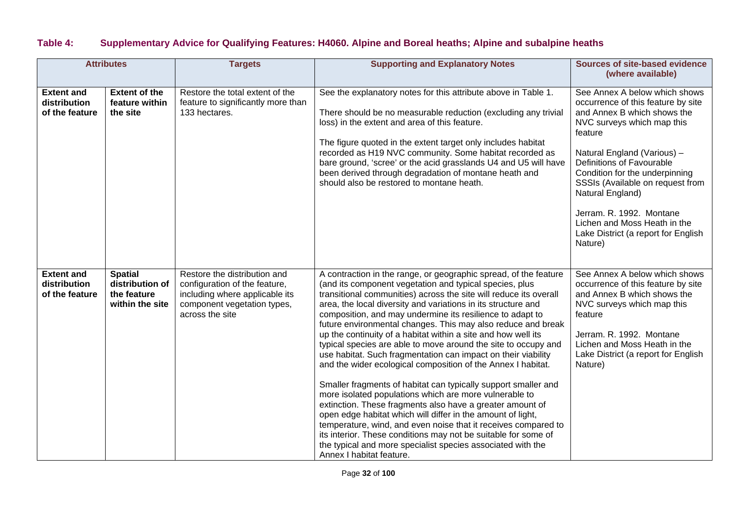## **Table 4: Supplementary Advice for Qualifying Features: H4060. Alpine and Boreal heaths; Alpine and subalpine heaths**

| <b>Attributes</b>                                   |                                                                     | <b>Targets</b>                                                                                                                                    | <b>Supporting and Explanatory Notes</b>                                                                                                                                                                                                                                                                                                                                                                                                                                                                                                                                                                                                                                                                                                                                                                                                                                                                                                                                                                                                                                                                                                                   | <b>Sources of site-based evidence</b><br>(where available)                                                                                                                                                                                                                                                                                                                                                      |
|-----------------------------------------------------|---------------------------------------------------------------------|---------------------------------------------------------------------------------------------------------------------------------------------------|-----------------------------------------------------------------------------------------------------------------------------------------------------------------------------------------------------------------------------------------------------------------------------------------------------------------------------------------------------------------------------------------------------------------------------------------------------------------------------------------------------------------------------------------------------------------------------------------------------------------------------------------------------------------------------------------------------------------------------------------------------------------------------------------------------------------------------------------------------------------------------------------------------------------------------------------------------------------------------------------------------------------------------------------------------------------------------------------------------------------------------------------------------------|-----------------------------------------------------------------------------------------------------------------------------------------------------------------------------------------------------------------------------------------------------------------------------------------------------------------------------------------------------------------------------------------------------------------|
| <b>Extent and</b><br>distribution<br>of the feature | <b>Extent of the</b><br>feature within<br>the site                  | Restore the total extent of the<br>feature to significantly more than<br>133 hectares.                                                            | See the explanatory notes for this attribute above in Table 1.<br>There should be no measurable reduction (excluding any trivial<br>loss) in the extent and area of this feature.<br>The figure quoted in the extent target only includes habitat<br>recorded as H19 NVC community. Some habitat recorded as<br>bare ground, 'scree' or the acid grasslands U4 and U5 will have<br>been derived through degradation of montane heath and<br>should also be restored to montane heath.                                                                                                                                                                                                                                                                                                                                                                                                                                                                                                                                                                                                                                                                     | See Annex A below which shows<br>occurrence of this feature by site<br>and Annex B which shows the<br>NVC surveys which map this<br>feature<br>Natural England (Various) -<br>Definitions of Favourable<br>Condition for the underpinning<br>SSSIs (Available on request from<br>Natural England)<br>Jerram. R. 1992. Montane<br>Lichen and Moss Heath in the<br>Lake District (a report for English<br>Nature) |
| <b>Extent and</b><br>distribution<br>of the feature | <b>Spatial</b><br>distribution of<br>the feature<br>within the site | Restore the distribution and<br>configuration of the feature,<br>including where applicable its<br>component vegetation types,<br>across the site | A contraction in the range, or geographic spread, of the feature<br>(and its component vegetation and typical species, plus<br>transitional communities) across the site will reduce its overall<br>area, the local diversity and variations in its structure and<br>composition, and may undermine its resilience to adapt to<br>future environmental changes. This may also reduce and break<br>up the continuity of a habitat within a site and how well its<br>typical species are able to move around the site to occupy and<br>use habitat. Such fragmentation can impact on their viability<br>and the wider ecological composition of the Annex I habitat.<br>Smaller fragments of habitat can typically support smaller and<br>more isolated populations which are more vulnerable to<br>extinction. These fragments also have a greater amount of<br>open edge habitat which will differ in the amount of light,<br>temperature, wind, and even noise that it receives compared to<br>its interior. These conditions may not be suitable for some of<br>the typical and more specialist species associated with the<br>Annex I habitat feature. | See Annex A below which shows<br>occurrence of this feature by site<br>and Annex B which shows the<br>NVC surveys which map this<br>feature<br>Jerram. R. 1992. Montane<br>Lichen and Moss Heath in the<br>Lake District (a report for English<br>Nature)                                                                                                                                                       |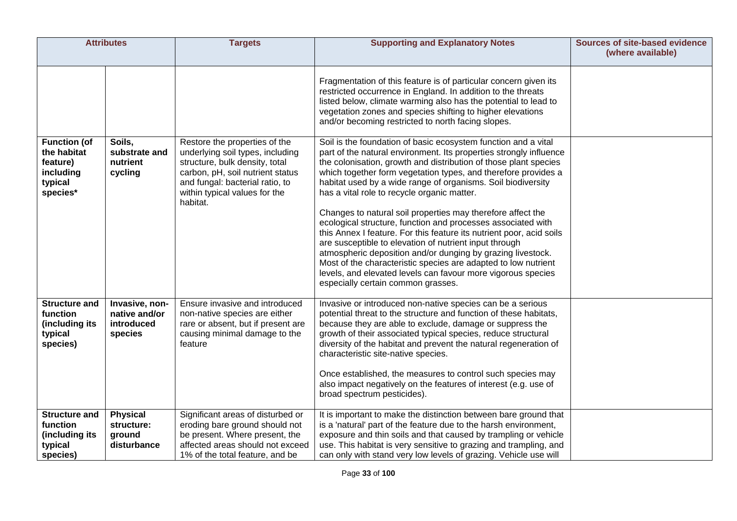| <b>Attributes</b>                                                                  |                                                          | <b>Targets</b>                                                                                                                                                                                                          | <b>Supporting and Explanatory Notes</b>                                                                                                                                                                                                                                                                                                                                                                                                                                                                                                                                                                                                                                                                                                                                                                                                                                                                                                                                                                                                                                                                                                                                                                                      | <b>Sources of site-based evidence</b><br>(where available) |
|------------------------------------------------------------------------------------|----------------------------------------------------------|-------------------------------------------------------------------------------------------------------------------------------------------------------------------------------------------------------------------------|------------------------------------------------------------------------------------------------------------------------------------------------------------------------------------------------------------------------------------------------------------------------------------------------------------------------------------------------------------------------------------------------------------------------------------------------------------------------------------------------------------------------------------------------------------------------------------------------------------------------------------------------------------------------------------------------------------------------------------------------------------------------------------------------------------------------------------------------------------------------------------------------------------------------------------------------------------------------------------------------------------------------------------------------------------------------------------------------------------------------------------------------------------------------------------------------------------------------------|------------------------------------------------------------|
| <b>Function (of</b><br>the habitat<br>feature)<br>including<br>typical<br>species* | Soils,<br>substrate and<br>nutrient<br>cycling           | Restore the properties of the<br>underlying soil types, including<br>structure, bulk density, total<br>carbon, pH, soil nutrient status<br>and fungal: bacterial ratio, to<br>within typical values for the<br>habitat. | Fragmentation of this feature is of particular concern given its<br>restricted occurrence in England. In addition to the threats<br>listed below, climate warming also has the potential to lead to<br>vegetation zones and species shifting to higher elevations<br>and/or becoming restricted to north facing slopes.<br>Soil is the foundation of basic ecosystem function and a vital<br>part of the natural environment. Its properties strongly influence<br>the colonisation, growth and distribution of those plant species<br>which together form vegetation types, and therefore provides a<br>habitat used by a wide range of organisms. Soil biodiversity<br>has a vital role to recycle organic matter.<br>Changes to natural soil properties may therefore affect the<br>ecological structure, function and processes associated with<br>this Annex I feature. For this feature its nutrient poor, acid soils<br>are susceptible to elevation of nutrient input through<br>atmospheric deposition and/or dunging by grazing livestock.<br>Most of the characteristic species are adapted to low nutrient<br>levels, and elevated levels can favour more vigorous species<br>especially certain common grasses. |                                                            |
| <b>Structure and</b><br>function<br>(including its<br>typical<br>species)          | Invasive, non-<br>native and/or<br>introduced<br>species | Ensure invasive and introduced<br>non-native species are either<br>rare or absent, but if present are<br>causing minimal damage to the<br>feature                                                                       | Invasive or introduced non-native species can be a serious<br>potential threat to the structure and function of these habitats,<br>because they are able to exclude, damage or suppress the<br>growth of their associated typical species, reduce structural<br>diversity of the habitat and prevent the natural regeneration of<br>characteristic site-native species.<br>Once established, the measures to control such species may<br>also impact negatively on the features of interest (e.g. use of<br>broad spectrum pesticides).                                                                                                                                                                                                                                                                                                                                                                                                                                                                                                                                                                                                                                                                                      |                                                            |
| <b>Structure and</b><br>function<br>(including its<br>typical<br>species)          | <b>Physical</b><br>structure:<br>ground<br>disturbance   | Significant areas of disturbed or<br>eroding bare ground should not<br>be present. Where present, the<br>affected areas should not exceed<br>1% of the total feature, and be                                            | It is important to make the distinction between bare ground that<br>is a 'natural' part of the feature due to the harsh environment,<br>exposure and thin soils and that caused by trampling or vehicle<br>use. This habitat is very sensitive to grazing and trampling, and<br>can only with stand very low levels of grazing. Vehicle use will                                                                                                                                                                                                                                                                                                                                                                                                                                                                                                                                                                                                                                                                                                                                                                                                                                                                             |                                                            |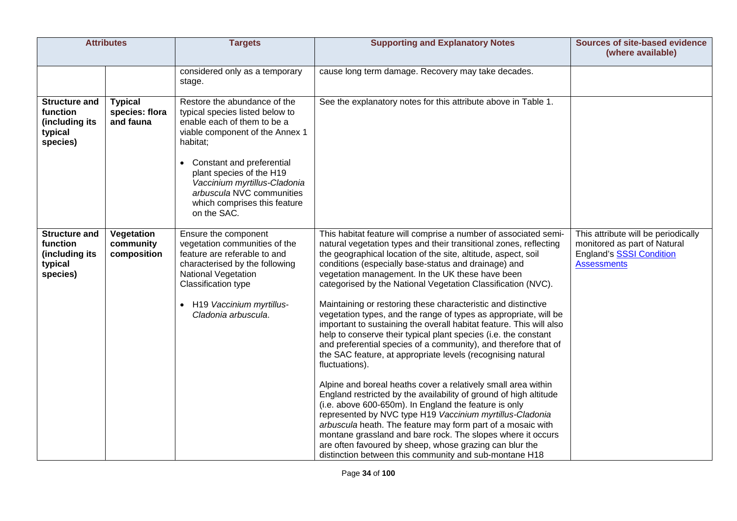| <b>Attributes</b>                                                         |                                               | <b>Targets</b>                                                                                                                                                        | <b>Supporting and Explanatory Notes</b>                                                                                                                                                                                                                                                                                                                                                                                                                                                                    | <b>Sources of site-based evidence</b><br>(where available)                                                            |
|---------------------------------------------------------------------------|-----------------------------------------------|-----------------------------------------------------------------------------------------------------------------------------------------------------------------------|------------------------------------------------------------------------------------------------------------------------------------------------------------------------------------------------------------------------------------------------------------------------------------------------------------------------------------------------------------------------------------------------------------------------------------------------------------------------------------------------------------|-----------------------------------------------------------------------------------------------------------------------|
|                                                                           |                                               | considered only as a temporary<br>stage.                                                                                                                              | cause long term damage. Recovery may take decades.                                                                                                                                                                                                                                                                                                                                                                                                                                                         |                                                                                                                       |
| <b>Structure and</b><br>function<br>(including its<br>typical<br>species) | <b>Typical</b><br>species: flora<br>and fauna | Restore the abundance of the<br>typical species listed below to<br>enable each of them to be a<br>viable component of the Annex 1<br>habitat;                         | See the explanatory notes for this attribute above in Table 1.                                                                                                                                                                                                                                                                                                                                                                                                                                             |                                                                                                                       |
|                                                                           |                                               | Constant and preferential<br>plant species of the H19<br>Vaccinium myrtillus-Cladonia<br>arbuscula NVC communities<br>which comprises this feature<br>on the SAC.     |                                                                                                                                                                                                                                                                                                                                                                                                                                                                                                            |                                                                                                                       |
| <b>Structure and</b><br>function<br>(including its<br>typical<br>species) | Vegetation<br>community<br>composition        | Ensure the component<br>vegetation communities of the<br>feature are referable to and<br>characterised by the following<br>National Vegetation<br>Classification type | This habitat feature will comprise a number of associated semi-<br>natural vegetation types and their transitional zones, reflecting<br>the geographical location of the site, altitude, aspect, soil<br>conditions (especially base-status and drainage) and<br>vegetation management. In the UK these have been<br>categorised by the National Vegetation Classification (NVC).                                                                                                                          | This attribute will be periodically<br>monitored as part of Natural<br>England's SSSI Condition<br><b>Assessments</b> |
|                                                                           |                                               | • H19 Vaccinium myrtillus-<br>Cladonia arbuscula.                                                                                                                     | Maintaining or restoring these characteristic and distinctive<br>vegetation types, and the range of types as appropriate, will be<br>important to sustaining the overall habitat feature. This will also<br>help to conserve their typical plant species (i.e. the constant<br>and preferential species of a community), and therefore that of<br>the SAC feature, at appropriate levels (recognising natural<br>fluctuations).                                                                            |                                                                                                                       |
|                                                                           |                                               |                                                                                                                                                                       | Alpine and boreal heaths cover a relatively small area within<br>England restricted by the availability of ground of high altitude<br>(i.e. above 600-650m). In England the feature is only<br>represented by NVC type H19 Vaccinium myrtillus-Cladonia<br>arbuscula heath. The feature may form part of a mosaic with<br>montane grassland and bare rock. The slopes where it occurs<br>are often favoured by sheep, whose grazing can blur the<br>distinction between this community and sub-montane H18 |                                                                                                                       |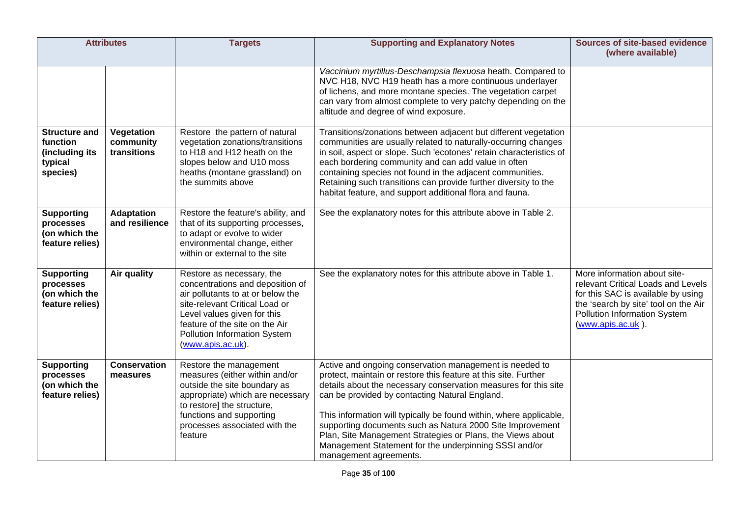| <b>Attributes</b>                                                         |                                        | <b>Targets</b>                                                                                                                                                                                                                                             | <b>Supporting and Explanatory Notes</b>                                                                                                                                                                                                                                                                                                                                                                                                                                                                                             | <b>Sources of site-based evidence</b><br>(where available)                                                                                                                                                   |
|---------------------------------------------------------------------------|----------------------------------------|------------------------------------------------------------------------------------------------------------------------------------------------------------------------------------------------------------------------------------------------------------|-------------------------------------------------------------------------------------------------------------------------------------------------------------------------------------------------------------------------------------------------------------------------------------------------------------------------------------------------------------------------------------------------------------------------------------------------------------------------------------------------------------------------------------|--------------------------------------------------------------------------------------------------------------------------------------------------------------------------------------------------------------|
|                                                                           |                                        |                                                                                                                                                                                                                                                            | Vaccinium myrtillus-Deschampsia flexuosa heath. Compared to<br>NVC H18, NVC H19 heath has a more continuous underlayer<br>of lichens, and more montane species. The vegetation carpet<br>can vary from almost complete to very patchy depending on the<br>altitude and degree of wind exposure.                                                                                                                                                                                                                                     |                                                                                                                                                                                                              |
| <b>Structure and</b><br>function<br>(including its<br>typical<br>species) | Vegetation<br>community<br>transitions | Restore the pattern of natural<br>vegetation zonations/transitions<br>to H18 and H12 heath on the<br>slopes below and U10 moss<br>heaths (montane grassland) on<br>the summits above                                                                       | Transitions/zonations between adjacent but different vegetation<br>communities are usually related to naturally-occurring changes<br>in soil, aspect or slope. Such 'ecotones' retain characteristics of<br>each bordering community and can add value in often<br>containing species not found in the adjacent communities.<br>Retaining such transitions can provide further diversity to the<br>habitat feature, and support additional flora and fauna.                                                                         |                                                                                                                                                                                                              |
| <b>Supporting</b><br>processes<br>(on which the<br>feature relies)        | <b>Adaptation</b><br>and resilience    | Restore the feature's ability, and<br>that of its supporting processes,<br>to adapt or evolve to wider<br>environmental change, either<br>within or external to the site                                                                                   | See the explanatory notes for this attribute above in Table 2.                                                                                                                                                                                                                                                                                                                                                                                                                                                                      |                                                                                                                                                                                                              |
| <b>Supporting</b><br>processes<br>(on which the<br>feature relies)        | <b>Air quality</b>                     | Restore as necessary, the<br>concentrations and deposition of<br>air pollutants to at or below the<br>site-relevant Critical Load or<br>Level values given for this<br>feature of the site on the Air<br>Pollution Information System<br>(www.apis.ac.uk). | See the explanatory notes for this attribute above in Table 1.                                                                                                                                                                                                                                                                                                                                                                                                                                                                      | More information about site-<br>relevant Critical Loads and Levels<br>for this SAC is available by using<br>the 'search by site' tool on the Air<br><b>Pollution Information System</b><br>(www.apis.ac.uk). |
| <b>Supporting</b><br>processes<br>(on which the<br>feature relies)        | <b>Conservation</b><br>measures        | Restore the management<br>measures (either within and/or<br>outside the site boundary as<br>appropriate) which are necessary<br>to restore] the structure,<br>functions and supporting<br>processes associated with the<br>feature                         | Active and ongoing conservation management is needed to<br>protect, maintain or restore this feature at this site. Further<br>details about the necessary conservation measures for this site<br>can be provided by contacting Natural England.<br>This information will typically be found within, where applicable,<br>supporting documents such as Natura 2000 Site Improvement<br>Plan, Site Management Strategies or Plans, the Views about<br>Management Statement for the underpinning SSSI and/or<br>management agreements. |                                                                                                                                                                                                              |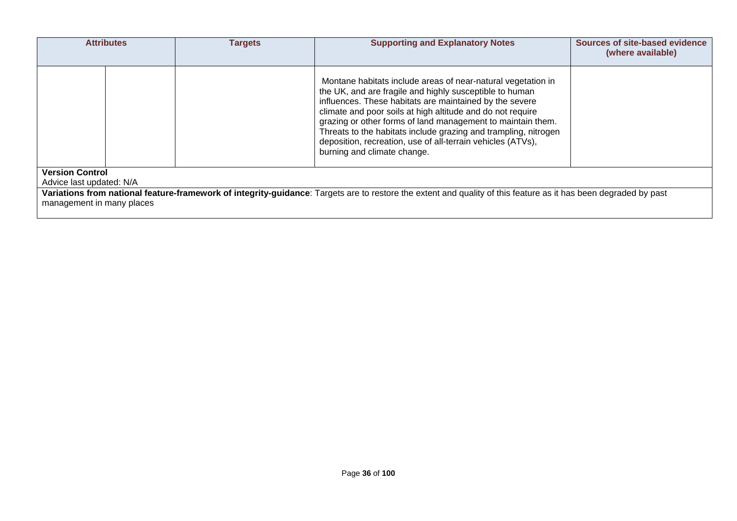|                                                                                                                                                                                              | <b>Attributes</b> | <b>Targets</b> | <b>Supporting and Explanatory Notes</b>                                                                                                                                                                                                                                                                                                                                                                                                                                          | <b>Sources of site-based evidence</b><br>(where available) |  |
|----------------------------------------------------------------------------------------------------------------------------------------------------------------------------------------------|-------------------|----------------|----------------------------------------------------------------------------------------------------------------------------------------------------------------------------------------------------------------------------------------------------------------------------------------------------------------------------------------------------------------------------------------------------------------------------------------------------------------------------------|------------------------------------------------------------|--|
|                                                                                                                                                                                              |                   |                | Montane habitats include areas of near-natural vegetation in<br>the UK, and are fragile and highly susceptible to human<br>influences. These habitats are maintained by the severe<br>climate and poor soils at high altitude and do not require<br>grazing or other forms of land management to maintain them.<br>Threats to the habitats include grazing and trampling, nitrogen<br>deposition, recreation, use of all-terrain vehicles (ATVs),<br>burning and climate change. |                                                            |  |
| <b>Version Control</b><br>Advice last updated: N/A                                                                                                                                           |                   |                |                                                                                                                                                                                                                                                                                                                                                                                                                                                                                  |                                                            |  |
| Variations from national feature-framework of integrity-guidance: Targets are to restore the extent and quality of this feature as it has been degraded by past<br>management in many places |                   |                |                                                                                                                                                                                                                                                                                                                                                                                                                                                                                  |                                                            |  |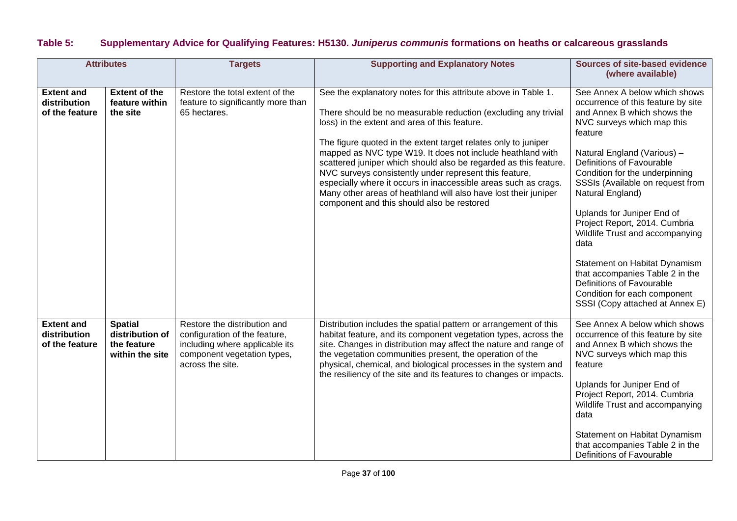# **Table 5: Supplementary Advice for Qualifying Features: H5130.** *Juniperus communis* **formations on heaths or calcareous grasslands**

| <b>Attributes</b>                                   |                                                                     | <b>Targets</b>                                                                                                                                     | <b>Supporting and Explanatory Notes</b>                                                                                                                                                                                                                                                                                                                                                                                                                                                                                                                                                                                             | Sources of site-based evidence<br>(where available)                                                                                                                                                                                                                                                                                                                                                                                                                                                                                                                             |
|-----------------------------------------------------|---------------------------------------------------------------------|----------------------------------------------------------------------------------------------------------------------------------------------------|-------------------------------------------------------------------------------------------------------------------------------------------------------------------------------------------------------------------------------------------------------------------------------------------------------------------------------------------------------------------------------------------------------------------------------------------------------------------------------------------------------------------------------------------------------------------------------------------------------------------------------------|---------------------------------------------------------------------------------------------------------------------------------------------------------------------------------------------------------------------------------------------------------------------------------------------------------------------------------------------------------------------------------------------------------------------------------------------------------------------------------------------------------------------------------------------------------------------------------|
| <b>Extent and</b><br>distribution<br>of the feature | <b>Extent of the</b><br>feature within<br>the site                  | Restore the total extent of the<br>feature to significantly more than<br>65 hectares.                                                              | See the explanatory notes for this attribute above in Table 1.<br>There should be no measurable reduction (excluding any trivial<br>loss) in the extent and area of this feature.<br>The figure quoted in the extent target relates only to juniper<br>mapped as NVC type W19. It does not include heathland with<br>scattered juniper which should also be regarded as this feature.<br>NVC surveys consistently under represent this feature,<br>especially where it occurs in inaccessible areas such as crags.<br>Many other areas of heathland will also have lost their juniper<br>component and this should also be restored | See Annex A below which shows<br>occurrence of this feature by site<br>and Annex B which shows the<br>NVC surveys which map this<br>feature<br>Natural England (Various) -<br>Definitions of Favourable<br>Condition for the underpinning<br>SSSIs (Available on request from<br>Natural England)<br>Uplands for Juniper End of<br>Project Report, 2014. Cumbria<br>Wildlife Trust and accompanying<br>data<br>Statement on Habitat Dynamism<br>that accompanies Table 2 in the<br>Definitions of Favourable<br>Condition for each component<br>SSSI (Copy attached at Annex E) |
| <b>Extent and</b><br>distribution<br>of the feature | <b>Spatial</b><br>distribution of<br>the feature<br>within the site | Restore the distribution and<br>configuration of the feature,<br>including where applicable its<br>component vegetation types,<br>across the site. | Distribution includes the spatial pattern or arrangement of this<br>habitat feature, and its component vegetation types, across the<br>site. Changes in distribution may affect the nature and range of<br>the vegetation communities present, the operation of the<br>physical, chemical, and biological processes in the system and<br>the resiliency of the site and its features to changes or impacts.                                                                                                                                                                                                                         | See Annex A below which shows<br>occurrence of this feature by site<br>and Annex B which shows the<br>NVC surveys which map this<br>feature<br>Uplands for Juniper End of<br>Project Report, 2014. Cumbria<br>Wildlife Trust and accompanying<br>data<br>Statement on Habitat Dynamism<br>that accompanies Table 2 in the<br>Definitions of Favourable                                                                                                                                                                                                                          |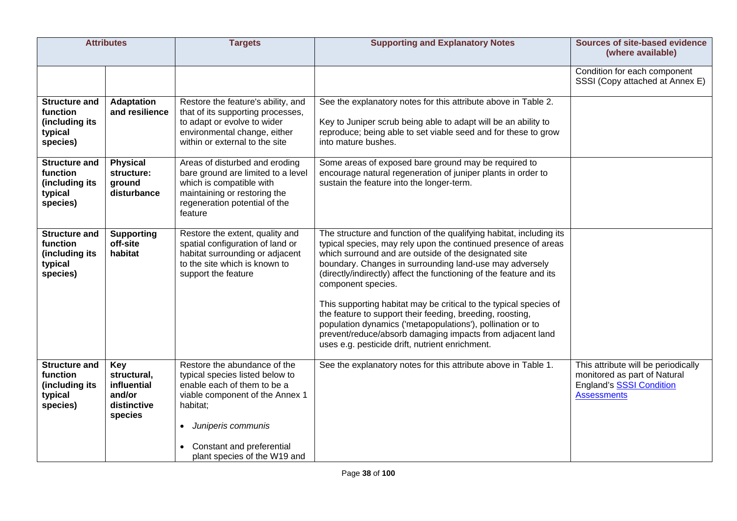| <b>Attributes</b>                                                         |                                                                       | <b>Targets</b>                                                                                                                                                                                                                                             | <b>Supporting and Explanatory Notes</b>                                                                                                                                                                                                                                                                                                                                                                                                                                                                                                                                                                                                                                | <b>Sources of site-based evidence</b><br>(where available)                                                                   |
|---------------------------------------------------------------------------|-----------------------------------------------------------------------|------------------------------------------------------------------------------------------------------------------------------------------------------------------------------------------------------------------------------------------------------------|------------------------------------------------------------------------------------------------------------------------------------------------------------------------------------------------------------------------------------------------------------------------------------------------------------------------------------------------------------------------------------------------------------------------------------------------------------------------------------------------------------------------------------------------------------------------------------------------------------------------------------------------------------------------|------------------------------------------------------------------------------------------------------------------------------|
|                                                                           |                                                                       |                                                                                                                                                                                                                                                            |                                                                                                                                                                                                                                                                                                                                                                                                                                                                                                                                                                                                                                                                        | Condition for each component<br>SSSI (Copy attached at Annex E)                                                              |
| <b>Structure and</b><br>function<br>(including its<br>typical<br>species) | <b>Adaptation</b><br>and resilience                                   | Restore the feature's ability, and<br>that of its supporting processes,<br>to adapt or evolve to wider<br>environmental change, either<br>within or external to the site                                                                                   | See the explanatory notes for this attribute above in Table 2.<br>Key to Juniper scrub being able to adapt will be an ability to<br>reproduce; being able to set viable seed and for these to grow<br>into mature bushes.                                                                                                                                                                                                                                                                                                                                                                                                                                              |                                                                                                                              |
| <b>Structure and</b><br>function<br>(including its<br>typical<br>species) | <b>Physical</b><br>structure:<br>ground<br>disturbance                | Areas of disturbed and eroding<br>bare ground are limited to a level<br>which is compatible with<br>maintaining or restoring the<br>regeneration potential of the<br>feature                                                                               | Some areas of exposed bare ground may be required to<br>encourage natural regeneration of juniper plants in order to<br>sustain the feature into the longer-term.                                                                                                                                                                                                                                                                                                                                                                                                                                                                                                      |                                                                                                                              |
| <b>Structure and</b><br>function<br>(including its<br>typical<br>species) | <b>Supporting</b><br>off-site<br>habitat                              | Restore the extent, quality and<br>spatial configuration of land or<br>habitat surrounding or adjacent<br>to the site which is known to<br>support the feature                                                                                             | The structure and function of the qualifying habitat, including its<br>typical species, may rely upon the continued presence of areas<br>which surround and are outside of the designated site<br>boundary. Changes in surrounding land-use may adversely<br>(directly/indirectly) affect the functioning of the feature and its<br>component species.<br>This supporting habitat may be critical to the typical species of<br>the feature to support their feeding, breeding, roosting,<br>population dynamics ('metapopulations'), pollination or to<br>prevent/reduce/absorb damaging impacts from adjacent land<br>uses e.g. pesticide drift, nutrient enrichment. |                                                                                                                              |
| <b>Structure and</b><br>function<br>(including its<br>typical<br>species) | Key<br>structural,<br>influential<br>and/or<br>distinctive<br>species | Restore the abundance of the<br>typical species listed below to<br>enable each of them to be a<br>viable component of the Annex 1<br>habitat;<br>Juniperis communis<br>$\bullet$<br>Constant and preferential<br>$\bullet$<br>plant species of the W19 and | See the explanatory notes for this attribute above in Table 1.                                                                                                                                                                                                                                                                                                                                                                                                                                                                                                                                                                                                         | This attribute will be periodically<br>monitored as part of Natural<br><b>England's SSSI Condition</b><br><b>Assessments</b> |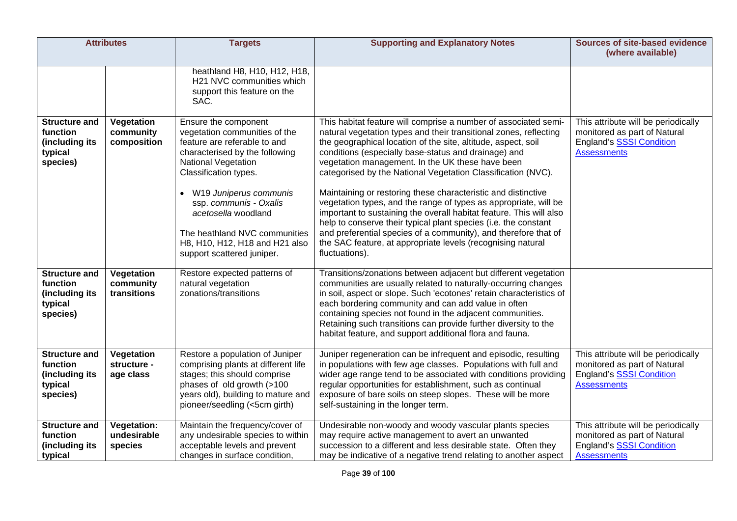|                                                                           | <b>Attributes</b>                            | <b>Targets</b>                                                                                                                                                                                                                                                                                                                                      | <b>Supporting and Explanatory Notes</b>                                                                                                                                                                                                                                                                                                                                                                                                                                                                                                                                                                                                                                                                                                                                                                              | <b>Sources of site-based evidence</b><br>(where available)                                                                   |
|---------------------------------------------------------------------------|----------------------------------------------|-----------------------------------------------------------------------------------------------------------------------------------------------------------------------------------------------------------------------------------------------------------------------------------------------------------------------------------------------------|----------------------------------------------------------------------------------------------------------------------------------------------------------------------------------------------------------------------------------------------------------------------------------------------------------------------------------------------------------------------------------------------------------------------------------------------------------------------------------------------------------------------------------------------------------------------------------------------------------------------------------------------------------------------------------------------------------------------------------------------------------------------------------------------------------------------|------------------------------------------------------------------------------------------------------------------------------|
|                                                                           |                                              | heathland H8, H10, H12, H18,<br>H21 NVC communities which<br>support this feature on the<br>SAC.                                                                                                                                                                                                                                                    |                                                                                                                                                                                                                                                                                                                                                                                                                                                                                                                                                                                                                                                                                                                                                                                                                      |                                                                                                                              |
| <b>Structure and</b><br>function<br>(including its<br>typical<br>species) | Vegetation<br>community<br>composition       | Ensure the component<br>vegetation communities of the<br>feature are referable to and<br>characterised by the following<br>National Vegetation<br>Classification types.<br>W19 Juniperus communis<br>ssp. communis - Oxalis<br>acetosella woodland<br>The heathland NVC communities<br>H8, H10, H12, H18 and H21 also<br>support scattered juniper. | This habitat feature will comprise a number of associated semi-<br>natural vegetation types and their transitional zones, reflecting<br>the geographical location of the site, altitude, aspect, soil<br>conditions (especially base-status and drainage) and<br>vegetation management. In the UK these have been<br>categorised by the National Vegetation Classification (NVC).<br>Maintaining or restoring these characteristic and distinctive<br>vegetation types, and the range of types as appropriate, will be<br>important to sustaining the overall habitat feature. This will also<br>help to conserve their typical plant species (i.e. the constant<br>and preferential species of a community), and therefore that of<br>the SAC feature, at appropriate levels (recognising natural<br>fluctuations). | This attribute will be periodically<br>monitored as part of Natural<br><b>England's SSSI Condition</b><br><b>Assessments</b> |
| <b>Structure and</b><br>function<br>(including its<br>typical<br>species) | Vegetation<br>community<br>transitions       | Restore expected patterns of<br>natural vegetation<br>zonations/transitions                                                                                                                                                                                                                                                                         | Transitions/zonations between adjacent but different vegetation<br>communities are usually related to naturally-occurring changes<br>in soil, aspect or slope. Such 'ecotones' retain characteristics of<br>each bordering community and can add value in often<br>containing species not found in the adjacent communities.<br>Retaining such transitions can provide further diversity to the<br>habitat feature, and support additional flora and fauna.                                                                                                                                                                                                                                                                                                                                                          |                                                                                                                              |
| <b>Structure and</b><br>function<br>(including its<br>typical<br>species) | Vegetation<br>structure -<br>age class       | Restore a population of Juniper<br>comprising plants at different life<br>stages; this should comprise<br>phases of old growth (>100<br>years old), building to mature and<br>pioneer/seedling (<5cm girth)                                                                                                                                         | Juniper regeneration can be infrequent and episodic, resulting<br>in populations with few age classes. Populations with full and<br>wider age range tend to be associated with conditions providing<br>regular opportunities for establishment, such as continual<br>exposure of bare soils on steep slopes. These will be more<br>self-sustaining in the longer term.                                                                                                                                                                                                                                                                                                                                                                                                                                               | This attribute will be periodically<br>monitored as part of Natural<br>England's SSSI Condition<br><b>Assessments</b>        |
| <b>Structure and</b><br>function<br>(including its<br>typical             | <b>Vegetation:</b><br>undesirable<br>species | Maintain the frequency/cover of<br>any undesirable species to within<br>acceptable levels and prevent<br>changes in surface condition,                                                                                                                                                                                                              | Undesirable non-woody and woody vascular plants species<br>may require active management to avert an unwanted<br>succession to a different and less desirable state. Often they<br>may be indicative of a negative trend relating to another aspect                                                                                                                                                                                                                                                                                                                                                                                                                                                                                                                                                                  | This attribute will be periodically<br>monitored as part of Natural<br><b>England's SSSI Condition</b><br><b>Assessments</b> |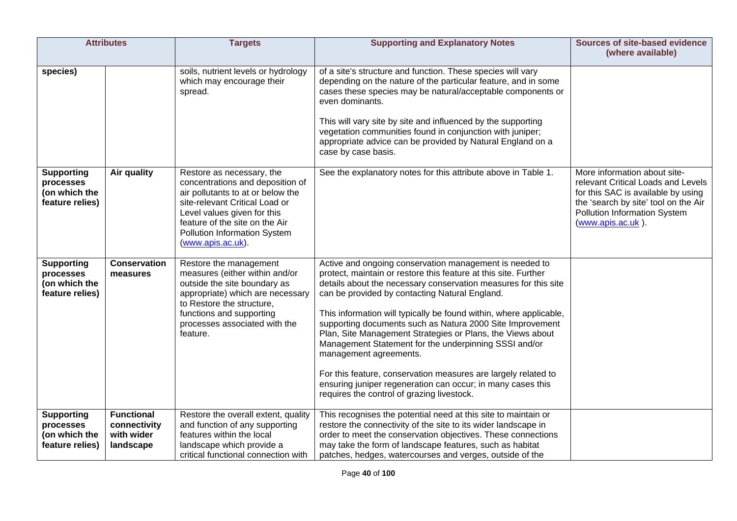|                                                                    | <b>Attributes</b>                                            | <b>Targets</b>                                                                                                                                                                                                                                                    | <b>Supporting and Explanatory Notes</b>                                                                                                                                                                                                                                                                                                                                                                                                                                                                                                                                                                                                                                                                            | <b>Sources of site-based evidence</b><br>(where available)                                                                                                                                            |
|--------------------------------------------------------------------|--------------------------------------------------------------|-------------------------------------------------------------------------------------------------------------------------------------------------------------------------------------------------------------------------------------------------------------------|--------------------------------------------------------------------------------------------------------------------------------------------------------------------------------------------------------------------------------------------------------------------------------------------------------------------------------------------------------------------------------------------------------------------------------------------------------------------------------------------------------------------------------------------------------------------------------------------------------------------------------------------------------------------------------------------------------------------|-------------------------------------------------------------------------------------------------------------------------------------------------------------------------------------------------------|
| species)                                                           |                                                              | soils, nutrient levels or hydrology<br>which may encourage their<br>spread.                                                                                                                                                                                       | of a site's structure and function. These species will vary<br>depending on the nature of the particular feature, and in some<br>cases these species may be natural/acceptable components or<br>even dominants.<br>This will vary site by site and influenced by the supporting<br>vegetation communities found in conjunction with juniper;<br>appropriate advice can be provided by Natural England on a<br>case by case basis.                                                                                                                                                                                                                                                                                  |                                                                                                                                                                                                       |
| <b>Supporting</b><br>processes<br>(on which the<br>feature relies) | Air quality                                                  | Restore as necessary, the<br>concentrations and deposition of<br>air pollutants to at or below the<br>site-relevant Critical Load or<br>Level values given for this<br>feature of the site on the Air<br><b>Pollution Information System</b><br>(www.apis.ac.uk). | See the explanatory notes for this attribute above in Table 1.                                                                                                                                                                                                                                                                                                                                                                                                                                                                                                                                                                                                                                                     | More information about site-<br>relevant Critical Loads and Levels<br>for this SAC is available by using<br>the 'search by site' tool on the Air<br>Pollution Information System<br>(www.apis.ac.uk). |
| <b>Supporting</b><br>processes<br>(on which the<br>feature relies) | <b>Conservation</b><br>measures                              | Restore the management<br>measures (either within and/or<br>outside the site boundary as<br>appropriate) which are necessary<br>to Restore the structure,<br>functions and supporting<br>processes associated with the<br>feature.                                | Active and ongoing conservation management is needed to<br>protect, maintain or restore this feature at this site. Further<br>details about the necessary conservation measures for this site<br>can be provided by contacting Natural England.<br>This information will typically be found within, where applicable,<br>supporting documents such as Natura 2000 Site Improvement<br>Plan, Site Management Strategies or Plans, the Views about<br>Management Statement for the underpinning SSSI and/or<br>management agreements.<br>For this feature, conservation measures are largely related to<br>ensuring juniper regeneration can occur; in many cases this<br>requires the control of grazing livestock. |                                                                                                                                                                                                       |
| <b>Supporting</b><br>processes<br>(on which the<br>feature relies) | <b>Functional</b><br>connectivity<br>with wider<br>landscape | Restore the overall extent, quality<br>and function of any supporting<br>features within the local<br>landscape which provide a<br>critical functional connection with                                                                                            | This recognises the potential need at this site to maintain or<br>restore the connectivity of the site to its wider landscape in<br>order to meet the conservation objectives. These connections<br>may take the form of landscape features, such as habitat<br>patches, hedges, watercourses and verges, outside of the                                                                                                                                                                                                                                                                                                                                                                                           |                                                                                                                                                                                                       |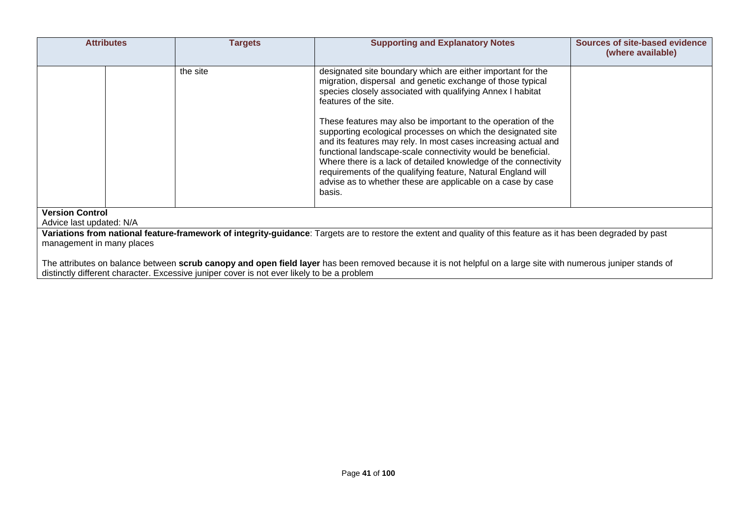|                                                                                                                                                                                              | <b>Attributes</b>                                                                                                                                                                                                                                            | <b>Targets</b> | <b>Supporting and Explanatory Notes</b>                                                                                                                                                                                                                                                                                                                                                                                                                                    | Sources of site-based evidence<br>(where available) |  |  |
|----------------------------------------------------------------------------------------------------------------------------------------------------------------------------------------------|--------------------------------------------------------------------------------------------------------------------------------------------------------------------------------------------------------------------------------------------------------------|----------------|----------------------------------------------------------------------------------------------------------------------------------------------------------------------------------------------------------------------------------------------------------------------------------------------------------------------------------------------------------------------------------------------------------------------------------------------------------------------------|-----------------------------------------------------|--|--|
|                                                                                                                                                                                              |                                                                                                                                                                                                                                                              | the site       | designated site boundary which are either important for the<br>migration, dispersal and genetic exchange of those typical<br>species closely associated with qualifying Annex I habitat<br>features of the site.                                                                                                                                                                                                                                                           |                                                     |  |  |
|                                                                                                                                                                                              |                                                                                                                                                                                                                                                              |                | These features may also be important to the operation of the<br>supporting ecological processes on which the designated site<br>and its features may rely. In most cases increasing actual and<br>functional landscape-scale connectivity would be beneficial.<br>Where there is a lack of detailed knowledge of the connectivity<br>requirements of the qualifying feature, Natural England will<br>advise as to whether these are applicable on a case by case<br>basis. |                                                     |  |  |
| <b>Version Control</b><br>Advice last updated: N/A                                                                                                                                           |                                                                                                                                                                                                                                                              |                |                                                                                                                                                                                                                                                                                                                                                                                                                                                                            |                                                     |  |  |
| Variations from national feature-framework of integrity-guidance: Targets are to restore the extent and quality of this feature as it has been degraded by past<br>management in many places |                                                                                                                                                                                                                                                              |                |                                                                                                                                                                                                                                                                                                                                                                                                                                                                            |                                                     |  |  |
|                                                                                                                                                                                              | The attributes on balance between scrub canopy and open field layer has been removed because it is not helpful on a large site with numerous juniper stands of<br>distinctly different character. Excessive juniper cover is not ever likely to be a problem |                |                                                                                                                                                                                                                                                                                                                                                                                                                                                                            |                                                     |  |  |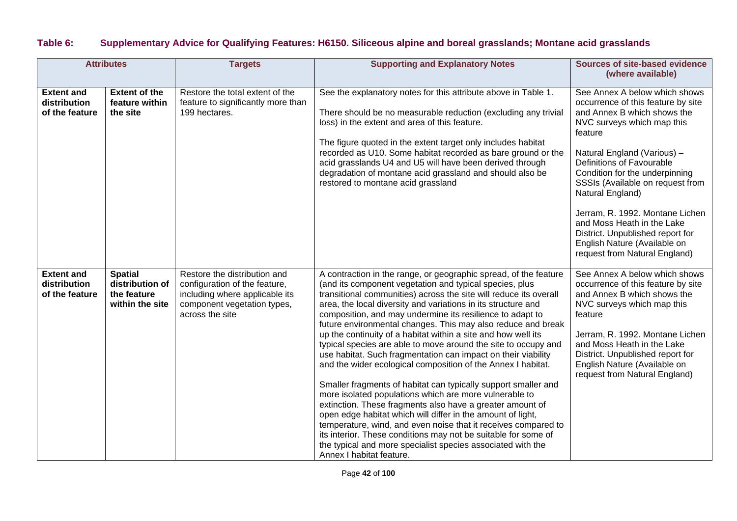## **Table 6: Supplementary Advice for Qualifying Features: H6150. Siliceous alpine and boreal grasslands; Montane acid grasslands**

| <b>Attributes</b>                                   |                                                                     | <b>Targets</b>                                                                                                                                    | <b>Supporting and Explanatory Notes</b>                                                                                                                                                                                                                                                                                                                                                                                                                                                                                                                                                                                                                                                                                                                                                                                                                                                                                                                                                                                                                                                                                                                   | Sources of site-based evidence<br>(where available)                                                                                                                                                                                                                                                                                                                                                                                                                     |
|-----------------------------------------------------|---------------------------------------------------------------------|---------------------------------------------------------------------------------------------------------------------------------------------------|-----------------------------------------------------------------------------------------------------------------------------------------------------------------------------------------------------------------------------------------------------------------------------------------------------------------------------------------------------------------------------------------------------------------------------------------------------------------------------------------------------------------------------------------------------------------------------------------------------------------------------------------------------------------------------------------------------------------------------------------------------------------------------------------------------------------------------------------------------------------------------------------------------------------------------------------------------------------------------------------------------------------------------------------------------------------------------------------------------------------------------------------------------------|-------------------------------------------------------------------------------------------------------------------------------------------------------------------------------------------------------------------------------------------------------------------------------------------------------------------------------------------------------------------------------------------------------------------------------------------------------------------------|
| <b>Extent and</b><br>distribution<br>of the feature | <b>Extent of the</b><br>feature within<br>the site                  | Restore the total extent of the<br>feature to significantly more than<br>199 hectares.                                                            | See the explanatory notes for this attribute above in Table 1.<br>There should be no measurable reduction (excluding any trivial<br>loss) in the extent and area of this feature.<br>The figure quoted in the extent target only includes habitat<br>recorded as U10. Some habitat recorded as bare ground or the<br>acid grasslands U4 and U5 will have been derived through<br>degradation of montane acid grassland and should also be<br>restored to montane acid grassland                                                                                                                                                                                                                                                                                                                                                                                                                                                                                                                                                                                                                                                                           | See Annex A below which shows<br>occurrence of this feature by site<br>and Annex B which shows the<br>NVC surveys which map this<br>feature<br>Natural England (Various) -<br>Definitions of Favourable<br>Condition for the underpinning<br>SSSIs (Available on request from<br>Natural England)<br>Jerram, R. 1992. Montane Lichen<br>and Moss Heath in the Lake<br>District. Unpublished report for<br>English Nature (Available on<br>request from Natural England) |
| <b>Extent and</b><br>distribution<br>of the feature | <b>Spatial</b><br>distribution of<br>the feature<br>within the site | Restore the distribution and<br>configuration of the feature,<br>including where applicable its<br>component vegetation types,<br>across the site | A contraction in the range, or geographic spread, of the feature<br>(and its component vegetation and typical species, plus<br>transitional communities) across the site will reduce its overall<br>area, the local diversity and variations in its structure and<br>composition, and may undermine its resilience to adapt to<br>future environmental changes. This may also reduce and break<br>up the continuity of a habitat within a site and how well its<br>typical species are able to move around the site to occupy and<br>use habitat. Such fragmentation can impact on their viability<br>and the wider ecological composition of the Annex I habitat.<br>Smaller fragments of habitat can typically support smaller and<br>more isolated populations which are more vulnerable to<br>extinction. These fragments also have a greater amount of<br>open edge habitat which will differ in the amount of light,<br>temperature, wind, and even noise that it receives compared to<br>its interior. These conditions may not be suitable for some of<br>the typical and more specialist species associated with the<br>Annex I habitat feature. | See Annex A below which shows<br>occurrence of this feature by site<br>and Annex B which shows the<br>NVC surveys which map this<br>feature<br>Jerram, R. 1992. Montane Lichen<br>and Moss Heath in the Lake<br>District. Unpublished report for<br>English Nature (Available on<br>request from Natural England)                                                                                                                                                       |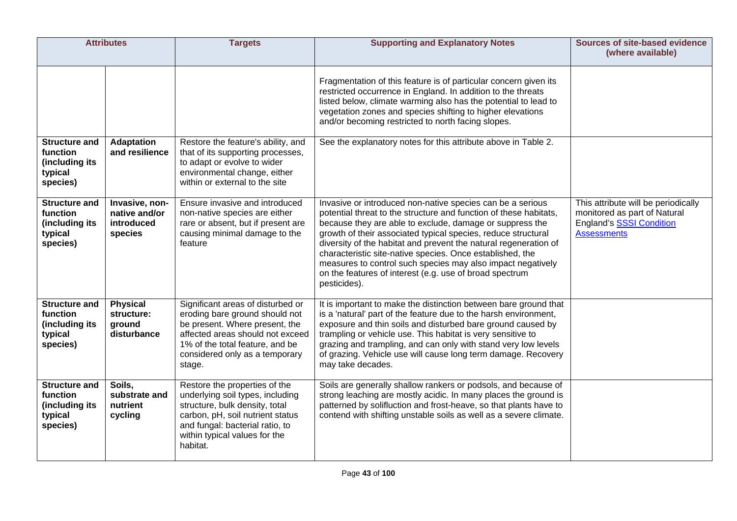| <b>Attributes</b>                                                         |                                                          | <b>Targets</b>                                                                                                                                                                                                           | <b>Supporting and Explanatory Notes</b>                                                                                                                                                                                                                                                                                                                                                                                                                                                                                                 | Sources of site-based evidence<br>(where available)                                                                          |
|---------------------------------------------------------------------------|----------------------------------------------------------|--------------------------------------------------------------------------------------------------------------------------------------------------------------------------------------------------------------------------|-----------------------------------------------------------------------------------------------------------------------------------------------------------------------------------------------------------------------------------------------------------------------------------------------------------------------------------------------------------------------------------------------------------------------------------------------------------------------------------------------------------------------------------------|------------------------------------------------------------------------------------------------------------------------------|
|                                                                           |                                                          |                                                                                                                                                                                                                          | Fragmentation of this feature is of particular concern given its<br>restricted occurrence in England. In addition to the threats<br>listed below, climate warming also has the potential to lead to<br>vegetation zones and species shifting to higher elevations<br>and/or becoming restricted to north facing slopes.                                                                                                                                                                                                                 |                                                                                                                              |
| <b>Structure and</b><br>function<br>(including its<br>typical<br>species) | <b>Adaptation</b><br>and resilience                      | Restore the feature's ability, and<br>that of its supporting processes,<br>to adapt or evolve to wider<br>environmental change, either<br>within or external to the site                                                 | See the explanatory notes for this attribute above in Table 2.                                                                                                                                                                                                                                                                                                                                                                                                                                                                          |                                                                                                                              |
| <b>Structure and</b><br>function<br>(including its<br>typical<br>species) | Invasive, non-<br>native and/or<br>introduced<br>species | Ensure invasive and introduced<br>non-native species are either<br>rare or absent, but if present are<br>causing minimal damage to the<br>feature                                                                        | Invasive or introduced non-native species can be a serious<br>potential threat to the structure and function of these habitats,<br>because they are able to exclude, damage or suppress the<br>growth of their associated typical species, reduce structural<br>diversity of the habitat and prevent the natural regeneration of<br>characteristic site-native species. Once established, the<br>measures to control such species may also impact negatively<br>on the features of interest (e.g. use of broad spectrum<br>pesticides). | This attribute will be periodically<br>monitored as part of Natural<br><b>England's SSSI Condition</b><br><b>Assessments</b> |
| <b>Structure and</b><br>function<br>(including its<br>typical<br>species) | <b>Physical</b><br>structure:<br>ground<br>disturbance   | Significant areas of disturbed or<br>eroding bare ground should not<br>be present. Where present, the<br>affected areas should not exceed<br>1% of the total feature, and be<br>considered only as a temporary<br>stage. | It is important to make the distinction between bare ground that<br>is a 'natural' part of the feature due to the harsh environment,<br>exposure and thin soils and disturbed bare ground caused by<br>trampling or vehicle use. This habitat is very sensitive to<br>grazing and trampling, and can only with stand very low levels<br>of grazing. Vehicle use will cause long term damage. Recovery<br>may take decades.                                                                                                              |                                                                                                                              |
| <b>Structure and</b><br>function<br>(including its<br>typical<br>species) | Soils,<br>substrate and<br>nutrient<br>cycling           | Restore the properties of the<br>underlying soil types, including<br>structure, bulk density, total<br>carbon, pH, soil nutrient status<br>and fungal: bacterial ratio, to<br>within typical values for the<br>habitat.  | Soils are generally shallow rankers or podsols, and because of<br>strong leaching are mostly acidic. In many places the ground is<br>patterned by solifluction and frost-heave, so that plants have to<br>contend with shifting unstable soils as well as a severe climate.                                                                                                                                                                                                                                                             |                                                                                                                              |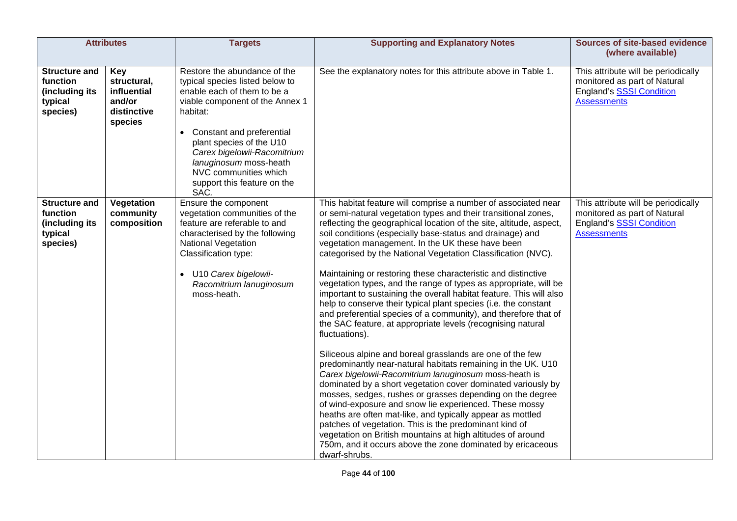|                                                                           | <b>Attributes</b>                                                     | <b>Targets</b>                                                                                                                                                                                                                                                                                                                  | <b>Supporting and Explanatory Notes</b>                                                                                                                                                                                                                                                                                                                                                                                                                                                                                                                                                                                                                                                                                                                                                                                                                                                                                                                                                                                                                                                                                                                                                                                                                                                                                                                                                                                                                                        | <b>Sources of site-based evidence</b><br>(where available)                                                                   |
|---------------------------------------------------------------------------|-----------------------------------------------------------------------|---------------------------------------------------------------------------------------------------------------------------------------------------------------------------------------------------------------------------------------------------------------------------------------------------------------------------------|--------------------------------------------------------------------------------------------------------------------------------------------------------------------------------------------------------------------------------------------------------------------------------------------------------------------------------------------------------------------------------------------------------------------------------------------------------------------------------------------------------------------------------------------------------------------------------------------------------------------------------------------------------------------------------------------------------------------------------------------------------------------------------------------------------------------------------------------------------------------------------------------------------------------------------------------------------------------------------------------------------------------------------------------------------------------------------------------------------------------------------------------------------------------------------------------------------------------------------------------------------------------------------------------------------------------------------------------------------------------------------------------------------------------------------------------------------------------------------|------------------------------------------------------------------------------------------------------------------------------|
| <b>Structure and</b><br>function<br>(including its<br>typical<br>species) | Key<br>structural,<br>influential<br>and/or<br>distinctive<br>species | Restore the abundance of the<br>typical species listed below to<br>enable each of them to be a<br>viable component of the Annex 1<br>habitat:<br>Constant and preferential<br>plant species of the U10<br>Carex bigelowii-Racomitrium<br>lanuginosum moss-heath<br>NVC communities which<br>support this feature on the<br>SAC. | See the explanatory notes for this attribute above in Table 1.                                                                                                                                                                                                                                                                                                                                                                                                                                                                                                                                                                                                                                                                                                                                                                                                                                                                                                                                                                                                                                                                                                                                                                                                                                                                                                                                                                                                                 | This attribute will be periodically<br>monitored as part of Natural<br><b>England's SSSI Condition</b><br><b>Assessments</b> |
| <b>Structure and</b><br>function<br>(including its<br>typical<br>species) | Vegetation<br>community<br>composition                                | Ensure the component<br>vegetation communities of the<br>feature are referable to and<br>characterised by the following<br>National Vegetation<br>Classification type:<br>• U10 Carex bigelowii-<br>Racomitrium lanuginosum<br>moss-heath.                                                                                      | This habitat feature will comprise a number of associated near<br>or semi-natural vegetation types and their transitional zones,<br>reflecting the geographical location of the site, altitude, aspect,<br>soil conditions (especially base-status and drainage) and<br>vegetation management. In the UK these have been<br>categorised by the National Vegetation Classification (NVC).<br>Maintaining or restoring these characteristic and distinctive<br>vegetation types, and the range of types as appropriate, will be<br>important to sustaining the overall habitat feature. This will also<br>help to conserve their typical plant species (i.e. the constant<br>and preferential species of a community), and therefore that of<br>the SAC feature, at appropriate levels (recognising natural<br>fluctuations).<br>Siliceous alpine and boreal grasslands are one of the few<br>predominantly near-natural habitats remaining in the UK. U10<br>Carex bigelowii-Racomitrium lanuginosum moss-heath is<br>dominated by a short vegetation cover dominated variously by<br>mosses, sedges, rushes or grasses depending on the degree<br>of wind-exposure and snow lie experienced. These mossy<br>heaths are often mat-like, and typically appear as mottled<br>patches of vegetation. This is the predominant kind of<br>vegetation on British mountains at high altitudes of around<br>750m, and it occurs above the zone dominated by ericaceous<br>dwarf-shrubs. | This attribute will be periodically<br>monitored as part of Natural<br><b>England's SSSI Condition</b><br><b>Assessments</b> |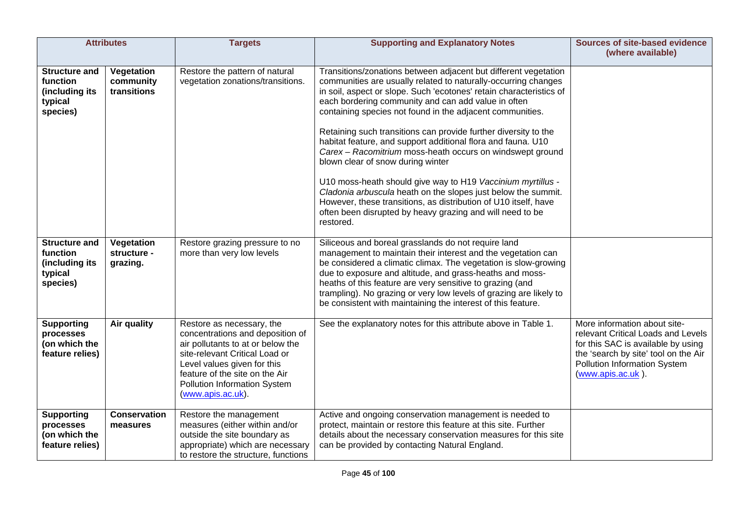|                                                                           | <b>Attributes</b>                      | <b>Targets</b>                                                                                                                                                                                                                                             | <b>Supporting and Explanatory Notes</b>                                                                                                                                                                                                                                                                                                                                                                                                                                                                                                                                                                                                                                                                                                                                                                                                        | <b>Sources of site-based evidence</b><br>(where available)                                                                                                                                                   |
|---------------------------------------------------------------------------|----------------------------------------|------------------------------------------------------------------------------------------------------------------------------------------------------------------------------------------------------------------------------------------------------------|------------------------------------------------------------------------------------------------------------------------------------------------------------------------------------------------------------------------------------------------------------------------------------------------------------------------------------------------------------------------------------------------------------------------------------------------------------------------------------------------------------------------------------------------------------------------------------------------------------------------------------------------------------------------------------------------------------------------------------------------------------------------------------------------------------------------------------------------|--------------------------------------------------------------------------------------------------------------------------------------------------------------------------------------------------------------|
| <b>Structure and</b><br>function<br>(including its<br>typical<br>species) | Vegetation<br>community<br>transitions | Restore the pattern of natural<br>vegetation zonations/transitions.                                                                                                                                                                                        | Transitions/zonations between adjacent but different vegetation<br>communities are usually related to naturally-occurring changes<br>in soil, aspect or slope. Such 'ecotones' retain characteristics of<br>each bordering community and can add value in often<br>containing species not found in the adjacent communities.<br>Retaining such transitions can provide further diversity to the<br>habitat feature, and support additional flora and fauna. U10<br>Carex - Racomitrium moss-heath occurs on windswept ground<br>blown clear of snow during winter<br>U10 moss-heath should give way to H19 Vaccinium myrtillus -<br>Cladonia arbuscula heath on the slopes just below the summit.<br>However, these transitions, as distribution of U10 itself, have<br>often been disrupted by heavy grazing and will need to be<br>restored. |                                                                                                                                                                                                              |
| <b>Structure and</b><br>function<br>(including its<br>typical<br>species) | Vegetation<br>structure -<br>grazing.  | Restore grazing pressure to no<br>more than very low levels                                                                                                                                                                                                | Siliceous and boreal grasslands do not require land<br>management to maintain their interest and the vegetation can<br>be considered a climatic climax. The vegetation is slow-growing<br>due to exposure and altitude, and grass-heaths and moss-<br>heaths of this feature are very sensitive to grazing (and<br>trampling). No grazing or very low levels of grazing are likely to<br>be consistent with maintaining the interest of this feature.                                                                                                                                                                                                                                                                                                                                                                                          |                                                                                                                                                                                                              |
| <b>Supporting</b><br>processes<br>(on which the<br>feature relies)        | Air quality                            | Restore as necessary, the<br>concentrations and deposition of<br>air pollutants to at or below the<br>site-relevant Critical Load or<br>Level values given for this<br>feature of the site on the Air<br>Pollution Information System<br>(www.apis.ac.uk). | See the explanatory notes for this attribute above in Table 1.                                                                                                                                                                                                                                                                                                                                                                                                                                                                                                                                                                                                                                                                                                                                                                                 | More information about site-<br>relevant Critical Loads and Levels<br>for this SAC is available by using<br>the 'search by site' tool on the Air<br><b>Pollution Information System</b><br>(www.apis.ac.uk). |
| <b>Supporting</b><br>processes<br>(on which the<br>feature relies)        | <b>Conservation</b><br>measures        | Restore the management<br>measures (either within and/or<br>outside the site boundary as<br>appropriate) which are necessary<br>to restore the structure, functions                                                                                        | Active and ongoing conservation management is needed to<br>protect, maintain or restore this feature at this site. Further<br>details about the necessary conservation measures for this site<br>can be provided by contacting Natural England.                                                                                                                                                                                                                                                                                                                                                                                                                                                                                                                                                                                                |                                                                                                                                                                                                              |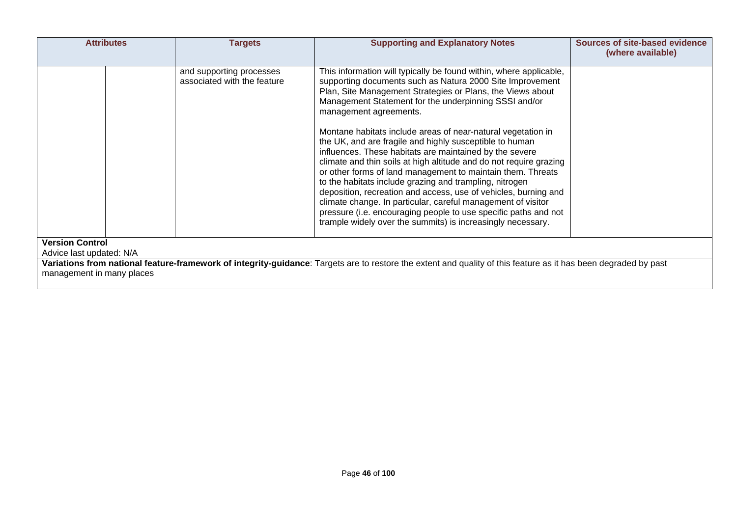|                                                    | <b>Attributes</b> | <b>Targets</b>                                          | <b>Supporting and Explanatory Notes</b>                                                                                                                                                                                                                                                                                                                                                                                                                                                                                                                                                                                                                 | Sources of site-based evidence<br>(where available) |
|----------------------------------------------------|-------------------|---------------------------------------------------------|---------------------------------------------------------------------------------------------------------------------------------------------------------------------------------------------------------------------------------------------------------------------------------------------------------------------------------------------------------------------------------------------------------------------------------------------------------------------------------------------------------------------------------------------------------------------------------------------------------------------------------------------------------|-----------------------------------------------------|
|                                                    |                   | and supporting processes<br>associated with the feature | This information will typically be found within, where applicable,<br>supporting documents such as Natura 2000 Site Improvement<br>Plan, Site Management Strategies or Plans, the Views about<br>Management Statement for the underpinning SSSI and/or<br>management agreements.                                                                                                                                                                                                                                                                                                                                                                        |                                                     |
|                                                    |                   |                                                         | Montane habitats include areas of near-natural vegetation in<br>the UK, and are fragile and highly susceptible to human<br>influences. These habitats are maintained by the severe<br>climate and thin soils at high altitude and do not require grazing<br>or other forms of land management to maintain them. Threats<br>to the habitats include grazing and trampling, nitrogen<br>deposition, recreation and access, use of vehicles, burning and<br>climate change. In particular, careful management of visitor<br>pressure (i.e. encouraging people to use specific paths and not<br>trample widely over the summits) is increasingly necessary. |                                                     |
| <b>Version Control</b><br>Advice last updated: N/A |                   |                                                         |                                                                                                                                                                                                                                                                                                                                                                                                                                                                                                                                                                                                                                                         |                                                     |
| management in many places                          |                   |                                                         | Variations from national feature-framework of integrity-guidance: Targets are to restore the extent and quality of this feature as it has been degraded by past                                                                                                                                                                                                                                                                                                                                                                                                                                                                                         |                                                     |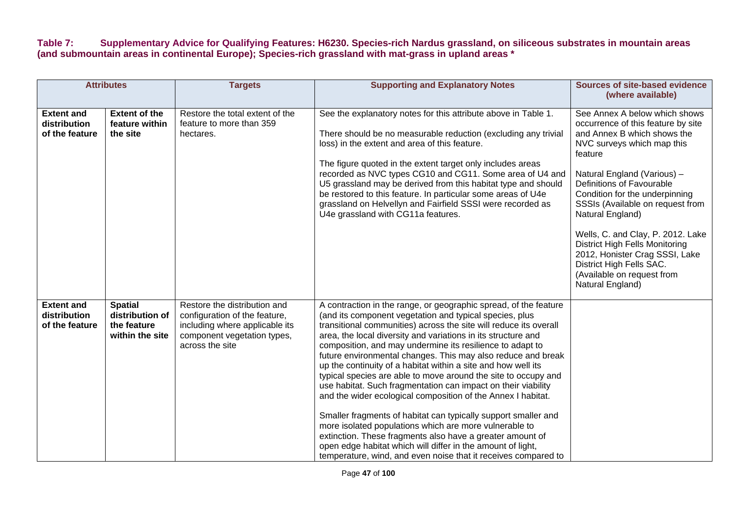### **Table 7: Supplementary Advice for Qualifying Features: H6230. Species-rich Nardus grassland, on siliceous substrates in mountain areas (and submountain areas in continental Europe); Species-rich grassland with mat-grass in upland areas \***

| <b>Attributes</b>                                   |                                                                     | <b>Targets</b>                                                                                                                                    | <b>Supporting and Explanatory Notes</b>                                                                                                                                                                                                                                                                                                                                                                                                                                                                                                                                                                                                                                                                                                                                                                                                                                                                                                                                                      | <b>Sources of site-based evidence</b><br>(where available)                                                                                                                                                                                                                                                                                                                                                                                                                                      |
|-----------------------------------------------------|---------------------------------------------------------------------|---------------------------------------------------------------------------------------------------------------------------------------------------|----------------------------------------------------------------------------------------------------------------------------------------------------------------------------------------------------------------------------------------------------------------------------------------------------------------------------------------------------------------------------------------------------------------------------------------------------------------------------------------------------------------------------------------------------------------------------------------------------------------------------------------------------------------------------------------------------------------------------------------------------------------------------------------------------------------------------------------------------------------------------------------------------------------------------------------------------------------------------------------------|-------------------------------------------------------------------------------------------------------------------------------------------------------------------------------------------------------------------------------------------------------------------------------------------------------------------------------------------------------------------------------------------------------------------------------------------------------------------------------------------------|
| <b>Extent and</b><br>distribution<br>of the feature | <b>Extent of the</b><br>feature within<br>the site                  | Restore the total extent of the<br>feature to more than 359<br>hectares.                                                                          | See the explanatory notes for this attribute above in Table 1.<br>There should be no measurable reduction (excluding any trivial<br>loss) in the extent and area of this feature.<br>The figure quoted in the extent target only includes areas<br>recorded as NVC types CG10 and CG11. Some area of U4 and<br>U5 grassland may be derived from this habitat type and should<br>be restored to this feature. In particular some areas of U4e<br>grassland on Helvellyn and Fairfield SSSI were recorded as<br>U4e grassland with CG11a features.                                                                                                                                                                                                                                                                                                                                                                                                                                             | See Annex A below which shows<br>occurrence of this feature by site<br>and Annex B which shows the<br>NVC surveys which map this<br>feature<br>Natural England (Various) -<br>Definitions of Favourable<br>Condition for the underpinning<br>SSSIs (Available on request from<br>Natural England)<br>Wells, C. and Clay, P. 2012. Lake<br><b>District High Fells Monitoring</b><br>2012, Honister Crag SSSI, Lake<br>District High Fells SAC.<br>(Available on request from<br>Natural England) |
| <b>Extent and</b><br>distribution<br>of the feature | <b>Spatial</b><br>distribution of<br>the feature<br>within the site | Restore the distribution and<br>configuration of the feature,<br>including where applicable its<br>component vegetation types,<br>across the site | A contraction in the range, or geographic spread, of the feature<br>(and its component vegetation and typical species, plus<br>transitional communities) across the site will reduce its overall<br>area, the local diversity and variations in its structure and<br>composition, and may undermine its resilience to adapt to<br>future environmental changes. This may also reduce and break<br>up the continuity of a habitat within a site and how well its<br>typical species are able to move around the site to occupy and<br>use habitat. Such fragmentation can impact on their viability<br>and the wider ecological composition of the Annex I habitat.<br>Smaller fragments of habitat can typically support smaller and<br>more isolated populations which are more vulnerable to<br>extinction. These fragments also have a greater amount of<br>open edge habitat which will differ in the amount of light,<br>temperature, wind, and even noise that it receives compared to |                                                                                                                                                                                                                                                                                                                                                                                                                                                                                                 |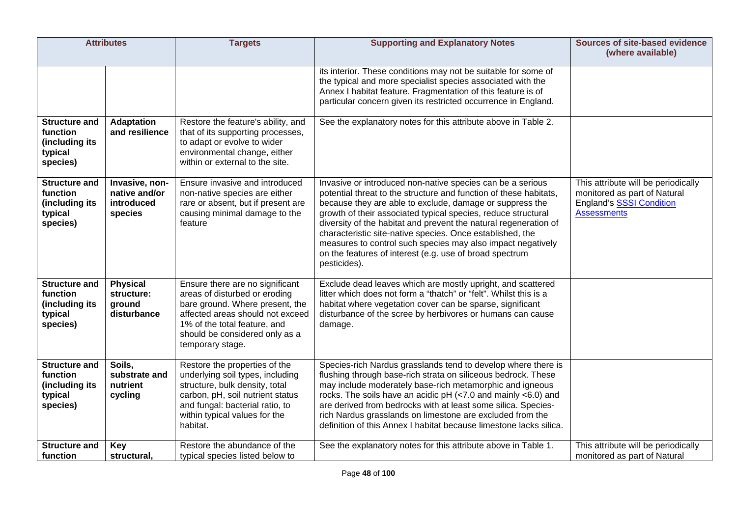| <b>Attributes</b>                                                         |                                                          | <b>Targets</b>                                                                                                                                                                                                                | <b>Supporting and Explanatory Notes</b>                                                                                                                                                                                                                                                                                                                                                                                                                                                                                                 | <b>Sources of site-based evidence</b><br>(where available)                                                                   |
|---------------------------------------------------------------------------|----------------------------------------------------------|-------------------------------------------------------------------------------------------------------------------------------------------------------------------------------------------------------------------------------|-----------------------------------------------------------------------------------------------------------------------------------------------------------------------------------------------------------------------------------------------------------------------------------------------------------------------------------------------------------------------------------------------------------------------------------------------------------------------------------------------------------------------------------------|------------------------------------------------------------------------------------------------------------------------------|
|                                                                           |                                                          |                                                                                                                                                                                                                               | its interior. These conditions may not be suitable for some of<br>the typical and more specialist species associated with the<br>Annex I habitat feature. Fragmentation of this feature is of<br>particular concern given its restricted occurrence in England.                                                                                                                                                                                                                                                                         |                                                                                                                              |
| <b>Structure and</b><br>function<br>(including its<br>typical<br>species) | <b>Adaptation</b><br>and resilience                      | Restore the feature's ability, and<br>that of its supporting processes,<br>to adapt or evolve to wider<br>environmental change, either<br>within or external to the site.                                                     | See the explanatory notes for this attribute above in Table 2.                                                                                                                                                                                                                                                                                                                                                                                                                                                                          |                                                                                                                              |
| <b>Structure and</b><br>function<br>(including its<br>typical<br>species) | Invasive, non-<br>native and/or<br>introduced<br>species | Ensure invasive and introduced<br>non-native species are either<br>rare or absent, but if present are<br>causing minimal damage to the<br>feature                                                                             | Invasive or introduced non-native species can be a serious<br>potential threat to the structure and function of these habitats,<br>because they are able to exclude, damage or suppress the<br>growth of their associated typical species, reduce structural<br>diversity of the habitat and prevent the natural regeneration of<br>characteristic site-native species. Once established, the<br>measures to control such species may also impact negatively<br>on the features of interest (e.g. use of broad spectrum<br>pesticides). | This attribute will be periodically<br>monitored as part of Natural<br><b>England's SSSI Condition</b><br><b>Assessments</b> |
| <b>Structure and</b><br>function<br>(including its<br>typical<br>species) | <b>Physical</b><br>structure:<br>ground<br>disturbance   | Ensure there are no significant<br>areas of disturbed or eroding<br>bare ground. Where present, the<br>affected areas should not exceed<br>1% of the total feature, and<br>should be considered only as a<br>temporary stage. | Exclude dead leaves which are mostly upright, and scattered<br>litter which does not form a "thatch" or "felt". Whilst this is a<br>habitat where vegetation cover can be sparse, significant<br>disturbance of the scree by herbivores or humans can cause<br>damage.                                                                                                                                                                                                                                                                  |                                                                                                                              |
| <b>Structure and</b><br>function<br>(including its<br>typical<br>species) | Soils,<br>substrate and<br>nutrient<br>cycling           | Restore the properties of the<br>underlying soil types, including<br>structure, bulk density, total<br>carbon, pH, soil nutrient status<br>and fungal: bacterial ratio, to<br>within typical values for the<br>habitat.       | Species-rich Nardus grasslands tend to develop where there is<br>flushing through base-rich strata on siliceous bedrock. These<br>may include moderately base-rich metamorphic and igneous<br>rocks. The soils have an acidic pH (<7.0 and mainly <6.0) and<br>are derived from bedrocks with at least some silica. Species-<br>rich Nardus grasslands on limestone are excluded from the<br>definition of this Annex I habitat because limestone lacks silica.                                                                         |                                                                                                                              |
| <b>Structure and</b><br>function                                          | Key<br>structural,                                       | Restore the abundance of the<br>typical species listed below to                                                                                                                                                               | See the explanatory notes for this attribute above in Table 1.                                                                                                                                                                                                                                                                                                                                                                                                                                                                          | This attribute will be periodically<br>monitored as part of Natural                                                          |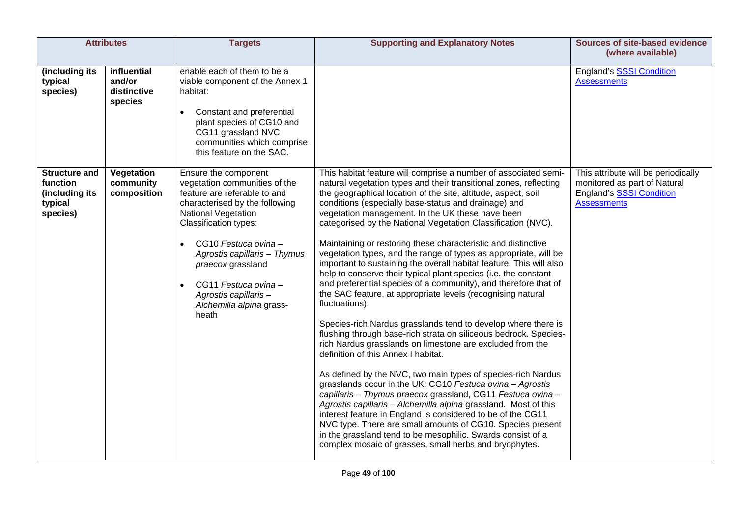|                                                                           | <b>Attributes</b>                               | <b>Targets</b>                                                                                                                                                                                                                                                                                                                                           | <b>Supporting and Explanatory Notes</b>                                                                                                                                                                                                                                                                                                                                                                                                                                                                                                                                                                                                                                                                                                                                                                                                                                                                                                                                                                                                                                                                                                                                                                                                                                                                                                                                                                                                                                                                                                                                            | <b>Sources of site-based evidence</b><br>(where available)                                                                   |
|---------------------------------------------------------------------------|-------------------------------------------------|----------------------------------------------------------------------------------------------------------------------------------------------------------------------------------------------------------------------------------------------------------------------------------------------------------------------------------------------------------|------------------------------------------------------------------------------------------------------------------------------------------------------------------------------------------------------------------------------------------------------------------------------------------------------------------------------------------------------------------------------------------------------------------------------------------------------------------------------------------------------------------------------------------------------------------------------------------------------------------------------------------------------------------------------------------------------------------------------------------------------------------------------------------------------------------------------------------------------------------------------------------------------------------------------------------------------------------------------------------------------------------------------------------------------------------------------------------------------------------------------------------------------------------------------------------------------------------------------------------------------------------------------------------------------------------------------------------------------------------------------------------------------------------------------------------------------------------------------------------------------------------------------------------------------------------------------------|------------------------------------------------------------------------------------------------------------------------------|
| (including its<br>typical<br>species)                                     | influential<br>and/or<br>distinctive<br>species | enable each of them to be a<br>viable component of the Annex 1<br>habitat:<br>Constant and preferential<br>$\bullet$<br>plant species of CG10 and<br>CG11 grassland NVC<br>communities which comprise<br>this feature on the SAC.                                                                                                                        |                                                                                                                                                                                                                                                                                                                                                                                                                                                                                                                                                                                                                                                                                                                                                                                                                                                                                                                                                                                                                                                                                                                                                                                                                                                                                                                                                                                                                                                                                                                                                                                    | England's SSSI Condition<br><b>Assessments</b>                                                                               |
| <b>Structure and</b><br>function<br>(including its<br>typical<br>species) | Vegetation<br>community<br>composition          | Ensure the component<br>vegetation communities of the<br>feature are referable to and<br>characterised by the following<br><b>National Vegetation</b><br><b>Classification types:</b><br>CG10 Festuca ovina -<br>Agrostis capillaris - Thymus<br>praecox grassland<br>CG11 Festuca ovina -<br>Agrostis capillaris -<br>Alchemilla alpina grass-<br>heath | This habitat feature will comprise a number of associated semi-<br>natural vegetation types and their transitional zones, reflecting<br>the geographical location of the site, altitude, aspect, soil<br>conditions (especially base-status and drainage) and<br>vegetation management. In the UK these have been<br>categorised by the National Vegetation Classification (NVC).<br>Maintaining or restoring these characteristic and distinctive<br>vegetation types, and the range of types as appropriate, will be<br>important to sustaining the overall habitat feature. This will also<br>help to conserve their typical plant species (i.e. the constant<br>and preferential species of a community), and therefore that of<br>the SAC feature, at appropriate levels (recognising natural<br>fluctuations).<br>Species-rich Nardus grasslands tend to develop where there is<br>flushing through base-rich strata on siliceous bedrock. Species-<br>rich Nardus grasslands on limestone are excluded from the<br>definition of this Annex I habitat.<br>As defined by the NVC, two main types of species-rich Nardus<br>grasslands occur in the UK: CG10 Festuca ovina - Agrostis<br>capillaris - Thymus praecox grassland, CG11 Festuca ovina -<br>Agrostis capillaris - Alchemilla alpina grassland. Most of this<br>interest feature in England is considered to be of the CG11<br>NVC type. There are small amounts of CG10. Species present<br>in the grassland tend to be mesophilic. Swards consist of a<br>complex mosaic of grasses, small herbs and bryophytes. | This attribute will be periodically<br>monitored as part of Natural<br><b>England's SSSI Condition</b><br><b>Assessments</b> |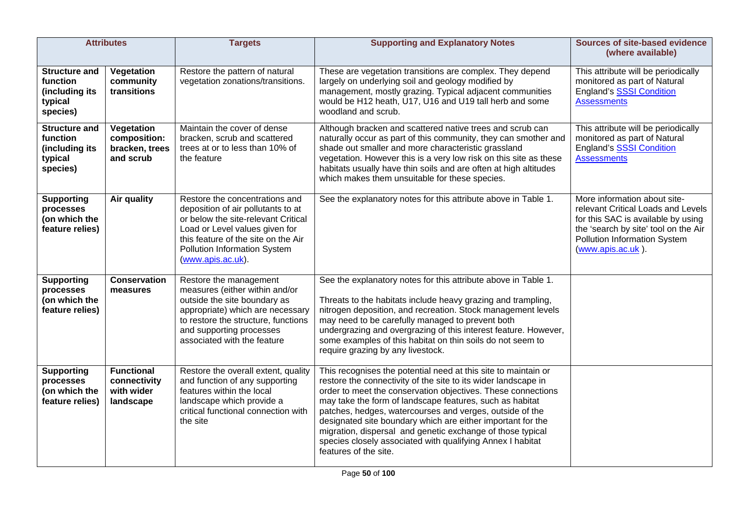| <b>Attributes</b>                                                         |                                                              | <b>Targets</b>                                                                                                                                                                                                                            | <b>Supporting and Explanatory Notes</b>                                                                                                                                                                                                                                                                                                                                                                                                                                                                                                      | <b>Sources of site-based evidence</b><br>(where available)                                                                                                                                            |
|---------------------------------------------------------------------------|--------------------------------------------------------------|-------------------------------------------------------------------------------------------------------------------------------------------------------------------------------------------------------------------------------------------|----------------------------------------------------------------------------------------------------------------------------------------------------------------------------------------------------------------------------------------------------------------------------------------------------------------------------------------------------------------------------------------------------------------------------------------------------------------------------------------------------------------------------------------------|-------------------------------------------------------------------------------------------------------------------------------------------------------------------------------------------------------|
| <b>Structure and</b><br>function<br>(including its<br>typical<br>species) | Vegetation<br>community<br>transitions                       | Restore the pattern of natural<br>vegetation zonations/transitions.                                                                                                                                                                       | These are vegetation transitions are complex. They depend<br>largely on underlying soil and geology modified by<br>management, mostly grazing. Typical adjacent communities<br>would be H12 heath, U17, U16 and U19 tall herb and some<br>woodland and scrub.                                                                                                                                                                                                                                                                                | This attribute will be periodically<br>monitored as part of Natural<br><b>England's SSSI Condition</b><br><b>Assessments</b>                                                                          |
| <b>Structure and</b><br>function<br>(including its<br>typical<br>species) | Vegetation<br>composition:<br>bracken, trees<br>and scrub    | Maintain the cover of dense<br>bracken, scrub and scattered<br>trees at or to less than 10% of<br>the feature                                                                                                                             | Although bracken and scattered native trees and scrub can<br>naturally occur as part of this community, they can smother and<br>shade out smaller and more characteristic grassland<br>vegetation. However this is a very low risk on this site as these<br>habitats usually have thin soils and are often at high altitudes<br>which makes them unsuitable for these species.                                                                                                                                                               | This attribute will be periodically<br>monitored as part of Natural<br><b>England's SSSI Condition</b><br><b>Assessments</b>                                                                          |
| <b>Supporting</b><br>processes<br>(on which the<br>feature relies)        | Air quality                                                  | Restore the concentrations and<br>deposition of air pollutants to at<br>or below the site-relevant Critical<br>Load or Level values given for<br>this feature of the site on the Air<br>Pollution Information System<br>(www.apis.ac.uk). | See the explanatory notes for this attribute above in Table 1.                                                                                                                                                                                                                                                                                                                                                                                                                                                                               | More information about site-<br>relevant Critical Loads and Levels<br>for this SAC is available by using<br>the 'search by site' tool on the Air<br>Pollution Information System<br>(www.apis.ac.uk). |
| <b>Supporting</b><br>processes<br>(on which the<br>feature relies)        | <b>Conservation</b><br>measures                              | Restore the management<br>measures (either within and/or<br>outside the site boundary as<br>appropriate) which are necessary<br>to restore the structure, functions<br>and supporting processes<br>associated with the feature            | See the explanatory notes for this attribute above in Table 1.<br>Threats to the habitats include heavy grazing and trampling,<br>nitrogen deposition, and recreation. Stock management levels<br>may need to be carefully managed to prevent both<br>undergrazing and overgrazing of this interest feature. However,<br>some examples of this habitat on thin soils do not seem to<br>require grazing by any livestock.                                                                                                                     |                                                                                                                                                                                                       |
| <b>Supporting</b><br>processes<br>(on which the<br>feature relies)        | <b>Functional</b><br>connectivity<br>with wider<br>landscape | Restore the overall extent, quality<br>and function of any supporting<br>features within the local<br>landscape which provide a<br>critical functional connection with<br>the site                                                        | This recognises the potential need at this site to maintain or<br>restore the connectivity of the site to its wider landscape in<br>order to meet the conservation objectives. These connections<br>may take the form of landscape features, such as habitat<br>patches, hedges, watercourses and verges, outside of the<br>designated site boundary which are either important for the<br>migration, dispersal and genetic exchange of those typical<br>species closely associated with qualifying Annex I habitat<br>features of the site. |                                                                                                                                                                                                       |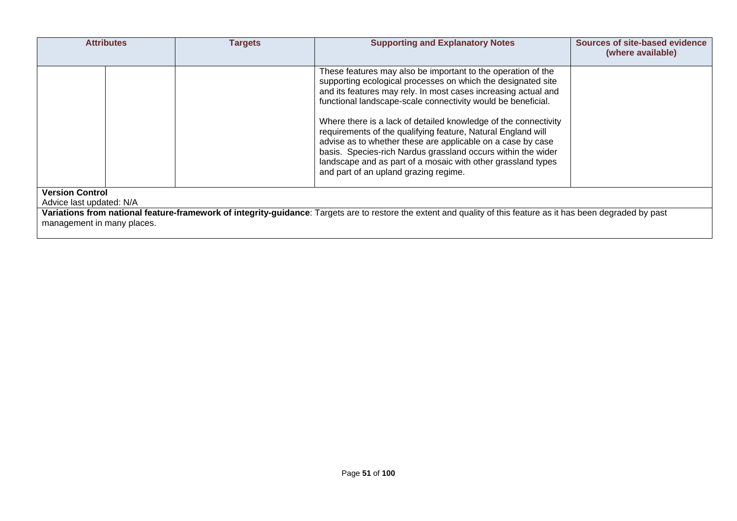| <b>Attributes</b>                                                                                                                                               | Targets | <b>Supporting and Explanatory Notes</b>                                                                                                                                                                                                                                                                                                                                                                                                                                                                                                                                                                                                   | Sources of site-based evidence<br>(where available) |  |  |
|-----------------------------------------------------------------------------------------------------------------------------------------------------------------|---------|-------------------------------------------------------------------------------------------------------------------------------------------------------------------------------------------------------------------------------------------------------------------------------------------------------------------------------------------------------------------------------------------------------------------------------------------------------------------------------------------------------------------------------------------------------------------------------------------------------------------------------------------|-----------------------------------------------------|--|--|
|                                                                                                                                                                 |         | These features may also be important to the operation of the<br>supporting ecological processes on which the designated site<br>and its features may rely. In most cases increasing actual and<br>functional landscape-scale connectivity would be beneficial.<br>Where there is a lack of detailed knowledge of the connectivity<br>requirements of the qualifying feature, Natural England will<br>advise as to whether these are applicable on a case by case<br>basis. Species-rich Nardus grassland occurs within the wider<br>landscape and as part of a mosaic with other grassland types<br>and part of an upland grazing regime. |                                                     |  |  |
| <b>Version Control</b><br>Advice last updated: N/A                                                                                                              |         |                                                                                                                                                                                                                                                                                                                                                                                                                                                                                                                                                                                                                                           |                                                     |  |  |
| Variations from national feature-framework of integrity-guidance: Targets are to restore the extent and quality of this feature as it has been degraded by past |         |                                                                                                                                                                                                                                                                                                                                                                                                                                                                                                                                                                                                                                           |                                                     |  |  |
| management in many places.                                                                                                                                      |         |                                                                                                                                                                                                                                                                                                                                                                                                                                                                                                                                                                                                                                           |                                                     |  |  |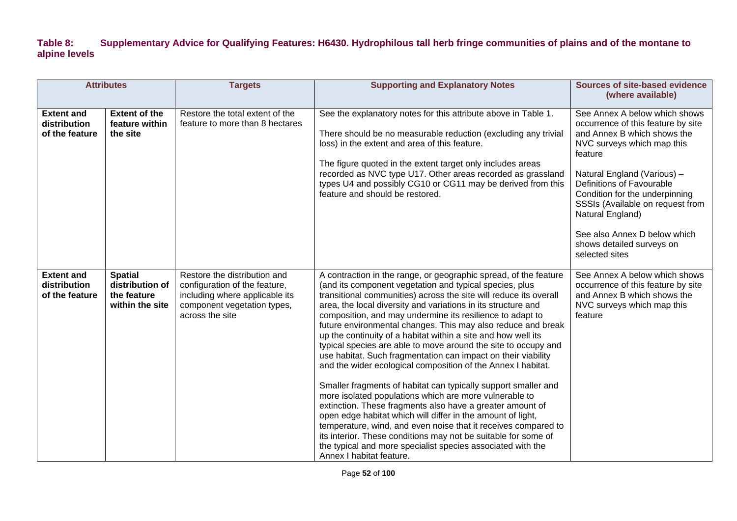### **Table 8: Supplementary Advice for Qualifying Features: H6430. Hydrophilous tall herb fringe communities of plains and of the montane to alpine levels**

| <b>Attributes</b>                                   |                                                                     | <b>Targets</b>                                                                                                                                    | <b>Supporting and Explanatory Notes</b>                                                                                                                                                                                                                                                                                                                                                                                                                                                                                                                                                                                                                                                                                                                                                                                                                                                                                                                                                                                                                                                                                                                   | <b>Sources of site-based evidence</b>                                                                                                                                                                                                                                                                                                                                            |
|-----------------------------------------------------|---------------------------------------------------------------------|---------------------------------------------------------------------------------------------------------------------------------------------------|-----------------------------------------------------------------------------------------------------------------------------------------------------------------------------------------------------------------------------------------------------------------------------------------------------------------------------------------------------------------------------------------------------------------------------------------------------------------------------------------------------------------------------------------------------------------------------------------------------------------------------------------------------------------------------------------------------------------------------------------------------------------------------------------------------------------------------------------------------------------------------------------------------------------------------------------------------------------------------------------------------------------------------------------------------------------------------------------------------------------------------------------------------------|----------------------------------------------------------------------------------------------------------------------------------------------------------------------------------------------------------------------------------------------------------------------------------------------------------------------------------------------------------------------------------|
|                                                     |                                                                     |                                                                                                                                                   |                                                                                                                                                                                                                                                                                                                                                                                                                                                                                                                                                                                                                                                                                                                                                                                                                                                                                                                                                                                                                                                                                                                                                           | (where available)                                                                                                                                                                                                                                                                                                                                                                |
| <b>Extent and</b><br>distribution<br>of the feature | <b>Extent of the</b><br>feature within<br>the site                  | Restore the total extent of the<br>feature to more than 8 hectares                                                                                | See the explanatory notes for this attribute above in Table 1.<br>There should be no measurable reduction (excluding any trivial<br>loss) in the extent and area of this feature.<br>The figure quoted in the extent target only includes areas<br>recorded as NVC type U17. Other areas recorded as grassland<br>types U4 and possibly CG10 or CG11 may be derived from this<br>feature and should be restored.                                                                                                                                                                                                                                                                                                                                                                                                                                                                                                                                                                                                                                                                                                                                          | See Annex A below which shows<br>occurrence of this feature by site<br>and Annex B which shows the<br>NVC surveys which map this<br>feature<br>Natural England (Various) -<br>Definitions of Favourable<br>Condition for the underpinning<br>SSSIs (Available on request from<br>Natural England)<br>See also Annex D below which<br>shows detailed surveys on<br>selected sites |
| <b>Extent and</b><br>distribution<br>of the feature | <b>Spatial</b><br>distribution of<br>the feature<br>within the site | Restore the distribution and<br>configuration of the feature,<br>including where applicable its<br>component vegetation types,<br>across the site | A contraction in the range, or geographic spread, of the feature<br>(and its component vegetation and typical species, plus<br>transitional communities) across the site will reduce its overall<br>area, the local diversity and variations in its structure and<br>composition, and may undermine its resilience to adapt to<br>future environmental changes. This may also reduce and break<br>up the continuity of a habitat within a site and how well its<br>typical species are able to move around the site to occupy and<br>use habitat. Such fragmentation can impact on their viability<br>and the wider ecological composition of the Annex I habitat.<br>Smaller fragments of habitat can typically support smaller and<br>more isolated populations which are more vulnerable to<br>extinction. These fragments also have a greater amount of<br>open edge habitat which will differ in the amount of light,<br>temperature, wind, and even noise that it receives compared to<br>its interior. These conditions may not be suitable for some of<br>the typical and more specialist species associated with the<br>Annex I habitat feature. | See Annex A below which shows<br>occurrence of this feature by site<br>and Annex B which shows the<br>NVC surveys which map this<br>feature                                                                                                                                                                                                                                      |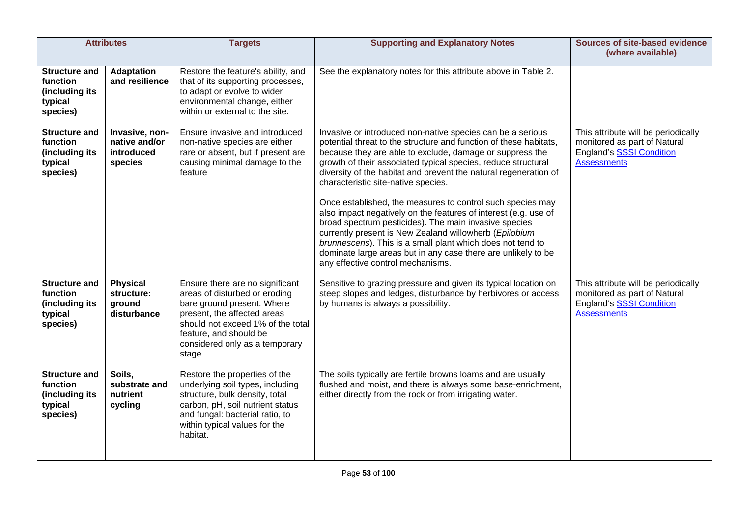|                                                                           | <b>Attributes</b>                                        | <b>Targets</b>                                                                                                                                                                                                                           | <b>Supporting and Explanatory Notes</b>                                                                                                                                                                                                                                                                                                                                                                                                                                                                                                                                                                                                                                                                                                                                                         | Sources of site-based evidence<br>(where available)                                                                   |
|---------------------------------------------------------------------------|----------------------------------------------------------|------------------------------------------------------------------------------------------------------------------------------------------------------------------------------------------------------------------------------------------|-------------------------------------------------------------------------------------------------------------------------------------------------------------------------------------------------------------------------------------------------------------------------------------------------------------------------------------------------------------------------------------------------------------------------------------------------------------------------------------------------------------------------------------------------------------------------------------------------------------------------------------------------------------------------------------------------------------------------------------------------------------------------------------------------|-----------------------------------------------------------------------------------------------------------------------|
| <b>Structure and</b><br>function<br>(including its<br>typical<br>species) | <b>Adaptation</b><br>and resilience                      | Restore the feature's ability, and<br>that of its supporting processes,<br>to adapt or evolve to wider<br>environmental change, either<br>within or external to the site.                                                                | See the explanatory notes for this attribute above in Table 2.                                                                                                                                                                                                                                                                                                                                                                                                                                                                                                                                                                                                                                                                                                                                  |                                                                                                                       |
| <b>Structure and</b><br>function<br>(including its<br>typical<br>species) | Invasive, non-<br>native and/or<br>introduced<br>species | Ensure invasive and introduced<br>non-native species are either<br>rare or absent, but if present are<br>causing minimal damage to the<br>feature                                                                                        | Invasive or introduced non-native species can be a serious<br>potential threat to the structure and function of these habitats,<br>because they are able to exclude, damage or suppress the<br>growth of their associated typical species, reduce structural<br>diversity of the habitat and prevent the natural regeneration of<br>characteristic site-native species.<br>Once established, the measures to control such species may<br>also impact negatively on the features of interest (e.g. use of<br>broad spectrum pesticides). The main invasive species<br>currently present is New Zealand willowherb (Epilobium<br>brunnescens). This is a small plant which does not tend to<br>dominate large areas but in any case there are unlikely to be<br>any effective control mechanisms. | This attribute will be periodically<br>monitored as part of Natural<br>England's SSSI Condition<br><b>Assessments</b> |
| <b>Structure and</b><br>function<br>(including its<br>typical<br>species) | <b>Physical</b><br>structure:<br>ground<br>disturbance   | Ensure there are no significant<br>areas of disturbed or eroding<br>bare ground present. Where<br>present, the affected areas<br>should not exceed 1% of the total<br>feature, and should be<br>considered only as a temporary<br>stage. | Sensitive to grazing pressure and given its typical location on<br>steep slopes and ledges, disturbance by herbivores or access<br>by humans is always a possibility.                                                                                                                                                                                                                                                                                                                                                                                                                                                                                                                                                                                                                           | This attribute will be periodically<br>monitored as part of Natural<br>England's SSSI Condition<br><b>Assessments</b> |
| <b>Structure and</b><br>function<br>(including its<br>typical<br>species) | Soils,<br>substrate and<br>nutrient<br>cycling           | Restore the properties of the<br>underlying soil types, including<br>structure, bulk density, total<br>carbon, pH, soil nutrient status<br>and fungal: bacterial ratio, to<br>within typical values for the<br>habitat.                  | The soils typically are fertile browns loams and are usually<br>flushed and moist, and there is always some base-enrichment,<br>either directly from the rock or from irrigating water.                                                                                                                                                                                                                                                                                                                                                                                                                                                                                                                                                                                                         |                                                                                                                       |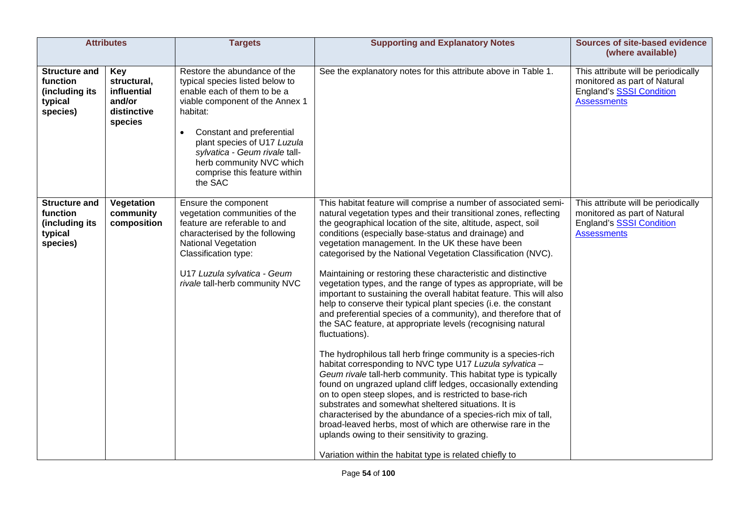| <b>Attributes</b>                                                         |                                                                              | <b>Targets</b>                                                                                                                                                                                                                                                                                                                 | <b>Supporting and Explanatory Notes</b>                                                                                                                                                                                                                                                                                                                                                                                                                                                                                                                                                                                                                                                                                                                                                                                                                                                                                                                                                                                                                                                                                                                                                                                                                                                                                                                                                                                                              | <b>Sources of site-based evidence</b><br>(where available)                                                            |
|---------------------------------------------------------------------------|------------------------------------------------------------------------------|--------------------------------------------------------------------------------------------------------------------------------------------------------------------------------------------------------------------------------------------------------------------------------------------------------------------------------|------------------------------------------------------------------------------------------------------------------------------------------------------------------------------------------------------------------------------------------------------------------------------------------------------------------------------------------------------------------------------------------------------------------------------------------------------------------------------------------------------------------------------------------------------------------------------------------------------------------------------------------------------------------------------------------------------------------------------------------------------------------------------------------------------------------------------------------------------------------------------------------------------------------------------------------------------------------------------------------------------------------------------------------------------------------------------------------------------------------------------------------------------------------------------------------------------------------------------------------------------------------------------------------------------------------------------------------------------------------------------------------------------------------------------------------------------|-----------------------------------------------------------------------------------------------------------------------|
| <b>Structure and</b><br>function<br>(including its<br>typical<br>species) | <b>Key</b><br>structural,<br>influential<br>and/or<br>distinctive<br>species | Restore the abundance of the<br>typical species listed below to<br>enable each of them to be a<br>viable component of the Annex 1<br>habitat:<br>Constant and preferential<br>$\bullet$<br>plant species of U17 Luzula<br>sylvatica - Geum rivale tall-<br>herb community NVC which<br>comprise this feature within<br>the SAC | See the explanatory notes for this attribute above in Table 1.                                                                                                                                                                                                                                                                                                                                                                                                                                                                                                                                                                                                                                                                                                                                                                                                                                                                                                                                                                                                                                                                                                                                                                                                                                                                                                                                                                                       | This attribute will be periodically<br>monitored as part of Natural<br>England's SSSI Condition<br><b>Assessments</b> |
| <b>Structure and</b><br>function<br>(including its<br>typical<br>species) | Vegetation<br>community<br>composition                                       | Ensure the component<br>vegetation communities of the<br>feature are referable to and<br>characterised by the following<br>National Vegetation<br>Classification type:<br>U17 Luzula sylvatica - Geum<br>rivale tall-herb community NVC                                                                                        | This habitat feature will comprise a number of associated semi-<br>natural vegetation types and their transitional zones, reflecting<br>the geographical location of the site, altitude, aspect, soil<br>conditions (especially base-status and drainage) and<br>vegetation management. In the UK these have been<br>categorised by the National Vegetation Classification (NVC).<br>Maintaining or restoring these characteristic and distinctive<br>vegetation types, and the range of types as appropriate, will be<br>important to sustaining the overall habitat feature. This will also<br>help to conserve their typical plant species (i.e. the constant<br>and preferential species of a community), and therefore that of<br>the SAC feature, at appropriate levels (recognising natural<br>fluctuations).<br>The hydrophilous tall herb fringe community is a species-rich<br>habitat corresponding to NVC type U17 Luzula sylvatica -<br>Geum rivale tall-herb community. This habitat type is typically<br>found on ungrazed upland cliff ledges, occasionally extending<br>on to open steep slopes, and is restricted to base-rich<br>substrates and somewhat sheltered situations. It is<br>characterised by the abundance of a species-rich mix of tall,<br>broad-leaved herbs, most of which are otherwise rare in the<br>uplands owing to their sensitivity to grazing.<br>Variation within the habitat type is related chiefly to | This attribute will be periodically<br>monitored as part of Natural<br>England's SSSI Condition<br><b>Assessments</b> |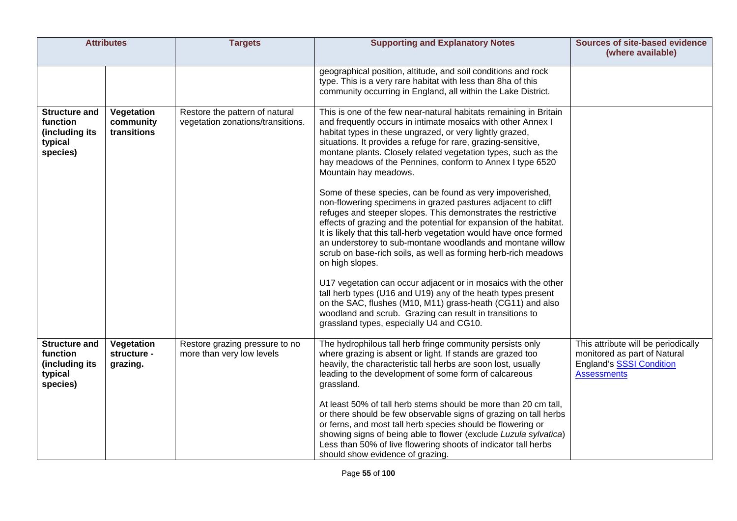| <b>Attributes</b>                                                         |                                        | <b>Targets</b>                                                      | <b>Supporting and Explanatory Notes</b>                                                                                                                                                                                                                                                                                                                                                                                                                                                                                                                                                                                                                                                                                                                                                                                                                                                                                                                                                                                                                                                                                                                                        | <b>Sources of site-based evidence</b><br>(where available)                                                                   |
|---------------------------------------------------------------------------|----------------------------------------|---------------------------------------------------------------------|--------------------------------------------------------------------------------------------------------------------------------------------------------------------------------------------------------------------------------------------------------------------------------------------------------------------------------------------------------------------------------------------------------------------------------------------------------------------------------------------------------------------------------------------------------------------------------------------------------------------------------------------------------------------------------------------------------------------------------------------------------------------------------------------------------------------------------------------------------------------------------------------------------------------------------------------------------------------------------------------------------------------------------------------------------------------------------------------------------------------------------------------------------------------------------|------------------------------------------------------------------------------------------------------------------------------|
|                                                                           |                                        |                                                                     | geographical position, altitude, and soil conditions and rock<br>type. This is a very rare habitat with less than 8ha of this<br>community occurring in England, all within the Lake District.                                                                                                                                                                                                                                                                                                                                                                                                                                                                                                                                                                                                                                                                                                                                                                                                                                                                                                                                                                                 |                                                                                                                              |
| <b>Structure and</b><br>function<br>(including its<br>typical<br>species) | Vegetation<br>community<br>transitions | Restore the pattern of natural<br>vegetation zonations/transitions. | This is one of the few near-natural habitats remaining in Britain<br>and frequently occurs in intimate mosaics with other Annex I<br>habitat types in these ungrazed, or very lightly grazed,<br>situations. It provides a refuge for rare, grazing-sensitive,<br>montane plants. Closely related vegetation types, such as the<br>hay meadows of the Pennines, conform to Annex I type 6520<br>Mountain hay meadows.<br>Some of these species, can be found as very impoverished,<br>non-flowering specimens in grazed pastures adjacent to cliff<br>refuges and steeper slopes. This demonstrates the restrictive<br>effects of grazing and the potential for expansion of the habitat.<br>It is likely that this tall-herb vegetation would have once formed<br>an understorey to sub-montane woodlands and montane willow<br>scrub on base-rich soils, as well as forming herb-rich meadows<br>on high slopes.<br>U17 vegetation can occur adjacent or in mosaics with the other<br>tall herb types (U16 and U19) any of the heath types present<br>on the SAC, flushes (M10, M11) grass-heath (CG11) and also<br>woodland and scrub. Grazing can result in transitions to |                                                                                                                              |
|                                                                           |                                        |                                                                     | grassland types, especially U4 and CG10.                                                                                                                                                                                                                                                                                                                                                                                                                                                                                                                                                                                                                                                                                                                                                                                                                                                                                                                                                                                                                                                                                                                                       |                                                                                                                              |
| <b>Structure and</b><br>function<br>(including its<br>typical<br>species) | Vegetation<br>structure -<br>grazing.  | Restore grazing pressure to no<br>more than very low levels         | The hydrophilous tall herb fringe community persists only<br>where grazing is absent or light. If stands are grazed too<br>heavily, the characteristic tall herbs are soon lost, usually<br>leading to the development of some form of calcareous<br>grassland.                                                                                                                                                                                                                                                                                                                                                                                                                                                                                                                                                                                                                                                                                                                                                                                                                                                                                                                | This attribute will be periodically<br>monitored as part of Natural<br><b>England's SSSI Condition</b><br><b>Assessments</b> |
|                                                                           |                                        |                                                                     | At least 50% of tall herb stems should be more than 20 cm tall,<br>or there should be few observable signs of grazing on tall herbs<br>or ferns, and most tall herb species should be flowering or<br>showing signs of being able to flower (exclude Luzula sylvatica)<br>Less than 50% of live flowering shoots of indicator tall herbs<br>should show evidence of grazing.                                                                                                                                                                                                                                                                                                                                                                                                                                                                                                                                                                                                                                                                                                                                                                                                   |                                                                                                                              |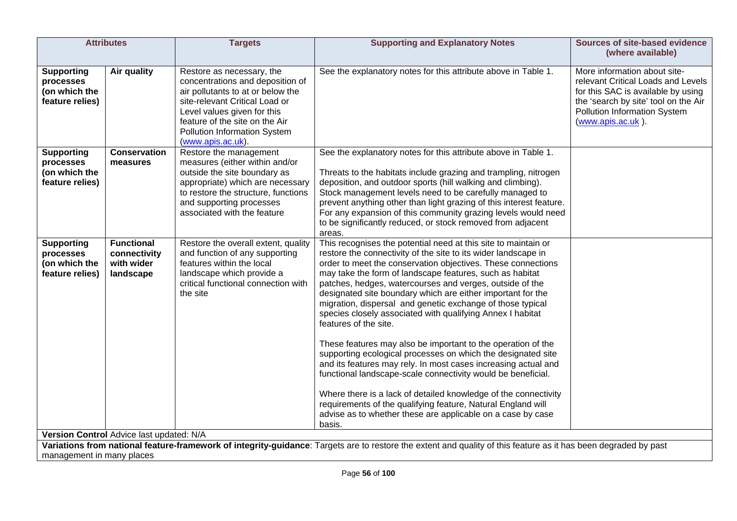| <b>Attributes</b>                                                  |                                                              | <b>Targets</b>                                                                                                                                                                                                                                             | <b>Supporting and Explanatory Notes</b>                                                                                                                                                                                                                                                                                                                                                                                                                                                                                                                                                                                                                                                                                                                                                                                                                                                                                                                                                                                    | <b>Sources of site-based evidence</b><br>(where available)                                                                                                                                            |
|--------------------------------------------------------------------|--------------------------------------------------------------|------------------------------------------------------------------------------------------------------------------------------------------------------------------------------------------------------------------------------------------------------------|----------------------------------------------------------------------------------------------------------------------------------------------------------------------------------------------------------------------------------------------------------------------------------------------------------------------------------------------------------------------------------------------------------------------------------------------------------------------------------------------------------------------------------------------------------------------------------------------------------------------------------------------------------------------------------------------------------------------------------------------------------------------------------------------------------------------------------------------------------------------------------------------------------------------------------------------------------------------------------------------------------------------------|-------------------------------------------------------------------------------------------------------------------------------------------------------------------------------------------------------|
| <b>Supporting</b><br>processes<br>(on which the<br>feature relies) | Air quality                                                  | Restore as necessary, the<br>concentrations and deposition of<br>air pollutants to at or below the<br>site-relevant Critical Load or<br>Level values given for this<br>feature of the site on the Air<br>Pollution Information System<br>(www.apis.ac.uk). | See the explanatory notes for this attribute above in Table 1.                                                                                                                                                                                                                                                                                                                                                                                                                                                                                                                                                                                                                                                                                                                                                                                                                                                                                                                                                             | More information about site-<br>relevant Critical Loads and Levels<br>for this SAC is available by using<br>the 'search by site' tool on the Air<br>Pollution Information System<br>(www.apis.ac.uk). |
| <b>Supporting</b><br>processes<br>(on which the<br>feature relies) | <b>Conservation</b><br>measures                              | Restore the management<br>measures (either within and/or<br>outside the site boundary as<br>appropriate) which are necessary<br>to restore the structure, functions<br>and supporting processes<br>associated with the feature                             | See the explanatory notes for this attribute above in Table 1.<br>Threats to the habitats include grazing and trampling, nitrogen<br>deposition, and outdoor sports (hill walking and climbing).<br>Stock management levels need to be carefully managed to<br>prevent anything other than light grazing of this interest feature.<br>For any expansion of this community grazing levels would need<br>to be significantly reduced, or stock removed from adjacent<br>areas.                                                                                                                                                                                                                                                                                                                                                                                                                                                                                                                                               |                                                                                                                                                                                                       |
| <b>Supporting</b><br>processes<br>(on which the<br>feature relies) | <b>Functional</b><br>connectivity<br>with wider<br>landscape | Restore the overall extent, quality<br>and function of any supporting<br>features within the local<br>landscape which provide a<br>critical functional connection with<br>the site                                                                         | This recognises the potential need at this site to maintain or<br>restore the connectivity of the site to its wider landscape in<br>order to meet the conservation objectives. These connections<br>may take the form of landscape features, such as habitat<br>patches, hedges, watercourses and verges, outside of the<br>designated site boundary which are either important for the<br>migration, dispersal and genetic exchange of those typical<br>species closely associated with qualifying Annex I habitat<br>features of the site.<br>These features may also be important to the operation of the<br>supporting ecological processes on which the designated site<br>and its features may rely. In most cases increasing actual and<br>functional landscape-scale connectivity would be beneficial.<br>Where there is a lack of detailed knowledge of the connectivity<br>requirements of the qualifying feature, Natural England will<br>advise as to whether these are applicable on a case by case<br>basis. |                                                                                                                                                                                                       |
|                                                                    | Version Control Advice last updated: N/A                     |                                                                                                                                                                                                                                                            | Variations from national feature-framework of integrity-guidance: Targets are to restore the extent and quality of this feature as it has been degraded by past                                                                                                                                                                                                                                                                                                                                                                                                                                                                                                                                                                                                                                                                                                                                                                                                                                                            |                                                                                                                                                                                                       |
| management in many places                                          |                                                              |                                                                                                                                                                                                                                                            |                                                                                                                                                                                                                                                                                                                                                                                                                                                                                                                                                                                                                                                                                                                                                                                                                                                                                                                                                                                                                            |                                                                                                                                                                                                       |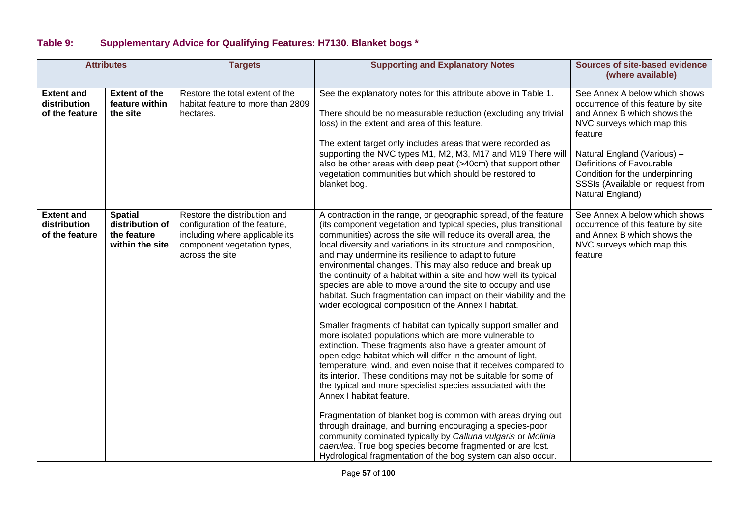| Table 9: | <b>Supplementary Advice for Qualifying Features: H7130. Blanket bogs *</b> |  |  |  |  |
|----------|----------------------------------------------------------------------------|--|--|--|--|
|----------|----------------------------------------------------------------------------|--|--|--|--|

|                                                     | <b>Attributes</b>                                                   | <b>Targets</b>                                                                                                                                    | <b>Supporting and Explanatory Notes</b>                                                                                                                                                                                                                                                                                                                                                                                                                                                                                                                                                                                                                                                                                                                                                                                                                                                                                                                                                                                                                                                                                                                                                                                                                                                                                                                                                                                                                                        | Sources of site-based evidence<br>(where available)                                                                                                                                                                                                                                               |
|-----------------------------------------------------|---------------------------------------------------------------------|---------------------------------------------------------------------------------------------------------------------------------------------------|--------------------------------------------------------------------------------------------------------------------------------------------------------------------------------------------------------------------------------------------------------------------------------------------------------------------------------------------------------------------------------------------------------------------------------------------------------------------------------------------------------------------------------------------------------------------------------------------------------------------------------------------------------------------------------------------------------------------------------------------------------------------------------------------------------------------------------------------------------------------------------------------------------------------------------------------------------------------------------------------------------------------------------------------------------------------------------------------------------------------------------------------------------------------------------------------------------------------------------------------------------------------------------------------------------------------------------------------------------------------------------------------------------------------------------------------------------------------------------|---------------------------------------------------------------------------------------------------------------------------------------------------------------------------------------------------------------------------------------------------------------------------------------------------|
| <b>Extent and</b><br>distribution<br>of the feature | <b>Extent of the</b><br>feature within<br>the site                  | Restore the total extent of the<br>habitat feature to more than 2809<br>hectares.                                                                 | See the explanatory notes for this attribute above in Table 1.<br>There should be no measurable reduction (excluding any trivial<br>loss) in the extent and area of this feature.<br>The extent target only includes areas that were recorded as<br>supporting the NVC types M1, M2, M3, M17 and M19 There will<br>also be other areas with deep peat (>40cm) that support other<br>vegetation communities but which should be restored to<br>blanket bog.                                                                                                                                                                                                                                                                                                                                                                                                                                                                                                                                                                                                                                                                                                                                                                                                                                                                                                                                                                                                                     | See Annex A below which shows<br>occurrence of this feature by site<br>and Annex B which shows the<br>NVC surveys which map this<br>feature<br>Natural England (Various) -<br>Definitions of Favourable<br>Condition for the underpinning<br>SSSIs (Available on request from<br>Natural England) |
| <b>Extent and</b><br>distribution<br>of the feature | <b>Spatial</b><br>distribution of<br>the feature<br>within the site | Restore the distribution and<br>configuration of the feature,<br>including where applicable its<br>component vegetation types,<br>across the site | A contraction in the range, or geographic spread, of the feature<br>(its component vegetation and typical species, plus transitional<br>communities) across the site will reduce its overall area, the<br>local diversity and variations in its structure and composition,<br>and may undermine its resilience to adapt to future<br>environmental changes. This may also reduce and break up<br>the continuity of a habitat within a site and how well its typical<br>species are able to move around the site to occupy and use<br>habitat. Such fragmentation can impact on their viability and the<br>wider ecological composition of the Annex I habitat.<br>Smaller fragments of habitat can typically support smaller and<br>more isolated populations which are more vulnerable to<br>extinction. These fragments also have a greater amount of<br>open edge habitat which will differ in the amount of light,<br>temperature, wind, and even noise that it receives compared to<br>its interior. These conditions may not be suitable for some of<br>the typical and more specialist species associated with the<br>Annex I habitat feature.<br>Fragmentation of blanket bog is common with areas drying out<br>through drainage, and burning encouraging a species-poor<br>community dominated typically by Calluna vulgaris or Molinia<br>caerulea. True bog species become fragmented or are lost.<br>Hydrological fragmentation of the bog system can also occur. | See Annex A below which shows<br>occurrence of this feature by site<br>and Annex B which shows the<br>NVC surveys which map this<br>feature                                                                                                                                                       |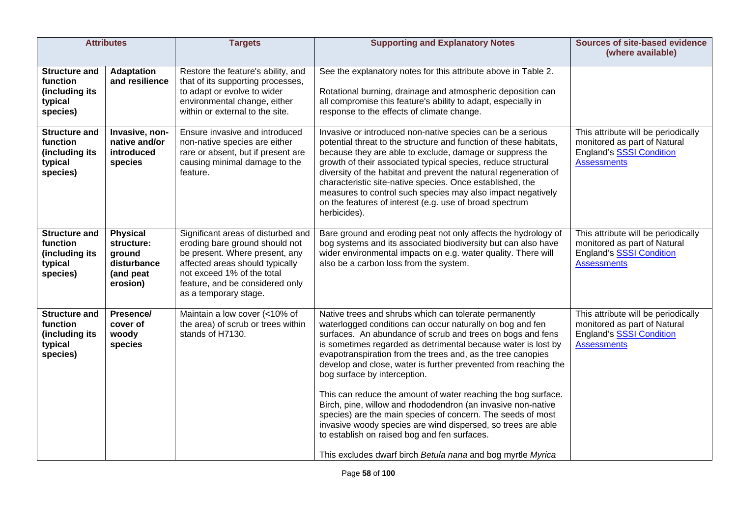| <b>Attributes</b>                                                         |                                                                                 | <b>Targets</b>                                                                                                                                                                                                                      | <b>Supporting and Explanatory Notes</b>                                                                                                                                                                                                                                                                                                                                                                                                                                                                                                                                                                                                                                                                                                                                                             | <b>Sources of site-based evidence</b><br>(where available)                                                                   |
|---------------------------------------------------------------------------|---------------------------------------------------------------------------------|-------------------------------------------------------------------------------------------------------------------------------------------------------------------------------------------------------------------------------------|-----------------------------------------------------------------------------------------------------------------------------------------------------------------------------------------------------------------------------------------------------------------------------------------------------------------------------------------------------------------------------------------------------------------------------------------------------------------------------------------------------------------------------------------------------------------------------------------------------------------------------------------------------------------------------------------------------------------------------------------------------------------------------------------------------|------------------------------------------------------------------------------------------------------------------------------|
| <b>Structure and</b><br>function<br>(including its<br>typical<br>species) | <b>Adaptation</b><br>and resilience                                             | Restore the feature's ability, and<br>that of its supporting processes,<br>to adapt or evolve to wider<br>environmental change, either<br>within or external to the site.                                                           | See the explanatory notes for this attribute above in Table 2.<br>Rotational burning, drainage and atmospheric deposition can<br>all compromise this feature's ability to adapt, especially in<br>response to the effects of climate change.                                                                                                                                                                                                                                                                                                                                                                                                                                                                                                                                                        |                                                                                                                              |
| <b>Structure and</b><br>function<br>(including its<br>typical<br>species) | Invasive, non-<br>native and/or<br>introduced<br>species                        | Ensure invasive and introduced<br>non-native species are either<br>rare or absent, but if present are<br>causing minimal damage to the<br>feature.                                                                                  | Invasive or introduced non-native species can be a serious<br>potential threat to the structure and function of these habitats,<br>because they are able to exclude, damage or suppress the<br>growth of their associated typical species, reduce structural<br>diversity of the habitat and prevent the natural regeneration of<br>characteristic site-native species. Once established, the<br>measures to control such species may also impact negatively<br>on the features of interest (e.g. use of broad spectrum<br>herbicides).                                                                                                                                                                                                                                                             | This attribute will be periodically<br>monitored as part of Natural<br>England's SSSI Condition<br><b>Assessments</b>        |
| <b>Structure and</b><br>function<br>(including its<br>typical<br>species) | <b>Physical</b><br>structure:<br>ground<br>disturbance<br>(and peat<br>erosion) | Significant areas of disturbed and<br>eroding bare ground should not<br>be present. Where present, any<br>affected areas should typically<br>not exceed 1% of the total<br>feature, and be considered only<br>as a temporary stage. | Bare ground and eroding peat not only affects the hydrology of<br>bog systems and its associated biodiversity but can also have<br>wider environmental impacts on e.g. water quality. There will<br>also be a carbon loss from the system.                                                                                                                                                                                                                                                                                                                                                                                                                                                                                                                                                          | This attribute will be periodically<br>monitored as part of Natural<br>England's SSSI Condition<br><b>Assessments</b>        |
| <b>Structure and</b><br>function<br>(including its<br>typical<br>species) | Presence/<br>cover of<br>woody<br>species                                       | Maintain a low cover (<10% of<br>the area) of scrub or trees within<br>stands of H7130.                                                                                                                                             | Native trees and shrubs which can tolerate permanently<br>waterlogged conditions can occur naturally on bog and fen<br>surfaces. An abundance of scrub and trees on bogs and fens<br>is sometimes regarded as detrimental because water is lost by<br>evapotranspiration from the trees and, as the tree canopies<br>develop and close, water is further prevented from reaching the<br>bog surface by interception.<br>This can reduce the amount of water reaching the bog surface.<br>Birch, pine, willow and rhododendron (an invasive non-native<br>species) are the main species of concern. The seeds of most<br>invasive woody species are wind dispersed, so trees are able<br>to establish on raised bog and fen surfaces.<br>This excludes dwarf birch Betula nana and bog myrtle Myrica | This attribute will be periodically<br>monitored as part of Natural<br><b>England's SSSI Condition</b><br><b>Assessments</b> |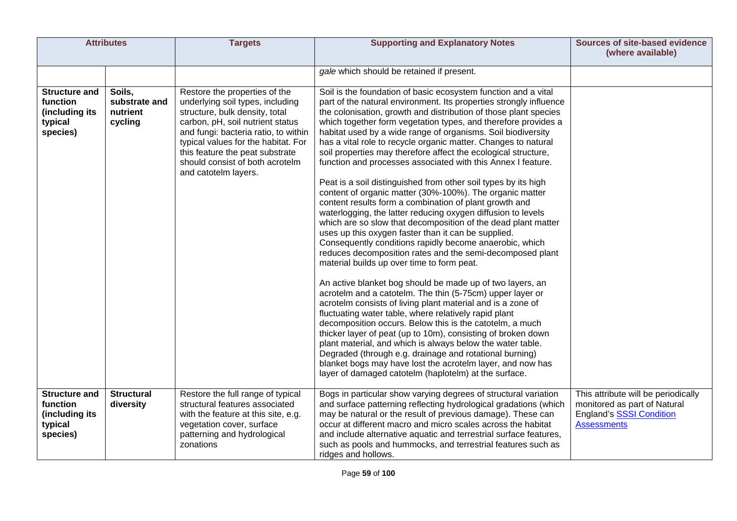| <b>Attributes</b>                                                         |                                                | <b>Targets</b>                                                                                                                                                                                                                                                                                                       | <b>Supporting and Explanatory Notes</b>                                                                                                                                                                                                                                                                                                                                                                                                                                                                                                                                                                                                                                                                                                                                                                                                                                                                                                                                                                                                                                                                                                                                                                                                                                                                                                                                                                                                                                                                                                                                                                                                                                                                                            | <b>Sources of site-based evidence</b><br>(where available)                                                                   |
|---------------------------------------------------------------------------|------------------------------------------------|----------------------------------------------------------------------------------------------------------------------------------------------------------------------------------------------------------------------------------------------------------------------------------------------------------------------|------------------------------------------------------------------------------------------------------------------------------------------------------------------------------------------------------------------------------------------------------------------------------------------------------------------------------------------------------------------------------------------------------------------------------------------------------------------------------------------------------------------------------------------------------------------------------------------------------------------------------------------------------------------------------------------------------------------------------------------------------------------------------------------------------------------------------------------------------------------------------------------------------------------------------------------------------------------------------------------------------------------------------------------------------------------------------------------------------------------------------------------------------------------------------------------------------------------------------------------------------------------------------------------------------------------------------------------------------------------------------------------------------------------------------------------------------------------------------------------------------------------------------------------------------------------------------------------------------------------------------------------------------------------------------------------------------------------------------------|------------------------------------------------------------------------------------------------------------------------------|
|                                                                           |                                                |                                                                                                                                                                                                                                                                                                                      | gale which should be retained if present.                                                                                                                                                                                                                                                                                                                                                                                                                                                                                                                                                                                                                                                                                                                                                                                                                                                                                                                                                                                                                                                                                                                                                                                                                                                                                                                                                                                                                                                                                                                                                                                                                                                                                          |                                                                                                                              |
| <b>Structure and</b><br>function<br>(including its<br>typical<br>species) | Soils,<br>substrate and<br>nutrient<br>cycling | Restore the properties of the<br>underlying soil types, including<br>structure, bulk density, total<br>carbon, pH, soil nutrient status<br>and fungi: bacteria ratio, to within<br>typical values for the habitat. For<br>this feature the peat substrate<br>should consist of both acrotelm<br>and catotelm layers. | Soil is the foundation of basic ecosystem function and a vital<br>part of the natural environment. Its properties strongly influence<br>the colonisation, growth and distribution of those plant species<br>which together form vegetation types, and therefore provides a<br>habitat used by a wide range of organisms. Soil biodiversity<br>has a vital role to recycle organic matter. Changes to natural<br>soil properties may therefore affect the ecological structure,<br>function and processes associated with this Annex I feature.<br>Peat is a soil distinguished from other soil types by its high<br>content of organic matter (30%-100%). The organic matter<br>content results form a combination of plant growth and<br>waterlogging, the latter reducing oxygen diffusion to levels<br>which are so slow that decomposition of the dead plant matter<br>uses up this oxygen faster than it can be supplied.<br>Consequently conditions rapidly become anaerobic, which<br>reduces decomposition rates and the semi-decomposed plant<br>material builds up over time to form peat.<br>An active blanket bog should be made up of two layers, an<br>acrotelm and a catotelm. The thin (5-75cm) upper layer or<br>acrotelm consists of living plant material and is a zone of<br>fluctuating water table, where relatively rapid plant<br>decomposition occurs. Below this is the catotelm, a much<br>thicker layer of peat (up to 10m), consisting of broken down<br>plant material, and which is always below the water table.<br>Degraded (through e.g. drainage and rotational burning)<br>blanket bogs may have lost the acrotelm layer, and now has<br>layer of damaged catotelm (haplotelm) at the surface. |                                                                                                                              |
| <b>Structure and</b><br>function<br>(including its<br>typical<br>species) | <b>Structural</b><br>diversity                 | Restore the full range of typical<br>structural features associated<br>with the feature at this site, e.g.<br>vegetation cover, surface<br>patterning and hydrological<br>zonations                                                                                                                                  | Bogs in particular show varying degrees of structural variation<br>and surface patterning reflecting hydrological gradations (which<br>may be natural or the result of previous damage). These can<br>occur at different macro and micro scales across the habitat<br>and include alternative aquatic and terrestrial surface features,<br>such as pools and hummocks, and terrestrial features such as<br>ridges and hollows.                                                                                                                                                                                                                                                                                                                                                                                                                                                                                                                                                                                                                                                                                                                                                                                                                                                                                                                                                                                                                                                                                                                                                                                                                                                                                                     | This attribute will be periodically<br>monitored as part of Natural<br><b>England's SSSI Condition</b><br><b>Assessments</b> |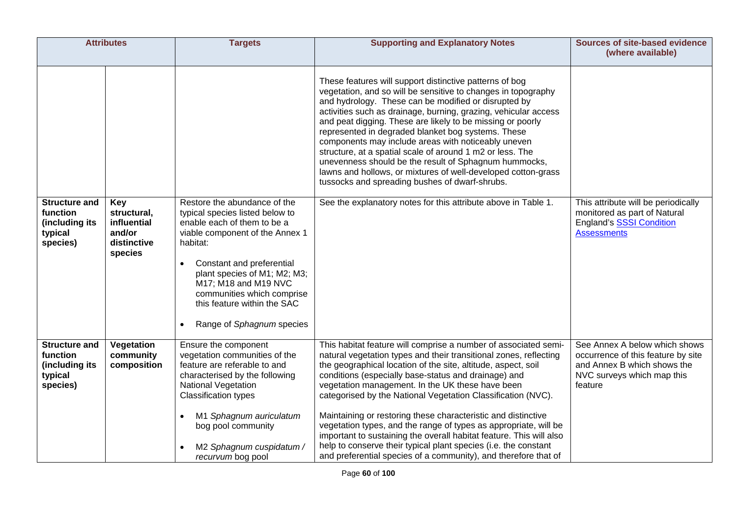| <b>Attributes</b>                                                         |                                                                       | <b>Targets</b>                                                                                                                                                                                                                                                                                                               | <b>Supporting and Explanatory Notes</b>                                                                                                                                                                                                                                                                                                                                                                                                                                                                                                                                                                                                                                                                                             | <b>Sources of site-based evidence</b><br>(where available)                                                                                  |
|---------------------------------------------------------------------------|-----------------------------------------------------------------------|------------------------------------------------------------------------------------------------------------------------------------------------------------------------------------------------------------------------------------------------------------------------------------------------------------------------------|-------------------------------------------------------------------------------------------------------------------------------------------------------------------------------------------------------------------------------------------------------------------------------------------------------------------------------------------------------------------------------------------------------------------------------------------------------------------------------------------------------------------------------------------------------------------------------------------------------------------------------------------------------------------------------------------------------------------------------------|---------------------------------------------------------------------------------------------------------------------------------------------|
|                                                                           |                                                                       |                                                                                                                                                                                                                                                                                                                              | These features will support distinctive patterns of bog<br>vegetation, and so will be sensitive to changes in topography<br>and hydrology. These can be modified or disrupted by<br>activities such as drainage, burning, grazing, vehicular access<br>and peat digging. These are likely to be missing or poorly<br>represented in degraded blanket bog systems. These<br>components may include areas with noticeably uneven<br>structure, at a spatial scale of around 1 m2 or less. The<br>unevenness should be the result of Sphagnum hummocks,<br>lawns and hollows, or mixtures of well-developed cotton-grass<br>tussocks and spreading bushes of dwarf-shrubs.                                                             |                                                                                                                                             |
| <b>Structure and</b><br>function<br>(including its<br>typical<br>species) | Key<br>structural,<br>influential<br>and/or<br>distinctive<br>species | Restore the abundance of the<br>typical species listed below to<br>enable each of them to be a<br>viable component of the Annex 1<br>habitat:<br>Constant and preferential<br>plant species of M1; M2; M3;<br>M17; M18 and M19 NVC<br>communities which comprise<br>this feature within the SAC<br>Range of Sphagnum species | See the explanatory notes for this attribute above in Table 1.                                                                                                                                                                                                                                                                                                                                                                                                                                                                                                                                                                                                                                                                      | This attribute will be periodically<br>monitored as part of Natural<br><b>England's SSSI Condition</b><br><b>Assessments</b>                |
| <b>Structure and</b><br>function<br>(including its<br>typical<br>species) | Vegetation<br>community<br>composition                                | Ensure the component<br>vegetation communities of the<br>feature are referable to and<br>characterised by the following<br>National Vegetation<br><b>Classification types</b><br>M1 Sphagnum auriculatum<br>bog pool community<br>M2 Sphagnum cuspidatum /<br>recurvum bog pool                                              | This habitat feature will comprise a number of associated semi-<br>natural vegetation types and their transitional zones, reflecting<br>the geographical location of the site, altitude, aspect, soil<br>conditions (especially base-status and drainage) and<br>vegetation management. In the UK these have been<br>categorised by the National Vegetation Classification (NVC).<br>Maintaining or restoring these characteristic and distinctive<br>vegetation types, and the range of types as appropriate, will be<br>important to sustaining the overall habitat feature. This will also<br>help to conserve their typical plant species (i.e. the constant<br>and preferential species of a community), and therefore that of | See Annex A below which shows<br>occurrence of this feature by site<br>and Annex B which shows the<br>NVC surveys which map this<br>feature |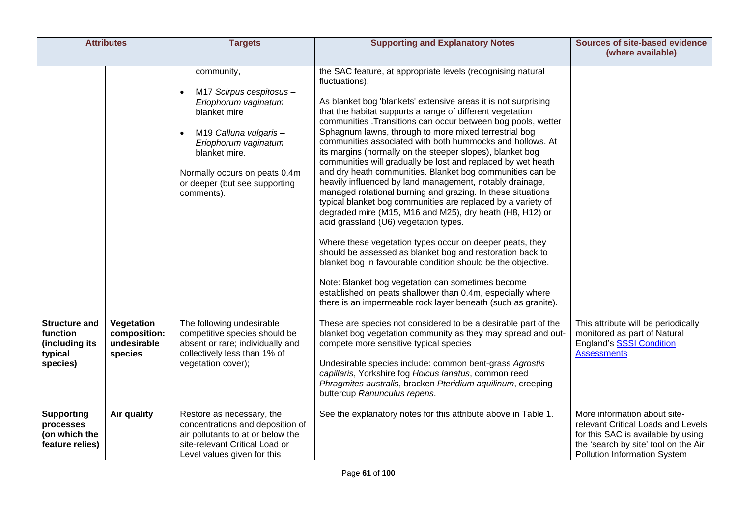| <b>Attributes</b>                                                         |                                                      | <b>Targets</b>                                                                                                                                                                                                                                             | <b>Supporting and Explanatory Notes</b>                                                                                                                                                                                                                                                                                                                                                                                                                                                                                                                                                                                                                                                                                                                                                                                                                                                                                                                                                                                                                                                                                                                                                                                                                                   | <b>Sources of site-based evidence</b><br>(where available)                                                                                                                              |
|---------------------------------------------------------------------------|------------------------------------------------------|------------------------------------------------------------------------------------------------------------------------------------------------------------------------------------------------------------------------------------------------------------|---------------------------------------------------------------------------------------------------------------------------------------------------------------------------------------------------------------------------------------------------------------------------------------------------------------------------------------------------------------------------------------------------------------------------------------------------------------------------------------------------------------------------------------------------------------------------------------------------------------------------------------------------------------------------------------------------------------------------------------------------------------------------------------------------------------------------------------------------------------------------------------------------------------------------------------------------------------------------------------------------------------------------------------------------------------------------------------------------------------------------------------------------------------------------------------------------------------------------------------------------------------------------|-----------------------------------------------------------------------------------------------------------------------------------------------------------------------------------------|
|                                                                           |                                                      | community,<br>M17 Scirpus cespitosus -<br>$\bullet$<br>Eriophorum vaginatum<br>blanket mire<br>M19 Calluna vulgaris-<br>$\bullet$<br>Eriophorum vaginatum<br>blanket mire.<br>Normally occurs on peats 0.4m<br>or deeper (but see supporting<br>comments). | the SAC feature, at appropriate levels (recognising natural<br>fluctuations).<br>As blanket bog 'blankets' extensive areas it is not surprising<br>that the habitat supports a range of different vegetation<br>communities .Transitions can occur between bog pools, wetter<br>Sphagnum lawns, through to more mixed terrestrial bog<br>communities associated with both hummocks and hollows. At<br>its margins (normally on the steeper slopes), blanket bog<br>communities will gradually be lost and replaced by wet heath<br>and dry heath communities. Blanket bog communities can be<br>heavily influenced by land management, notably drainage,<br>managed rotational burning and grazing. In these situations<br>typical blanket bog communities are replaced by a variety of<br>degraded mire (M15, M16 and M25), dry heath (H8, H12) or<br>acid grassland (U6) vegetation types.<br>Where these vegetation types occur on deeper peats, they<br>should be assessed as blanket bog and restoration back to<br>blanket bog in favourable condition should be the objective.<br>Note: Blanket bog vegetation can sometimes become<br>established on peats shallower than 0.4m, especially where<br>there is an impermeable rock layer beneath (such as granite). |                                                                                                                                                                                         |
| <b>Structure and</b><br>function<br>(including its<br>typical<br>species) | Vegetation<br>composition:<br>undesirable<br>species | The following undesirable<br>competitive species should be<br>absent or rare; individually and<br>collectively less than 1% of<br>vegetation cover);                                                                                                       | These are species not considered to be a desirable part of the<br>blanket bog vegetation community as they may spread and out-<br>compete more sensitive typical species<br>Undesirable species include: common bent-grass Agrostis<br>capillaris, Yorkshire fog Holcus lanatus, common reed<br>Phragmites australis, bracken Pteridium aquilinum, creeping<br>buttercup Ranunculus repens.                                                                                                                                                                                                                                                                                                                                                                                                                                                                                                                                                                                                                                                                                                                                                                                                                                                                               | This attribute will be periodically<br>monitored as part of Natural<br>England's SSSI Condition<br><b>Assessments</b>                                                                   |
| <b>Supporting</b><br>processes<br>(on which the<br>feature relies)        | Air quality                                          | Restore as necessary, the<br>concentrations and deposition of<br>air pollutants to at or below the<br>site-relevant Critical Load or<br>Level values given for this                                                                                        | See the explanatory notes for this attribute above in Table 1.                                                                                                                                                                                                                                                                                                                                                                                                                                                                                                                                                                                                                                                                                                                                                                                                                                                                                                                                                                                                                                                                                                                                                                                                            | More information about site-<br>relevant Critical Loads and Levels<br>for this SAC is available by using<br>the 'search by site' tool on the Air<br><b>Pollution Information System</b> |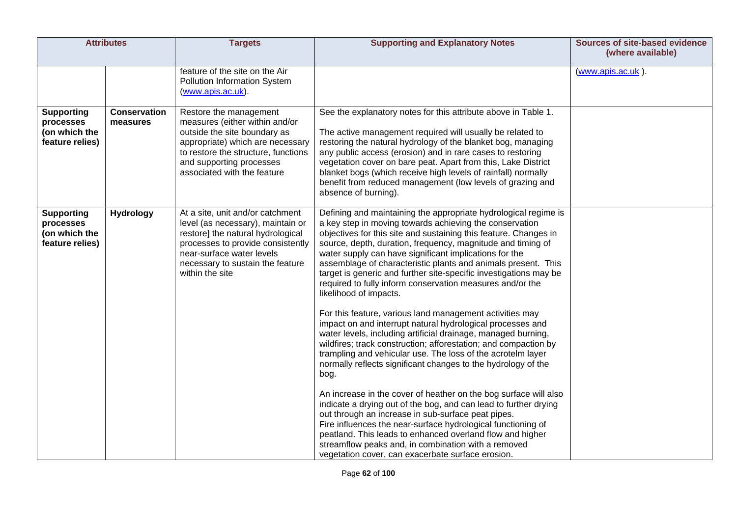| <b>Attributes</b>                                                  |                                 | <b>Targets</b>                                                                                                                                                                                                                      | <b>Supporting and Explanatory Notes</b>                                                                                                                                                                                                                                                                                                                                                                                                                                                                                                                                                                                                                                                                                                                                                                                                                                           | Sources of site-based evidence<br>(where available) |
|--------------------------------------------------------------------|---------------------------------|-------------------------------------------------------------------------------------------------------------------------------------------------------------------------------------------------------------------------------------|-----------------------------------------------------------------------------------------------------------------------------------------------------------------------------------------------------------------------------------------------------------------------------------------------------------------------------------------------------------------------------------------------------------------------------------------------------------------------------------------------------------------------------------------------------------------------------------------------------------------------------------------------------------------------------------------------------------------------------------------------------------------------------------------------------------------------------------------------------------------------------------|-----------------------------------------------------|
|                                                                    |                                 | feature of the site on the Air<br>Pollution Information System<br>(www.apis.ac.uk).                                                                                                                                                 |                                                                                                                                                                                                                                                                                                                                                                                                                                                                                                                                                                                                                                                                                                                                                                                                                                                                                   | (www.apis.ac.uk).                                   |
| <b>Supporting</b><br>processes<br>(on which the<br>feature relies) | <b>Conservation</b><br>measures | Restore the management<br>measures (either within and/or<br>outside the site boundary as<br>appropriate) which are necessary<br>to restore the structure, functions<br>and supporting processes<br>associated with the feature      | See the explanatory notes for this attribute above in Table 1.<br>The active management required will usually be related to<br>restoring the natural hydrology of the blanket bog, managing<br>any public access (erosion) and in rare cases to restoring<br>vegetation cover on bare peat. Apart from this, Lake District<br>blanket bogs (which receive high levels of rainfall) normally<br>benefit from reduced management (low levels of grazing and<br>absence of burning).                                                                                                                                                                                                                                                                                                                                                                                                 |                                                     |
| <b>Supporting</b><br>processes<br>(on which the<br>feature relies) | <b>Hydrology</b>                | At a site, unit and/or catchment<br>level (as necessary), maintain or<br>restore] the natural hydrological<br>processes to provide consistently<br>near-surface water levels<br>necessary to sustain the feature<br>within the site | Defining and maintaining the appropriate hydrological regime is<br>a key step in moving towards achieving the conservation<br>objectives for this site and sustaining this feature. Changes in<br>source, depth, duration, frequency, magnitude and timing of<br>water supply can have significant implications for the<br>assemblage of characteristic plants and animals present. This<br>target is generic and further site-specific investigations may be<br>required to fully inform conservation measures and/or the<br>likelihood of impacts.<br>For this feature, various land management activities may<br>impact on and interrupt natural hydrological processes and<br>water levels, including artificial drainage, managed burning,<br>wildfires; track construction; afforestation; and compaction by<br>trampling and vehicular use. The loss of the acrotelm layer |                                                     |
|                                                                    |                                 |                                                                                                                                                                                                                                     | normally reflects significant changes to the hydrology of the<br>bog.<br>An increase in the cover of heather on the bog surface will also<br>indicate a drying out of the bog, and can lead to further drying<br>out through an increase in sub-surface peat pipes.<br>Fire influences the near-surface hydrological functioning of<br>peatland. This leads to enhanced overland flow and higher<br>streamflow peaks and, in combination with a removed<br>vegetation cover, can exacerbate surface erosion.                                                                                                                                                                                                                                                                                                                                                                      |                                                     |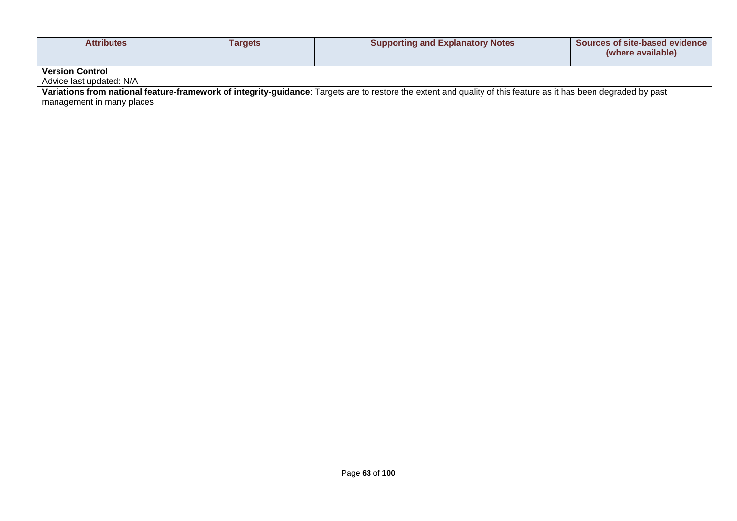| <b>Attributes</b>                                                                                                                                                                            | Tarqets | <b>Supporting and Explanatory Notes</b> | Sources of site-based evidence<br>(where available) |  |  |  |
|----------------------------------------------------------------------------------------------------------------------------------------------------------------------------------------------|---------|-----------------------------------------|-----------------------------------------------------|--|--|--|
| <b>Version Control</b><br>Advice last updated: N/A                                                                                                                                           |         |                                         |                                                     |  |  |  |
| Variations from national feature-framework of integrity-guidance: Targets are to restore the extent and quality of this feature as it has been degraded by past<br>management in many places |         |                                         |                                                     |  |  |  |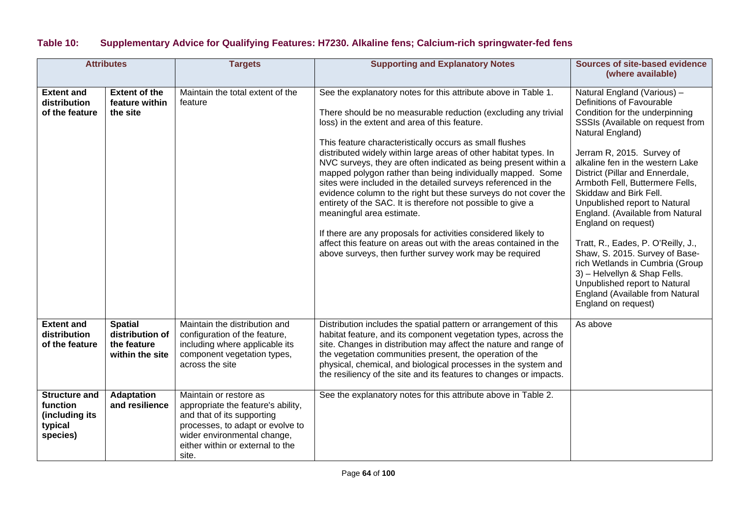## **Table 10: Supplementary Advice for Qualifying Features: H7230. Alkaline fens; Calcium-rich springwater-fed fens**

|                                                                           | <b>Attributes</b>                                                   | <b>Targets</b>                                                                                                                                                                                             | <b>Supporting and Explanatory Notes</b>                                                                                                                                                                                                                                                                                                                                                                                                                                                                                                                                                                                                                                                                                                                                                                                                                                            | Sources of site-based evidence<br>(where available)                                                                                                                                                                                                                                                                                                                                                                                                                                                                                                                                                                                                   |
|---------------------------------------------------------------------------|---------------------------------------------------------------------|------------------------------------------------------------------------------------------------------------------------------------------------------------------------------------------------------------|------------------------------------------------------------------------------------------------------------------------------------------------------------------------------------------------------------------------------------------------------------------------------------------------------------------------------------------------------------------------------------------------------------------------------------------------------------------------------------------------------------------------------------------------------------------------------------------------------------------------------------------------------------------------------------------------------------------------------------------------------------------------------------------------------------------------------------------------------------------------------------|-------------------------------------------------------------------------------------------------------------------------------------------------------------------------------------------------------------------------------------------------------------------------------------------------------------------------------------------------------------------------------------------------------------------------------------------------------------------------------------------------------------------------------------------------------------------------------------------------------------------------------------------------------|
| <b>Extent and</b><br>distribution<br>of the feature                       | <b>Extent of the</b><br>feature within<br>the site                  | Maintain the total extent of the<br>feature                                                                                                                                                                | See the explanatory notes for this attribute above in Table 1.<br>There should be no measurable reduction (excluding any trivial<br>loss) in the extent and area of this feature.<br>This feature characteristically occurs as small flushes<br>distributed widely within large areas of other habitat types. In<br>NVC surveys, they are often indicated as being present within a<br>mapped polygon rather than being individually mapped. Some<br>sites were included in the detailed surveys referenced in the<br>evidence column to the right but these surveys do not cover the<br>entirety of the SAC. It is therefore not possible to give a<br>meaningful area estimate.<br>If there are any proposals for activities considered likely to<br>affect this feature on areas out with the areas contained in the<br>above surveys, then further survey work may be required | Natural England (Various) -<br>Definitions of Favourable<br>Condition for the underpinning<br>SSSIs (Available on request from<br>Natural England)<br>Jerram R, 2015. Survey of<br>alkaline fen in the western Lake<br>District (Pillar and Ennerdale,<br>Armboth Fell, Buttermere Fells,<br>Skiddaw and Birk Fell.<br>Unpublished report to Natural<br>England. (Available from Natural<br>England on request)<br>Tratt, R., Eades, P. O'Reilly, J.,<br>Shaw, S. 2015. Survey of Base-<br>rich Wetlands in Cumbria (Group<br>3) - Helvellyn & Shap Fells.<br>Unpublished report to Natural<br>England (Available from Natural<br>England on request) |
| <b>Extent and</b><br>distribution<br>of the feature                       | <b>Spatial</b><br>distribution of<br>the feature<br>within the site | Maintain the distribution and<br>configuration of the feature,<br>including where applicable its<br>component vegetation types,<br>across the site                                                         | Distribution includes the spatial pattern or arrangement of this<br>habitat feature, and its component vegetation types, across the<br>site. Changes in distribution may affect the nature and range of<br>the vegetation communities present, the operation of the<br>physical, chemical, and biological processes in the system and<br>the resiliency of the site and its features to changes or impacts.                                                                                                                                                                                                                                                                                                                                                                                                                                                                        | As above                                                                                                                                                                                                                                                                                                                                                                                                                                                                                                                                                                                                                                              |
| <b>Structure and</b><br>function<br>(including its<br>typical<br>species) | Adaptation<br>and resilience                                        | Maintain or restore as<br>appropriate the feature's ability,<br>and that of its supporting<br>processes, to adapt or evolve to<br>wider environmental change,<br>either within or external to the<br>site. | See the explanatory notes for this attribute above in Table 2.                                                                                                                                                                                                                                                                                                                                                                                                                                                                                                                                                                                                                                                                                                                                                                                                                     |                                                                                                                                                                                                                                                                                                                                                                                                                                                                                                                                                                                                                                                       |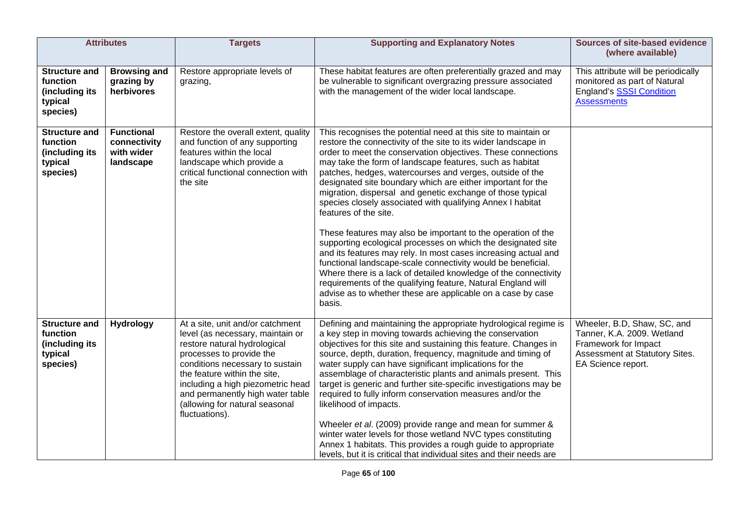| <b>Attributes</b>                                                         |                                                              | <b>Targets</b>                                                                                                                                                                                                                                                                                                                   | <b>Supporting and Explanatory Notes</b>                                                                                                                                                                                                                                                                                                                                                                                                                                                                                                                                                                                                                                                                                                                                                                                                                                                                                                                                                                                    | <b>Sources of site-based evidence</b><br>(where available)                                                                                |
|---------------------------------------------------------------------------|--------------------------------------------------------------|----------------------------------------------------------------------------------------------------------------------------------------------------------------------------------------------------------------------------------------------------------------------------------------------------------------------------------|----------------------------------------------------------------------------------------------------------------------------------------------------------------------------------------------------------------------------------------------------------------------------------------------------------------------------------------------------------------------------------------------------------------------------------------------------------------------------------------------------------------------------------------------------------------------------------------------------------------------------------------------------------------------------------------------------------------------------------------------------------------------------------------------------------------------------------------------------------------------------------------------------------------------------------------------------------------------------------------------------------------------------|-------------------------------------------------------------------------------------------------------------------------------------------|
| <b>Structure and</b><br>function<br>(including its<br>typical<br>species) | <b>Browsing and</b><br>grazing by<br>herbivores              | Restore appropriate levels of<br>grazing,                                                                                                                                                                                                                                                                                        | These habitat features are often preferentially grazed and may<br>be vulnerable to significant overgrazing pressure associated<br>with the management of the wider local landscape.                                                                                                                                                                                                                                                                                                                                                                                                                                                                                                                                                                                                                                                                                                                                                                                                                                        | This attribute will be periodically<br>monitored as part of Natural<br><b>England's SSSI Condition</b><br><b>Assessments</b>              |
| <b>Structure and</b><br>function<br>(including its<br>typical<br>species) | <b>Functional</b><br>connectivity<br>with wider<br>landscape | Restore the overall extent, quality<br>and function of any supporting<br>features within the local<br>landscape which provide a<br>critical functional connection with<br>the site                                                                                                                                               | This recognises the potential need at this site to maintain or<br>restore the connectivity of the site to its wider landscape in<br>order to meet the conservation objectives. These connections<br>may take the form of landscape features, such as habitat<br>patches, hedges, watercourses and verges, outside of the<br>designated site boundary which are either important for the<br>migration, dispersal and genetic exchange of those typical<br>species closely associated with qualifying Annex I habitat<br>features of the site.<br>These features may also be important to the operation of the<br>supporting ecological processes on which the designated site<br>and its features may rely. In most cases increasing actual and<br>functional landscape-scale connectivity would be beneficial.<br>Where there is a lack of detailed knowledge of the connectivity<br>requirements of the qualifying feature, Natural England will<br>advise as to whether these are applicable on a case by case<br>basis. |                                                                                                                                           |
| <b>Structure and</b><br>function<br>(including its<br>typical<br>species) | <b>Hydrology</b>                                             | At a site, unit and/or catchment<br>level (as necessary, maintain or<br>restore natural hydrological<br>processes to provide the<br>conditions necessary to sustain<br>the feature within the site,<br>including a high piezometric head<br>and permanently high water table<br>(allowing for natural seasonal<br>fluctuations). | Defining and maintaining the appropriate hydrological regime is<br>a key step in moving towards achieving the conservation<br>objectives for this site and sustaining this feature. Changes in<br>source, depth, duration, frequency, magnitude and timing of<br>water supply can have significant implications for the<br>assemblage of characteristic plants and animals present. This<br>target is generic and further site-specific investigations may be<br>required to fully inform conservation measures and/or the<br>likelihood of impacts.<br>Wheeler et al. (2009) provide range and mean for summer &<br>winter water levels for those wetland NVC types constituting<br>Annex 1 habitats. This provides a rough guide to appropriate<br>levels, but it is critical that individual sites and their needs are                                                                                                                                                                                                  | Wheeler, B.D, Shaw, SC, and<br>Tanner, K.A. 2009. Wetland<br>Framework for Impact<br>Assessment at Statutory Sites.<br>EA Science report. |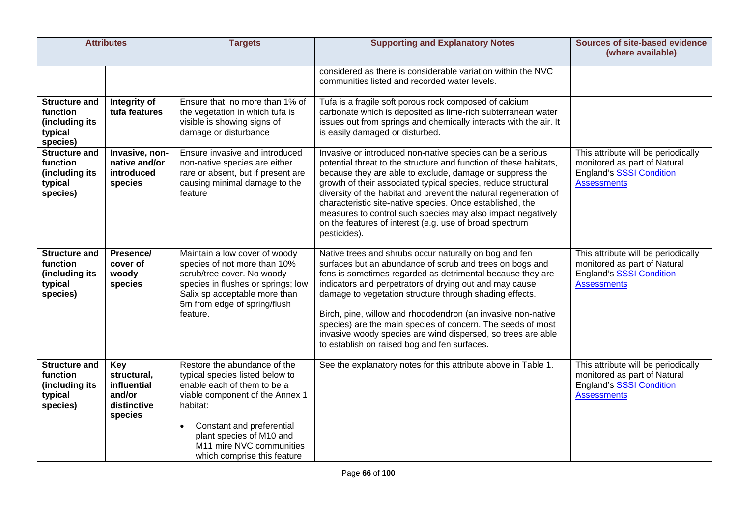| <b>Attributes</b>                                                         |                                                                       | <b>Targets</b>                                                                                                                                                                                                                                                                 | <b>Supporting and Explanatory Notes</b>                                                                                                                                                                                                                                                                                                                                                                                                                                                                                                               | <b>Sources of site-based evidence</b><br>(where available)                                                                   |
|---------------------------------------------------------------------------|-----------------------------------------------------------------------|--------------------------------------------------------------------------------------------------------------------------------------------------------------------------------------------------------------------------------------------------------------------------------|-------------------------------------------------------------------------------------------------------------------------------------------------------------------------------------------------------------------------------------------------------------------------------------------------------------------------------------------------------------------------------------------------------------------------------------------------------------------------------------------------------------------------------------------------------|------------------------------------------------------------------------------------------------------------------------------|
|                                                                           |                                                                       |                                                                                                                                                                                                                                                                                | considered as there is considerable variation within the NVC<br>communities listed and recorded water levels.                                                                                                                                                                                                                                                                                                                                                                                                                                         |                                                                                                                              |
| <b>Structure and</b><br>function<br>(including its<br>typical<br>species) | Integrity of<br>tufa features                                         | Ensure that no more than 1% of<br>the vegetation in which tufa is<br>visible is showing signs of<br>damage or disturbance                                                                                                                                                      | Tufa is a fragile soft porous rock composed of calcium<br>carbonate which is deposited as lime-rich subterranean water<br>issues out from springs and chemically interacts with the air. It<br>is easily damaged or disturbed.                                                                                                                                                                                                                                                                                                                        |                                                                                                                              |
| <b>Structure and</b><br>function<br>(including its<br>typical<br>species) | Invasive, non-<br>native and/or<br>introduced<br>species              | Ensure invasive and introduced<br>non-native species are either<br>rare or absent, but if present are<br>causing minimal damage to the<br>feature                                                                                                                              | Invasive or introduced non-native species can be a serious<br>potential threat to the structure and function of these habitats,<br>because they are able to exclude, damage or suppress the<br>growth of their associated typical species, reduce structural<br>diversity of the habitat and prevent the natural regeneration of<br>characteristic site-native species. Once established, the<br>measures to control such species may also impact negatively<br>on the features of interest (e.g. use of broad spectrum<br>pesticides).               | This attribute will be periodically<br>monitored as part of Natural<br><b>England's SSSI Condition</b><br><b>Assessments</b> |
| <b>Structure and</b><br>function<br>(including its<br>typical<br>species) | Presence/<br>cover of<br>woody<br>species                             | Maintain a low cover of woody<br>species of not more than 10%<br>scrub/tree cover. No woody<br>species in flushes or springs; low<br>Salix sp acceptable more than<br>5m from edge of spring/flush<br>feature.                                                                 | Native trees and shrubs occur naturally on bog and fen<br>surfaces but an abundance of scrub and trees on bogs and<br>fens is sometimes regarded as detrimental because they are<br>indicators and perpetrators of drying out and may cause<br>damage to vegetation structure through shading effects.<br>Birch, pine, willow and rhododendron (an invasive non-native<br>species) are the main species of concern. The seeds of most<br>invasive woody species are wind dispersed, so trees are able<br>to establish on raised bog and fen surfaces. | This attribute will be periodically<br>monitored as part of Natural<br><b>England's SSSI Condition</b><br><b>Assessments</b> |
| <b>Structure and</b><br>function<br>(including its<br>typical<br>species) | Key<br>structural,<br>influential<br>and/or<br>distinctive<br>species | Restore the abundance of the<br>typical species listed below to<br>enable each of them to be a<br>viable component of the Annex 1<br>habitat:<br>Constant and preferential<br>$\bullet$<br>plant species of M10 and<br>M11 mire NVC communities<br>which comprise this feature | See the explanatory notes for this attribute above in Table 1.                                                                                                                                                                                                                                                                                                                                                                                                                                                                                        | This attribute will be periodically<br>monitored as part of Natural<br><b>England's SSSI Condition</b><br><b>Assessments</b> |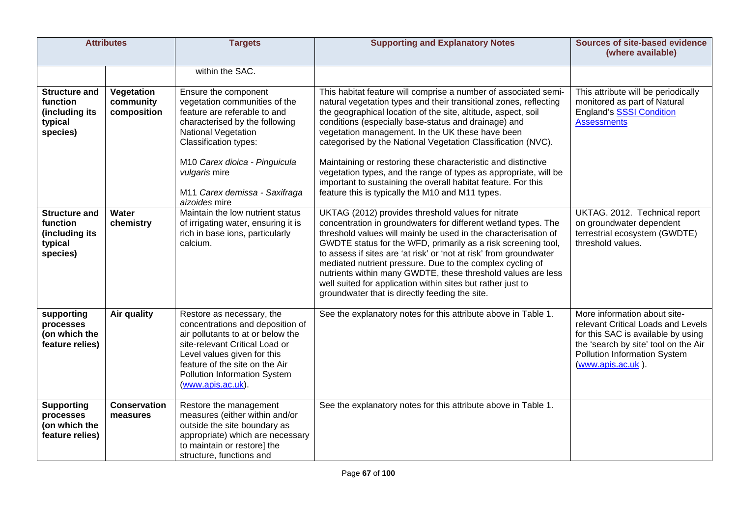|                                                                           | <b>Attributes</b>                      | <b>Targets</b>                                                                                                                                                                                                                                             | <b>Supporting and Explanatory Notes</b>                                                                                                                                                                                                                                                                                                                                                                                                                                                                                                                                      | <b>Sources of site-based evidence</b><br>(where available)                                                                                                                                            |
|---------------------------------------------------------------------------|----------------------------------------|------------------------------------------------------------------------------------------------------------------------------------------------------------------------------------------------------------------------------------------------------------|------------------------------------------------------------------------------------------------------------------------------------------------------------------------------------------------------------------------------------------------------------------------------------------------------------------------------------------------------------------------------------------------------------------------------------------------------------------------------------------------------------------------------------------------------------------------------|-------------------------------------------------------------------------------------------------------------------------------------------------------------------------------------------------------|
|                                                                           |                                        | within the SAC.                                                                                                                                                                                                                                            |                                                                                                                                                                                                                                                                                                                                                                                                                                                                                                                                                                              |                                                                                                                                                                                                       |
| <b>Structure and</b><br>function<br>(including its<br>typical<br>species) | Vegetation<br>community<br>composition | Ensure the component<br>vegetation communities of the<br>feature are referable to and<br>characterised by the following<br><b>National Vegetation</b><br><b>Classification types:</b>                                                                      | This habitat feature will comprise a number of associated semi-<br>natural vegetation types and their transitional zones, reflecting<br>the geographical location of the site, altitude, aspect, soil<br>conditions (especially base-status and drainage) and<br>vegetation management. In the UK these have been<br>categorised by the National Vegetation Classification (NVC).                                                                                                                                                                                            | This attribute will be periodically<br>monitored as part of Natural<br><b>England's SSSI Condition</b><br><b>Assessments</b>                                                                          |
|                                                                           |                                        | M10 Carex dioica - Pinguicula<br>vulgaris mire<br>M11 Carex demissa - Saxifraga<br>aizoides mire                                                                                                                                                           | Maintaining or restoring these characteristic and distinctive<br>vegetation types, and the range of types as appropriate, will be<br>important to sustaining the overall habitat feature. For this<br>feature this is typically the M10 and M11 types.                                                                                                                                                                                                                                                                                                                       |                                                                                                                                                                                                       |
| <b>Structure and</b><br>function<br>(including its<br>typical<br>species) | Water<br>chemistry                     | Maintain the low nutrient status<br>of irrigating water, ensuring it is<br>rich in base ions, particularly<br>calcium.                                                                                                                                     | UKTAG (2012) provides threshold values for nitrate<br>concentration in groundwaters for different wetland types. The<br>threshold values will mainly be used in the characterisation of<br>GWDTE status for the WFD, primarily as a risk screening tool,<br>to assess if sites are 'at risk' or 'not at risk' from groundwater<br>mediated nutrient pressure. Due to the complex cycling of<br>nutrients within many GWDTE, these threshold values are less<br>well suited for application within sites but rather just to<br>groundwater that is directly feeding the site. | UKTAG. 2012. Technical report<br>on groundwater dependent<br>terrestrial ecosystem (GWDTE)<br>threshold values.                                                                                       |
| supporting<br>processes<br>(on which the<br>feature relies)               | Air quality                            | Restore as necessary, the<br>concentrations and deposition of<br>air pollutants to at or below the<br>site-relevant Critical Load or<br>Level values given for this<br>feature of the site on the Air<br>Pollution Information System<br>(www.apis.ac.uk). | See the explanatory notes for this attribute above in Table 1.                                                                                                                                                                                                                                                                                                                                                                                                                                                                                                               | More information about site-<br>relevant Critical Loads and Levels<br>for this SAC is available by using<br>the 'search by site' tool on the Air<br>Pollution Information System<br>(www.apis.ac.uk). |
| <b>Supporting</b><br>processes<br>(on which the<br>feature relies)        | <b>Conservation</b><br>measures        | Restore the management<br>measures (either within and/or<br>outside the site boundary as<br>appropriate) which are necessary<br>to maintain or restore] the<br>structure, functions and                                                                    | See the explanatory notes for this attribute above in Table 1.                                                                                                                                                                                                                                                                                                                                                                                                                                                                                                               |                                                                                                                                                                                                       |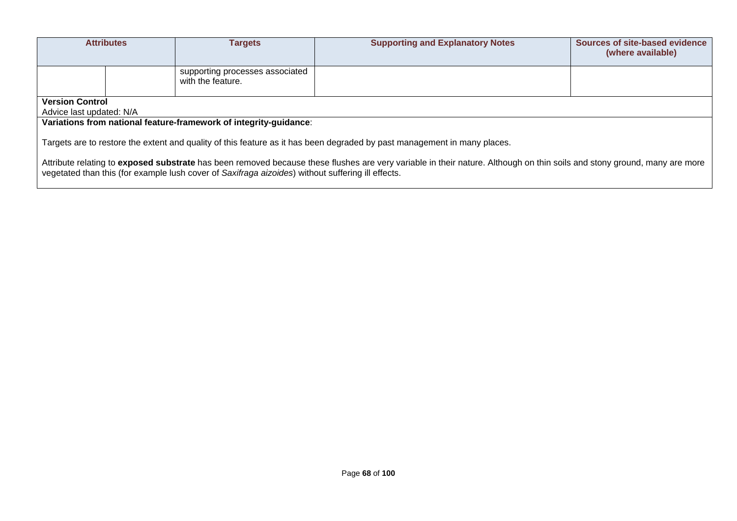|                                                                                                                                                                                                                                                                               | <b>Attributes</b> | <b>Targets</b>                                                    | <b>Supporting and Explanatory Notes</b> | Sources of site-based evidence<br>(where available) |
|-------------------------------------------------------------------------------------------------------------------------------------------------------------------------------------------------------------------------------------------------------------------------------|-------------------|-------------------------------------------------------------------|-----------------------------------------|-----------------------------------------------------|
|                                                                                                                                                                                                                                                                               |                   | supporting processes associated<br>with the feature.              |                                         |                                                     |
| <b>Version Control</b><br>Advice last updated: N/A                                                                                                                                                                                                                            |                   |                                                                   |                                         |                                                     |
|                                                                                                                                                                                                                                                                               |                   | Variations from national feature-framework of integrity-guidance: |                                         |                                                     |
| Targets are to restore the extent and quality of this feature as it has been degraded by past management in many places.                                                                                                                                                      |                   |                                                                   |                                         |                                                     |
| Attribute relating to exposed substrate has been removed because these flushes are very variable in their nature. Although on thin soils and stony ground, many are more<br>vegetated than this (for example lush cover of Saxifraga aizoides) without suffering ill effects. |                   |                                                                   |                                         |                                                     |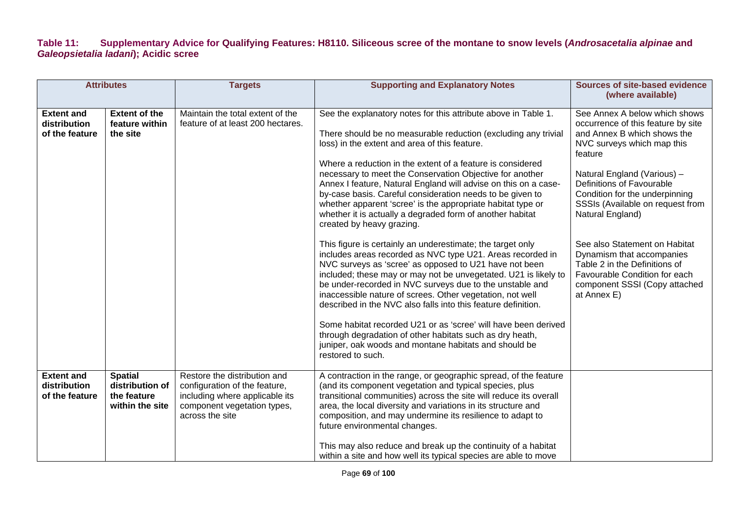### **Table 11: Supplementary Advice for Qualifying Features: H8110. Siliceous scree of the montane to snow levels (***Androsacetalia alpinae* **and**  *Galeopsietalia ladani***); Acidic scree**

|                                                     | <b>Attributes</b>                                                   | <b>Targets</b>                                                                                                                                    | <b>Supporting and Explanatory Notes</b>                                                                                                                                                                                                                                                                                                                                                                                                                                                                                                                                                                                                                                                                                                                                                                                                                                                                                                                                                                                                                                                                                                                                                                                                                             | <b>Sources of site-based evidence</b><br>(where available)                                                                                                                                                                                                                                                                                                                                                                                                                        |
|-----------------------------------------------------|---------------------------------------------------------------------|---------------------------------------------------------------------------------------------------------------------------------------------------|---------------------------------------------------------------------------------------------------------------------------------------------------------------------------------------------------------------------------------------------------------------------------------------------------------------------------------------------------------------------------------------------------------------------------------------------------------------------------------------------------------------------------------------------------------------------------------------------------------------------------------------------------------------------------------------------------------------------------------------------------------------------------------------------------------------------------------------------------------------------------------------------------------------------------------------------------------------------------------------------------------------------------------------------------------------------------------------------------------------------------------------------------------------------------------------------------------------------------------------------------------------------|-----------------------------------------------------------------------------------------------------------------------------------------------------------------------------------------------------------------------------------------------------------------------------------------------------------------------------------------------------------------------------------------------------------------------------------------------------------------------------------|
| <b>Extent and</b><br>distribution<br>of the feature | <b>Extent of the</b><br>feature within<br>the site                  | Maintain the total extent of the<br>feature of at least 200 hectares.                                                                             | See the explanatory notes for this attribute above in Table 1.<br>There should be no measurable reduction (excluding any trivial<br>loss) in the extent and area of this feature.<br>Where a reduction in the extent of a feature is considered<br>necessary to meet the Conservation Objective for another<br>Annex I feature, Natural England will advise on this on a case-<br>by-case basis. Careful consideration needs to be given to<br>whether apparent 'scree' is the appropriate habitat type or<br>whether it is actually a degraded form of another habitat<br>created by heavy grazing.<br>This figure is certainly an underestimate; the target only<br>includes areas recorded as NVC type U21. Areas recorded in<br>NVC surveys as 'scree' as opposed to U21 have not been<br>included; these may or may not be unvegetated. U21 is likely to<br>be under-recorded in NVC surveys due to the unstable and<br>inaccessible nature of screes. Other vegetation, not well<br>described in the NVC also falls into this feature definition.<br>Some habitat recorded U21 or as 'scree' will have been derived<br>through degradation of other habitats such as dry heath,<br>juniper, oak woods and montane habitats and should be<br>restored to such. | See Annex A below which shows<br>occurrence of this feature by site<br>and Annex B which shows the<br>NVC surveys which map this<br>feature<br>Natural England (Various) -<br>Definitions of Favourable<br>Condition for the underpinning<br>SSSIs (Available on request from<br>Natural England)<br>See also Statement on Habitat<br>Dynamism that accompanies<br>Table 2 in the Definitions of<br>Favourable Condition for each<br>component SSSI (Copy attached<br>at Annex E) |
| <b>Extent and</b><br>distribution<br>of the feature | <b>Spatial</b><br>distribution of<br>the feature<br>within the site | Restore the distribution and<br>configuration of the feature,<br>including where applicable its<br>component vegetation types,<br>across the site | A contraction in the range, or geographic spread, of the feature<br>(and its component vegetation and typical species, plus<br>transitional communities) across the site will reduce its overall<br>area, the local diversity and variations in its structure and<br>composition, and may undermine its resilience to adapt to<br>future environmental changes.<br>This may also reduce and break up the continuity of a habitat<br>within a site and how well its typical species are able to move                                                                                                                                                                                                                                                                                                                                                                                                                                                                                                                                                                                                                                                                                                                                                                 |                                                                                                                                                                                                                                                                                                                                                                                                                                                                                   |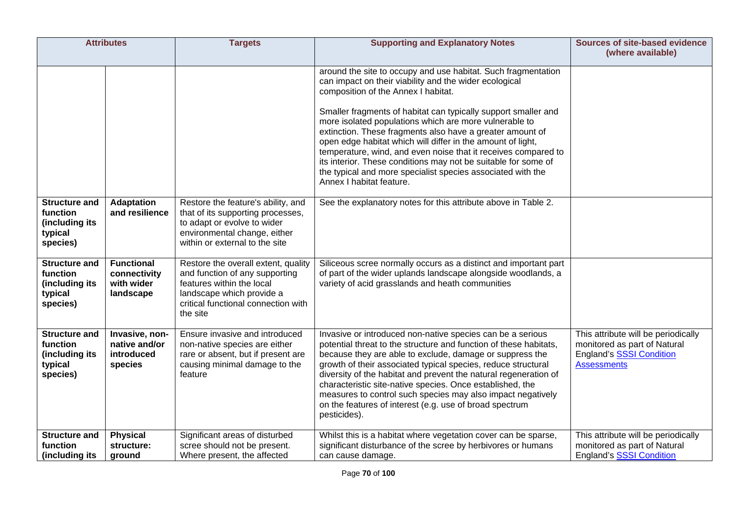| <b>Attributes</b>                                                         |                                                              | <b>Targets</b>                                                                                                                                                                     | <b>Supporting and Explanatory Notes</b>                                                                                                                                                                                                                                                                                                                                                                                                                                                                                                                                                                                                               | <b>Sources of site-based evidence</b><br>(where available)                                                            |
|---------------------------------------------------------------------------|--------------------------------------------------------------|------------------------------------------------------------------------------------------------------------------------------------------------------------------------------------|-------------------------------------------------------------------------------------------------------------------------------------------------------------------------------------------------------------------------------------------------------------------------------------------------------------------------------------------------------------------------------------------------------------------------------------------------------------------------------------------------------------------------------------------------------------------------------------------------------------------------------------------------------|-----------------------------------------------------------------------------------------------------------------------|
|                                                                           |                                                              |                                                                                                                                                                                    | around the site to occupy and use habitat. Such fragmentation<br>can impact on their viability and the wider ecological<br>composition of the Annex I habitat.<br>Smaller fragments of habitat can typically support smaller and<br>more isolated populations which are more vulnerable to<br>extinction. These fragments also have a greater amount of<br>open edge habitat which will differ in the amount of light,<br>temperature, wind, and even noise that it receives compared to<br>its interior. These conditions may not be suitable for some of<br>the typical and more specialist species associated with the<br>Annex I habitat feature. |                                                                                                                       |
| <b>Structure and</b><br>function<br>(including its<br>typical<br>species) | <b>Adaptation</b><br>and resilience                          | Restore the feature's ability, and<br>that of its supporting processes,<br>to adapt or evolve to wider<br>environmental change, either<br>within or external to the site           | See the explanatory notes for this attribute above in Table 2.                                                                                                                                                                                                                                                                                                                                                                                                                                                                                                                                                                                        |                                                                                                                       |
| <b>Structure and</b><br>function<br>(including its<br>typical<br>species) | <b>Functional</b><br>connectivity<br>with wider<br>landscape | Restore the overall extent, quality<br>and function of any supporting<br>features within the local<br>landscape which provide a<br>critical functional connection with<br>the site | Siliceous scree normally occurs as a distinct and important part<br>of part of the wider uplands landscape alongside woodlands, a<br>variety of acid grasslands and heath communities                                                                                                                                                                                                                                                                                                                                                                                                                                                                 |                                                                                                                       |
| <b>Structure and</b><br>function<br>(including its<br>typical<br>species) | Invasive, non-<br>native and/or<br>introduced<br>species     | Ensure invasive and introduced<br>non-native species are either<br>rare or absent, but if present are<br>causing minimal damage to the<br>feature                                  | Invasive or introduced non-native species can be a serious<br>potential threat to the structure and function of these habitats,<br>because they are able to exclude, damage or suppress the<br>growth of their associated typical species, reduce structural<br>diversity of the habitat and prevent the natural regeneration of<br>characteristic site-native species. Once established, the<br>measures to control such species may also impact negatively<br>on the features of interest (e.g. use of broad spectrum<br>pesticides).                                                                                                               | This attribute will be periodically<br>monitored as part of Natural<br>England's SSSI Condition<br><b>Assessments</b> |
| <b>Structure and</b><br>function<br>(including its                        | <b>Physical</b><br>structure:<br>ground                      | Significant areas of disturbed<br>scree should not be present.<br>Where present, the affected                                                                                      | Whilst this is a habitat where vegetation cover can be sparse,<br>significant disturbance of the scree by herbivores or humans<br>can cause damage.                                                                                                                                                                                                                                                                                                                                                                                                                                                                                                   | This attribute will be periodically<br>monitored as part of Natural<br><b>England's SSSI Condition</b>                |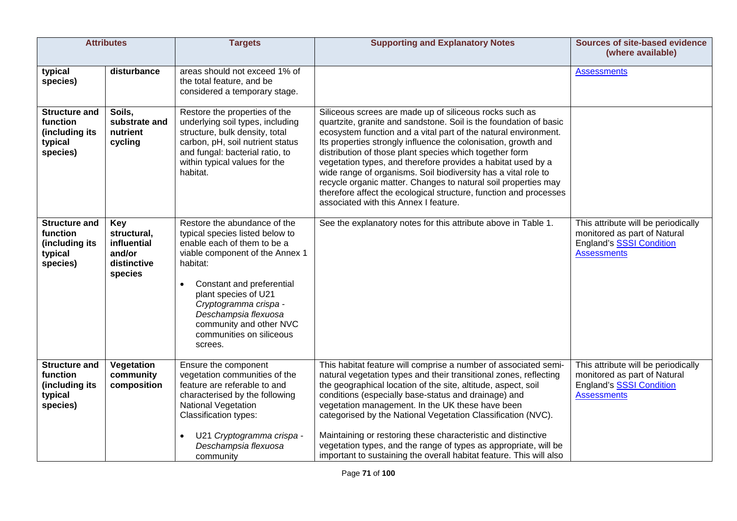| <b>Attributes</b>                                                         |                                                                              | <b>Targets</b>                                                                                                                                                                                                                                                                                                        | <b>Supporting and Explanatory Notes</b>                                                                                                                                                                                                                                                                                                                                                                                                                                                                                                                                                                                                        | <b>Sources of site-based evidence</b><br>(where available)                                                                   |
|---------------------------------------------------------------------------|------------------------------------------------------------------------------|-----------------------------------------------------------------------------------------------------------------------------------------------------------------------------------------------------------------------------------------------------------------------------------------------------------------------|------------------------------------------------------------------------------------------------------------------------------------------------------------------------------------------------------------------------------------------------------------------------------------------------------------------------------------------------------------------------------------------------------------------------------------------------------------------------------------------------------------------------------------------------------------------------------------------------------------------------------------------------|------------------------------------------------------------------------------------------------------------------------------|
| typical<br>species)                                                       | disturbance                                                                  | areas should not exceed 1% of<br>the total feature, and be<br>considered a temporary stage.                                                                                                                                                                                                                           |                                                                                                                                                                                                                                                                                                                                                                                                                                                                                                                                                                                                                                                | <b>Assessments</b>                                                                                                           |
| <b>Structure and</b><br>function<br>(including its<br>typical<br>species) | Soils,<br>substrate and<br>nutrient<br>cycling                               | Restore the properties of the<br>underlying soil types, including<br>structure, bulk density, total<br>carbon, pH, soil nutrient status<br>and fungal: bacterial ratio, to<br>within typical values for the<br>habitat.                                                                                               | Siliceous screes are made up of siliceous rocks such as<br>quartzite, granite and sandstone. Soil is the foundation of basic<br>ecosystem function and a vital part of the natural environment.<br>Its properties strongly influence the colonisation, growth and<br>distribution of those plant species which together form<br>vegetation types, and therefore provides a habitat used by a<br>wide range of organisms. Soil biodiversity has a vital role to<br>recycle organic matter. Changes to natural soil properties may<br>therefore affect the ecological structure, function and processes<br>associated with this Annex I feature. |                                                                                                                              |
| <b>Structure and</b><br>function<br>(including its<br>typical<br>species) | <b>Key</b><br>structural,<br>influential<br>and/or<br>distinctive<br>species | Restore the abundance of the<br>typical species listed below to<br>enable each of them to be a<br>viable component of the Annex 1<br>habitat:<br>Constant and preferential<br>plant species of U21<br>Cryptogramma crispa -<br>Deschampsia flexuosa<br>community and other NVC<br>communities on siliceous<br>screes. | See the explanatory notes for this attribute above in Table 1.                                                                                                                                                                                                                                                                                                                                                                                                                                                                                                                                                                                 | This attribute will be periodically<br>monitored as part of Natural<br><b>England's SSSI Condition</b><br><b>Assessments</b> |
| <b>Structure and</b><br>function<br>(including its<br>typical<br>species) | Vegetation<br>community<br>composition                                       | Ensure the component<br>vegetation communities of the<br>feature are referable to and<br>characterised by the following<br><b>National Vegetation</b><br>Classification types:<br>U21 Cryptogramma crispa -<br>Deschampsia flexuosa<br>community                                                                      | This habitat feature will comprise a number of associated semi-<br>natural vegetation types and their transitional zones, reflecting<br>the geographical location of the site, altitude, aspect, soil<br>conditions (especially base-status and drainage) and<br>vegetation management. In the UK these have been<br>categorised by the National Vegetation Classification (NVC).<br>Maintaining or restoring these characteristic and distinctive<br>vegetation types, and the range of types as appropriate, will be<br>important to sustaining the overall habitat feature. This will also                                                  | This attribute will be periodically<br>monitored as part of Natural<br>England's SSSI Condition<br><b>Assessments</b>        |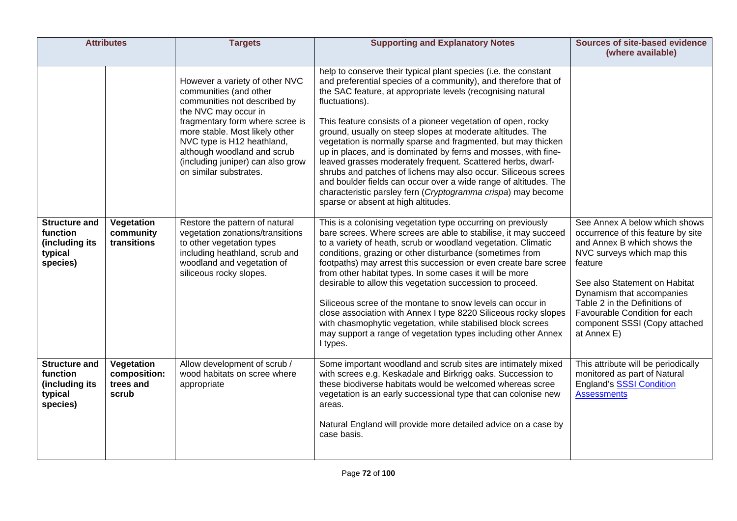| <b>Attributes</b>                                                                |                                                  | <b>Targets</b>                                                                                                                                                                                                                                                                                                    | <b>Supporting and Explanatory Notes</b>                                                                                                                                                                                                                                                                                                                                                                                                                                                                                                                                                                                                                                                                                                                                                          | <b>Sources of site-based evidence</b><br>(where available)                                                                                                                                                                                                                                                                  |
|----------------------------------------------------------------------------------|--------------------------------------------------|-------------------------------------------------------------------------------------------------------------------------------------------------------------------------------------------------------------------------------------------------------------------------------------------------------------------|--------------------------------------------------------------------------------------------------------------------------------------------------------------------------------------------------------------------------------------------------------------------------------------------------------------------------------------------------------------------------------------------------------------------------------------------------------------------------------------------------------------------------------------------------------------------------------------------------------------------------------------------------------------------------------------------------------------------------------------------------------------------------------------------------|-----------------------------------------------------------------------------------------------------------------------------------------------------------------------------------------------------------------------------------------------------------------------------------------------------------------------------|
|                                                                                  |                                                  | However a variety of other NVC<br>communities (and other<br>communities not described by<br>the NVC may occur in<br>fragmentary form where scree is<br>more stable. Most likely other<br>NVC type is H12 heathland,<br>although woodland and scrub<br>(including juniper) can also grow<br>on similar substrates. | help to conserve their typical plant species (i.e. the constant<br>and preferential species of a community), and therefore that of<br>the SAC feature, at appropriate levels (recognising natural<br>fluctuations).<br>This feature consists of a pioneer vegetation of open, rocky<br>ground, usually on steep slopes at moderate altitudes. The<br>vegetation is normally sparse and fragmented, but may thicken<br>up in places, and is dominated by ferns and mosses, with fine-<br>leaved grasses moderately frequent. Scattered herbs, dwarf-<br>shrubs and patches of lichens may also occur. Siliceous screes<br>and boulder fields can occur over a wide range of altitudes. The<br>characteristic parsley fern (Cryptogramma crispa) may become<br>sparse or absent at high altitudes. |                                                                                                                                                                                                                                                                                                                             |
| <b>Structure and</b><br>function<br>(including its<br>typical<br>species)        | Vegetation<br>community<br>transitions           | Restore the pattern of natural<br>vegetation zonations/transitions<br>to other vegetation types<br>including heathland, scrub and<br>woodland and vegetation of<br>siliceous rocky slopes.                                                                                                                        | This is a colonising vegetation type occurring on previously<br>bare screes. Where screes are able to stabilise, it may succeed<br>to a variety of heath, scrub or woodland vegetation. Climatic<br>conditions, grazing or other disturbance (sometimes from<br>footpaths) may arrest this succession or even create bare scree<br>from other habitat types. In some cases it will be more<br>desirable to allow this vegetation succession to proceed.<br>Siliceous scree of the montane to snow levels can occur in<br>close association with Annex I type 8220 Siliceous rocky slopes<br>with chasmophytic vegetation, while stabilised block screes<br>may support a range of vegetation types including other Annex<br>I types.                                                             | See Annex A below which shows<br>occurrence of this feature by site<br>and Annex B which shows the<br>NVC surveys which map this<br>feature<br>See also Statement on Habitat<br>Dynamism that accompanies<br>Table 2 in the Definitions of<br>Favourable Condition for each<br>component SSSI (Copy attached<br>at Annex E) |
| <b>Structure and</b><br><b>function</b><br>(including its<br>typical<br>species) | Vegetation<br>composition:<br>trees and<br>scrub | Allow development of scrub /<br>wood habitats on scree where<br>appropriate                                                                                                                                                                                                                                       | Some important woodland and scrub sites are intimately mixed<br>with screes e.g. Keskadale and Birkrigg oaks. Succession to<br>these biodiverse habitats would be welcomed whereas scree<br>vegetation is an early successional type that can colonise new<br>areas.<br>Natural England will provide more detailed advice on a case by<br>case basis.                                                                                                                                                                                                                                                                                                                                                                                                                                            | This attribute will be periodically<br>monitored as part of Natural<br>England's SSSI Condition<br><b>Assessments</b>                                                                                                                                                                                                       |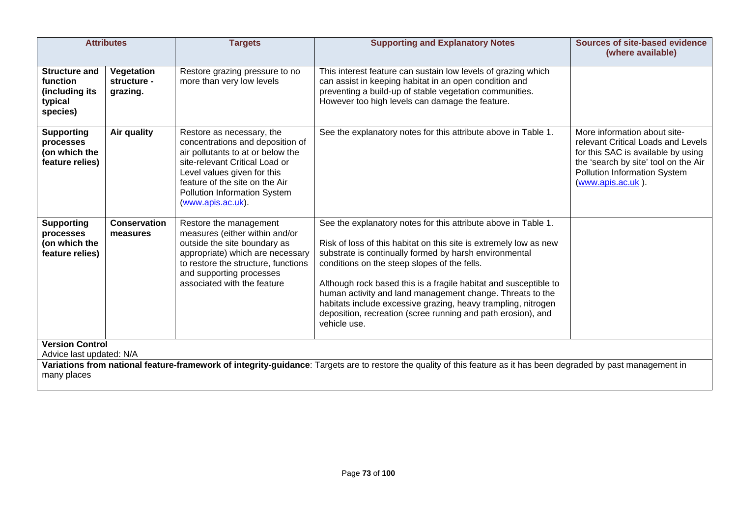|                                                                                                                                                                                                                                         | <b>Attributes</b>                     | <b>Targets</b>                                                                                                                                                                                                                                             | <b>Supporting and Explanatory Notes</b>                                                                                                                                                                                                                                                                                                                                                                                                                                                                                         | <b>Sources of site-based evidence</b><br>(where available)                                                                                                                                                   |
|-----------------------------------------------------------------------------------------------------------------------------------------------------------------------------------------------------------------------------------------|---------------------------------------|------------------------------------------------------------------------------------------------------------------------------------------------------------------------------------------------------------------------------------------------------------|---------------------------------------------------------------------------------------------------------------------------------------------------------------------------------------------------------------------------------------------------------------------------------------------------------------------------------------------------------------------------------------------------------------------------------------------------------------------------------------------------------------------------------|--------------------------------------------------------------------------------------------------------------------------------------------------------------------------------------------------------------|
| <b>Structure and</b><br>function<br>(including its<br>typical<br>species)                                                                                                                                                               | Vegetation<br>structure -<br>grazing. | Restore grazing pressure to no<br>more than very low levels                                                                                                                                                                                                | This interest feature can sustain low levels of grazing which<br>can assist in keeping habitat in an open condition and<br>preventing a build-up of stable vegetation communities.<br>However too high levels can damage the feature.                                                                                                                                                                                                                                                                                           |                                                                                                                                                                                                              |
| <b>Supporting</b><br>processes<br>(on which the<br>feature relies)                                                                                                                                                                      | Air quality                           | Restore as necessary, the<br>concentrations and deposition of<br>air pollutants to at or below the<br>site-relevant Critical Load or<br>Level values given for this<br>feature of the site on the Air<br>Pollution Information System<br>(www.apis.ac.uk). | See the explanatory notes for this attribute above in Table 1.                                                                                                                                                                                                                                                                                                                                                                                                                                                                  | More information about site-<br>relevant Critical Loads and Levels<br>for this SAC is available by using<br>the 'search by site' tool on the Air<br><b>Pollution Information System</b><br>(www.apis.ac.uk). |
| <b>Supporting</b><br>processes<br>(on which the<br>feature relies)                                                                                                                                                                      | <b>Conservation</b><br>measures       | Restore the management<br>measures (either within and/or<br>outside the site boundary as<br>appropriate) which are necessary<br>to restore the structure, functions<br>and supporting processes<br>associated with the feature                             | See the explanatory notes for this attribute above in Table 1.<br>Risk of loss of this habitat on this site is extremely low as new<br>substrate is continually formed by harsh environmental<br>conditions on the steep slopes of the fells.<br>Although rock based this is a fragile habitat and susceptible to<br>human activity and land management change. Threats to the<br>habitats include excessive grazing, heavy trampling, nitrogen<br>deposition, recreation (scree running and path erosion), and<br>vehicle use. |                                                                                                                                                                                                              |
| <b>Version Control</b><br>Advice last updated: N/A<br>Variations from national feature-framework of integrity-guidance: Targets are to restore the quality of this feature as it has been degraded by past management in<br>many places |                                       |                                                                                                                                                                                                                                                            |                                                                                                                                                                                                                                                                                                                                                                                                                                                                                                                                 |                                                                                                                                                                                                              |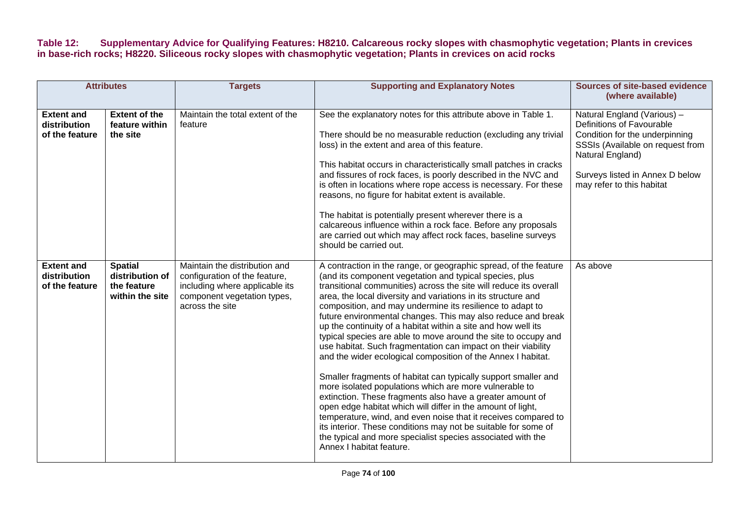**Table 12: Supplementary Advice for Qualifying Features: H8210. Calcareous rocky slopes with chasmophytic vegetation; Plants in crevices in base-rich rocks; H8220. Siliceous rocky slopes with chasmophytic vegetation; Plants in crevices on acid rocks** 

| <b>Attributes</b>                                   |                                                                     | <b>Targets</b>                                                                                                                                     | <b>Supporting and Explanatory Notes</b>                                                                                                                                                                                                                                                                                                                                                                                                                                                                                                                                                                                                                                                                                                                                                                                                                                                                                                                                                                                                                                                                                                                   | <b>Sources of site-based evidence</b><br>(where available)                                                                                                                                                         |
|-----------------------------------------------------|---------------------------------------------------------------------|----------------------------------------------------------------------------------------------------------------------------------------------------|-----------------------------------------------------------------------------------------------------------------------------------------------------------------------------------------------------------------------------------------------------------------------------------------------------------------------------------------------------------------------------------------------------------------------------------------------------------------------------------------------------------------------------------------------------------------------------------------------------------------------------------------------------------------------------------------------------------------------------------------------------------------------------------------------------------------------------------------------------------------------------------------------------------------------------------------------------------------------------------------------------------------------------------------------------------------------------------------------------------------------------------------------------------|--------------------------------------------------------------------------------------------------------------------------------------------------------------------------------------------------------------------|
| <b>Extent and</b><br>distribution<br>of the feature | <b>Extent of the</b><br>feature within<br>the site                  | Maintain the total extent of the<br>feature                                                                                                        | See the explanatory notes for this attribute above in Table 1.<br>There should be no measurable reduction (excluding any trivial<br>loss) in the extent and area of this feature.<br>This habitat occurs in characteristically small patches in cracks<br>and fissures of rock faces, is poorly described in the NVC and<br>is often in locations where rope access is necessary. For these<br>reasons, no figure for habitat extent is available.<br>The habitat is potentially present wherever there is a<br>calcareous influence within a rock face. Before any proposals<br>are carried out which may affect rock faces, baseline surveys<br>should be carried out.                                                                                                                                                                                                                                                                                                                                                                                                                                                                                  | Natural England (Various) -<br>Definitions of Favourable<br>Condition for the underpinning<br>SSSIs (Available on request from<br>Natural England)<br>Surveys listed in Annex D below<br>may refer to this habitat |
| <b>Extent and</b><br>distribution<br>of the feature | <b>Spatial</b><br>distribution of<br>the feature<br>within the site | Maintain the distribution and<br>configuration of the feature,<br>including where applicable its<br>component vegetation types,<br>across the site | A contraction in the range, or geographic spread, of the feature<br>(and its component vegetation and typical species, plus<br>transitional communities) across the site will reduce its overall<br>area, the local diversity and variations in its structure and<br>composition, and may undermine its resilience to adapt to<br>future environmental changes. This may also reduce and break<br>up the continuity of a habitat within a site and how well its<br>typical species are able to move around the site to occupy and<br>use habitat. Such fragmentation can impact on their viability<br>and the wider ecological composition of the Annex I habitat.<br>Smaller fragments of habitat can typically support smaller and<br>more isolated populations which are more vulnerable to<br>extinction. These fragments also have a greater amount of<br>open edge habitat which will differ in the amount of light,<br>temperature, wind, and even noise that it receives compared to<br>its interior. These conditions may not be suitable for some of<br>the typical and more specialist species associated with the<br>Annex I habitat feature. | As above                                                                                                                                                                                                           |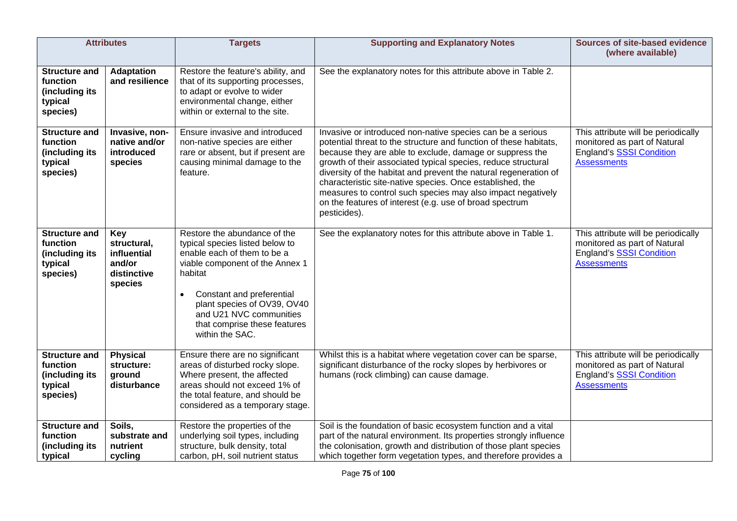|                                                                           | <b>Attributes</b>                                                            | <b>Targets</b>                                                                                                                                                                                                                                                                                      | <b>Supporting and Explanatory Notes</b>                                                                                                                                                                                                                                                                                                                                                                                                                                                                                                 | Sources of site-based evidence<br>(where available)                                                                          |
|---------------------------------------------------------------------------|------------------------------------------------------------------------------|-----------------------------------------------------------------------------------------------------------------------------------------------------------------------------------------------------------------------------------------------------------------------------------------------------|-----------------------------------------------------------------------------------------------------------------------------------------------------------------------------------------------------------------------------------------------------------------------------------------------------------------------------------------------------------------------------------------------------------------------------------------------------------------------------------------------------------------------------------------|------------------------------------------------------------------------------------------------------------------------------|
| <b>Structure and</b><br>function<br>(including its<br>typical<br>species) | <b>Adaptation</b><br>and resilience                                          | Restore the feature's ability, and<br>that of its supporting processes,<br>to adapt or evolve to wider<br>environmental change, either<br>within or external to the site.                                                                                                                           | See the explanatory notes for this attribute above in Table 2.                                                                                                                                                                                                                                                                                                                                                                                                                                                                          |                                                                                                                              |
| <b>Structure and</b><br>function<br>(including its<br>typical<br>species) | Invasive, non-<br>native and/or<br>introduced<br>species                     | Ensure invasive and introduced<br>non-native species are either<br>rare or absent, but if present are<br>causing minimal damage to the<br>feature.                                                                                                                                                  | Invasive or introduced non-native species can be a serious<br>potential threat to the structure and function of these habitats,<br>because they are able to exclude, damage or suppress the<br>growth of their associated typical species, reduce structural<br>diversity of the habitat and prevent the natural regeneration of<br>characteristic site-native species. Once established, the<br>measures to control such species may also impact negatively<br>on the features of interest (e.g. use of broad spectrum<br>pesticides). | This attribute will be periodically<br>monitored as part of Natural<br><b>England's SSSI Condition</b><br><b>Assessments</b> |
| <b>Structure and</b><br>function<br>(including its<br>typical<br>species) | <b>Key</b><br>structural,<br>influential<br>and/or<br>distinctive<br>species | Restore the abundance of the<br>typical species listed below to<br>enable each of them to be a<br>viable component of the Annex 1<br>habitat<br>Constant and preferential<br>$\bullet$<br>plant species of OV39, OV40<br>and U21 NVC communities<br>that comprise these features<br>within the SAC. | See the explanatory notes for this attribute above in Table 1.                                                                                                                                                                                                                                                                                                                                                                                                                                                                          | This attribute will be periodically<br>monitored as part of Natural<br><b>England's SSSI Condition</b><br><b>Assessments</b> |
| <b>Structure and</b><br>function<br>(including its<br>typical<br>species) | <b>Physical</b><br>structure:<br>ground<br>disturbance                       | Ensure there are no significant<br>areas of disturbed rocky slope.<br>Where present, the affected<br>areas should not exceed 1% of<br>the total feature, and should be<br>considered as a temporary stage.                                                                                          | Whilst this is a habitat where vegetation cover can be sparse,<br>significant disturbance of the rocky slopes by herbivores or<br>humans (rock climbing) can cause damage.                                                                                                                                                                                                                                                                                                                                                              | This attribute will be periodically<br>monitored as part of Natural<br><b>England's SSSI Condition</b><br><b>Assessments</b> |
| <b>Structure and</b><br>function<br>(including its<br>typical             | Soils,<br>substrate and<br>nutrient<br>cycling                               | Restore the properties of the<br>underlying soil types, including<br>structure, bulk density, total<br>carbon, pH, soil nutrient status                                                                                                                                                             | Soil is the foundation of basic ecosystem function and a vital<br>part of the natural environment. Its properties strongly influence<br>the colonisation, growth and distribution of those plant species<br>which together form vegetation types, and therefore provides a                                                                                                                                                                                                                                                              |                                                                                                                              |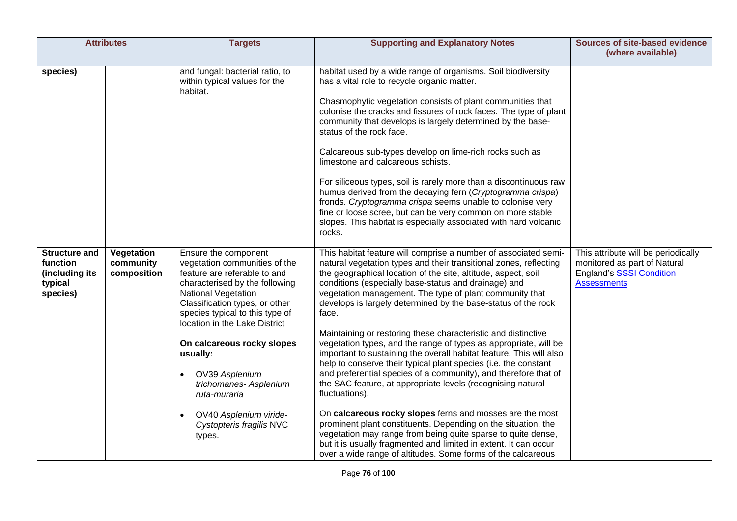| <b>Attributes</b>                                                         |                                        | <b>Targets</b>                                                                                                                                                                                                                                                                                                                                                                                                                    | <b>Supporting and Explanatory Notes</b>                                                                                                                                                                                                                                                                                                                                                                                                                                                                                                                                                                                                                                                                                                                                                                                                                                                                                                                                                                                                                                                                                                                                | <b>Sources of site-based evidence</b><br>(where available)                                                                   |
|---------------------------------------------------------------------------|----------------------------------------|-----------------------------------------------------------------------------------------------------------------------------------------------------------------------------------------------------------------------------------------------------------------------------------------------------------------------------------------------------------------------------------------------------------------------------------|------------------------------------------------------------------------------------------------------------------------------------------------------------------------------------------------------------------------------------------------------------------------------------------------------------------------------------------------------------------------------------------------------------------------------------------------------------------------------------------------------------------------------------------------------------------------------------------------------------------------------------------------------------------------------------------------------------------------------------------------------------------------------------------------------------------------------------------------------------------------------------------------------------------------------------------------------------------------------------------------------------------------------------------------------------------------------------------------------------------------------------------------------------------------|------------------------------------------------------------------------------------------------------------------------------|
| species)                                                                  |                                        | and fungal: bacterial ratio, to<br>within typical values for the<br>habitat.                                                                                                                                                                                                                                                                                                                                                      | habitat used by a wide range of organisms. Soil biodiversity<br>has a vital role to recycle organic matter.<br>Chasmophytic vegetation consists of plant communities that<br>colonise the cracks and fissures of rock faces. The type of plant<br>community that develops is largely determined by the base-<br>status of the rock face.<br>Calcareous sub-types develop on lime-rich rocks such as<br>limestone and calcareous schists.<br>For siliceous types, soil is rarely more than a discontinuous raw<br>humus derived from the decaying fern (Cryptogramma crispa)<br>fronds. Cryptogramma crispa seems unable to colonise very<br>fine or loose scree, but can be very common on more stable<br>slopes. This habitat is especially associated with hard volcanic<br>rocks.                                                                                                                                                                                                                                                                                                                                                                                   |                                                                                                                              |
| <b>Structure and</b><br>function<br>(including its<br>typical<br>species) | Vegetation<br>community<br>composition | Ensure the component<br>vegetation communities of the<br>feature are referable to and<br>characterised by the following<br><b>National Vegetation</b><br>Classification types, or other<br>species typical to this type of<br>location in the Lake District<br>On calcareous rocky slopes<br>usually:<br>OV39 Asplenium<br>trichomanes- Asplenium<br>ruta-muraria<br>OV40 Asplenium viride-<br>Cystopteris fragilis NVC<br>types. | This habitat feature will comprise a number of associated semi-<br>natural vegetation types and their transitional zones, reflecting<br>the geographical location of the site, altitude, aspect, soil<br>conditions (especially base-status and drainage) and<br>vegetation management. The type of plant community that<br>develops is largely determined by the base-status of the rock<br>face.<br>Maintaining or restoring these characteristic and distinctive<br>vegetation types, and the range of types as appropriate, will be<br>important to sustaining the overall habitat feature. This will also<br>help to conserve their typical plant species (i.e. the constant<br>and preferential species of a community), and therefore that of<br>the SAC feature, at appropriate levels (recognising natural<br>fluctuations).<br>On calcareous rocky slopes ferns and mosses are the most<br>prominent plant constituents. Depending on the situation, the<br>vegetation may range from being quite sparse to quite dense,<br>but it is usually fragmented and limited in extent. It can occur<br>over a wide range of altitudes. Some forms of the calcareous | This attribute will be periodically<br>monitored as part of Natural<br><b>England's SSSI Condition</b><br><b>Assessments</b> |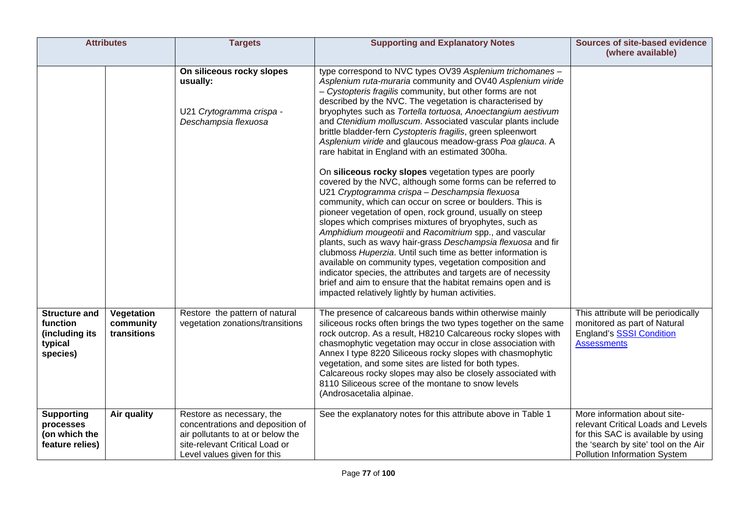|                                                                           | <b>Attributes</b>                      | <b>Targets</b>                                                                                                                                                      | <b>Supporting and Explanatory Notes</b>                                                                                                                                                                                                                                                                                                                                                                                                                                                                                                                                                                                                                                                                                                                                                                                                                                                                                                                                                                                                                                                                                                                                                                                                                                                                                                                              | <b>Sources of site-based evidence</b><br>(where available)                                                                                                                              |
|---------------------------------------------------------------------------|----------------------------------------|---------------------------------------------------------------------------------------------------------------------------------------------------------------------|----------------------------------------------------------------------------------------------------------------------------------------------------------------------------------------------------------------------------------------------------------------------------------------------------------------------------------------------------------------------------------------------------------------------------------------------------------------------------------------------------------------------------------------------------------------------------------------------------------------------------------------------------------------------------------------------------------------------------------------------------------------------------------------------------------------------------------------------------------------------------------------------------------------------------------------------------------------------------------------------------------------------------------------------------------------------------------------------------------------------------------------------------------------------------------------------------------------------------------------------------------------------------------------------------------------------------------------------------------------------|-----------------------------------------------------------------------------------------------------------------------------------------------------------------------------------------|
|                                                                           |                                        | On siliceous rocky slopes<br>usually:<br>U21 Crytogramma crispa -<br>Deschampsia flexuosa                                                                           | type correspond to NVC types OV39 Asplenium trichomanes -<br>Asplenium ruta-muraria community and OV40 Asplenium viride<br>- Cystopteris fragilis community, but other forms are not<br>described by the NVC. The vegetation is characterised by<br>bryophytes such as Tortella tortuosa, Anoectangium aestivum<br>and Ctenidium molluscum. Associated vascular plants include<br>brittle bladder-fern Cystopteris fragilis, green spleenwort<br>Asplenium viride and glaucous meadow-grass Poa glauca. A<br>rare habitat in England with an estimated 300ha.<br>On siliceous rocky slopes vegetation types are poorly<br>covered by the NVC, although some forms can be referred to<br>U21 Cryptogramma crispa - Deschampsia flexuosa<br>community, which can occur on scree or boulders. This is<br>pioneer vegetation of open, rock ground, usually on steep<br>slopes which comprises mixtures of bryophytes, such as<br>Amphidium mougeotii and Racomitrium spp., and vascular<br>plants, such as wavy hair-grass Deschampsia flexuosa and fir<br>clubmoss Huperzia. Until such time as better information is<br>available on community types, vegetation composition and<br>indicator species, the attributes and targets are of necessity<br>brief and aim to ensure that the habitat remains open and is<br>impacted relatively lightly by human activities. |                                                                                                                                                                                         |
| <b>Structure and</b><br>function<br>(including its<br>typical<br>species) | Vegetation<br>community<br>transitions | Restore the pattern of natural<br>vegetation zonations/transitions                                                                                                  | The presence of calcareous bands within otherwise mainly<br>siliceous rocks often brings the two types together on the same<br>rock outcrop. As a result, H8210 Calcareous rocky slopes with<br>chasmophytic vegetation may occur in close association with<br>Annex I type 8220 Siliceous rocky slopes with chasmophytic<br>vegetation, and some sites are listed for both types.<br>Calcareous rocky slopes may also be closely associated with<br>8110 Siliceous scree of the montane to snow levels<br>(Androsacetalia alpinae.                                                                                                                                                                                                                                                                                                                                                                                                                                                                                                                                                                                                                                                                                                                                                                                                                                  | This attribute will be periodically<br>monitored as part of Natural<br><b>England's SSSI Condition</b><br><b>Assessments</b>                                                            |
| <b>Supporting</b><br>processes<br>(on which the<br>feature relies)        | Air quality                            | Restore as necessary, the<br>concentrations and deposition of<br>air pollutants to at or below the<br>site-relevant Critical Load or<br>Level values given for this | See the explanatory notes for this attribute above in Table 1                                                                                                                                                                                                                                                                                                                                                                                                                                                                                                                                                                                                                                                                                                                                                                                                                                                                                                                                                                                                                                                                                                                                                                                                                                                                                                        | More information about site-<br>relevant Critical Loads and Levels<br>for this SAC is available by using<br>the 'search by site' tool on the Air<br><b>Pollution Information System</b> |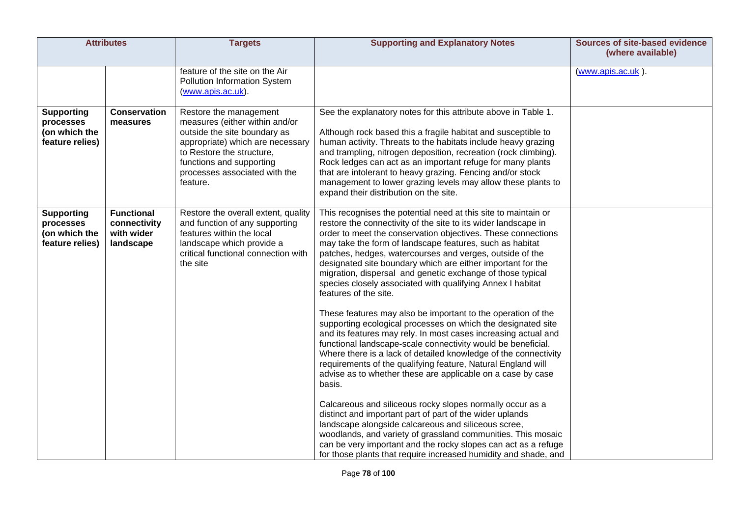| <b>Attributes</b>                                                  |                                                              | <b>Targets</b>                                                                                                                                                                                                                     | <b>Supporting and Explanatory Notes</b>                                                                                                                                                                                                                                                                                                                                                                                                                                                                                                                                                                                                                                                                                                                                                                                                                                                                                                                                                                                                                                                                                                                                                                                                                                                                                                                                                                         | <b>Sources of site-based evidence</b><br>(where available) |
|--------------------------------------------------------------------|--------------------------------------------------------------|------------------------------------------------------------------------------------------------------------------------------------------------------------------------------------------------------------------------------------|-----------------------------------------------------------------------------------------------------------------------------------------------------------------------------------------------------------------------------------------------------------------------------------------------------------------------------------------------------------------------------------------------------------------------------------------------------------------------------------------------------------------------------------------------------------------------------------------------------------------------------------------------------------------------------------------------------------------------------------------------------------------------------------------------------------------------------------------------------------------------------------------------------------------------------------------------------------------------------------------------------------------------------------------------------------------------------------------------------------------------------------------------------------------------------------------------------------------------------------------------------------------------------------------------------------------------------------------------------------------------------------------------------------------|------------------------------------------------------------|
|                                                                    |                                                              | feature of the site on the Air<br>Pollution Information System<br>(www.apis.ac.uk).                                                                                                                                                |                                                                                                                                                                                                                                                                                                                                                                                                                                                                                                                                                                                                                                                                                                                                                                                                                                                                                                                                                                                                                                                                                                                                                                                                                                                                                                                                                                                                                 | (www.apis.ac.uk).                                          |
| <b>Supporting</b><br>processes<br>(on which the<br>feature relies) | <b>Conservation</b><br>measures                              | Restore the management<br>measures (either within and/or<br>outside the site boundary as<br>appropriate) which are necessary<br>to Restore the structure.<br>functions and supporting<br>processes associated with the<br>feature. | See the explanatory notes for this attribute above in Table 1.<br>Although rock based this a fragile habitat and susceptible to<br>human activity. Threats to the habitats include heavy grazing<br>and trampling, nitrogen deposition, recreation (rock climbing).<br>Rock ledges can act as an important refuge for many plants<br>that are intolerant to heavy grazing. Fencing and/or stock<br>management to lower grazing levels may allow these plants to<br>expand their distribution on the site.                                                                                                                                                                                                                                                                                                                                                                                                                                                                                                                                                                                                                                                                                                                                                                                                                                                                                                       |                                                            |
| <b>Supporting</b><br>processes<br>(on which the<br>feature relies) | <b>Functional</b><br>connectivity<br>with wider<br>landscape | Restore the overall extent, quality<br>and function of any supporting<br>features within the local<br>landscape which provide a<br>critical functional connection with<br>the site                                                 | This recognises the potential need at this site to maintain or<br>restore the connectivity of the site to its wider landscape in<br>order to meet the conservation objectives. These connections<br>may take the form of landscape features, such as habitat<br>patches, hedges, watercourses and verges, outside of the<br>designated site boundary which are either important for the<br>migration, dispersal and genetic exchange of those typical<br>species closely associated with qualifying Annex I habitat<br>features of the site.<br>These features may also be important to the operation of the<br>supporting ecological processes on which the designated site<br>and its features may rely. In most cases increasing actual and<br>functional landscape-scale connectivity would be beneficial.<br>Where there is a lack of detailed knowledge of the connectivity<br>requirements of the qualifying feature, Natural England will<br>advise as to whether these are applicable on a case by case<br>basis.<br>Calcareous and siliceous rocky slopes normally occur as a<br>distinct and important part of part of the wider uplands<br>landscape alongside calcareous and siliceous scree,<br>woodlands, and variety of grassland communities. This mosaic<br>can be very important and the rocky slopes can act as a refuge<br>for those plants that require increased humidity and shade, and |                                                            |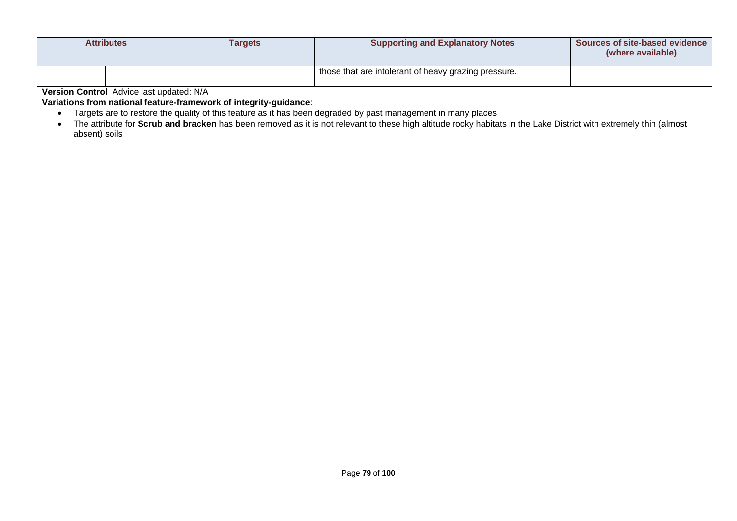|                                                                                                                                                                   | <b>Attributes</b>                                                                                            | Tarqets                                                           | <b>Supporting and Explanatory Notes</b>              | <b>Sources of site-based evidence</b><br>(where available) |  |
|-------------------------------------------------------------------------------------------------------------------------------------------------------------------|--------------------------------------------------------------------------------------------------------------|-------------------------------------------------------------------|------------------------------------------------------|------------------------------------------------------------|--|
|                                                                                                                                                                   |                                                                                                              |                                                                   | those that are intolerant of heavy grazing pressure. |                                                            |  |
|                                                                                                                                                                   | Version Control Advice last updated: N/A                                                                     |                                                                   |                                                      |                                                            |  |
|                                                                                                                                                                   |                                                                                                              | Variations from national feature-framework of integrity-guidance: |                                                      |                                                            |  |
|                                                                                                                                                                   | Targets are to restore the quality of this feature as it has been degraded by past management in many places |                                                                   |                                                      |                                                            |  |
| The attribute for Scrub and bracken has been removed as it is not relevant to these high altitude rocky habitats in the Lake District with extremely thin (almost |                                                                                                              |                                                                   |                                                      |                                                            |  |
| absent) soils                                                                                                                                                     |                                                                                                              |                                                                   |                                                      |                                                            |  |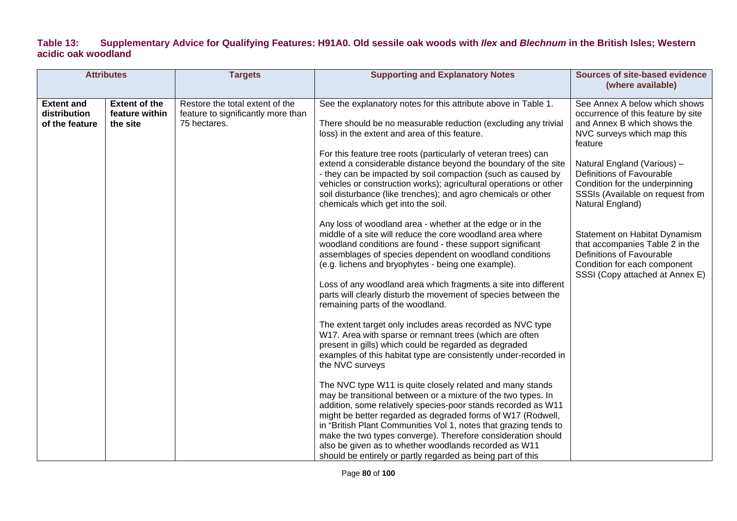#### **Table 13: Supplementary Advice for Qualifying Features: H91A0. Old sessile oak woods with** *Ilex* **and** *Blechnum* **in the British Isles; Western acidic oak woodland**

| <b>Attributes</b>                                   |                                                    | <b>Targets</b>                                                                        | <b>Supporting and Explanatory Notes</b>                                                                                                                                                                                                                                                                                                                                                                                                                                                                                | <b>Sources of site-based evidence</b><br>(where available)                                                                                                       |
|-----------------------------------------------------|----------------------------------------------------|---------------------------------------------------------------------------------------|------------------------------------------------------------------------------------------------------------------------------------------------------------------------------------------------------------------------------------------------------------------------------------------------------------------------------------------------------------------------------------------------------------------------------------------------------------------------------------------------------------------------|------------------------------------------------------------------------------------------------------------------------------------------------------------------|
| <b>Extent and</b><br>distribution<br>of the feature | <b>Extent of the</b><br>feature within<br>the site | Restore the total extent of the<br>feature to significantly more than<br>75 hectares. | See the explanatory notes for this attribute above in Table 1.<br>There should be no measurable reduction (excluding any trivial<br>loss) in the extent and area of this feature.<br>For this feature tree roots (particularly of veteran trees) can                                                                                                                                                                                                                                                                   | See Annex A below which shows<br>occurrence of this feature by site<br>and Annex B which shows the<br>NVC surveys which map this<br>feature                      |
|                                                     |                                                    |                                                                                       | extend a considerable distance beyond the boundary of the site<br>- they can be impacted by soil compaction (such as caused by<br>vehicles or construction works); agricultural operations or other<br>soil disturbance (like trenches); and agro chemicals or other<br>chemicals which get into the soil.                                                                                                                                                                                                             | Natural England (Various) -<br>Definitions of Favourable<br>Condition for the underpinning<br>SSSIs (Available on request from<br>Natural England)               |
|                                                     |                                                    |                                                                                       | Any loss of woodland area - whether at the edge or in the<br>middle of a site will reduce the core woodland area where<br>woodland conditions are found - these support significant<br>assemblages of species dependent on woodland conditions<br>(e.g. lichens and bryophytes - being one example).                                                                                                                                                                                                                   | Statement on Habitat Dynamism<br>that accompanies Table 2 in the<br>Definitions of Favourable<br>Condition for each component<br>SSSI (Copy attached at Annex E) |
|                                                     |                                                    |                                                                                       | Loss of any woodland area which fragments a site into different<br>parts will clearly disturb the movement of species between the<br>remaining parts of the woodland.                                                                                                                                                                                                                                                                                                                                                  |                                                                                                                                                                  |
|                                                     |                                                    |                                                                                       | The extent target only includes areas recorded as NVC type<br>W17. Area with sparse or remnant trees (which are often<br>present in gills) which could be regarded as degraded<br>examples of this habitat type are consistently under-recorded in<br>the NVC surveys                                                                                                                                                                                                                                                  |                                                                                                                                                                  |
|                                                     |                                                    |                                                                                       | The NVC type W11 is quite closely related and many stands<br>may be transitional between or a mixture of the two types. In<br>addition, some relatively species-poor stands recorded as W11<br>might be better regarded as degraded forms of W17 (Rodwell,<br>in "British Plant Communities Vol 1, notes that grazing tends to<br>make the two types converge). Therefore consideration should<br>also be given as to whether woodlands recorded as W11<br>should be entirely or partly regarded as being part of this |                                                                                                                                                                  |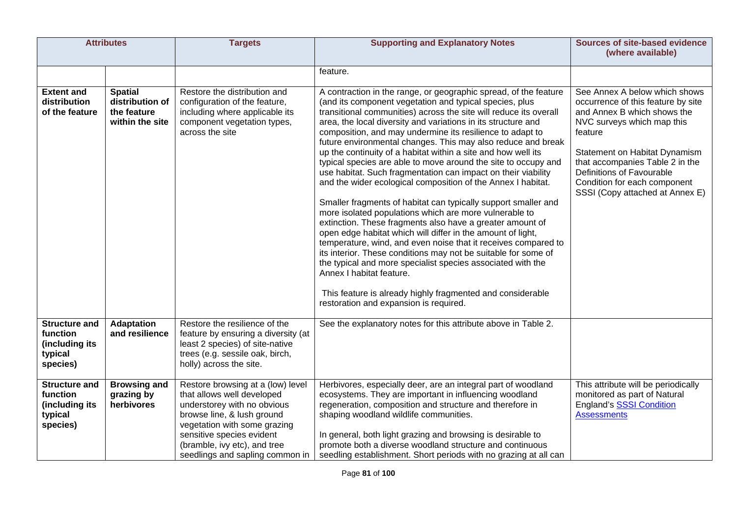|                                                                           | <b>Attributes</b>                                                   | <b>Targets</b>                                                                                                                                                                                                                                               | <b>Supporting and Explanatory Notes</b>                                                                                                                                                                                                                                                                                                                                                                                                                                                                                                                                                                                                                                                                                                                                                                                                                                                                                                                                                                                                                                                                                                                                                                                                                           | <b>Sources of site-based evidence</b><br>(where available)                                                                                                                                                                                                                                                      |
|---------------------------------------------------------------------------|---------------------------------------------------------------------|--------------------------------------------------------------------------------------------------------------------------------------------------------------------------------------------------------------------------------------------------------------|-------------------------------------------------------------------------------------------------------------------------------------------------------------------------------------------------------------------------------------------------------------------------------------------------------------------------------------------------------------------------------------------------------------------------------------------------------------------------------------------------------------------------------------------------------------------------------------------------------------------------------------------------------------------------------------------------------------------------------------------------------------------------------------------------------------------------------------------------------------------------------------------------------------------------------------------------------------------------------------------------------------------------------------------------------------------------------------------------------------------------------------------------------------------------------------------------------------------------------------------------------------------|-----------------------------------------------------------------------------------------------------------------------------------------------------------------------------------------------------------------------------------------------------------------------------------------------------------------|
|                                                                           |                                                                     |                                                                                                                                                                                                                                                              | feature.                                                                                                                                                                                                                                                                                                                                                                                                                                                                                                                                                                                                                                                                                                                                                                                                                                                                                                                                                                                                                                                                                                                                                                                                                                                          |                                                                                                                                                                                                                                                                                                                 |
| <b>Extent and</b><br>distribution<br>of the feature                       | <b>Spatial</b><br>distribution of<br>the feature<br>within the site | Restore the distribution and<br>configuration of the feature,<br>including where applicable its<br>component vegetation types,<br>across the site                                                                                                            | A contraction in the range, or geographic spread, of the feature<br>(and its component vegetation and typical species, plus<br>transitional communities) across the site will reduce its overall<br>area, the local diversity and variations in its structure and<br>composition, and may undermine its resilience to adapt to<br>future environmental changes. This may also reduce and break<br>up the continuity of a habitat within a site and how well its<br>typical species are able to move around the site to occupy and<br>use habitat. Such fragmentation can impact on their viability<br>and the wider ecological composition of the Annex I habitat.<br>Smaller fragments of habitat can typically support smaller and<br>more isolated populations which are more vulnerable to<br>extinction. These fragments also have a greater amount of<br>open edge habitat which will differ in the amount of light,<br>temperature, wind, and even noise that it receives compared to<br>its interior. These conditions may not be suitable for some of<br>the typical and more specialist species associated with the<br>Annex I habitat feature.<br>This feature is already highly fragmented and considerable<br>restoration and expansion is required. | See Annex A below which shows<br>occurrence of this feature by site<br>and Annex B which shows the<br>NVC surveys which map this<br>feature<br>Statement on Habitat Dynamism<br>that accompanies Table 2 in the<br>Definitions of Favourable<br>Condition for each component<br>SSSI (Copy attached at Annex E) |
| <b>Structure and</b><br>function<br>(including its<br>typical<br>species) | <b>Adaptation</b><br>and resilience                                 | Restore the resilience of the<br>feature by ensuring a diversity (at<br>least 2 species) of site-native<br>trees (e.g. sessile oak, birch,<br>holly) across the site.                                                                                        | See the explanatory notes for this attribute above in Table 2.                                                                                                                                                                                                                                                                                                                                                                                                                                                                                                                                                                                                                                                                                                                                                                                                                                                                                                                                                                                                                                                                                                                                                                                                    |                                                                                                                                                                                                                                                                                                                 |
| <b>Structure and</b><br>function<br>(including its<br>typical<br>species) | <b>Browsing and</b><br>grazing by<br>herbivores                     | Restore browsing at a (low) level<br>that allows well developed<br>understorey with no obvious<br>browse line, & lush ground<br>vegetation with some grazing<br>sensitive species evident<br>(bramble, ivy etc), and tree<br>seedlings and sapling common in | Herbivores, especially deer, are an integral part of woodland<br>ecosystems. They are important in influencing woodland<br>regeneration, composition and structure and therefore in<br>shaping woodland wildlife communities.<br>In general, both light grazing and browsing is desirable to<br>promote both a diverse woodland structure and continuous<br>seedling establishment. Short periods with no grazing at all can                                                                                                                                                                                                                                                                                                                                                                                                                                                                                                                                                                                                                                                                                                                                                                                                                                      | This attribute will be periodically<br>monitored as part of Natural<br><b>England's SSSI Condition</b><br><b>Assessments</b>                                                                                                                                                                                    |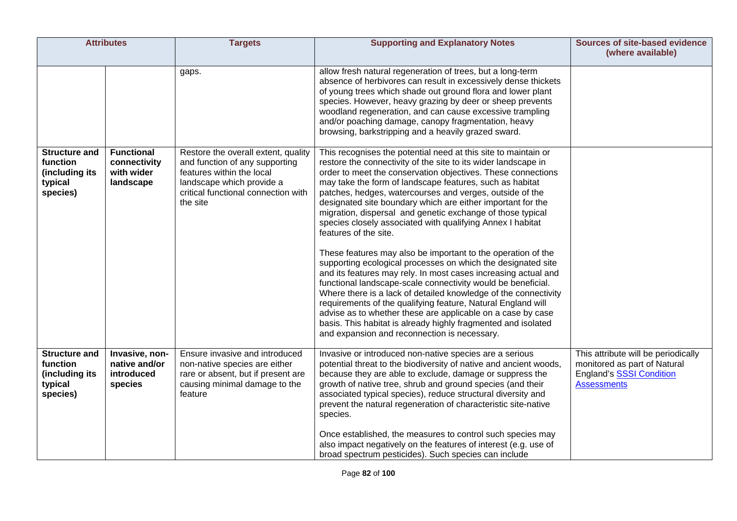| <b>Attributes</b>                                                         |                                                              | <b>Targets</b>                                                                                                                                                                     | <b>Supporting and Explanatory Notes</b>                                                                                                                                                                                                                                                                                                                                                                                                                                                                                                                                                                                                                                                                                                                                                                                                                                                                                                                                                                                                                                                                                           | <b>Sources of site-based evidence</b><br>(where available)                                                                   |
|---------------------------------------------------------------------------|--------------------------------------------------------------|------------------------------------------------------------------------------------------------------------------------------------------------------------------------------------|-----------------------------------------------------------------------------------------------------------------------------------------------------------------------------------------------------------------------------------------------------------------------------------------------------------------------------------------------------------------------------------------------------------------------------------------------------------------------------------------------------------------------------------------------------------------------------------------------------------------------------------------------------------------------------------------------------------------------------------------------------------------------------------------------------------------------------------------------------------------------------------------------------------------------------------------------------------------------------------------------------------------------------------------------------------------------------------------------------------------------------------|------------------------------------------------------------------------------------------------------------------------------|
|                                                                           |                                                              | gaps.                                                                                                                                                                              | allow fresh natural regeneration of trees, but a long-term<br>absence of herbivores can result in excessively dense thickets<br>of young trees which shade out ground flora and lower plant<br>species. However, heavy grazing by deer or sheep prevents<br>woodland regeneration, and can cause excessive trampling<br>and/or poaching damage, canopy fragmentation, heavy<br>browsing, barkstripping and a heavily grazed sward.                                                                                                                                                                                                                                                                                                                                                                                                                                                                                                                                                                                                                                                                                                |                                                                                                                              |
| <b>Structure and</b><br>function<br>(including its<br>typical<br>species) | <b>Functional</b><br>connectivity<br>with wider<br>landscape | Restore the overall extent, quality<br>and function of any supporting<br>features within the local<br>landscape which provide a<br>critical functional connection with<br>the site | This recognises the potential need at this site to maintain or<br>restore the connectivity of the site to its wider landscape in<br>order to meet the conservation objectives. These connections<br>may take the form of landscape features, such as habitat<br>patches, hedges, watercourses and verges, outside of the<br>designated site boundary which are either important for the<br>migration, dispersal and genetic exchange of those typical<br>species closely associated with qualifying Annex I habitat<br>features of the site.<br>These features may also be important to the operation of the<br>supporting ecological processes on which the designated site<br>and its features may rely. In most cases increasing actual and<br>functional landscape-scale connectivity would be beneficial.<br>Where there is a lack of detailed knowledge of the connectivity<br>requirements of the qualifying feature, Natural England will<br>advise as to whether these are applicable on a case by case<br>basis. This habitat is already highly fragmented and isolated<br>and expansion and reconnection is necessary. |                                                                                                                              |
| <b>Structure and</b><br>function<br>(including its<br>typical<br>species) | Invasive, non-<br>native and/or<br>introduced<br>species     | Ensure invasive and introduced<br>non-native species are either<br>rare or absent, but if present are<br>causing minimal damage to the<br>feature                                  | Invasive or introduced non-native species are a serious<br>potential threat to the biodiversity of native and ancient woods,<br>because they are able to exclude, damage or suppress the<br>growth of native tree, shrub and ground species (and their<br>associated typical species), reduce structural diversity and<br>prevent the natural regeneration of characteristic site-native<br>species.<br>Once established, the measures to control such species may<br>also impact negatively on the features of interest (e.g. use of<br>broad spectrum pesticides). Such species can include                                                                                                                                                                                                                                                                                                                                                                                                                                                                                                                                     | This attribute will be periodically<br>monitored as part of Natural<br><b>England's SSSI Condition</b><br><b>Assessments</b> |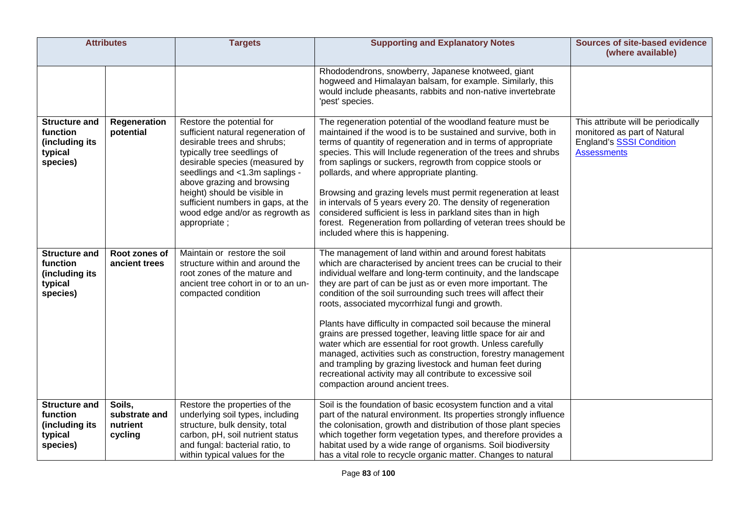| <b>Attributes</b>                                                         |                                                | <b>Targets</b>                                                                                                                                                                                                                                                                                                                                           | <b>Supporting and Explanatory Notes</b>                                                                                                                                                                                                                                                                                                                                                                                                                                                                                                                                                                                                                                                                                                                                                                           | <b>Sources of site-based evidence</b><br>(where available)                                                                   |
|---------------------------------------------------------------------------|------------------------------------------------|----------------------------------------------------------------------------------------------------------------------------------------------------------------------------------------------------------------------------------------------------------------------------------------------------------------------------------------------------------|-------------------------------------------------------------------------------------------------------------------------------------------------------------------------------------------------------------------------------------------------------------------------------------------------------------------------------------------------------------------------------------------------------------------------------------------------------------------------------------------------------------------------------------------------------------------------------------------------------------------------------------------------------------------------------------------------------------------------------------------------------------------------------------------------------------------|------------------------------------------------------------------------------------------------------------------------------|
|                                                                           |                                                |                                                                                                                                                                                                                                                                                                                                                          | Rhododendrons, snowberry, Japanese knotweed, giant<br>hogweed and Himalayan balsam, for example. Similarly, this<br>would include pheasants, rabbits and non-native invertebrate<br>'pest' species.                                                                                                                                                                                                                                                                                                                                                                                                                                                                                                                                                                                                               |                                                                                                                              |
| <b>Structure and</b><br>function<br>(including its<br>typical<br>species) | Regeneration<br>potential                      | Restore the potential for<br>sufficient natural regeneration of<br>desirable trees and shrubs;<br>typically tree seedlings of<br>desirable species (measured by<br>seedlings and <1.3m saplings -<br>above grazing and browsing<br>height) should be visible in<br>sufficient numbers in gaps, at the<br>wood edge and/or as regrowth as<br>appropriate; | The regeneration potential of the woodland feature must be<br>maintained if the wood is to be sustained and survive, both in<br>terms of quantity of regeneration and in terms of appropriate<br>species. This will Include regeneration of the trees and shrubs<br>from saplings or suckers, regrowth from coppice stools or<br>pollards, and where appropriate planting.<br>Browsing and grazing levels must permit regeneration at least<br>in intervals of 5 years every 20. The density of regeneration<br>considered sufficient is less in parkland sites than in high<br>forest. Regeneration from pollarding of veteran trees should be<br>included where this is happening.                                                                                                                              | This attribute will be periodically<br>monitored as part of Natural<br><b>England's SSSI Condition</b><br><b>Assessments</b> |
| <b>Structure and</b><br>function<br>(including its<br>typical<br>species) | Root zones of<br>ancient trees                 | Maintain or restore the soil<br>structure within and around the<br>root zones of the mature and<br>ancient tree cohort in or to an un-<br>compacted condition                                                                                                                                                                                            | The management of land within and around forest habitats<br>which are characterised by ancient trees can be crucial to their<br>individual welfare and long-term continuity, and the landscape<br>they are part of can be just as or even more important. The<br>condition of the soil surrounding such trees will affect their<br>roots, associated mycorrhizal fungi and growth.<br>Plants have difficulty in compacted soil because the mineral<br>grains are pressed together, leaving little space for air and<br>water which are essential for root growth. Unless carefully<br>managed, activities such as construction, forestry management<br>and trampling by grazing livestock and human feet during<br>recreational activity may all contribute to excessive soil<br>compaction around ancient trees. |                                                                                                                              |
| <b>Structure and</b><br>function<br>(including its<br>typical<br>species) | Soils,<br>substrate and<br>nutrient<br>cycling | Restore the properties of the<br>underlying soil types, including<br>structure, bulk density, total<br>carbon, pH, soil nutrient status<br>and fungal: bacterial ratio, to<br>within typical values for the                                                                                                                                              | Soil is the foundation of basic ecosystem function and a vital<br>part of the natural environment. Its properties strongly influence<br>the colonisation, growth and distribution of those plant species<br>which together form vegetation types, and therefore provides a<br>habitat used by a wide range of organisms. Soil biodiversity<br>has a vital role to recycle organic matter. Changes to natural                                                                                                                                                                                                                                                                                                                                                                                                      |                                                                                                                              |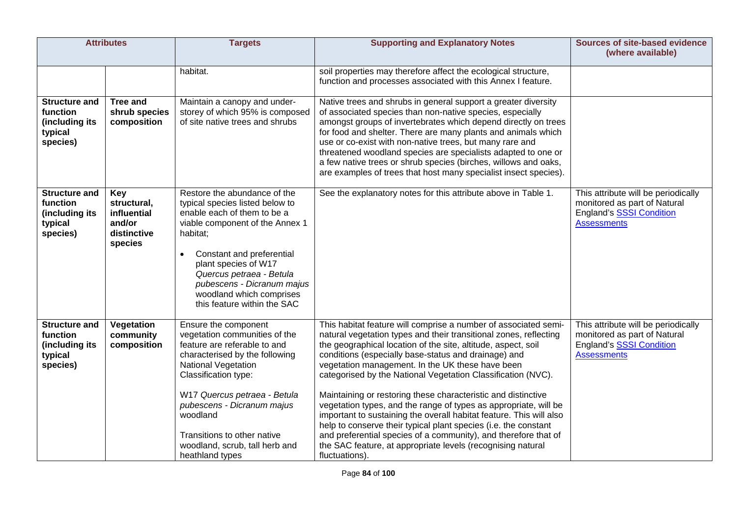| <b>Attributes</b>                                                         |                                                                              | <b>Targets</b>                                                                                                                                                                                                                                                                                                                              | <b>Supporting and Explanatory Notes</b>                                                                                                                                                                                                                                                                                                                                                                                                                                                                                                                                                                                                                                                                                                                                                                              | <b>Sources of site-based evidence</b><br>(where available)                                                                   |
|---------------------------------------------------------------------------|------------------------------------------------------------------------------|---------------------------------------------------------------------------------------------------------------------------------------------------------------------------------------------------------------------------------------------------------------------------------------------------------------------------------------------|----------------------------------------------------------------------------------------------------------------------------------------------------------------------------------------------------------------------------------------------------------------------------------------------------------------------------------------------------------------------------------------------------------------------------------------------------------------------------------------------------------------------------------------------------------------------------------------------------------------------------------------------------------------------------------------------------------------------------------------------------------------------------------------------------------------------|------------------------------------------------------------------------------------------------------------------------------|
|                                                                           |                                                                              | habitat.                                                                                                                                                                                                                                                                                                                                    | soil properties may therefore affect the ecological structure,<br>function and processes associated with this Annex I feature.                                                                                                                                                                                                                                                                                                                                                                                                                                                                                                                                                                                                                                                                                       |                                                                                                                              |
| <b>Structure and</b><br>function<br>(including its<br>typical<br>species) | <b>Tree and</b><br>shrub species<br>composition                              | Maintain a canopy and under-<br>storey of which 95% is composed<br>of site native trees and shrubs                                                                                                                                                                                                                                          | Native trees and shrubs in general support a greater diversity<br>of associated species than non-native species, especially<br>amongst groups of invertebrates which depend directly on trees<br>for food and shelter. There are many plants and animals which<br>use or co-exist with non-native trees, but many rare and<br>threatened woodland species are specialists adapted to one or<br>a few native trees or shrub species (birches, willows and oaks,<br>are examples of trees that host many specialist insect species).                                                                                                                                                                                                                                                                                   |                                                                                                                              |
| <b>Structure and</b><br>function<br>(including its<br>typical<br>species) | <b>Key</b><br>structural,<br>influential<br>and/or<br>distinctive<br>species | Restore the abundance of the<br>typical species listed below to<br>enable each of them to be a<br>viable component of the Annex 1<br>habitat;<br>Constant and preferential<br>$\bullet$<br>plant species of W17<br>Quercus petraea - Betula<br>pubescens - Dicranum majus<br>woodland which comprises<br>this feature within the SAC        | See the explanatory notes for this attribute above in Table 1.                                                                                                                                                                                                                                                                                                                                                                                                                                                                                                                                                                                                                                                                                                                                                       | This attribute will be periodically<br>monitored as part of Natural<br><b>England's SSSI Condition</b><br><b>Assessments</b> |
| <b>Structure and</b><br>function<br>(including its<br>typical<br>species) | Vegetation<br>community<br>composition                                       | Ensure the component<br>vegetation communities of the<br>feature are referable to and<br>characterised by the following<br><b>National Vegetation</b><br>Classification type:<br>W17 Quercus petraea - Betula<br>pubescens - Dicranum majus<br>woodland<br>Transitions to other native<br>woodland, scrub, tall herb and<br>heathland types | This habitat feature will comprise a number of associated semi-<br>natural vegetation types and their transitional zones, reflecting<br>the geographical location of the site, altitude, aspect, soil<br>conditions (especially base-status and drainage) and<br>vegetation management. In the UK these have been<br>categorised by the National Vegetation Classification (NVC).<br>Maintaining or restoring these characteristic and distinctive<br>vegetation types, and the range of types as appropriate, will be<br>important to sustaining the overall habitat feature. This will also<br>help to conserve their typical plant species (i.e. the constant<br>and preferential species of a community), and therefore that of<br>the SAC feature, at appropriate levels (recognising natural<br>fluctuations). | This attribute will be periodically<br>monitored as part of Natural<br><b>England's SSSI Condition</b><br><b>Assessments</b> |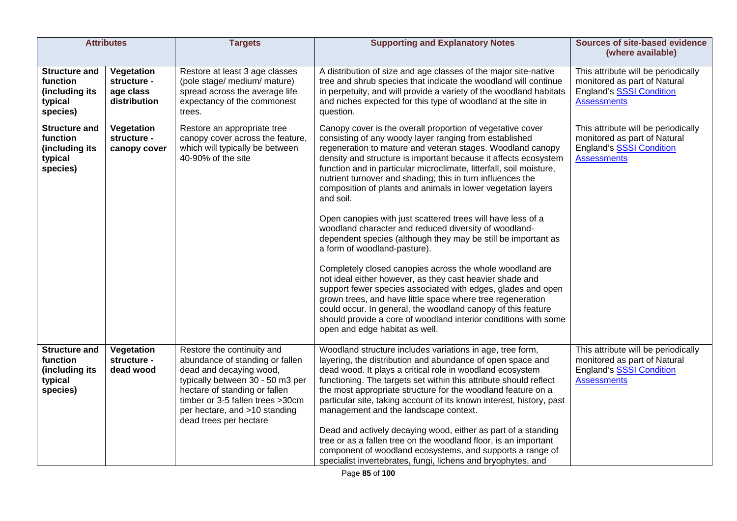|                                                                           | <b>Attributes</b>                                      | <b>Targets</b>                                                                                                                                                                                                                                               | <b>Supporting and Explanatory Notes</b>                                                                                                                                                                                                                                                                                                                                                                                                                                                                                                                                                                                                                                                                                                                                                                                                                                                                                                                                                                                                                                                                                     | <b>Sources of site-based evidence</b><br>(where available)                                                                   |
|---------------------------------------------------------------------------|--------------------------------------------------------|--------------------------------------------------------------------------------------------------------------------------------------------------------------------------------------------------------------------------------------------------------------|-----------------------------------------------------------------------------------------------------------------------------------------------------------------------------------------------------------------------------------------------------------------------------------------------------------------------------------------------------------------------------------------------------------------------------------------------------------------------------------------------------------------------------------------------------------------------------------------------------------------------------------------------------------------------------------------------------------------------------------------------------------------------------------------------------------------------------------------------------------------------------------------------------------------------------------------------------------------------------------------------------------------------------------------------------------------------------------------------------------------------------|------------------------------------------------------------------------------------------------------------------------------|
| <b>Structure and</b><br>function<br>(including its<br>typical<br>species) | Vegetation<br>structure -<br>age class<br>distribution | Restore at least 3 age classes<br>(pole stage/ medium/ mature)<br>spread across the average life<br>expectancy of the commonest<br>trees.                                                                                                                    | A distribution of size and age classes of the major site-native<br>tree and shrub species that indicate the woodland will continue<br>in perpetuity, and will provide a variety of the woodland habitats<br>and niches expected for this type of woodland at the site in<br>question.                                                                                                                                                                                                                                                                                                                                                                                                                                                                                                                                                                                                                                                                                                                                                                                                                                       | This attribute will be periodically<br>monitored as part of Natural<br>England's SSSI Condition<br><b>Assessments</b>        |
| <b>Structure and</b><br>function<br>(including its<br>typical<br>species) | Vegetation<br>structure -<br>canopy cover              | Restore an appropriate tree<br>canopy cover across the feature,<br>which will typically be between<br>40-90% of the site                                                                                                                                     | Canopy cover is the overall proportion of vegetative cover<br>consisting of any woody layer ranging from established<br>regeneration to mature and veteran stages. Woodland canopy<br>density and structure is important because it affects ecosystem<br>function and in particular microclimate, litterfall, soil moisture,<br>nutrient turnover and shading; this in turn influences the<br>composition of plants and animals in lower vegetation layers<br>and soil.<br>Open canopies with just scattered trees will have less of a<br>woodland character and reduced diversity of woodland-<br>dependent species (although they may be still be important as<br>a form of woodland-pasture).<br>Completely closed canopies across the whole woodland are<br>not ideal either however, as they cast heavier shade and<br>support fewer species associated with edges, glades and open<br>grown trees, and have little space where tree regeneration<br>could occur. In general, the woodland canopy of this feature<br>should provide a core of woodland interior conditions with some<br>open and edge habitat as well. | This attribute will be periodically<br>monitored as part of Natural<br><b>England's SSSI Condition</b><br><b>Assessments</b> |
| <b>Structure and</b><br>function<br>(including its<br>typical<br>species) | Vegetation<br>structure -<br>dead wood                 | Restore the continuity and<br>abundance of standing or fallen<br>dead and decaying wood,<br>typically between 30 - 50 m3 per<br>hectare of standing or fallen<br>timber or 3-5 fallen trees >30cm<br>per hectare, and >10 standing<br>dead trees per hectare | Woodland structure includes variations in age, tree form,<br>layering, the distribution and abundance of open space and<br>dead wood. It plays a critical role in woodland ecosystem<br>functioning. The targets set within this attribute should reflect<br>the most appropriate structure for the woodland feature on a<br>particular site, taking account of its known interest, history, past<br>management and the landscape context.<br>Dead and actively decaying wood, either as part of a standing<br>tree or as a fallen tree on the woodland floor, is an important<br>component of woodland ecosystems, and supports a range of<br>specialist invertebrates, fungi, lichens and bryophytes, and                                                                                                                                                                                                                                                                                                                                                                                                                 | This attribute will be periodically<br>monitored as part of Natural<br><b>England's SSSI Condition</b><br><b>Assessments</b> |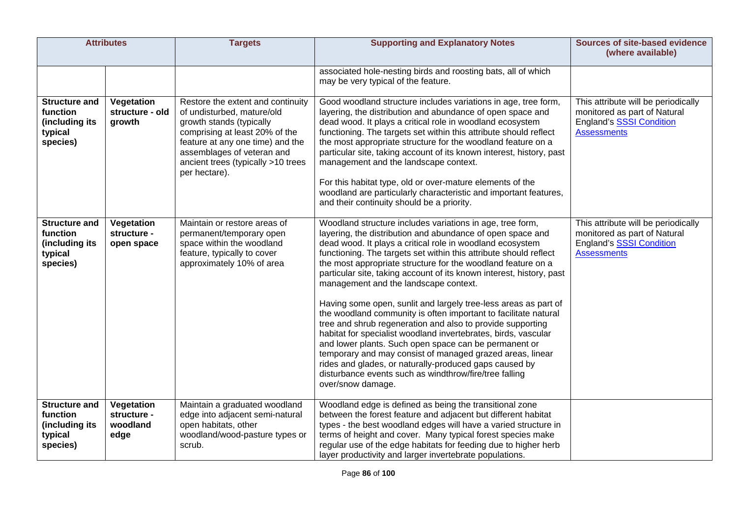| <b>Attributes</b>                                                         |                                               | <b>Targets</b>                                                                                                                                                                                                                                                                                                                                                                                                                                                                                                                                                                                  | <b>Supporting and Explanatory Notes</b>                                                                                                                                                                                                                                                                                                                                                                                                                                                                                                                                                                                        | <b>Sources of site-based evidence</b><br>(where available)                                                                   |
|---------------------------------------------------------------------------|-----------------------------------------------|-------------------------------------------------------------------------------------------------------------------------------------------------------------------------------------------------------------------------------------------------------------------------------------------------------------------------------------------------------------------------------------------------------------------------------------------------------------------------------------------------------------------------------------------------------------------------------------------------|--------------------------------------------------------------------------------------------------------------------------------------------------------------------------------------------------------------------------------------------------------------------------------------------------------------------------------------------------------------------------------------------------------------------------------------------------------------------------------------------------------------------------------------------------------------------------------------------------------------------------------|------------------------------------------------------------------------------------------------------------------------------|
|                                                                           |                                               |                                                                                                                                                                                                                                                                                                                                                                                                                                                                                                                                                                                                 |                                                                                                                                                                                                                                                                                                                                                                                                                                                                                                                                                                                                                                |                                                                                                                              |
|                                                                           |                                               |                                                                                                                                                                                                                                                                                                                                                                                                                                                                                                                                                                                                 | associated hole-nesting birds and roosting bats, all of which<br>may be very typical of the feature.                                                                                                                                                                                                                                                                                                                                                                                                                                                                                                                           |                                                                                                                              |
| <b>Structure and</b><br>function<br>(including its<br>typical<br>species) | Vegetation<br>structure - old<br>growth       | Restore the extent and continuity<br>of undisturbed, mature/old<br>growth stands (typically<br>comprising at least 20% of the<br>feature at any one time) and the<br>assemblages of veteran and<br>ancient trees (typically >10 trees<br>per hectare).                                                                                                                                                                                                                                                                                                                                          | Good woodland structure includes variations in age, tree form,<br>layering, the distribution and abundance of open space and<br>dead wood. It plays a critical role in woodland ecosystem<br>functioning. The targets set within this attribute should reflect<br>the most appropriate structure for the woodland feature on a<br>particular site, taking account of its known interest, history, past<br>management and the landscape context.<br>For this habitat type, old or over-mature elements of the<br>woodland are particularly characteristic and important features,<br>and their continuity should be a priority. | This attribute will be periodically<br>monitored as part of Natural<br>England's SSSI Condition<br><b>Assessments</b>        |
| <b>Structure and</b><br>function<br>(including its<br>typical<br>species) | Vegetation<br>structure -<br>open space       | Maintain or restore areas of<br>Woodland structure includes variations in age, tree form,<br>permanent/temporary open<br>layering, the distribution and abundance of open space and<br>dead wood. It plays a critical role in woodland ecosystem<br>space within the woodland<br>feature, typically to cover<br>functioning. The targets set within this attribute should reflect<br>approximately 10% of area<br>the most appropriate structure for the woodland feature on a<br>particular site, taking account of its known interest, history, past<br>management and the landscape context. |                                                                                                                                                                                                                                                                                                                                                                                                                                                                                                                                                                                                                                | This attribute will be periodically<br>monitored as part of Natural<br><b>England's SSSI Condition</b><br><b>Assessments</b> |
|                                                                           |                                               |                                                                                                                                                                                                                                                                                                                                                                                                                                                                                                                                                                                                 | Having some open, sunlit and largely tree-less areas as part of<br>the woodland community is often important to facilitate natural<br>tree and shrub regeneration and also to provide supporting<br>habitat for specialist woodland invertebrates, birds, vascular<br>and lower plants. Such open space can be permanent or<br>temporary and may consist of managed grazed areas, linear<br>rides and glades, or naturally-produced gaps caused by<br>disturbance events such as windthrow/fire/tree falling<br>over/snow damage.                                                                                              |                                                                                                                              |
| <b>Structure and</b><br>function<br>(including its<br>typical<br>species) | Vegetation<br>structure -<br>woodland<br>edge | Maintain a graduated woodland<br>edge into adjacent semi-natural<br>open habitats, other<br>woodland/wood-pasture types or<br>scrub.                                                                                                                                                                                                                                                                                                                                                                                                                                                            | Woodland edge is defined as being the transitional zone<br>between the forest feature and adjacent but different habitat<br>types - the best woodland edges will have a varied structure in<br>terms of height and cover. Many typical forest species make<br>regular use of the edge habitats for feeding due to higher herb<br>layer productivity and larger invertebrate populations.                                                                                                                                                                                                                                       |                                                                                                                              |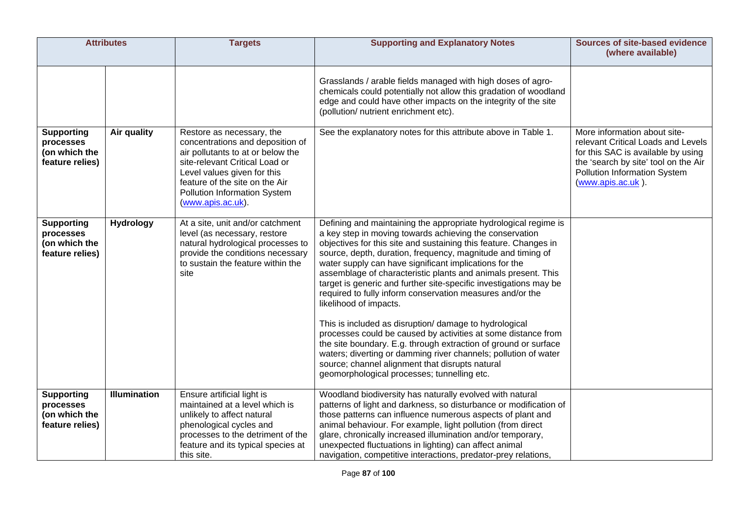| <b>Attributes</b>                                                  |                     | <b>Targets</b>                                                                                                                                                                                                                                             | <b>Supporting and Explanatory Notes</b>                                                                                                                                                                                                                                                                                                                                                                                                                                                                                                                                                                                                                                                                                                                                                                                                                                                                                 | <b>Sources of site-based evidence</b><br>(where available)                                                                                                                                                   |
|--------------------------------------------------------------------|---------------------|------------------------------------------------------------------------------------------------------------------------------------------------------------------------------------------------------------------------------------------------------------|-------------------------------------------------------------------------------------------------------------------------------------------------------------------------------------------------------------------------------------------------------------------------------------------------------------------------------------------------------------------------------------------------------------------------------------------------------------------------------------------------------------------------------------------------------------------------------------------------------------------------------------------------------------------------------------------------------------------------------------------------------------------------------------------------------------------------------------------------------------------------------------------------------------------------|--------------------------------------------------------------------------------------------------------------------------------------------------------------------------------------------------------------|
|                                                                    |                     |                                                                                                                                                                                                                                                            | Grasslands / arable fields managed with high doses of agro-<br>chemicals could potentially not allow this gradation of woodland<br>edge and could have other impacts on the integrity of the site<br>(pollution/ nutrient enrichment etc).                                                                                                                                                                                                                                                                                                                                                                                                                                                                                                                                                                                                                                                                              |                                                                                                                                                                                                              |
| <b>Supporting</b><br>processes<br>(on which the<br>feature relies) | Air quality         | Restore as necessary, the<br>concentrations and deposition of<br>air pollutants to at or below the<br>site-relevant Critical Load or<br>Level values given for this<br>feature of the site on the Air<br>Pollution Information System<br>(www.apis.ac.uk). | See the explanatory notes for this attribute above in Table 1.                                                                                                                                                                                                                                                                                                                                                                                                                                                                                                                                                                                                                                                                                                                                                                                                                                                          | More information about site-<br>relevant Critical Loads and Levels<br>for this SAC is available by using<br>the 'search by site' tool on the Air<br><b>Pollution Information System</b><br>(www.apis.ac.uk). |
| <b>Supporting</b><br>processes<br>(on which the<br>feature relies) | <b>Hydrology</b>    | At a site, unit and/or catchment<br>level (as necessary, restore<br>natural hydrological processes to<br>provide the conditions necessary<br>to sustain the feature within the<br>site                                                                     | Defining and maintaining the appropriate hydrological regime is<br>a key step in moving towards achieving the conservation<br>objectives for this site and sustaining this feature. Changes in<br>source, depth, duration, frequency, magnitude and timing of<br>water supply can have significant implications for the<br>assemblage of characteristic plants and animals present. This<br>target is generic and further site-specific investigations may be<br>required to fully inform conservation measures and/or the<br>likelihood of impacts.<br>This is included as disruption/ damage to hydrological<br>processes could be caused by activities at some distance from<br>the site boundary. E.g. through extraction of ground or surface<br>waters; diverting or damming river channels; pollution of water<br>source; channel alignment that disrupts natural<br>geomorphological processes; tunnelling etc. |                                                                                                                                                                                                              |
| <b>Supporting</b><br>processes<br>(on which the<br>feature relies) | <b>Illumination</b> | Ensure artificial light is<br>maintained at a level which is<br>unlikely to affect natural<br>phenological cycles and<br>processes to the detriment of the<br>feature and its typical species at<br>this site.                                             | Woodland biodiversity has naturally evolved with natural<br>patterns of light and darkness, so disturbance or modification of<br>those patterns can influence numerous aspects of plant and<br>animal behaviour. For example, light pollution (from direct<br>glare, chronically increased illumination and/or temporary,<br>unexpected fluctuations in lighting) can affect animal<br>navigation, competitive interactions, predator-prey relations,                                                                                                                                                                                                                                                                                                                                                                                                                                                                   |                                                                                                                                                                                                              |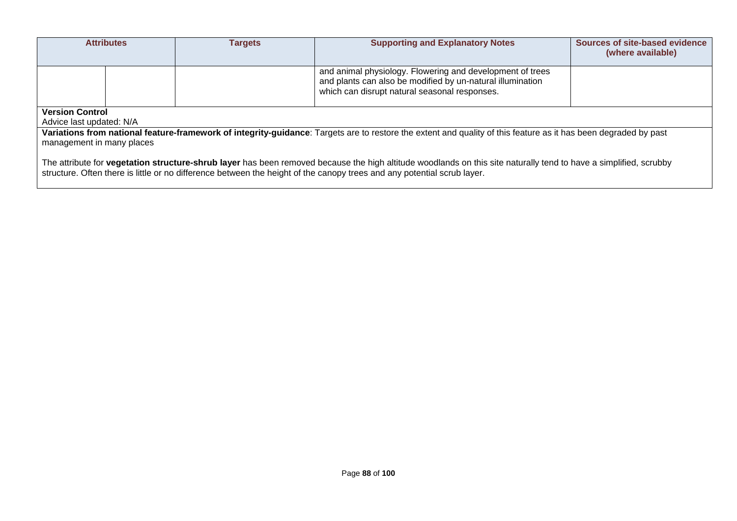| <b>Attributes</b>                                                                                                                                                                                                                                                                            |  | <b>Targets</b> | <b>Supporting and Explanatory Notes</b>                                                                                                                                  | Sources of site-based evidence<br>(where available) |  |  |
|----------------------------------------------------------------------------------------------------------------------------------------------------------------------------------------------------------------------------------------------------------------------------------------------|--|----------------|--------------------------------------------------------------------------------------------------------------------------------------------------------------------------|-----------------------------------------------------|--|--|
|                                                                                                                                                                                                                                                                                              |  |                | and animal physiology. Flowering and development of trees<br>and plants can also be modified by un-natural illumination<br>which can disrupt natural seasonal responses. |                                                     |  |  |
| <b>Version Control</b>                                                                                                                                                                                                                                                                       |  |                |                                                                                                                                                                          |                                                     |  |  |
| Advice last updated: N/A                                                                                                                                                                                                                                                                     |  |                |                                                                                                                                                                          |                                                     |  |  |
|                                                                                                                                                                                                                                                                                              |  |                | Variations from national feature-framework of integrity-guidance: Targets are to restore the extent and quality of this feature as it has been degraded by past          |                                                     |  |  |
| management in many places                                                                                                                                                                                                                                                                    |  |                |                                                                                                                                                                          |                                                     |  |  |
| The attribute for vegetation structure-shrub layer has been removed because the high altitude woodlands on this site naturally tend to have a simplified, scrubby<br>structure. Often there is little or no difference between the height of the canopy trees and any potential scrub layer. |  |                |                                                                                                                                                                          |                                                     |  |  |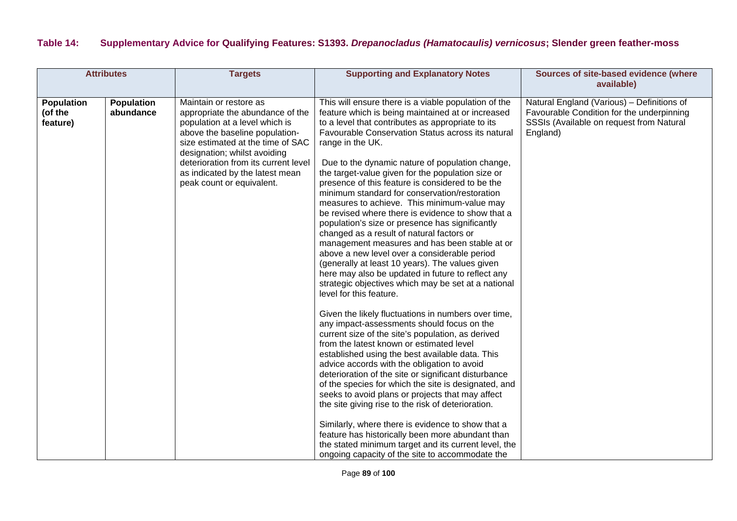### **Table 14: Supplementary Advice for Qualifying Features: S1393.** *Drepanocladus (Hamatocaulis) vernicosus***; Slender green feather-moss**

| <b>Attributes</b>                        |                                | <b>Targets</b>                                                                                                                                                                                                                                                                                              | <b>Supporting and Explanatory Notes</b>                                                                                                                                                                                                                                                                                                                                                                                                                                                                                                                                                                                                                                                                                                                                                                                                                                                                                                                                                                                                                                                                                                                                                                                                                                                                                                                                                                                                                                                                                                                                                                                                                                                                   | Sources of site-based evidence (where<br>available)                                                                                             |
|------------------------------------------|--------------------------------|-------------------------------------------------------------------------------------------------------------------------------------------------------------------------------------------------------------------------------------------------------------------------------------------------------------|-----------------------------------------------------------------------------------------------------------------------------------------------------------------------------------------------------------------------------------------------------------------------------------------------------------------------------------------------------------------------------------------------------------------------------------------------------------------------------------------------------------------------------------------------------------------------------------------------------------------------------------------------------------------------------------------------------------------------------------------------------------------------------------------------------------------------------------------------------------------------------------------------------------------------------------------------------------------------------------------------------------------------------------------------------------------------------------------------------------------------------------------------------------------------------------------------------------------------------------------------------------------------------------------------------------------------------------------------------------------------------------------------------------------------------------------------------------------------------------------------------------------------------------------------------------------------------------------------------------------------------------------------------------------------------------------------------------|-------------------------------------------------------------------------------------------------------------------------------------------------|
| <b>Population</b><br>(of the<br>feature) | <b>Population</b><br>abundance | Maintain or restore as<br>appropriate the abundance of the<br>population at a level which is<br>above the baseline population-<br>size estimated at the time of SAC<br>designation; whilst avoiding<br>deterioration from its current level<br>as indicated by the latest mean<br>peak count or equivalent. | This will ensure there is a viable population of the<br>feature which is being maintained at or increased<br>to a level that contributes as appropriate to its<br>Favourable Conservation Status across its natural<br>range in the UK.<br>Due to the dynamic nature of population change,<br>the target-value given for the population size or<br>presence of this feature is considered to be the<br>minimum standard for conservation/restoration<br>measures to achieve. This minimum-value may<br>be revised where there is evidence to show that a<br>population's size or presence has significantly<br>changed as a result of natural factors or<br>management measures and has been stable at or<br>above a new level over a considerable period<br>(generally at least 10 years). The values given<br>here may also be updated in future to reflect any<br>strategic objectives which may be set at a national<br>level for this feature.<br>Given the likely fluctuations in numbers over time,<br>any impact-assessments should focus on the<br>current size of the site's population, as derived<br>from the latest known or estimated level<br>established using the best available data. This<br>advice accords with the obligation to avoid<br>deterioration of the site or significant disturbance<br>of the species for which the site is designated, and<br>seeks to avoid plans or projects that may affect<br>the site giving rise to the risk of deterioration.<br>Similarly, where there is evidence to show that a<br>feature has historically been more abundant than<br>the stated minimum target and its current level, the<br>ongoing capacity of the site to accommodate the | Natural England (Various) - Definitions of<br>Favourable Condition for the underpinning<br>SSSIs (Available on request from Natural<br>England) |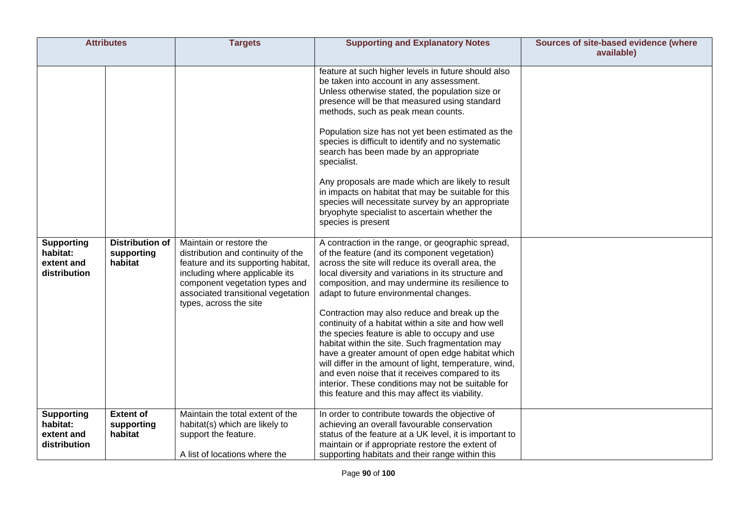| <b>Attributes</b>                                                                |                                                                     | <b>Targets</b>                                                                                                                                                                                                                                                               | <b>Supporting and Explanatory Notes</b>                                                                                                                                                                                                                                                                                                                                                                                                                                                                                                                                                                                                                                                                                                                                                                                                                                                                                                                                                                                                                                                                                                                                                                                                                                                                                                                                                                                                                                                                      | Sources of site-based evidence (where<br>available) |
|----------------------------------------------------------------------------------|---------------------------------------------------------------------|------------------------------------------------------------------------------------------------------------------------------------------------------------------------------------------------------------------------------------------------------------------------------|--------------------------------------------------------------------------------------------------------------------------------------------------------------------------------------------------------------------------------------------------------------------------------------------------------------------------------------------------------------------------------------------------------------------------------------------------------------------------------------------------------------------------------------------------------------------------------------------------------------------------------------------------------------------------------------------------------------------------------------------------------------------------------------------------------------------------------------------------------------------------------------------------------------------------------------------------------------------------------------------------------------------------------------------------------------------------------------------------------------------------------------------------------------------------------------------------------------------------------------------------------------------------------------------------------------------------------------------------------------------------------------------------------------------------------------------------------------------------------------------------------------|-----------------------------------------------------|
| <b>Supporting</b><br>habitat:<br>extent and<br>distribution<br><b>Supporting</b> | <b>Distribution of</b><br>supporting<br>habitat<br><b>Extent of</b> | Maintain or restore the<br>distribution and continuity of the<br>feature and its supporting habitat,<br>including where applicable its<br>component vegetation types and<br>associated transitional vegetation<br>types, across the site<br>Maintain the total extent of the | feature at such higher levels in future should also<br>be taken into account in any assessment.<br>Unless otherwise stated, the population size or<br>presence will be that measured using standard<br>methods, such as peak mean counts.<br>Population size has not yet been estimated as the<br>species is difficult to identify and no systematic<br>search has been made by an appropriate<br>specialist.<br>Any proposals are made which are likely to result<br>in impacts on habitat that may be suitable for this<br>species will necessitate survey by an appropriate<br>bryophyte specialist to ascertain whether the<br>species is present<br>A contraction in the range, or geographic spread,<br>of the feature (and its component vegetation)<br>across the site will reduce its overall area, the<br>local diversity and variations in its structure and<br>composition, and may undermine its resilience to<br>adapt to future environmental changes.<br>Contraction may also reduce and break up the<br>continuity of a habitat within a site and how well<br>the species feature is able to occupy and use<br>habitat within the site. Such fragmentation may<br>have a greater amount of open edge habitat which<br>will differ in the amount of light, temperature, wind,<br>and even noise that it receives compared to its<br>interior. These conditions may not be suitable for<br>this feature and this may affect its viability.<br>In order to contribute towards the objective of |                                                     |
| habitat:<br>extent and<br>distribution                                           | supporting<br>habitat                                               | habitat(s) which are likely to<br>support the feature.                                                                                                                                                                                                                       | achieving an overall favourable conservation<br>status of the feature at a UK level, it is important to<br>maintain or if appropriate restore the extent of                                                                                                                                                                                                                                                                                                                                                                                                                                                                                                                                                                                                                                                                                                                                                                                                                                                                                                                                                                                                                                                                                                                                                                                                                                                                                                                                                  |                                                     |
|                                                                                  |                                                                     | A list of locations where the                                                                                                                                                                                                                                                | supporting habitats and their range within this                                                                                                                                                                                                                                                                                                                                                                                                                                                                                                                                                                                                                                                                                                                                                                                                                                                                                                                                                                                                                                                                                                                                                                                                                                                                                                                                                                                                                                                              |                                                     |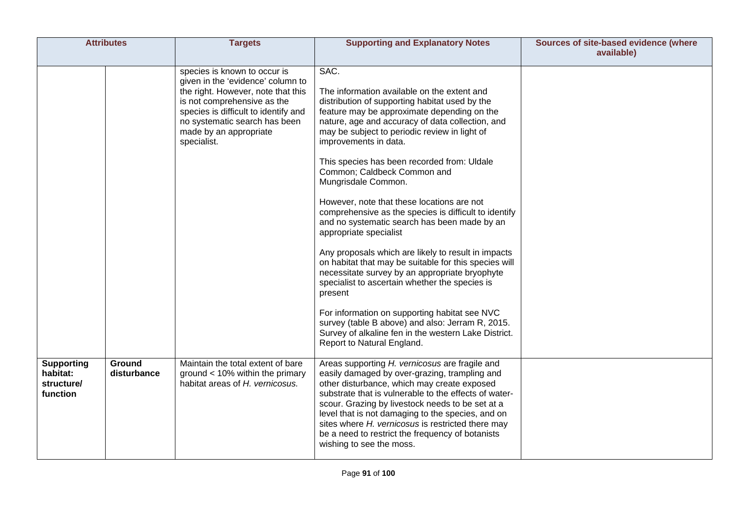|                                                         | <b>Attributes</b>     | <b>Targets</b>                                                                                                                                                                                                                                           | <b>Supporting and Explanatory Notes</b>                                                                                                                                                                                                                                                                                                                                                                                                                                                                                                                                                                                                                                                                                                                                                                                                                                                                                                                                                            | Sources of site-based evidence (where<br>available) |
|---------------------------------------------------------|-----------------------|----------------------------------------------------------------------------------------------------------------------------------------------------------------------------------------------------------------------------------------------------------|----------------------------------------------------------------------------------------------------------------------------------------------------------------------------------------------------------------------------------------------------------------------------------------------------------------------------------------------------------------------------------------------------------------------------------------------------------------------------------------------------------------------------------------------------------------------------------------------------------------------------------------------------------------------------------------------------------------------------------------------------------------------------------------------------------------------------------------------------------------------------------------------------------------------------------------------------------------------------------------------------|-----------------------------------------------------|
|                                                         |                       | species is known to occur is<br>given in the 'evidence' column to<br>the right. However, note that this<br>is not comprehensive as the<br>species is difficult to identify and<br>no systematic search has been<br>made by an appropriate<br>specialist. | SAC.<br>The information available on the extent and<br>distribution of supporting habitat used by the<br>feature may be approximate depending on the<br>nature, age and accuracy of data collection, and<br>may be subject to periodic review in light of<br>improvements in data.<br>This species has been recorded from: Uldale<br>Common; Caldbeck Common and<br>Mungrisdale Common.<br>However, note that these locations are not<br>comprehensive as the species is difficult to identify<br>and no systematic search has been made by an<br>appropriate specialist<br>Any proposals which are likely to result in impacts<br>on habitat that may be suitable for this species will<br>necessitate survey by an appropriate bryophyte<br>specialist to ascertain whether the species is<br>present<br>For information on supporting habitat see NVC<br>survey (table B above) and also: Jerram R, 2015.<br>Survey of alkaline fen in the western Lake District.<br>Report to Natural England. |                                                     |
| <b>Supporting</b><br>habitat:<br>structure/<br>function | Ground<br>disturbance | Maintain the total extent of bare<br>ground $< 10\%$ within the primary<br>habitat areas of H. vernicosus.                                                                                                                                               | Areas supporting H. vernicosus are fragile and<br>easily damaged by over-grazing, trampling and<br>other disturbance, which may create exposed<br>substrate that is vulnerable to the effects of water-<br>scour. Grazing by livestock needs to be set at a<br>level that is not damaging to the species, and on<br>sites where H. vernicosus is restricted there may<br>be a need to restrict the frequency of botanists<br>wishing to see the moss.                                                                                                                                                                                                                                                                                                                                                                                                                                                                                                                                              |                                                     |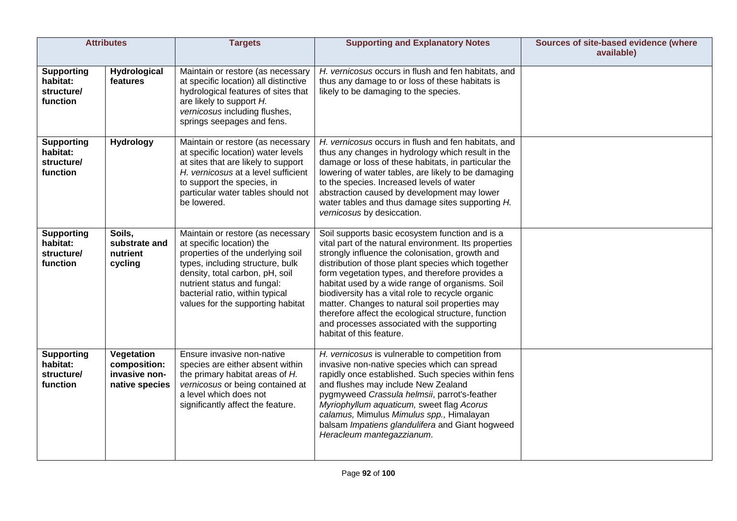|                                                         | <b>Attributes</b>                                             | <b>Targets</b>                                                                                                                                                                                                                                                                    | <b>Supporting and Explanatory Notes</b>                                                                                                                                                                                                                                                                                                                                                                                                                                                                                                                          | Sources of site-based evidence (where<br>available) |
|---------------------------------------------------------|---------------------------------------------------------------|-----------------------------------------------------------------------------------------------------------------------------------------------------------------------------------------------------------------------------------------------------------------------------------|------------------------------------------------------------------------------------------------------------------------------------------------------------------------------------------------------------------------------------------------------------------------------------------------------------------------------------------------------------------------------------------------------------------------------------------------------------------------------------------------------------------------------------------------------------------|-----------------------------------------------------|
| <b>Supporting</b><br>habitat:<br>structure/<br>function | Hydrological<br>features                                      | Maintain or restore (as necessary<br>at specific location) all distinctive<br>hydrological features of sites that<br>are likely to support H.<br>vernicosus including flushes,<br>springs seepages and fens.                                                                      | H. vernicosus occurs in flush and fen habitats, and<br>thus any damage to or loss of these habitats is<br>likely to be damaging to the species.                                                                                                                                                                                                                                                                                                                                                                                                                  |                                                     |
| <b>Supporting</b><br>habitat:<br>structure/<br>function | <b>Hydrology</b>                                              | Maintain or restore (as necessary<br>at specific location) water levels<br>at sites that are likely to support<br>H. vernicosus at a level sufficient<br>to support the species, in<br>particular water tables should not<br>be lowered.                                          | H. vernicosus occurs in flush and fen habitats, and<br>thus any changes in hydrology which result in the<br>damage or loss of these habitats, in particular the<br>lowering of water tables, are likely to be damaging<br>to the species. Increased levels of water<br>abstraction caused by development may lower<br>water tables and thus damage sites supporting H.<br>vernicosus by desiccation.                                                                                                                                                             |                                                     |
| <b>Supporting</b><br>habitat:<br>structure/<br>function | Soils,<br>substrate and<br>nutrient<br>cycling                | Maintain or restore (as necessary<br>at specific location) the<br>properties of the underlying soil<br>types, including structure, bulk<br>density, total carbon, pH, soil<br>nutrient status and fungal:<br>bacterial ratio, within typical<br>values for the supporting habitat | Soil supports basic ecosystem function and is a<br>vital part of the natural environment. Its properties<br>strongly influence the colonisation, growth and<br>distribution of those plant species which together<br>form vegetation types, and therefore provides a<br>habitat used by a wide range of organisms. Soil<br>biodiversity has a vital role to recycle organic<br>matter. Changes to natural soil properties may<br>therefore affect the ecological structure, function<br>and processes associated with the supporting<br>habitat of this feature. |                                                     |
| <b>Supporting</b><br>habitat:<br>structure/<br>function | Vegetation<br>composition:<br>invasive non-<br>native species | Ensure invasive non-native<br>species are either absent within<br>the primary habitat areas of H.<br>vernicosus or being contained at<br>a level which does not<br>significantly affect the feature.                                                                              | H. vernicosus is vulnerable to competition from<br>invasive non-native species which can spread<br>rapidly once established. Such species within fens<br>and flushes may include New Zealand<br>pygmyweed Crassula helmsii, parrot's-feather<br>Myriophyllum aquaticum, sweet flag Acorus<br>calamus, Mimulus Mimulus spp., Himalayan<br>balsam Impatiens glandulifera and Giant hogweed<br>Heracleum mantegazzianum.                                                                                                                                            |                                                     |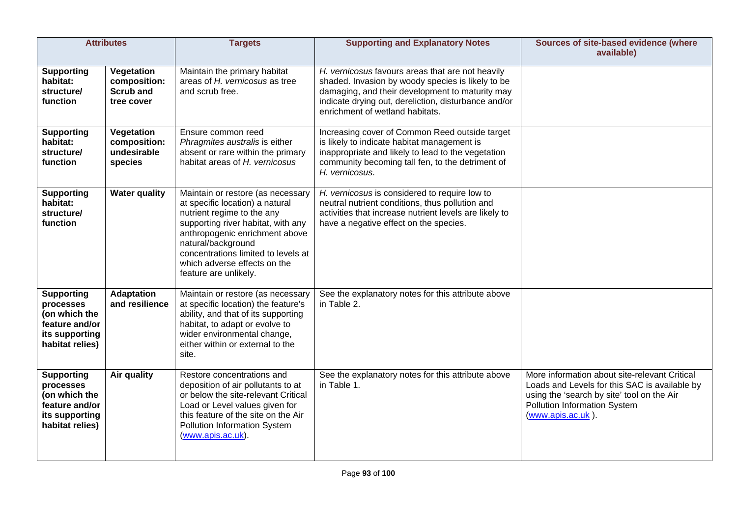|                                                                                                        | <b>Attributes</b>                                            | <b>Targets</b>                                                                                                                                                                                                                                                                                   | <b>Supporting and Explanatory Notes</b>                                                                                                                                                                                                             | Sources of site-based evidence (where<br>available)                                                                                                                                               |
|--------------------------------------------------------------------------------------------------------|--------------------------------------------------------------|--------------------------------------------------------------------------------------------------------------------------------------------------------------------------------------------------------------------------------------------------------------------------------------------------|-----------------------------------------------------------------------------------------------------------------------------------------------------------------------------------------------------------------------------------------------------|---------------------------------------------------------------------------------------------------------------------------------------------------------------------------------------------------|
| <b>Supporting</b><br>habitat:<br>structure/<br>function                                                | Vegetation<br>composition:<br><b>Scrub and</b><br>tree cover | Maintain the primary habitat<br>areas of H. vernicosus as tree<br>and scrub free.                                                                                                                                                                                                                | H. vernicosus favours areas that are not heavily<br>shaded. Invasion by woody species is likely to be<br>damaging, and their development to maturity may<br>indicate drying out, dereliction, disturbance and/or<br>enrichment of wetland habitats. |                                                                                                                                                                                                   |
| <b>Supporting</b><br>habitat:<br>structure/<br>function                                                | Vegetation<br>composition:<br>undesirable<br>species         | Ensure common reed<br>Phragmites australis is either<br>absent or rare within the primary<br>habitat areas of H. vernicosus                                                                                                                                                                      | Increasing cover of Common Reed outside target<br>is likely to indicate habitat management is<br>inappropriate and likely to lead to the vegetation<br>community becoming tall fen, to the detriment of<br>H. vernicosus.                           |                                                                                                                                                                                                   |
| <b>Supporting</b><br>habitat:<br>structure/<br>function                                                | <b>Water quality</b>                                         | Maintain or restore (as necessary<br>at specific location) a natural<br>nutrient regime to the any<br>supporting river habitat, with any<br>anthropogenic enrichment above<br>natural/background<br>concentrations limited to levels at<br>which adverse effects on the<br>feature are unlikely. | H. vernicosus is considered to require low to<br>neutral nutrient conditions, thus pollution and<br>activities that increase nutrient levels are likely to<br>have a negative effect on the species.                                                |                                                                                                                                                                                                   |
| <b>Supporting</b><br>processes<br>(on which the<br>feature and/or<br>its supporting<br>habitat relies) | <b>Adaptation</b><br>and resilience                          | Maintain or restore (as necessary<br>at specific location) the feature's<br>ability, and that of its supporting<br>habitat, to adapt or evolve to<br>wider environmental change,<br>either within or external to the<br>site.                                                                    | See the explanatory notes for this attribute above<br>in Table 2.                                                                                                                                                                                   |                                                                                                                                                                                                   |
| <b>Supporting</b><br>processes<br>(on which the<br>feature and/or<br>its supporting<br>habitat relies) | <b>Air quality</b>                                           | Restore concentrations and<br>deposition of air pollutants to at<br>or below the site-relevant Critical<br>Load or Level values given for<br>this feature of the site on the Air<br>Pollution Information System<br>(www.apis.ac.uk).                                                            | See the explanatory notes for this attribute above<br>in Table 1.                                                                                                                                                                                   | More information about site-relevant Critical<br>Loads and Levels for this SAC is available by<br>using the 'search by site' tool on the Air<br>Pollution Information System<br>(www.apis.ac.uk). |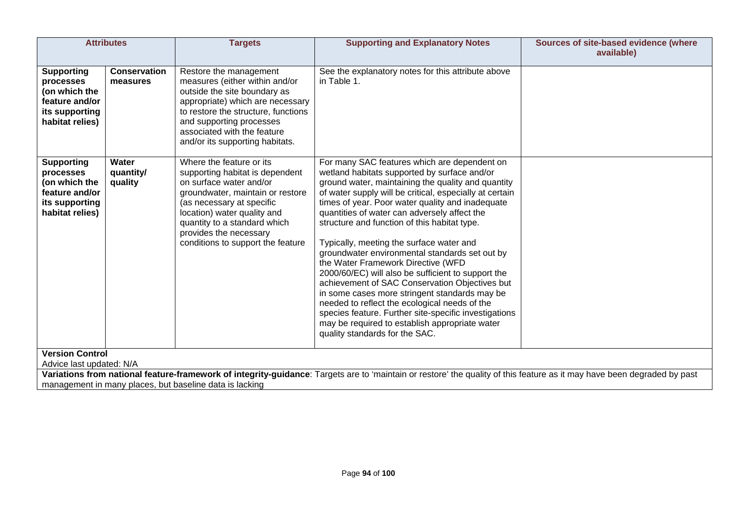|                                                                                                                                                                                                                                    | <b>Attributes</b>               | <b>Targets</b>                                                                                                                                                                                                                                                                        | <b>Supporting and Explanatory Notes</b>                                                                                                                                                                                                                                                                                                                                                                                                                                                                                                                                                                                                                                                                                                                                                                                                                      | Sources of site-based evidence (where<br>available) |  |  |
|------------------------------------------------------------------------------------------------------------------------------------------------------------------------------------------------------------------------------------|---------------------------------|---------------------------------------------------------------------------------------------------------------------------------------------------------------------------------------------------------------------------------------------------------------------------------------|--------------------------------------------------------------------------------------------------------------------------------------------------------------------------------------------------------------------------------------------------------------------------------------------------------------------------------------------------------------------------------------------------------------------------------------------------------------------------------------------------------------------------------------------------------------------------------------------------------------------------------------------------------------------------------------------------------------------------------------------------------------------------------------------------------------------------------------------------------------|-----------------------------------------------------|--|--|
| <b>Supporting</b><br>processes<br>(on which the<br>feature and/or<br>its supporting<br>habitat relies)                                                                                                                             | <b>Conservation</b><br>measures | Restore the management<br>measures (either within and/or<br>outside the site boundary as<br>appropriate) which are necessary<br>to restore the structure, functions<br>and supporting processes<br>associated with the feature<br>and/or its supporting habitats.                     | See the explanatory notes for this attribute above<br>in Table 1.                                                                                                                                                                                                                                                                                                                                                                                                                                                                                                                                                                                                                                                                                                                                                                                            |                                                     |  |  |
| <b>Supporting</b><br>processes<br>(on which the<br>feature and/or<br>its supporting<br>habitat relies)                                                                                                                             | Water<br>quantity/<br>quality   | Where the feature or its<br>supporting habitat is dependent<br>on surface water and/or<br>groundwater, maintain or restore<br>(as necessary at specific<br>location) water quality and<br>quantity to a standard which<br>provides the necessary<br>conditions to support the feature | For many SAC features which are dependent on<br>wetland habitats supported by surface and/or<br>ground water, maintaining the quality and quantity<br>of water supply will be critical, especially at certain<br>times of year. Poor water quality and inadequate<br>quantities of water can adversely affect the<br>structure and function of this habitat type.<br>Typically, meeting the surface water and<br>groundwater environmental standards set out by<br>the Water Framework Directive (WFD<br>2000/60/EC) will also be sufficient to support the<br>achievement of SAC Conservation Objectives but<br>in some cases more stringent standards may be<br>needed to reflect the ecological needs of the<br>species feature. Further site-specific investigations<br>may be required to establish appropriate water<br>quality standards for the SAC. |                                                     |  |  |
| <b>Version Control</b><br>Advice last updated: N/A                                                                                                                                                                                 |                                 |                                                                                                                                                                                                                                                                                       |                                                                                                                                                                                                                                                                                                                                                                                                                                                                                                                                                                                                                                                                                                                                                                                                                                                              |                                                     |  |  |
| Variations from national feature-framework of integrity-guidance: Targets are to 'maintain or restore' the quality of this feature as it may have been degraded by past<br>management in many places, but baseline data is lacking |                                 |                                                                                                                                                                                                                                                                                       |                                                                                                                                                                                                                                                                                                                                                                                                                                                                                                                                                                                                                                                                                                                                                                                                                                                              |                                                     |  |  |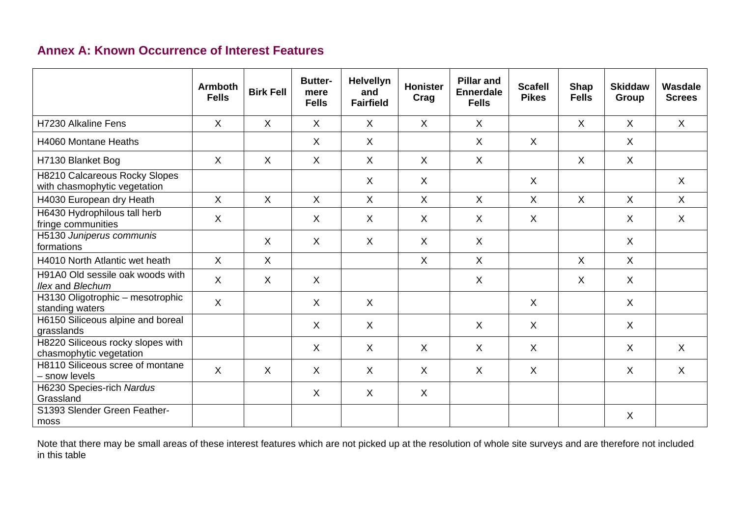## **Annex A: Known Occurrence of Interest Features**

|                                                               | <b>Armboth</b><br><b>Fells</b> | <b>Birk Fell</b> | <b>Butter-</b><br>mere<br><b>Fells</b> | <b>Helvellyn</b><br>and<br><b>Fairfield</b> | Honister<br>Crag | <b>Pillar and</b><br><b>Ennerdale</b><br><b>Fells</b> | <b>Scafell</b><br><b>Pikes</b> | <b>Shap</b><br><b>Fells</b> | <b>Skiddaw</b><br>Group | Wasdale<br><b>Screes</b> |
|---------------------------------------------------------------|--------------------------------|------------------|----------------------------------------|---------------------------------------------|------------------|-------------------------------------------------------|--------------------------------|-----------------------------|-------------------------|--------------------------|
| H7230 Alkaline Fens                                           | $\sf X$                        | $\mathsf{X}$     | X                                      | $\sf X$                                     | $\sf X$          | X                                                     |                                | X                           | $\mathsf{X}$            | $\mathsf{X}$             |
| H4060 Montane Heaths                                          |                                |                  | X                                      | $\sf X$                                     |                  | X                                                     | X                              |                             | X                       |                          |
| H7130 Blanket Bog                                             | $\sf X$                        | $\sf X$          | X                                      | $\sf X$                                     | $\sf X$          | X                                                     |                                | $\sf X$                     | X                       |                          |
| H8210 Calcareous Rocky Slopes<br>with chasmophytic vegetation |                                |                  |                                        | $\sf X$                                     | $\sf X$          |                                                       | $\sf X$                        |                             |                         | $\mathsf{X}$             |
| H4030 European dry Heath                                      | $\sf X$                        | $\mathsf{X}$     | $\sf X$                                | $\sf X$                                     | $\sf X$          | $\mathsf{X}$                                          | $\sf X$                        | $\sf X$                     | $\sf X$                 | $\mathsf{X}$             |
| H6430 Hydrophilous tall herb<br>fringe communities            | $\sf X$                        |                  | X                                      | $\sf X$                                     | $\sf X$          | X                                                     | $\sf X$                        |                             | X                       | $\mathsf{X}$             |
| H5130 Juniperus communis<br>formations                        |                                | $\sf X$          | X                                      | $\sf X$                                     | $\sf X$          | $\sf X$                                               |                                |                             | X                       |                          |
| H4010 North Atlantic wet heath                                | $\sf X$                        | $\mathsf{X}$     |                                        |                                             | $\sf X$          | $\sf X$                                               |                                | $\sf X$                     | $\mathsf{X}$            |                          |
| H91A0 Old sessile oak woods with<br>Ilex and Blechum          | $\sf X$                        | $\mathsf{X}$     | X                                      |                                             |                  | X                                                     |                                | X                           | X                       |                          |
| H3130 Oligotrophic - mesotrophic<br>standing waters           | $\mathsf{X}$                   |                  | X                                      | $\sf X$                                     |                  |                                                       | $\sf X$                        |                             | X                       |                          |
| H6150 Siliceous alpine and boreal<br>grasslands               |                                |                  | X                                      | $\sf X$                                     |                  | $\sf X$                                               | $\sf X$                        |                             | X                       |                          |
| H8220 Siliceous rocky slopes with<br>chasmophytic vegetation  |                                |                  | X                                      | $\sf X$                                     | $\sf X$          | X                                                     | X                              |                             | X                       | X                        |
| H8110 Siliceous scree of montane<br>- snow levels             | $\sf X$                        | $\mathsf{X}$     | X                                      | $\sf X$                                     | $\sf X$          | $\sf X$                                               | $\sf X$                        |                             | $\sf X$                 | $\sf X$                  |
| H6230 Species-rich Nardus<br>Grassland                        |                                |                  | X                                      | $\sf X$                                     | $\sf X$          |                                                       |                                |                             |                         |                          |
| S1393 Slender Green Feather-<br>moss                          |                                |                  |                                        |                                             |                  |                                                       |                                |                             | X                       |                          |

Note that there may be small areas of these interest features which are not picked up at the resolution of whole site surveys and are therefore not included in this table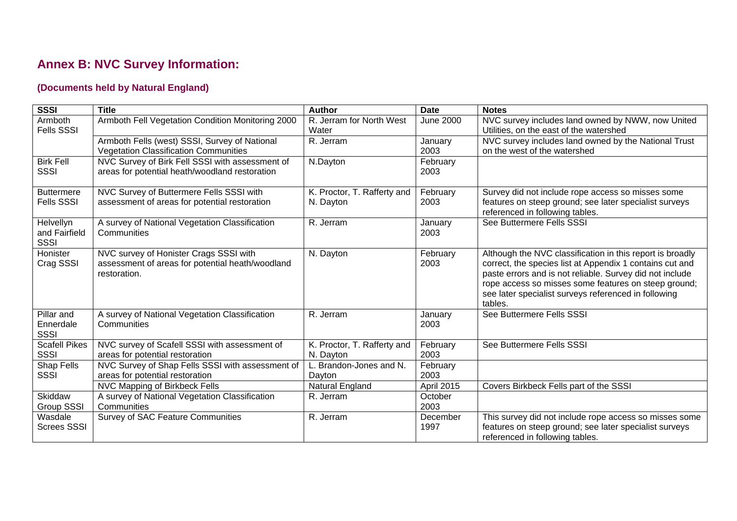# **Annex B: NVC Survey Information:**

### **(Documents held by Natural England)**

| <b>SSSI</b>                         | <b>Title</b>                                                                                      | <b>Author</b>                            | <b>Date</b>      | <b>Notes</b>                                              |
|-------------------------------------|---------------------------------------------------------------------------------------------------|------------------------------------------|------------------|-----------------------------------------------------------|
| Armboth                             | Armboth Fell Vegetation Condition Monitoring 2000                                                 | R. Jerram for North West                 | <b>June 2000</b> | NVC survey includes land owned by NWW, now United         |
| <b>Fells SSSI</b>                   |                                                                                                   | Water                                    |                  | Utilities, on the east of the watershed                   |
|                                     | Armboth Fells (west) SSSI, Survey of National                                                     | R. Jerram                                | January          | NVC survey includes land owned by the National Trust      |
|                                     | <b>Vegetation Classification Communities</b>                                                      |                                          | 2003             | on the west of the watershed                              |
| <b>Birk Fell</b><br>SSSI            | NVC Survey of Birk Fell SSSI with assessment of<br>areas for potential heath/woodland restoration | N.Dayton                                 | February<br>2003 |                                                           |
|                                     |                                                                                                   |                                          |                  |                                                           |
| <b>Buttermere</b>                   | NVC Survey of Buttermere Fells SSSI with                                                          | K. Proctor, T. Rafferty and              | February         | Survey did not include rope access so misses some         |
| <b>Fells SSSI</b>                   | assessment of areas for potential restoration                                                     | N. Dayton                                | 2003             | features on steep ground; see later specialist surveys    |
|                                     |                                                                                                   |                                          |                  | referenced in following tables.                           |
| Helvellyn                           | A survey of National Vegetation Classification                                                    | R. Jerram                                | January          | See Buttermere Fells SSSI                                 |
| and Fairfield<br><b>SSSI</b>        | Communities                                                                                       |                                          | 2003             |                                                           |
| Honister                            | NVC survey of Honister Crags SSSI with                                                            | N. Dayton                                | February         | Although the NVC classification in this report is broadly |
| Crag SSSI                           | assessment of areas for potential heath/woodland                                                  |                                          | 2003             | correct, the species list at Appendix 1 contains cut and  |
|                                     | restoration.                                                                                      |                                          |                  | paste errors and is not reliable. Survey did not include  |
|                                     |                                                                                                   |                                          |                  | rope access so misses some features on steep ground;      |
|                                     |                                                                                                   |                                          |                  | see later specialist surveys referenced in following      |
|                                     |                                                                                                   |                                          |                  | tables.                                                   |
| Pillar and                          | A survey of National Vegetation Classification                                                    | R. Jerram                                | January          | See Buttermere Fells SSSI                                 |
| Ennerdale                           | Communities                                                                                       |                                          | 2003             |                                                           |
| <b>SSSI</b>                         |                                                                                                   |                                          |                  |                                                           |
| <b>Scafell Pikes</b><br><b>SSSI</b> | NVC survey of Scafell SSSI with assessment of<br>areas for potential restoration                  | K. Proctor, T. Rafferty and<br>N. Dayton | February<br>2003 | See Buttermere Fells SSSI                                 |
| Shap Fells                          | NVC Survey of Shap Fells SSSI with assessment of                                                  | L. Brandon-Jones and N.                  | February         |                                                           |
| <b>SSSI</b>                         | areas for potential restoration                                                                   | Dayton                                   | 2003             |                                                           |
|                                     | NVC Mapping of Birkbeck Fells                                                                     | Natural England                          | April 2015       | Covers Birkbeck Fells part of the SSSI                    |
| Skiddaw                             | A survey of National Vegetation Classification                                                    | R. Jerram                                | October          |                                                           |
| <b>Group SSSI</b>                   | Communities                                                                                       |                                          | 2003             |                                                           |
| Wasdale                             | <b>Survey of SAC Feature Communities</b>                                                          | R. Jerram                                | December         | This survey did not include rope access so misses some    |
| <b>Screes SSSI</b>                  |                                                                                                   |                                          | 1997             | features on steep ground; see later specialist surveys    |
|                                     |                                                                                                   |                                          |                  | referenced in following tables.                           |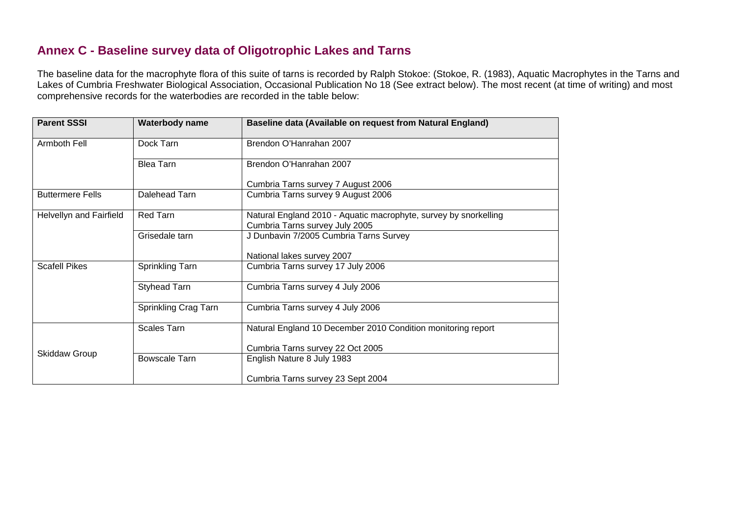### **Annex C - Baseline survey data of Oligotrophic Lakes and Tarns**

The baseline data for the macrophyte flora of this suite of tarns is recorded by Ralph Stokoe: (Stokoe, R. (1983), Aquatic Macrophytes in the Tarns and Lakes of Cumbria Freshwater Biological Association, Occasional Publication No 18 (See extract below). The most recent (at time of writing) and most comprehensive records for the waterbodies are recorded in the table below:

| <b>Parent SSSI</b>      | Waterbody name       | Baseline data (Available on request from Natural England)        |
|-------------------------|----------------------|------------------------------------------------------------------|
| Armboth Fell            | Dock Tarn            | Brendon O'Hanrahan 2007                                          |
|                         | <b>Blea Tarn</b>     | Brendon O'Hanrahan 2007                                          |
|                         |                      | Cumbria Tarns survey 7 August 2006                               |
| <b>Buttermere Fells</b> | Dalehead Tarn        | Cumbria Tarns survey 9 August 2006                               |
| Helvellyn and Fairfield | Red Tarn             | Natural England 2010 - Aquatic macrophyte, survey by snorkelling |
|                         |                      | Cumbria Tarns survey July 2005                                   |
|                         | Grisedale tarn       | J Dunbavin 7/2005 Cumbria Tarns Survey                           |
|                         |                      | National lakes survey 2007                                       |
| <b>Scafell Pikes</b>    | Sprinkling Tarn      | Cumbria Tarns survey 17 July 2006                                |
|                         | <b>Styhead Tarn</b>  | Cumbria Tarns survey 4 July 2006                                 |
|                         | Sprinkling Crag Tarn | Cumbria Tarns survey 4 July 2006                                 |
|                         | <b>Scales Tarn</b>   | Natural England 10 December 2010 Condition monitoring report     |
| <b>Skiddaw Group</b>    |                      | Cumbria Tarns survey 22 Oct 2005                                 |
|                         | <b>Bowscale Tarn</b> | English Nature 8 July 1983                                       |
|                         |                      | Cumbria Tarns survey 23 Sept 2004                                |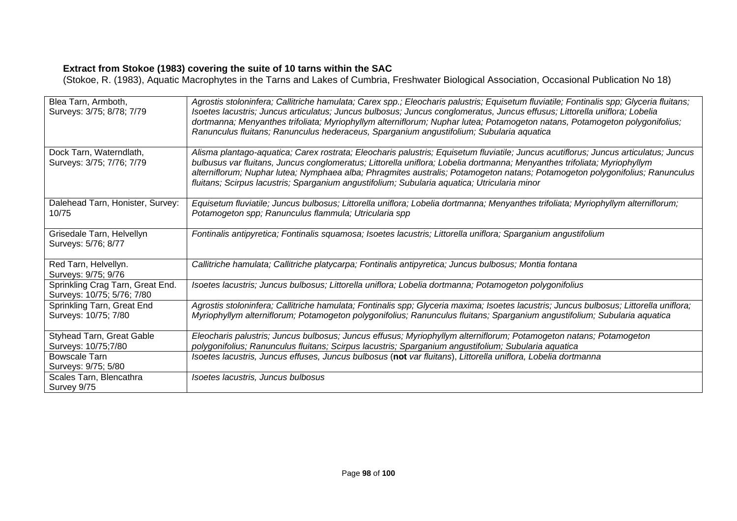#### **Extract from Stokoe (1983) covering the suite of 10 tarns within the SAC**

(Stokoe, R. (1983), Aquatic Macrophytes in the Tarns and Lakes of Cumbria, Freshwater Biological Association, Occasional Publication No 18)

| Blea Tarn, Armboth,<br>Surveys: 3/75; 8/78; 7/79               | Agrostis stoloninfera; Callitriche hamulata; Carex spp.; Eleocharis palustris; Equisetum fluviatile; Fontinalis spp; Glyceria fluitans;<br>Isoetes lacustris; Juncus articulatus; Juncus bulbosus; Juncus conglomeratus, Juncus effusus; Littorella uniflora; Lobelia<br>dortmanna; Menyanthes trifoliata; Myriophyllym alterniflorum; Nuphar lutea; Potamogeton natans, Potamogeton polygonifolius;<br>Ranunculus fluitans; Ranunculus hederaceus, Sparganium angustifolium; Subularia aquatica |
|----------------------------------------------------------------|--------------------------------------------------------------------------------------------------------------------------------------------------------------------------------------------------------------------------------------------------------------------------------------------------------------------------------------------------------------------------------------------------------------------------------------------------------------------------------------------------|
| Dock Tarn, Waterndlath,<br>Surveys: 3/75; 7/76; 7/79           | Alisma plantago-aquatica; Carex rostrata; Eleocharis palustris; Equisetum fluviatile; Juncus acutiflorus; Juncus articulatus; Juncus<br>bulbusus var fluitans, Juncus conglomeratus; Littorella uniflora; Lobelia dortmanna; Menyanthes trifoliata; Myriophyllym<br>alterniflorum; Nuphar lutea; Nymphaea alba; Phragmites australis; Potamogeton natans; Potamogeton polygonifolius; Ranunculus<br>fluitans; Scirpus lacustris; Sparganium angustifolium; Subularia aquatica; Utricularia minor |
| Dalehead Tarn, Honister, Survey:<br>10/75                      | Equisetum fluviatile; Juncus bulbosus; Littorella uniflora; Lobelia dortmanna; Menyanthes trifoliata; Myriophyllym alterniflorum;<br>Potamogeton spp; Ranunculus flammula; Utricularia spp                                                                                                                                                                                                                                                                                                       |
| Grisedale Tarn, Helvellyn<br>Surveys: 5/76; 8/77               | Fontinalis antipyretica; Fontinalis squamosa; Isoetes lacustris; Littorella uniflora; Sparganium angustifolium                                                                                                                                                                                                                                                                                                                                                                                   |
| Red Tarn, Helvellyn.<br>Surveys: 9/75; 9/76                    | Callitriche hamulata; Callitriche platycarpa; Fontinalis antipyretica; Juncus bulbosus; Montia fontana                                                                                                                                                                                                                                                                                                                                                                                           |
| Sprinkling Crag Tarn, Great End.<br>Surveys: 10/75; 5/76; 7/80 | Isoetes lacustris; Juncus bulbosus; Littorella uniflora; Lobelia dortmanna; Potamogeton polygonifolius                                                                                                                                                                                                                                                                                                                                                                                           |
| Sprinkling Tarn, Great End<br>Surveys: 10/75; 7/80             | Agrostis stoloninfera; Callitriche hamulata; Fontinalis spp; Glyceria maxima; Isoetes lacustris; Juncus bulbosus; Littorella uniflora;<br>Myriophyllym alterniflorum; Potamogeton polygonifolius; Ranunculus fluitans; Sparganium angustifolium; Subularia aquatica                                                                                                                                                                                                                              |
| Styhead Tarn, Great Gable<br>Surveys: 10/75;7/80               | Eleocharis palustris; Juncus bulbosus; Juncus effusus; Myriophyllym alterniflorum; Potamogeton natans; Potamogeton<br>polygonifolius; Ranunculus fluitans; Scirpus lacustris; Sparganium angustifolium; Subularia aquatica                                                                                                                                                                                                                                                                       |
| <b>Bowscale Tarn</b><br>Surveys: 9/75; 5/80                    | Isoetes lacustris, Juncus effuses, Juncus bulbosus (not var fluitans), Littorella uniflora, Lobelia dortmanna                                                                                                                                                                                                                                                                                                                                                                                    |
| Scales Tarn, Blencathra<br>Survey 9/75                         | Isoetes lacustris, Juncus bulbosus                                                                                                                                                                                                                                                                                                                                                                                                                                                               |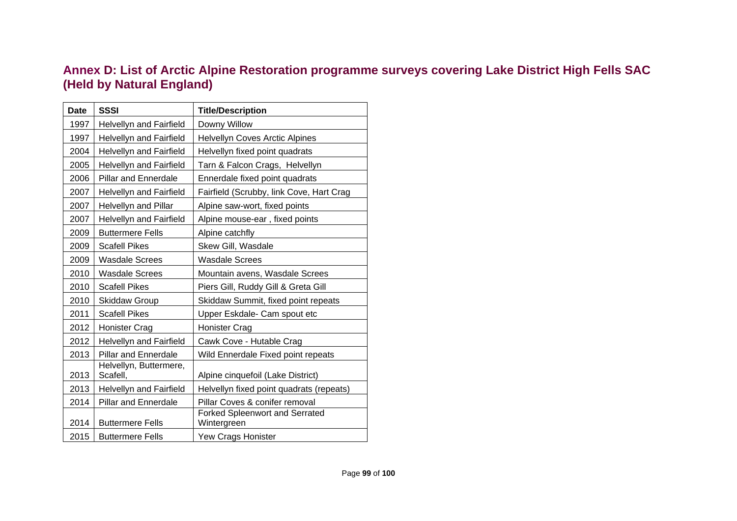# **Annex D: List of Arctic Alpine Restoration programme surveys covering Lake District High Fells SAC (Held by Natural England)**

| <b>Date</b> | <b>SSSI</b>                    | <b>Title/Description</b>                 |
|-------------|--------------------------------|------------------------------------------|
|             |                                |                                          |
| 1997        | Helvellyn and Fairfield        | Downy Willow                             |
| 1997        | <b>Helvellyn and Fairfield</b> | Helvellyn Coves Arctic Alpines           |
| 2004        | <b>Helvellyn and Fairfield</b> | Helvellyn fixed point quadrats           |
| 2005        | <b>Helvellyn and Fairfield</b> | Tarn & Falcon Crags, Helvellyn           |
| 2006        | <b>Pillar and Ennerdale</b>    | Ennerdale fixed point quadrats           |
| 2007        | <b>Helvellyn and Fairfield</b> | Fairfield (Scrubby, link Cove, Hart Crag |
| 2007        | Helvellyn and Pillar           | Alpine saw-wort, fixed points            |
| 2007        | <b>Helvellyn and Fairfield</b> | Alpine mouse-ear, fixed points           |
| 2009        | <b>Buttermere Fells</b>        | Alpine catchfly                          |
| 2009        | <b>Scafell Pikes</b>           | Skew Gill, Wasdale                       |
| 2009        | <b>Wasdale Screes</b>          | <b>Wasdale Screes</b>                    |
| 2010        | <b>Wasdale Screes</b>          | Mountain avens, Wasdale Screes           |
| 2010        | <b>Scafell Pikes</b>           | Piers Gill, Ruddy Gill & Greta Gill      |
| 2010        | <b>Skiddaw Group</b>           | Skiddaw Summit, fixed point repeats      |
| 2011        | <b>Scafell Pikes</b>           | Upper Eskdale- Cam spout etc             |
| 2012        | Honister Crag                  | <b>Honister Crag</b>                     |
| 2012        | <b>Helvellyn and Fairfield</b> | Cawk Cove - Hutable Crag                 |
| 2013        | <b>Pillar and Ennerdale</b>    | Wild Ennerdale Fixed point repeats       |
|             | Helvellyn, Buttermere,         |                                          |
| 2013        | Scafell,                       | Alpine cinquefoil (Lake District)        |
| 2013        | Helvellyn and Fairfield        | Helvellyn fixed point quadrats (repeats) |
| 2014        | <b>Pillar and Ennerdale</b>    | Pillar Coves & conifer removal           |
|             |                                | Forked Spleenwort and Serrated           |
| 2014        | <b>Buttermere Fells</b>        | Wintergreen                              |
| 2015        | <b>Buttermere Fells</b>        | Yew Crags Honister                       |